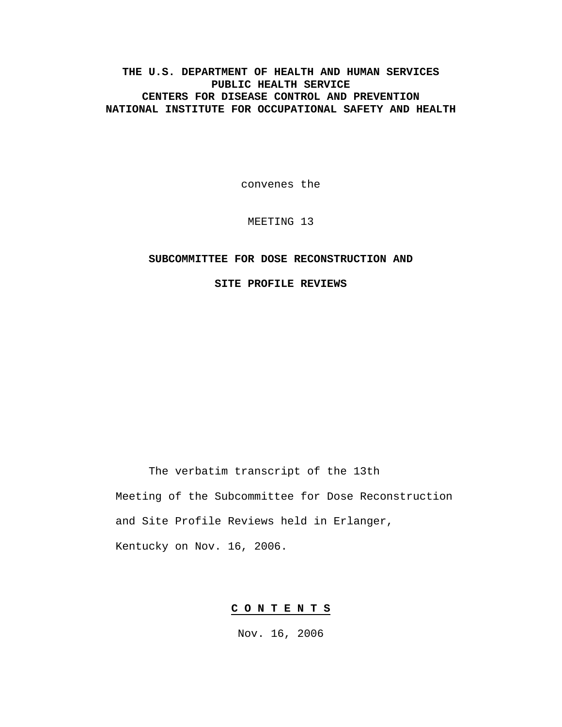**THE U.S. DEPARTMENT OF HEALTH AND HUMAN SERVICES PUBLIC HEALTH SERVICE CENTERS FOR DISEASE CONTROL AND PREVENTION NATIONAL INSTITUTE FOR OCCUPATIONAL SAFETY AND HEALTH** 

convenes the

MEETING 13

### **SUBCOMMITTEE FOR DOSE RECONSTRUCTION AND**

**SITE PROFILE REVIEWS** 

The verbatim transcript of the 13th Meeting of the Subcommittee for Dose Reconstruction and Site Profile Reviews held in Erlanger, Kentucky on Nov. 16, 2006.

### **C O N T E N T S**

Nov. 16, 2006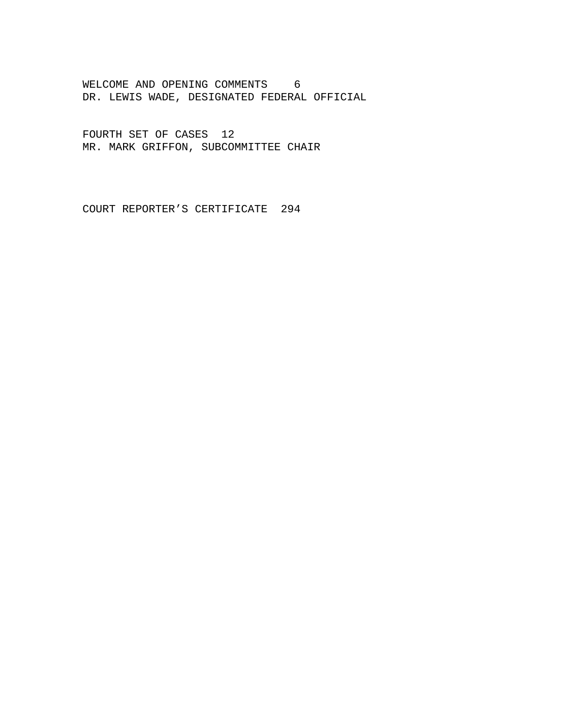WELCOME AND OPENING COMMENTS 6 DR. LEWIS WADE, DESIGNATED FEDERAL OFFICIAL

FOURTH SET OF CASES 12 MR. MARK GRIFFON, SUBCOMMITTEE CHAIR

COURT REPORTER'S CERTIFICATE 294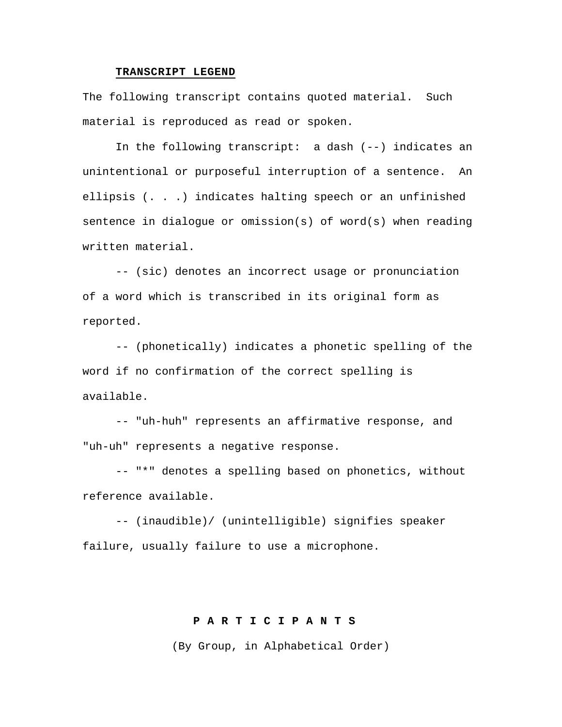### **TRANSCRIPT LEGEND**

The following transcript contains quoted material. Such material is reproduced as read or spoken.

In the following transcript: a dash (--) indicates an unintentional or purposeful interruption of a sentence. An ellipsis (. . .) indicates halting speech or an unfinished sentence in dialogue or omission(s) of word(s) when reading written material.

-- (sic) denotes an incorrect usage or pronunciation of a word which is transcribed in its original form as reported.

-- (phonetically) indicates a phonetic spelling of the word if no confirmation of the correct spelling is available.

-- "uh-huh" represents an affirmative response, and "uh-uh" represents a negative response.

-- "\*" denotes a spelling based on phonetics, without reference available.

-- (inaudible)/ (unintelligible) signifies speaker failure, usually failure to use a microphone.

# **P A R T I C I P A N T S**

(By Group, in Alphabetical Order)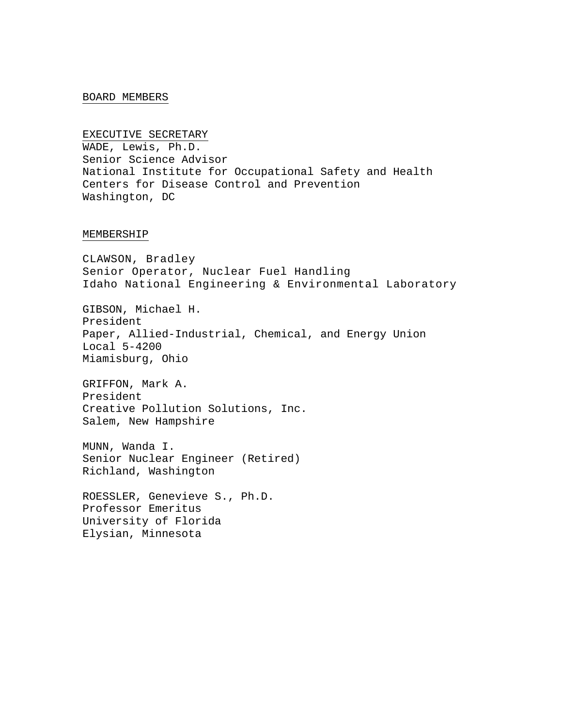### BOARD MEMBERS

#### EXECUTIVE SECRETARY

WADE, Lewis, Ph.D. Senior Science Advisor National Institute for Occupational Safety and Health Centers for Disease Control and Prevention Washington, DC

#### MEMBERSHIP

CLAWSON, Bradley Senior Operator, Nuclear Fuel Handling Idaho National Engineering & Environmental Laboratory

GIBSON, Michael H. President Paper, Allied-Industrial, Chemical, and Energy Union Local 5-4200 Miamisburg, Ohio

GRIFFON, Mark A. President Creative Pollution Solutions, Inc. Salem, New Hampshire

MUNN, Wanda I. Senior Nuclear Engineer (Retired) Richland, Washington

ROESSLER, Genevieve S., Ph.D. Professor Emeritus University of Florida Elysian, Minnesota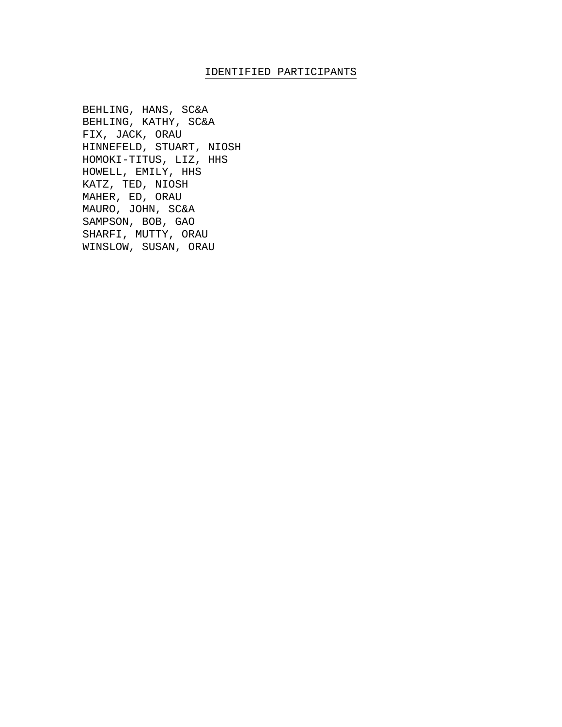### IDENTIFIED PARTICIPANTS

BEHLING, HANS, SC&A BEHLING, KATHY, SC&A FIX, JACK, ORAU HINNEFELD, STUART, NIOSH HOMOKI-TITUS, LIZ, HHS HOWELL, EMILY, HHS KATZ, TED, NIOSH MAHER, ED, ORAU MAURO, JOHN, SC&A SAMPSON, BOB, GAO SHARFI, MUTTY, ORAU WINSLOW, SUSAN, ORAU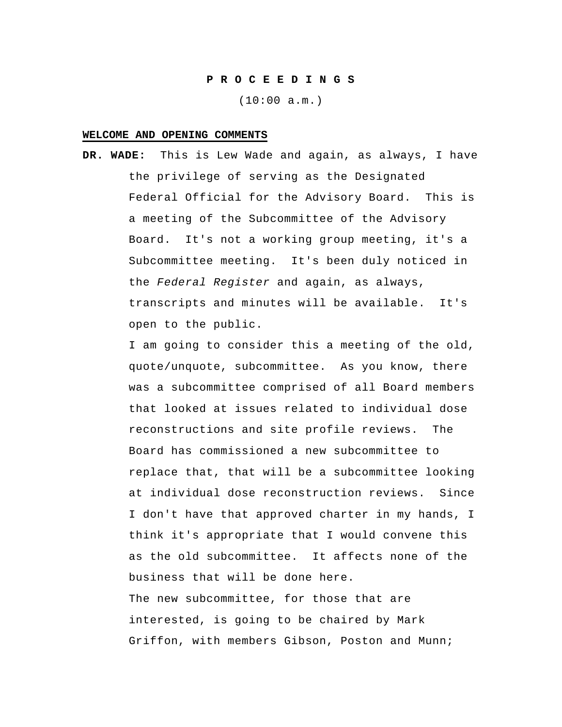#### **P R O C E E D I N G S**

(10:00 a.m.)

#### **WELCOME AND OPENING COMMENTS**

**DR. WADE:** This is Lew Wade and again, as always, I have the privilege of serving as the Designated Federal Official for the Advisory Board. This is a meeting of the Subcommittee of the Advisory Board. It's not a working group meeting, it's a Subcommittee meeting. It's been duly noticed in the *Federal Register* and again, as always, transcripts and minutes will be available. It's open to the public.

> I am going to consider this a meeting of the old, quote/unquote, subcommittee. As you know, there was a subcommittee comprised of all Board members that looked at issues related to individual dose reconstructions and site profile reviews. The Board has commissioned a new subcommittee to replace that, that will be a subcommittee looking at individual dose reconstruction reviews. Since I don't have that approved charter in my hands, I think it's appropriate that I would convene this as the old subcommittee. It affects none of the business that will be done here. The new subcommittee, for those that are interested, is going to be chaired by Mark Griffon, with members Gibson, Poston and Munn;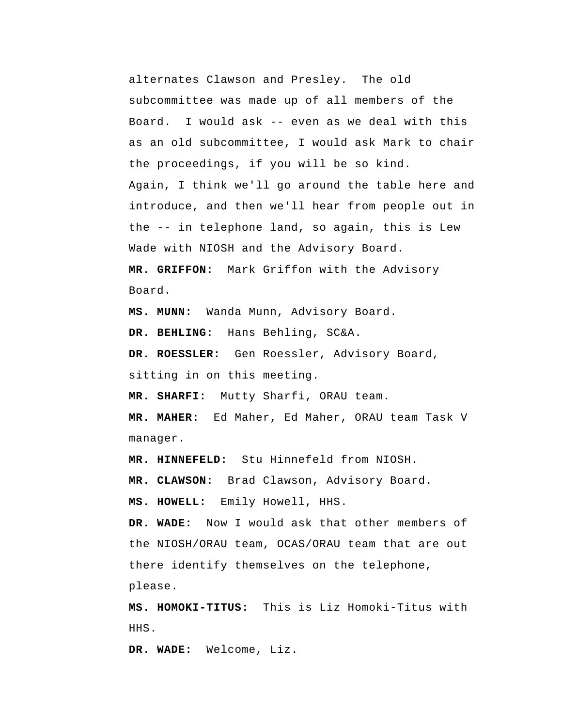alternates Clawson and Presley. The old subcommittee was made up of all members of the Board. I would ask -- even as we deal with this as an old subcommittee, I would ask Mark to chair the proceedings, if you will be so kind. Again, I think we'll go around the table here and introduce, and then we'll hear from people out in the -- in telephone land, so again, this is Lew Wade with NIOSH and the Advisory Board.  **MR. GRIFFON:** Mark Griffon with the Advisory Board.

 **MS. MUNN:** Wanda Munn, Advisory Board.

 **DR. BEHLING:** Hans Behling, SC&A.

**DR. ROESSLER:** Gen Roessler, Advisory Board, sitting in on this meeting.

 **MR. SHARFI:** Mutty Sharfi, ORAU team.

**MR. MAHER:** Ed Maher, Ed Maher, ORAU team Task V manager.

 **MR. HINNEFELD:** Stu Hinnefeld from NIOSH.

 **MR. CLAWSON:** Brad Clawson, Advisory Board.

 **MS. HOWELL:** Emily Howell, HHS.

 **DR. WADE:** Now I would ask that other members of the NIOSH/ORAU team, OCAS/ORAU team that are out there identify themselves on the telephone, please.

**MS. HOMOKI-TITUS:** This is Liz Homoki-Titus with HHS.

 **DR. WADE:** Welcome, Liz.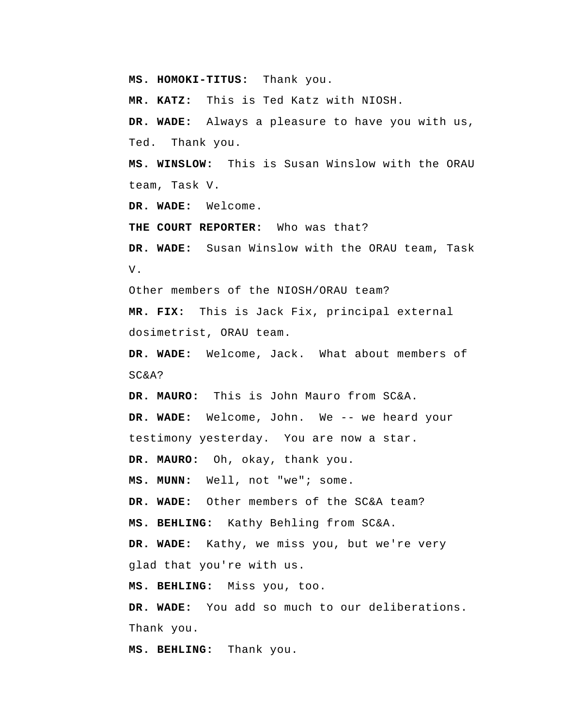**MS. HOMOKI-TITUS:** Thank you.

 **MR. KATZ:** This is Ted Katz with NIOSH.

 **DR. WADE:** Always a pleasure to have you with us, Ted. Thank you.

 **MS. WINSLOW:** This is Susan Winslow with the ORAU team, Task V.

 **DR. WADE:** Welcome.

**THE COURT REPORTER:** Who was that?

 **DR. WADE:** Susan Winslow with the ORAU team, Task V.

Other members of the NIOSH/ORAU team?

 **MR. FIX:** This is Jack Fix, principal external dosimetrist, ORAU team.

 **DR. WADE:** Welcome, Jack. What about members of SC&A?

**DR. MAURO:** This is John Mauro from SC&A.  **DR. WADE:** Welcome, John. We -- we heard your testimony yesterday. You are now a star.

**DR. MAURO:** Oh, okay, thank you.

 **MS. MUNN:** Well, not "we"; some.

 **DR. WADE:** Other members of the SC&A team?

 **MS. BEHLING:** Kathy Behling from SC&A.

 **DR. WADE:** Kathy, we miss you, but we're very glad that you're with us.

 **MS. BEHLING:** Miss you, too.

 **DR. WADE:** You add so much to our deliberations. Thank you.

 **MS. BEHLING:** Thank you.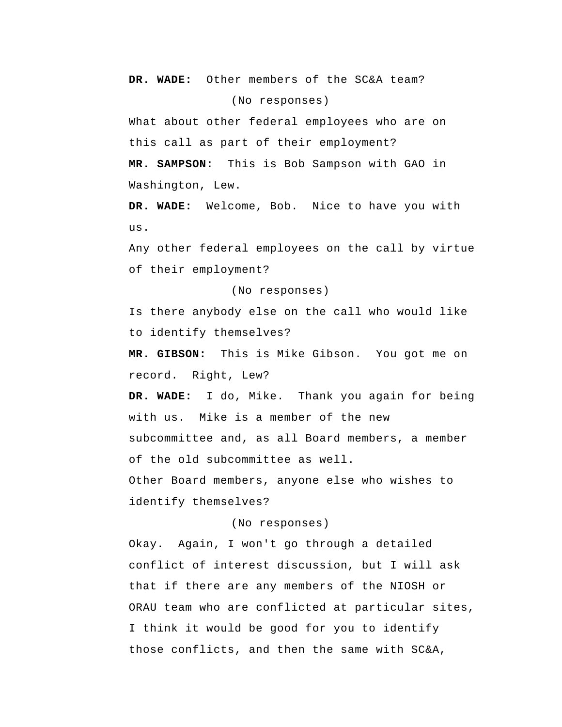**DR. WADE:** Other members of the SC&A team? (No responses)

What about other federal employees who are on this call as part of their employment?  **MR. SAMPSON:** This is Bob Sampson with GAO in Washington, Lew.

 **DR. WADE:** Welcome, Bob. Nice to have you with us.

 Any other federal employees on the call by virtue of their employment?

(No responses)

Is there anybody else on the call who would like to identify themselves?

 **MR. GIBSON:** This is Mike Gibson. You got me on record. Right, Lew?

 **DR. WADE:** I do, Mike. Thank you again for being with us. Mike is a member of the new subcommittee and, as all Board members, a member of the old subcommittee as well. Other Board members, anyone else who wishes to identify themselves?

(No responses)

Okay. Again, I won't go through a detailed conflict of interest discussion, but I will ask that if there are any members of the NIOSH or ORAU team who are conflicted at particular sites, I think it would be good for you to identify those conflicts, and then the same with SC&A,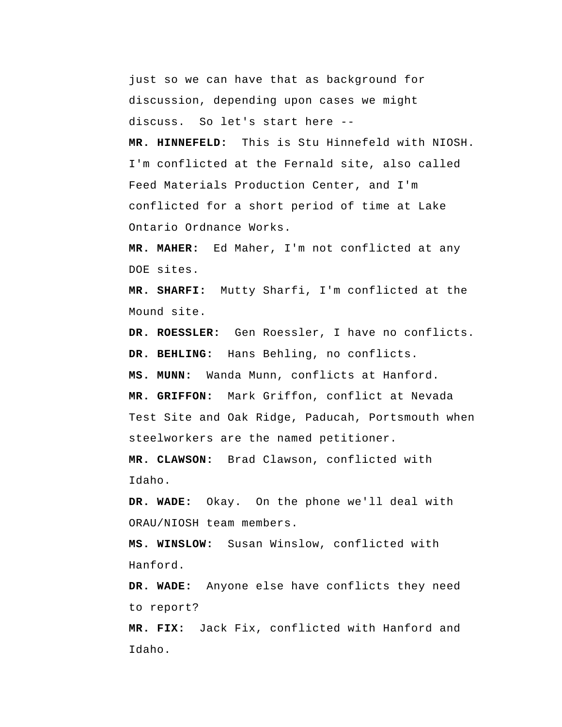just so we can have that as background for discussion, depending upon cases we might discuss. So let's start here --

 **MR. HINNEFELD:** This is Stu Hinnefeld with NIOSH. I'm conflicted at the Fernald site, also called Feed Materials Production Center, and I'm conflicted for a short period of time at Lake Ontario Ordnance Works.

**MR. MAHER:** Ed Maher, I'm not conflicted at any DOE sites.

 **MR. SHARFI:** Mutty Sharfi, I'm conflicted at the Mound site.

**DR. ROESSLER:** Gen Roessler, I have no conflicts.  **DR. BEHLING:** Hans Behling, no conflicts.

 **MS. MUNN:** Wanda Munn, conflicts at Hanford.

 **MR. GRIFFON:** Mark Griffon, conflict at Nevada Test Site and Oak Ridge, Paducah, Portsmouth when steelworkers are the named petitioner.

 **MR. CLAWSON:** Brad Clawson, conflicted with Idaho.

 **DR. WADE:** Okay. On the phone we'll deal with ORAU/NIOSH team members.

 **MS. WINSLOW:** Susan Winslow, conflicted with Hanford.

 **DR. WADE:** Anyone else have conflicts they need to report?

 **MR. FIX:** Jack Fix, conflicted with Hanford and Idaho.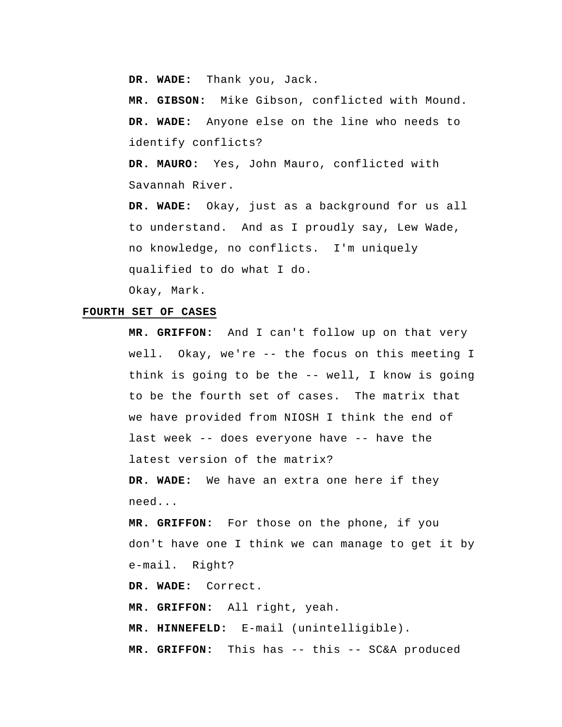**DR. WADE:** Thank you, Jack.

 **MR. GIBSON:** Mike Gibson, conflicted with Mound.  **DR. WADE:** Anyone else on the line who needs to identify conflicts?

**DR. MAURO:** Yes, John Mauro, conflicted with Savannah River.

 **DR. WADE:** Okay, just as a background for us all to understand. And as I proudly say, Lew Wade, no knowledge, no conflicts. I'm uniquely qualified to do what I do.

Okay, Mark.

## **FOURTH SET OF CASES**

 **MR. GRIFFON:** And I can't follow up on that very well. Okay, we're -- the focus on this meeting I think is going to be the -- well, I know is going to be the fourth set of cases. The matrix that we have provided from NIOSH I think the end of last week -- does everyone have -- have the latest version of the matrix?

 **DR. WADE:** We have an extra one here if they need...

 **MR. GRIFFON:** For those on the phone, if you don't have one I think we can manage to get it by e-mail. Right?

 **DR. WADE:** Correct.

 **MR. GRIFFON:** All right, yeah.

 **MR. HINNEFELD:** E-mail (unintelligible).

 **MR. GRIFFON:** This has -- this -- SC&A produced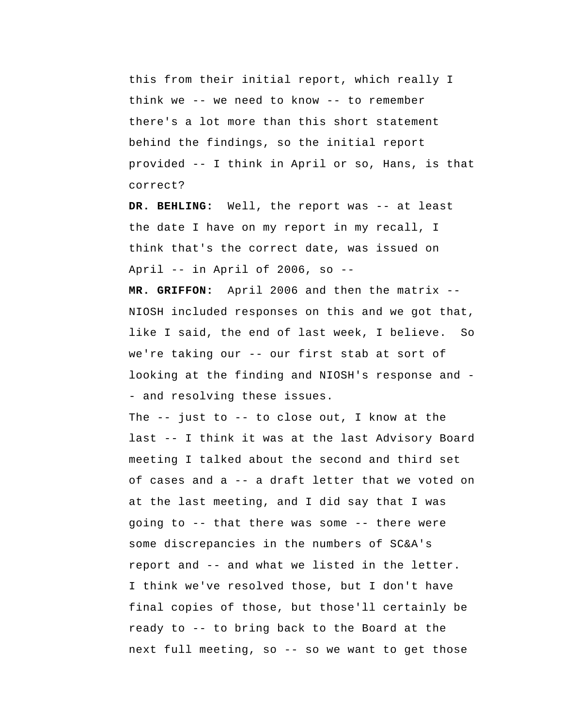this from their initial report, which really I think we -- we need to know -- to remember there's a lot more than this short statement behind the findings, so the initial report provided -- I think in April or so, Hans, is that correct?

 **DR. BEHLING:** Well, the report was -- at least the date I have on my report in my recall, I think that's the correct date, was issued on April -- in April of 2006, so --

 **MR. GRIFFON:** April 2006 and then the matrix -- NIOSH included responses on this and we got that, like I said, the end of last week, I believe. So we're taking our -- our first stab at sort of looking at the finding and NIOSH's response and - and resolving these issues.

The  $-$ - just to  $-$ - to close out, I know at the last -- I think it was at the last Advisory Board meeting I talked about the second and third set of cases and a -- a draft letter that we voted on at the last meeting, and I did say that I was going to -- that there was some -- there were some discrepancies in the numbers of SC&A's report and -- and what we listed in the letter. I think we've resolved those, but I don't have final copies of those, but those'll certainly be ready to -- to bring back to the Board at the next full meeting, so -- so we want to get those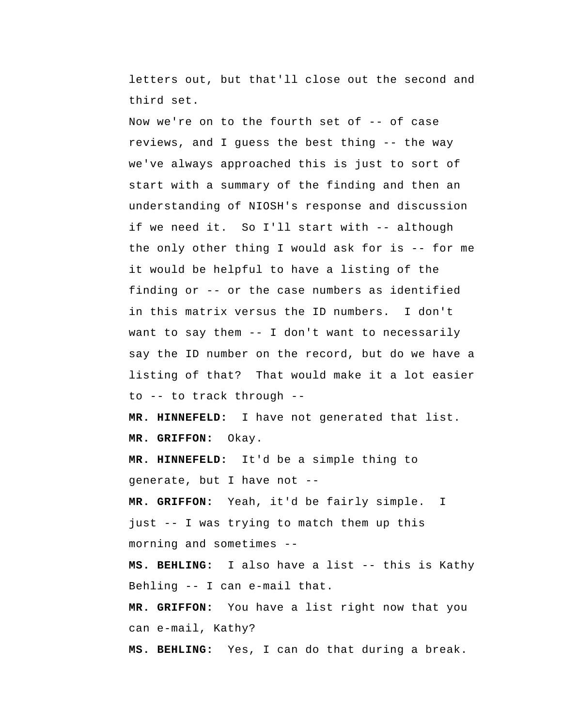letters out, but that'll close out the second and third set.

Now we're on to the fourth set of -- of case reviews, and I guess the best thing -- the way we've always approached this is just to sort of start with a summary of the finding and then an understanding of NIOSH's response and discussion if we need it. So I'll start with -- although the only other thing I would ask for is -- for me it would be helpful to have a listing of the finding or -- or the case numbers as identified in this matrix versus the ID numbers. I don't want to say them -- I don't want to necessarily say the ID number on the record, but do we have a listing of that? That would make it a lot easier to -- to track through --

 **MR. HINNEFELD:** I have not generated that list.  **MR. GRIFFON:** Okay.

 **MR. HINNEFELD:** It'd be a simple thing to generate, but I have not --

 **MR. GRIFFON:** Yeah, it'd be fairly simple. I just -- I was trying to match them up this morning and sometimes --

 **MS. BEHLING:** I also have a list -- this is Kathy Behling -- I can e-mail that.

 **MR. GRIFFON:** You have a list right now that you can e-mail, Kathy?

 **MS. BEHLING:** Yes, I can do that during a break.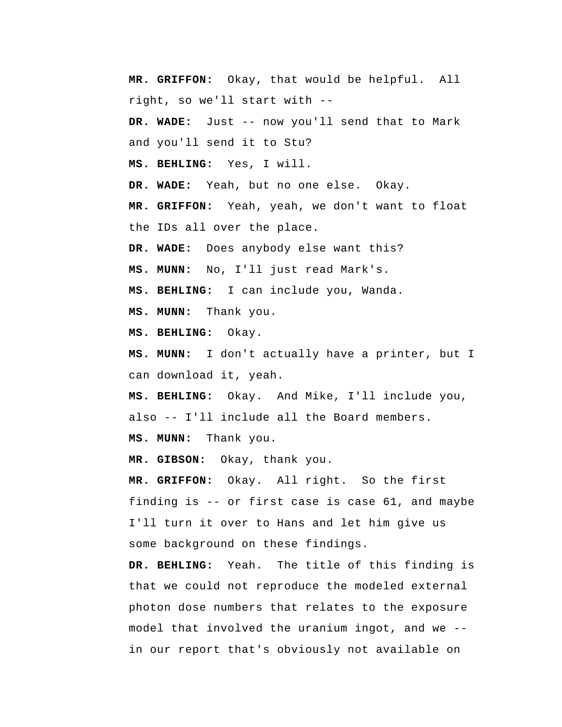**MR. GRIFFON:** Okay, that would be helpful. All right, so we'll start with --  **DR. WADE:** Just -- now you'll send that to Mark and you'll send it to Stu?  **MS. BEHLING:** Yes, I will.  **DR. WADE:** Yeah, but no one else. Okay.  **MR. GRIFFON:** Yeah, yeah, we don't want to float the IDs all over the place.  **DR. WADE:** Does anybody else want this?  **MS. MUNN:** No, I'll just read Mark's.  **MS. BEHLING:** I can include you, Wanda.  **MS. MUNN:** Thank you.  **MS. BEHLING:** Okay.  **MS. MUNN:** I don't actually have a printer, but I can download it, yeah.  **MS. BEHLING:** Okay. And Mike, I'll include you, also -- I'll include all the Board members.  **MS. MUNN:** Thank you.  **MR. GIBSON:** Okay, thank you.  **MR. GRIFFON:** Okay. All right. So the first finding is -- or first case is case 61, and maybe I'll turn it over to Hans and let him give us some background on these findings.  **DR. BEHLING:** Yeah. The title of this finding is that we could not reproduce the modeled external photon dose numbers that relates to the exposure model that involved the uranium ingot, and we - in our report that's obviously not available on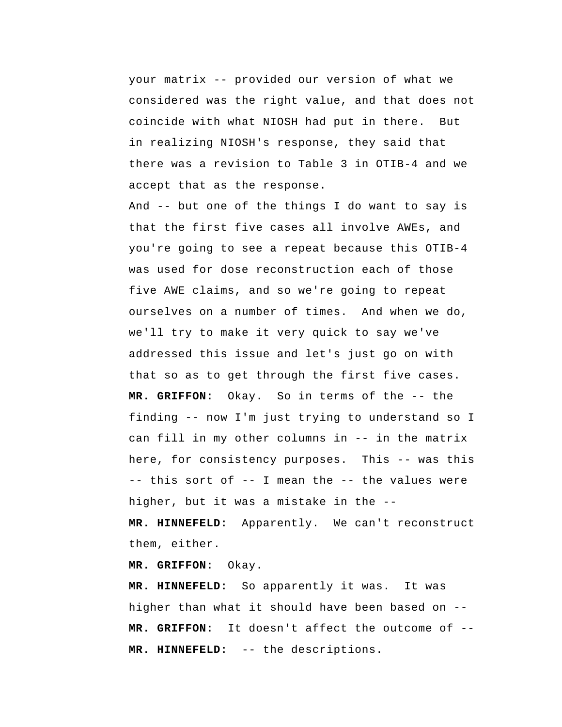your matrix -- provided our version of what we considered was the right value, and that does not coincide with what NIOSH had put in there. But in realizing NIOSH's response, they said that there was a revision to Table 3 in OTIB-4 and we accept that as the response.

And -- but one of the things I do want to say is that the first five cases all involve AWEs, and you're going to see a repeat because this OTIB-4 was used for dose reconstruction each of those five AWE claims, and so we're going to repeat ourselves on a number of times. And when we do, we'll try to make it very quick to say we've addressed this issue and let's just go on with that so as to get through the first five cases.  **MR. GRIFFON:** Okay. So in terms of the -- the finding -- now I'm just trying to understand so I can fill in my other columns in -- in the matrix here, for consistency purposes. This -- was this -- this sort of -- I mean the -- the values were higher, but it was a mistake in the --  **MR. HINNEFELD:** Apparently. We can't reconstruct them, either.

 **MR. GRIFFON:** Okay.

 **MR. HINNEFELD:** So apparently it was. It was higher than what it should have been based on --  **MR. GRIFFON:** It doesn't affect the outcome of --  **MR. HINNEFELD:** -- the descriptions.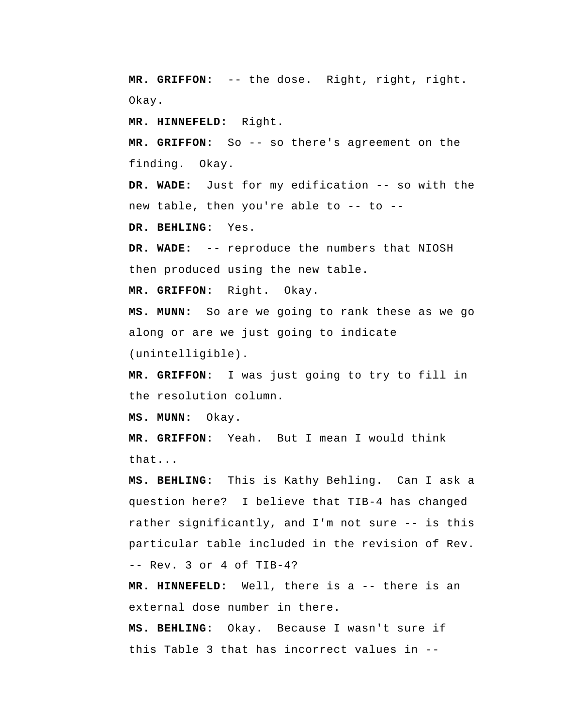**MR. GRIFFON:** -- the dose. Right, right, right. Okay.

 **MR. HINNEFELD:** Right.

 **MR. GRIFFON:** So -- so there's agreement on the finding. Okay.

 **DR. WADE:** Just for my edification -- so with the new table, then you're able to -- to --

 **DR. BEHLING:** Yes.

 **DR. WADE:** -- reproduce the numbers that NIOSH then produced using the new table.

 **MR. GRIFFON:** Right. Okay.

 **MS. MUNN:** So are we going to rank these as we go along or are we just going to indicate (unintelligible).

 **MR. GRIFFON:** I was just going to try to fill in the resolution column.

 **MS. MUNN:** Okay.

 **MR. GRIFFON:** Yeah. But I mean I would think that...

 **MS. BEHLING:** This is Kathy Behling. Can I ask a question here? I believe that TIB-4 has changed rather significantly, and I'm not sure -- is this particular table included in the revision of Rev. -- Rev. 3 or 4 of TIB-4?

 **MR. HINNEFELD:** Well, there is a -- there is an external dose number in there.

 **MS. BEHLING:** Okay. Because I wasn't sure if this Table 3 that has incorrect values in --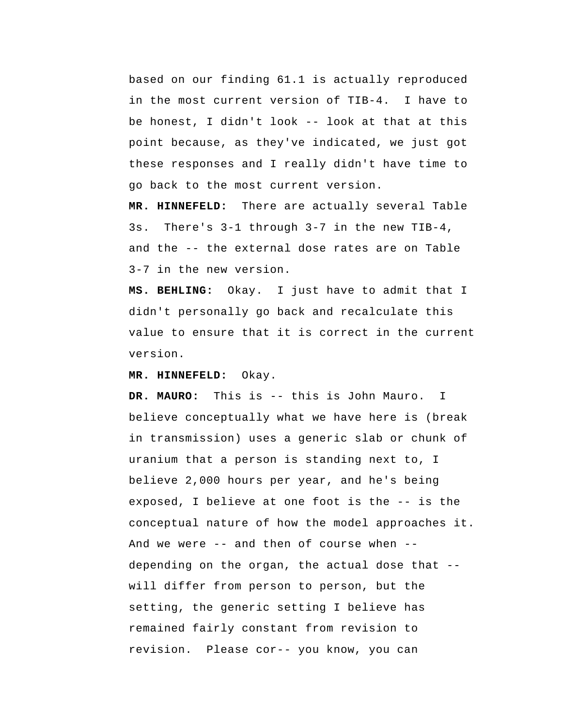based on our finding 61.1 is actually reproduced in the most current version of TIB-4. I have to be honest, I didn't look -- look at that at this point because, as they've indicated, we just got these responses and I really didn't have time to go back to the most current version.

 **MR. HINNEFELD:** There are actually several Table 3s. There's 3-1 through 3-7 in the new TIB-4, and the -- the external dose rates are on Table 3-7 in the new version.

 **MS. BEHLING:** Okay. I just have to admit that I didn't personally go back and recalculate this value to ensure that it is correct in the current version.

 **MR. HINNEFELD:** Okay.

**DR. MAURO:** This is -- this is John Mauro. I believe conceptually what we have here is (break in transmission) uses a generic slab or chunk of uranium that a person is standing next to, I believe 2,000 hours per year, and he's being exposed, I believe at one foot is the -- is the conceptual nature of how the model approaches it. And we were -- and then of course when - depending on the organ, the actual dose that - will differ from person to person, but the setting, the generic setting I believe has remained fairly constant from revision to revision. Please cor-- you know, you can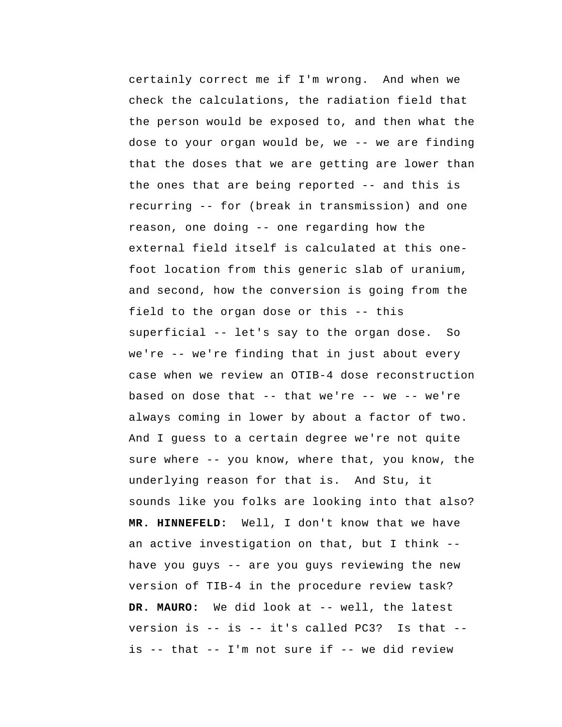certainly correct me if I'm wrong. And when we check the calculations, the radiation field that the person would be exposed to, and then what the dose to your organ would be, we -- we are finding that the doses that we are getting are lower than the ones that are being reported -- and this is recurring -- for (break in transmission) and one reason, one doing -- one regarding how the external field itself is calculated at this onefoot location from this generic slab of uranium, and second, how the conversion is going from the field to the organ dose or this -- this superficial -- let's say to the organ dose. So we're -- we're finding that in just about every case when we review an OTIB-4 dose reconstruction based on dose that  $--$  that we're  $--$  we  $--$  we're always coming in lower by about a factor of two. And I guess to a certain degree we're not quite sure where -- you know, where that, you know, the underlying reason for that is. And Stu, it sounds like you folks are looking into that also?  **MR. HINNEFELD:** Well, I don't know that we have an active investigation on that, but I think - have you guys -- are you guys reviewing the new version of TIB-4 in the procedure review task? **DR. MAURO:** We did look at -- well, the latest version is -- is -- it's called PC3? Is that -is -- that -- I'm not sure if -- we did review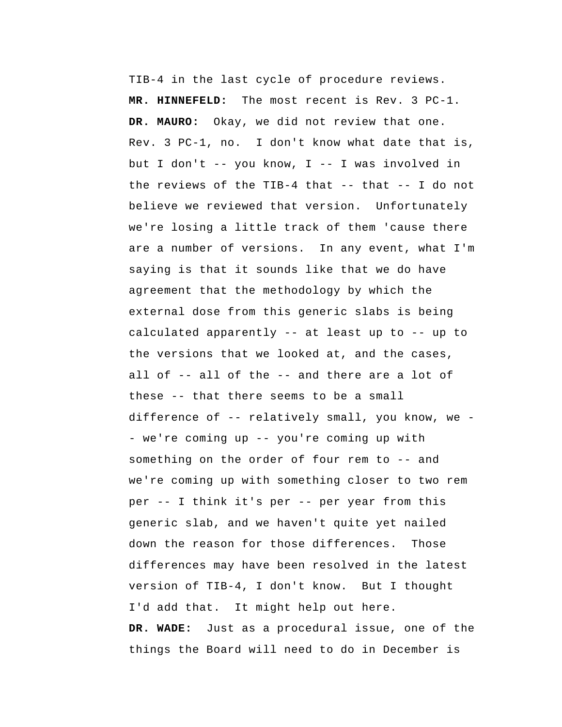TIB-4 in the last cycle of procedure reviews.  **MR. HINNEFELD:** The most recent is Rev. 3 PC-1. **DR. MAURO:** Okay, we did not review that one. Rev. 3 PC-1, no. I don't know what date that is, but I don't -- you know, I -- I was involved in the reviews of the TIB-4 that -- that -- I do not believe we reviewed that version. Unfortunately we're losing a little track of them 'cause there are a number of versions. In any event, what I'm saying is that it sounds like that we do have agreement that the methodology by which the external dose from this generic slabs is being calculated apparently -- at least up to -- up to the versions that we looked at, and the cases, all of -- all of the -- and there are a lot of these -- that there seems to be a small difference of -- relatively small, you know, we - we're coming up -- you're coming up with something on the order of four rem to -- and we're coming up with something closer to two rem per -- I think it's per -- per year from this generic slab, and we haven't quite yet nailed down the reason for those differences. Those differences may have been resolved in the latest version of TIB-4, I don't know. But I thought I'd add that. It might help out here.  **DR. WADE:** Just as a procedural issue, one of the things the Board will need to do in December is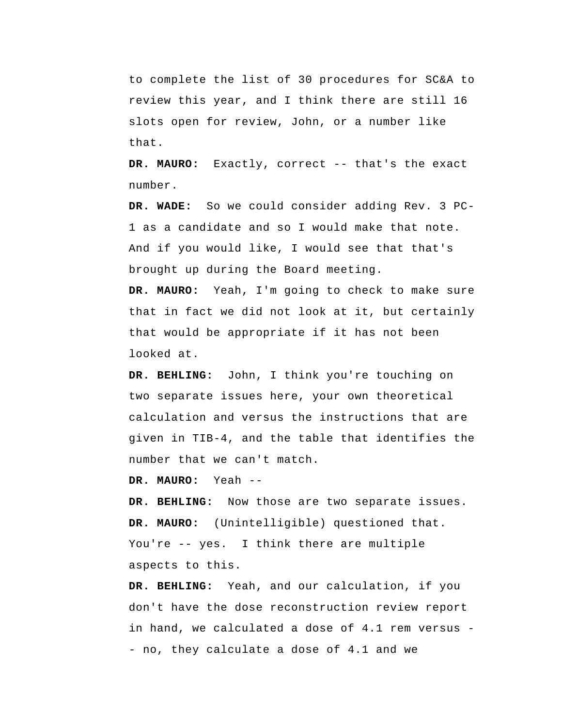to complete the list of 30 procedures for SC&A to review this year, and I think there are still 16 slots open for review, John, or a number like that.

**DR. MAURO:** Exactly, correct -- that's the exact number.

 **DR. WADE:** So we could consider adding Rev. 3 PC-1 as a candidate and so I would make that note. And if you would like, I would see that that's brought up during the Board meeting.

**DR. MAURO:** Yeah, I'm going to check to make sure that in fact we did not look at it, but certainly that would be appropriate if it has not been looked at.

 **DR. BEHLING:** John, I think you're touching on two separate issues here, your own theoretical calculation and versus the instructions that are given in TIB-4, and the table that identifies the number that we can't match.

**DR. MAURO:** Yeah --

 **DR. BEHLING:** Now those are two separate issues. **DR. MAURO:** (Unintelligible) questioned that. You're -- yes. I think there are multiple aspects to this.

 **DR. BEHLING:** Yeah, and our calculation, if you don't have the dose reconstruction review report in hand, we calculated a dose of 4.1 rem versus - no, they calculate a dose of 4.1 and we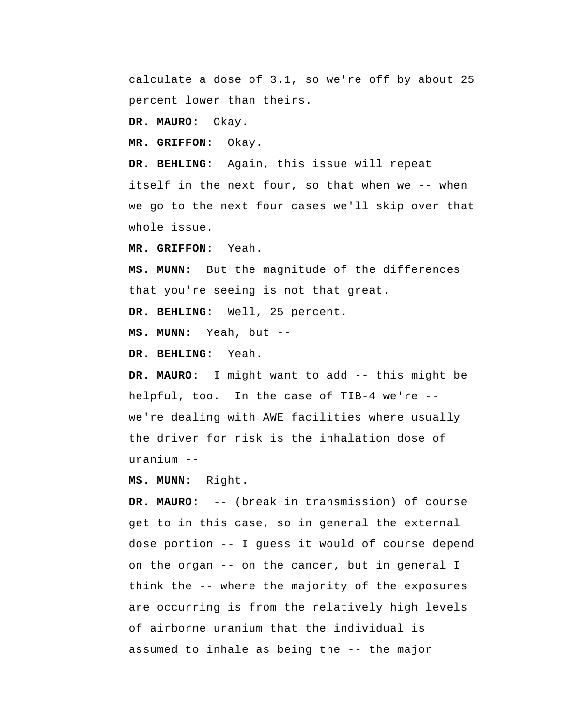calculate a dose of 3.1, so we're off by about 25 percent lower than theirs.

**DR. MAURO:** Okay.

 **MR. GRIFFON:** Okay.

 **DR. BEHLING:** Again, this issue will repeat itself in the next four, so that when we -- when we go to the next four cases we'll skip over that whole issue.

 **MR. GRIFFON:** Yeah.

 **MS. MUNN:** But the magnitude of the differences that you're seeing is not that great.

 **DR. BEHLING:** Well, 25 percent.

 **MS. MUNN:** Yeah, but --

 **DR. BEHLING:** Yeah.

**DR. MAURO:** I might want to add -- this might be helpful, too. In the case of TIB-4 we're - we're dealing with AWE facilities where usually the driver for risk is the inhalation dose of uranium --

 **MS. MUNN:** Right.

**DR. MAURO:** -- (break in transmission) of course get to in this case, so in general the external dose portion -- I guess it would of course depend on the organ -- on the cancer, but in general I think the -- where the majority of the exposures are occurring is from the relatively high levels of airborne uranium that the individual is assumed to inhale as being the -- the major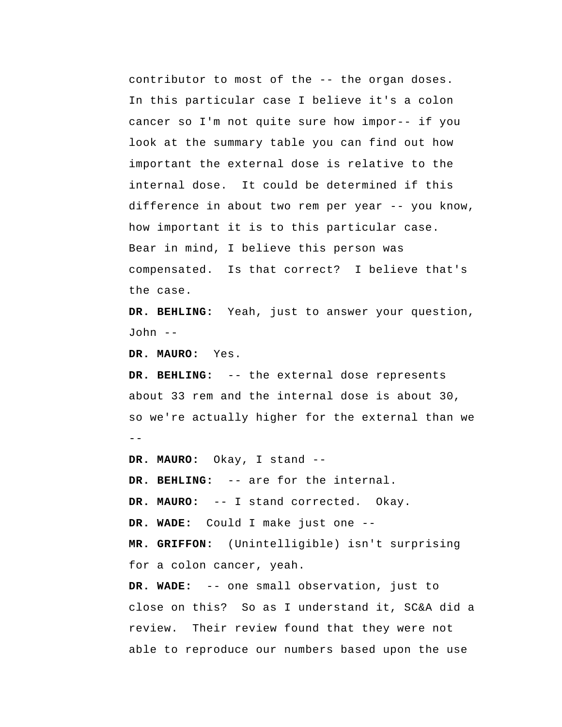contributor to most of the -- the organ doses. In this particular case I believe it's a colon cancer so I'm not quite sure how impor-- if you look at the summary table you can find out how important the external dose is relative to the internal dose. It could be determined if this difference in about two rem per year -- you know, how important it is to this particular case. Bear in mind, I believe this person was compensated. Is that correct? I believe that's the case.

 **DR. BEHLING:** Yeah, just to answer your question, John --

**DR. MAURO:** Yes.

--  **DR. BEHLING:** -- the external dose represents about 33 rem and the internal dose is about 30, so we're actually higher for the external than we

**DR. MAURO:** Okay, I stand -- **DR. BEHLING:** -- are for the internal. **DR. MAURO:** -- I stand corrected. Okay.  **DR. WADE:** Could I make just one -- **MR. GRIFFON:** (Unintelligible) isn't surprising for a colon cancer, yeah.  **DR. WADE:** -- one small observation, just to close on this? So as I understand it, SC&A did a review. Their review found that they were not able to reproduce our numbers based upon the use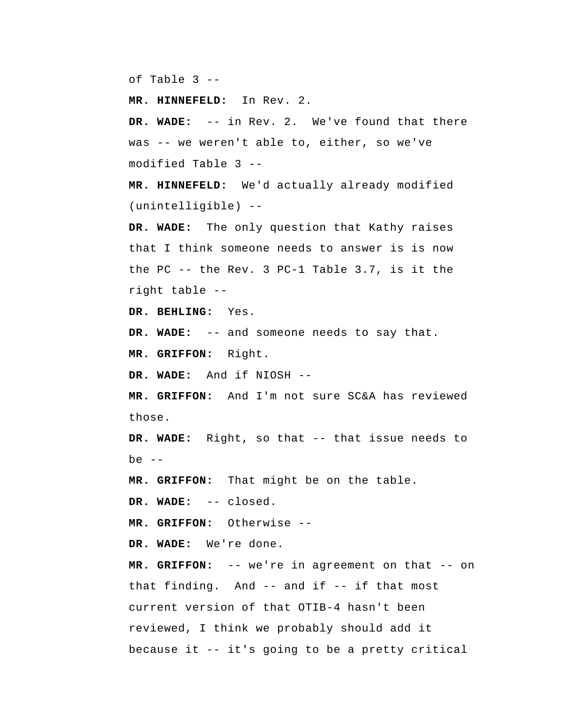of Table 3 --

 **MR. HINNEFELD:** In Rev. 2.

 **DR. WADE:** -- in Rev. 2. We've found that there was -- we weren't able to, either, so we've modified Table 3 --

 **MR. HINNEFELD:** We'd actually already modified (unintelligible) --

 **DR. WADE:** The only question that Kathy raises that I think someone needs to answer is is now the PC -- the Rev. 3 PC-1 Table 3.7, is it the right table --

 **DR. BEHLING:** Yes.

 **DR. WADE:** -- and someone needs to say that.

 **MR. GRIFFON:** Right.

 **DR. WADE:** And if NIOSH --

 **MR. GRIFFON:** And I'm not sure SC&A has reviewed those.

 **DR. WADE:** Right, so that -- that issue needs to be  $--$ 

 **MR. GRIFFON:** That might be on the table.

 **DR. WADE:** -- closed.

 **MR. GRIFFON:** Otherwise --

 **DR. WADE:** We're done.

 **MR. GRIFFON:** -- we're in agreement on that -- on that finding. And -- and if -- if that most current version of that OTIB-4 hasn't been reviewed, I think we probably should add it because it -- it's going to be a pretty critical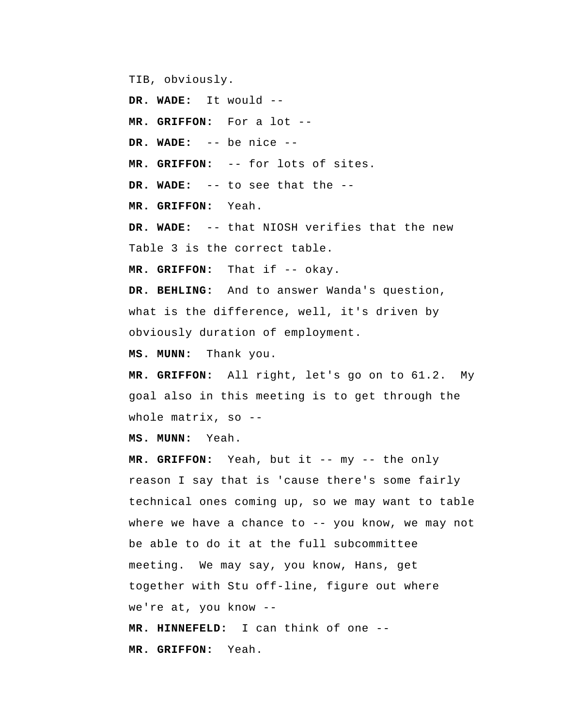TIB, obviously.

 **DR. WADE:** It would --

 **MR. GRIFFON:** For a lot --

 **DR. WADE:** -- be nice --

 **MR. GRIFFON:** -- for lots of sites.

 **DR. WADE:** -- to see that the --

 **MR. GRIFFON:** Yeah.

 **DR. WADE:** -- that NIOSH verifies that the new Table 3 is the correct table.

MR. GRIFFON: That if -- okay.

 **DR. BEHLING:** And to answer Wanda's question, what is the difference, well, it's driven by obviously duration of employment.

 **MS. MUNN:** Thank you.

 **MR. GRIFFON:** All right, let's go on to 61.2. My goal also in this meeting is to get through the whole matrix, so --

 **MS. MUNN:** Yeah.

 **MR. GRIFFON:** Yeah, but it -- my -- the only reason I say that is 'cause there's some fairly technical ones coming up, so we may want to table where we have a chance to  $-$ - you know, we may not be able to do it at the full subcommittee meeting. We may say, you know, Hans, get together with Stu off-line, figure out where we're at, you know --  **MR. HINNEFELD:** I can think of one -- **MR. GRIFFON:** Yeah.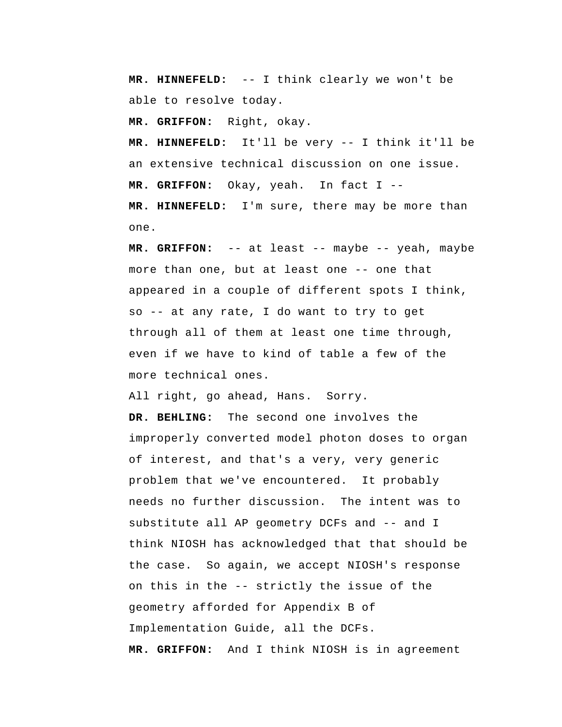**MR. HINNEFELD:** -- I think clearly we won't be able to resolve today.

 **MR. GRIFFON:** Right, okay.

 **MR. HINNEFELD:** It'll be very -- I think it'll be an extensive technical discussion on one issue.  **MR. GRIFFON:** Okay, yeah. In fact I --

 **MR. HINNEFELD:** I'm sure, there may be more than one.

 **MR. GRIFFON:** -- at least -- maybe -- yeah, maybe more than one, but at least one -- one that appeared in a couple of different spots I think, so -- at any rate, I do want to try to get through all of them at least one time through, even if we have to kind of table a few of the more technical ones.

All right, go ahead, Hans. Sorry.

 **DR. BEHLING:** The second one involves the improperly converted model photon doses to organ of interest, and that's a very, very generic problem that we've encountered. It probably needs no further discussion. The intent was to substitute all AP geometry DCFs and -- and I think NIOSH has acknowledged that that should be the case. So again, we accept NIOSH's response on this in the -- strictly the issue of the geometry afforded for Appendix B of Implementation Guide, all the DCFs.  **MR. GRIFFON:** And I think NIOSH is in agreement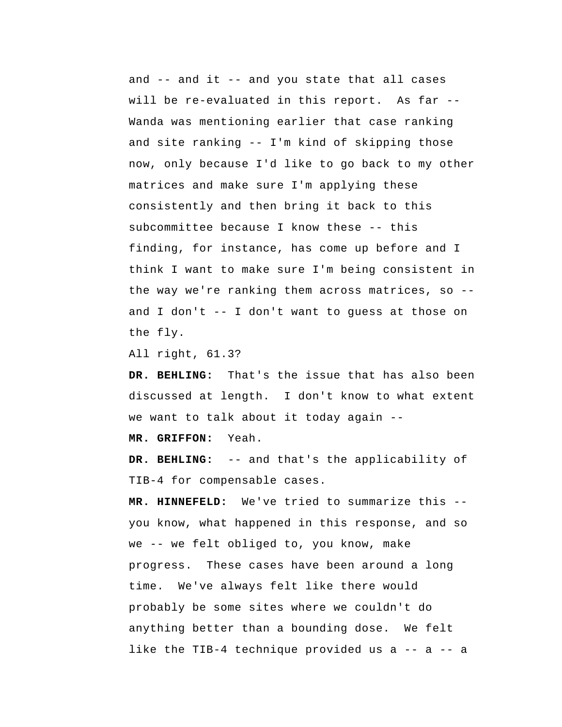and -- and it -- and you state that all cases will be re-evaluated in this report. As far --Wanda was mentioning earlier that case ranking and site ranking -- I'm kind of skipping those now, only because I'd like to go back to my other matrices and make sure I'm applying these consistently and then bring it back to this subcommittee because I know these -- this finding, for instance, has come up before and I think I want to make sure I'm being consistent in the way we're ranking them across matrices, so - and I don't -- I don't want to guess at those on the fly.

All right, 61.3?

 **DR. BEHLING:** That's the issue that has also been discussed at length. I don't know to what extent we want to talk about it today again --

 **MR. GRIFFON:** Yeah.

 **DR. BEHLING:** -- and that's the applicability of TIB-4 for compensable cases.

 **MR. HINNEFELD:** We've tried to summarize this - you know, what happened in this response, and so we -- we felt obliged to, you know, make progress. These cases have been around a long time. We've always felt like there would probably be some sites where we couldn't do anything better than a bounding dose. We felt like the TIB-4 technique provided us a -- a -- a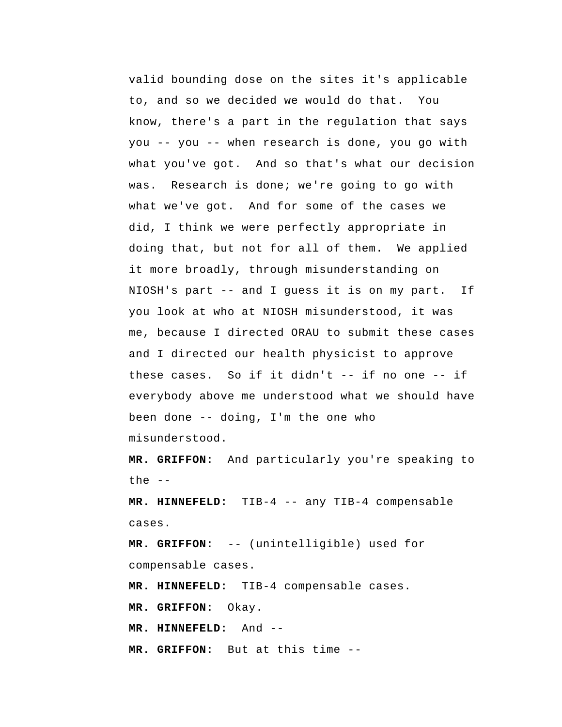valid bounding dose on the sites it's applicable to, and so we decided we would do that. You know, there's a part in the regulation that says you -- you -- when research is done, you go with what you've got. And so that's what our decision was. Research is done; we're going to go with what we've got. And for some of the cases we did, I think we were perfectly appropriate in doing that, but not for all of them. We applied it more broadly, through misunderstanding on NIOSH's part -- and I guess it is on my part. If you look at who at NIOSH misunderstood, it was me, because I directed ORAU to submit these cases and I directed our health physicist to approve these cases. So if it didn't -- if no one -- if everybody above me understood what we should have been done -- doing, I'm the one who misunderstood.

 **MR. GRIFFON:** And particularly you're speaking to the  $-$ 

 **MR. HINNEFELD:** TIB-4 -- any TIB-4 compensable cases.

 **MR. GRIFFON:** -- (unintelligible) used for compensable cases.

 **MR. HINNEFELD:** TIB-4 compensable cases.

 **MR. GRIFFON:** Okay.

 **MR. HINNEFELD:** And --

 **MR. GRIFFON:** But at this time --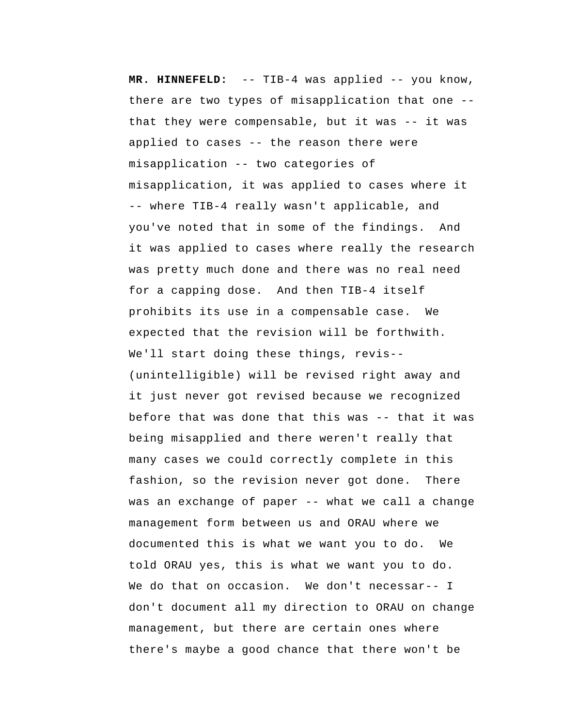**MR. HINNEFELD:** -- TIB-4 was applied -- you know, there are two types of misapplication that one - that they were compensable, but it was -- it was applied to cases -- the reason there were misapplication -- two categories of misapplication, it was applied to cases where it -- where TIB-4 really wasn't applicable, and you've noted that in some of the findings. And it was applied to cases where really the research was pretty much done and there was no real need for a capping dose. And then TIB-4 itself prohibits its use in a compensable case. We expected that the revision will be forthwith. We'll start doing these things, revis-- (unintelligible) will be revised right away and it just never got revised because we recognized before that was done that this was -- that it was being misapplied and there weren't really that many cases we could correctly complete in this fashion, so the revision never got done. There was an exchange of paper -- what we call a change management form between us and ORAU where we documented this is what we want you to do. We told ORAU yes, this is what we want you to do. We do that on occasion. We don't necessar-- I don't document all my direction to ORAU on change management, but there are certain ones where there's maybe a good chance that there won't be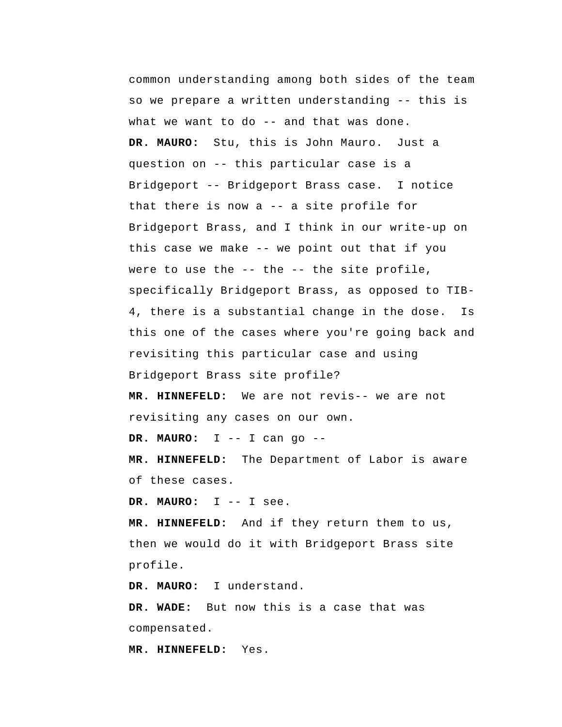common understanding among both sides of the team so we prepare a written understanding -- this is what we want to do -- and that was done. **DR. MAURO:** Stu, this is John Mauro. Just a question on -- this particular case is a Bridgeport -- Bridgeport Brass case. I notice that there is now a -- a site profile for Bridgeport Brass, and I think in our write-up on this case we make -- we point out that if you were to use the -- the -- the site profile, specifically Bridgeport Brass, as opposed to TIB-4, there is a substantial change in the dose. Is this one of the cases where you're going back and revisiting this particular case and using Bridgeport Brass site profile?

 **MR. HINNEFELD:** We are not revis-- we are not revisiting any cases on our own.

**DR. MAURO:** I -- I can go --

 **MR. HINNEFELD:** The Department of Labor is aware of these cases.

**DR. MAURO:** I -- I see.

 **MR. HINNEFELD:** And if they return them to us, then we would do it with Bridgeport Brass site profile.

**DR. MAURO:** I understand.

 **DR. WADE:** But now this is a case that was compensated.

 **MR. HINNEFELD:** Yes.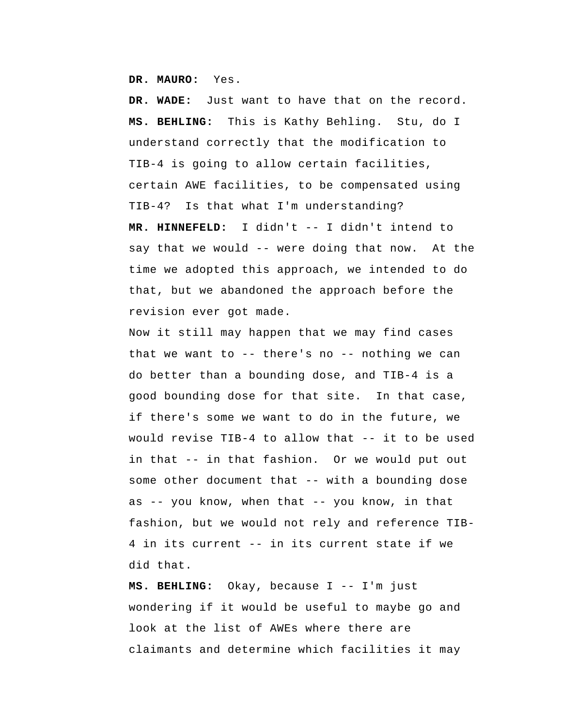**DR. MAURO:** Yes.

 **DR. WADE:** Just want to have that on the record.  **MS. BEHLING:** This is Kathy Behling. Stu, do I understand correctly that the modification to TIB-4 is going to allow certain facilities, certain AWE facilities, to be compensated using TIB-4? Is that what I'm understanding?  **MR. HINNEFELD:** I didn't -- I didn't intend to say that we would -- were doing that now. At the time we adopted this approach, we intended to do that, but we abandoned the approach before the revision ever got made.

Now it still may happen that we may find cases that we want to  $-$ - there's no  $-$ - nothing we can do better than a bounding dose, and TIB-4 is a good bounding dose for that site. In that case, if there's some we want to do in the future, we would revise TIB-4 to allow that -- it to be used in that -- in that fashion. Or we would put out some other document that -- with a bounding dose as -- you know, when that -- you know, in that fashion, but we would not rely and reference TIB-4 in its current -- in its current state if we did that.

 **MS. BEHLING:** Okay, because I -- I'm just wondering if it would be useful to maybe go and look at the list of AWEs where there are claimants and determine which facilities it may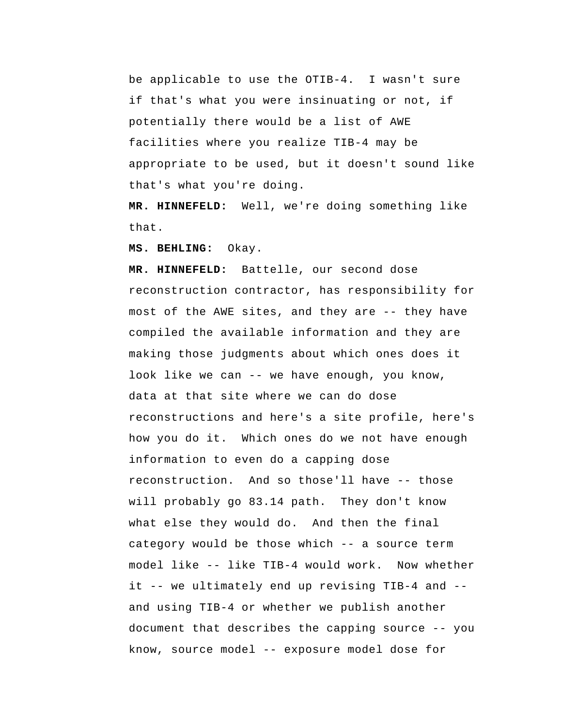be applicable to use the OTIB-4. I wasn't sure if that's what you were insinuating or not, if potentially there would be a list of AWE facilities where you realize TIB-4 may be appropriate to be used, but it doesn't sound like that's what you're doing.

 **MR. HINNEFELD:** Well, we're doing something like that.

 **MS. BEHLING:** Okay.

 **MR. HINNEFELD:** Battelle, our second dose reconstruction contractor, has responsibility for most of the AWE sites, and they are -- they have compiled the available information and they are making those judgments about which ones does it look like we can -- we have enough, you know, data at that site where we can do dose reconstructions and here's a site profile, here's how you do it. Which ones do we not have enough information to even do a capping dose reconstruction. And so those'll have -- those will probably go 83.14 path. They don't know what else they would do. And then the final category would be those which -- a source term model like -- like TIB-4 would work. Now whether it -- we ultimately end up revising TIB-4 and - and using TIB-4 or whether we publish another document that describes the capping source -- you know, source model -- exposure model dose for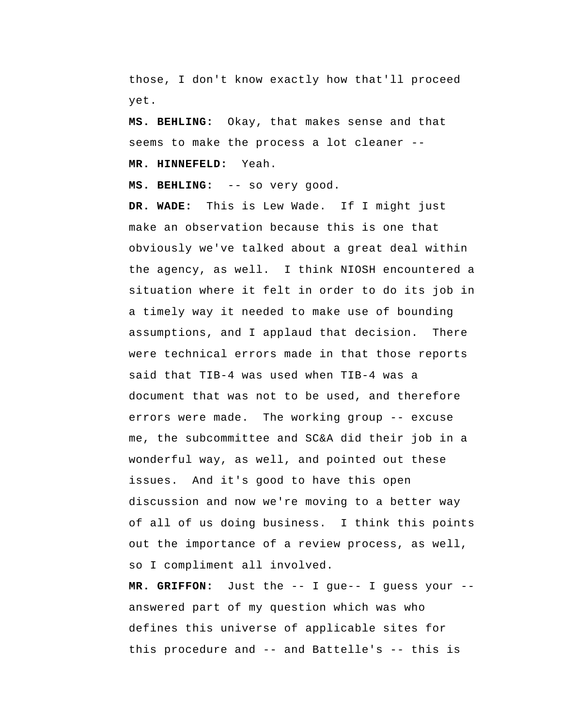those, I don't know exactly how that'll proceed yet.

 **MS. BEHLING:** Okay, that makes sense and that seems to make the process a lot cleaner --  **MR. HINNEFELD:** Yeah.

 **MS. BEHLING:** -- so very good.

 **DR. WADE:** This is Lew Wade. If I might just make an observation because this is one that obviously we've talked about a great deal within the agency, as well. I think NIOSH encountered a situation where it felt in order to do its job in a timely way it needed to make use of bounding assumptions, and I applaud that decision. There were technical errors made in that those reports said that TIB-4 was used when TIB-4 was a document that was not to be used, and therefore errors were made. The working group -- excuse me, the subcommittee and SC&A did their job in a wonderful way, as well, and pointed out these issues. And it's good to have this open discussion and now we're moving to a better way of all of us doing business. I think this points out the importance of a review process, as well, so I compliment all involved.

 **MR. GRIFFON:** Just the -- I gue-- I guess your - answered part of my question which was who defines this universe of applicable sites for this procedure and -- and Battelle's -- this is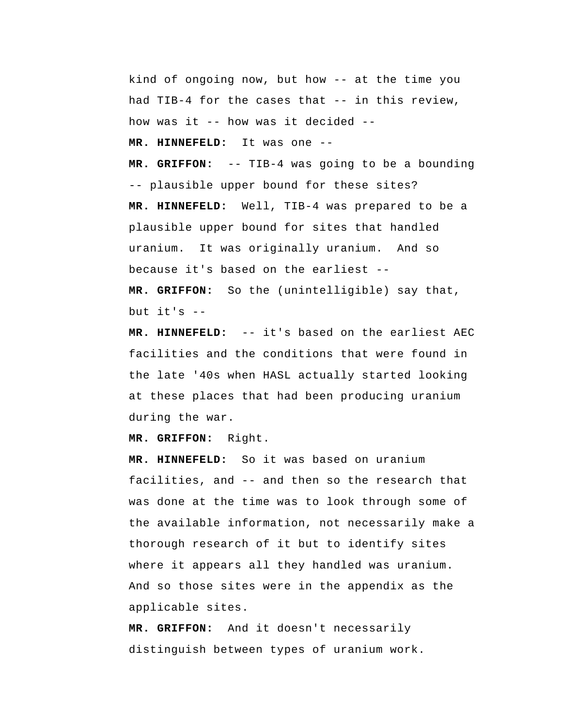kind of ongoing now, but how -- at the time you had TIB-4 for the cases that -- in this review, how was it -- how was it decided --

 **MR. HINNEFELD:** It was one --

 **MR. GRIFFON:** -- TIB-4 was going to be a bounding -- plausible upper bound for these sites?  **MR. HINNEFELD:** Well, TIB-4 was prepared to be a plausible upper bound for sites that handled uranium. It was originally uranium. And so because it's based on the earliest --  **MR. GRIFFON:** So the (unintelligible) say that,

but it's  $-$ 

 **MR. HINNEFELD:** -- it's based on the earliest AEC facilities and the conditions that were found in the late '40s when HASL actually started looking at these places that had been producing uranium during the war.

 **MR. GRIFFON:** Right.

 **MR. HINNEFELD:** So it was based on uranium facilities, and -- and then so the research that was done at the time was to look through some of the available information, not necessarily make a thorough research of it but to identify sites where it appears all they handled was uranium. And so those sites were in the appendix as the applicable sites.

 **MR. GRIFFON:** And it doesn't necessarily distinguish between types of uranium work.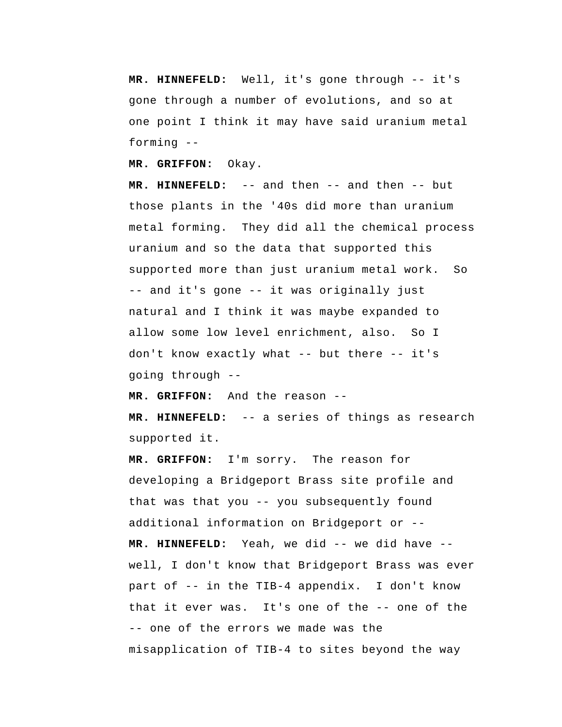**MR. HINNEFELD:** Well, it's gone through -- it's gone through a number of evolutions, and so at one point I think it may have said uranium metal forming --

 **MR. GRIFFON:** Okay.

 **MR. HINNEFELD:** -- and then -- and then -- but those plants in the '40s did more than uranium metal forming. They did all the chemical process uranium and so the data that supported this supported more than just uranium metal work. So -- and it's gone -- it was originally just natural and I think it was maybe expanded to allow some low level enrichment, also. So I don't know exactly what -- but there -- it's going through --

 **MR. GRIFFON:** And the reason --

 **MR. HINNEFELD:** -- a series of things as research supported it.

 **MR. GRIFFON:** I'm sorry. The reason for developing a Bridgeport Brass site profile and that was that you -- you subsequently found additional information on Bridgeport or --  **MR. HINNEFELD:** Yeah, we did -- we did have - well, I don't know that Bridgeport Brass was ever part of -- in the TIB-4 appendix. I don't know that it ever was. It's one of the -- one of the -- one of the errors we made was the misapplication of TIB-4 to sites beyond the way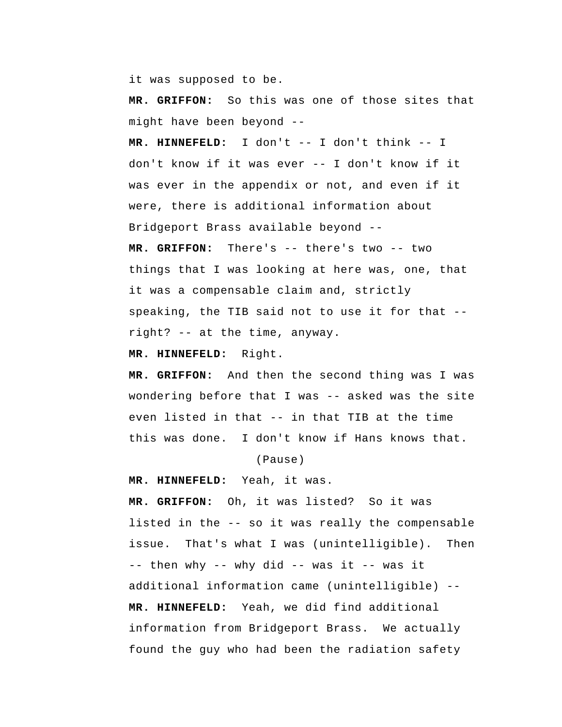it was supposed to be.

 **MR. GRIFFON:** So this was one of those sites that might have been beyond --

 **MR. HINNEFELD:** I don't -- I don't think -- I don't know if it was ever -- I don't know if it was ever in the appendix or not, and even if it were, there is additional information about Bridgeport Brass available beyond --

 **MR. GRIFFON:** There's -- there's two -- two things that I was looking at here was, one, that it was a compensable claim and, strictly speaking, the TIB said not to use it for that - right? -- at the time, anyway.

 **MR. HINNEFELD:** Right.

 **MR. GRIFFON:** And then the second thing was I was wondering before that I was -- asked was the site even listed in that -- in that TIB at the time this was done. I don't know if Hans knows that.

(Pause)

 **MR. HINNEFELD:** Yeah, it was.

 **MR. GRIFFON:** Oh, it was listed? So it was listed in the -- so it was really the compensable issue. That's what I was (unintelligible). Then -- then why -- why did -- was it -- was it additional information came (unintelligible) --  **MR. HINNEFELD:** Yeah, we did find additional information from Bridgeport Brass. We actually found the guy who had been the radiation safety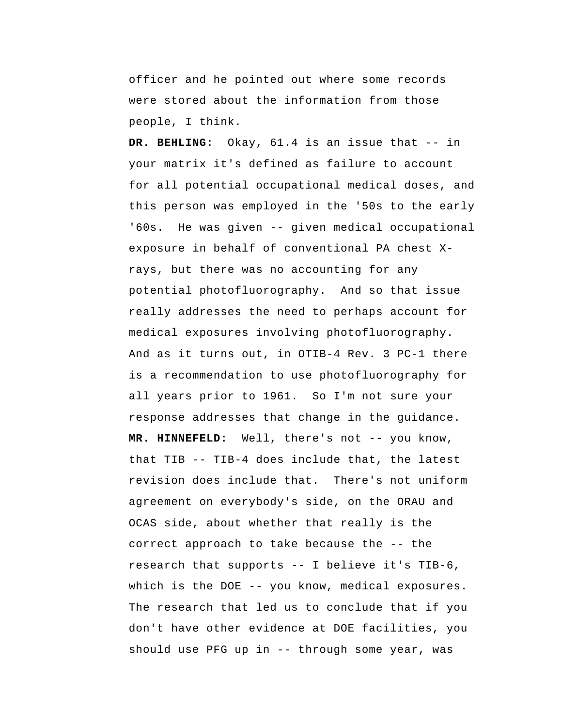officer and he pointed out where some records were stored about the information from those people, I think.

 **DR. BEHLING:** Okay, 61.4 is an issue that -- in your matrix it's defined as failure to account for all potential occupational medical doses, and this person was employed in the '50s to the early '60s. He was given -- given medical occupational exposure in behalf of conventional PA chest Xrays, but there was no accounting for any potential photofluorography. And so that issue really addresses the need to perhaps account for medical exposures involving photofluorography. And as it turns out, in OTIB-4 Rev. 3 PC-1 there is a recommendation to use photofluorography for all years prior to 1961. So I'm not sure your response addresses that change in the guidance.  **MR. HINNEFELD:** Well, there's not -- you know, that TIB -- TIB-4 does include that, the latest revision does include that. There's not uniform agreement on everybody's side, on the ORAU and OCAS side, about whether that really is the correct approach to take because the -- the research that supports -- I believe it's TIB-6, which is the DOE -- you know, medical exposures. The research that led us to conclude that if you don't have other evidence at DOE facilities, you should use PFG up in -- through some year, was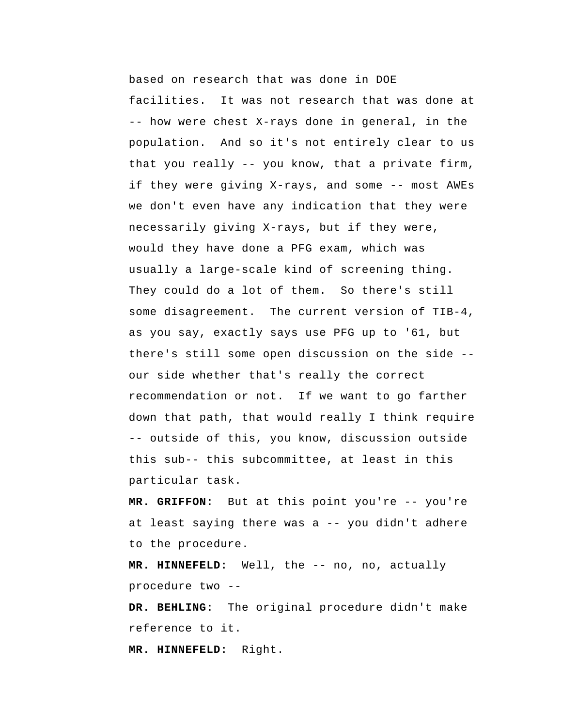based on research that was done in DOE facilities. It was not research that was done at -- how were chest X-rays done in general, in the population. And so it's not entirely clear to us that you really -- you know, that a private firm, if they were giving X-rays, and some -- most AWEs we don't even have any indication that they were necessarily giving X-rays, but if they were, would they have done a PFG exam, which was usually a large-scale kind of screening thing. They could do a lot of them. So there's still some disagreement. The current version of TIB-4, as you say, exactly says use PFG up to '61, but there's still some open discussion on the side - our side whether that's really the correct recommendation or not. If we want to go farther down that path, that would really I think require -- outside of this, you know, discussion outside this sub-- this subcommittee, at least in this particular task.

 **MR. GRIFFON:** But at this point you're -- you're at least saying there was a -- you didn't adhere to the procedure.

 **MR. HINNEFELD:** Well, the -- no, no, actually procedure two --

 **DR. BEHLING:** The original procedure didn't make reference to it.

 **MR. HINNEFELD:** Right.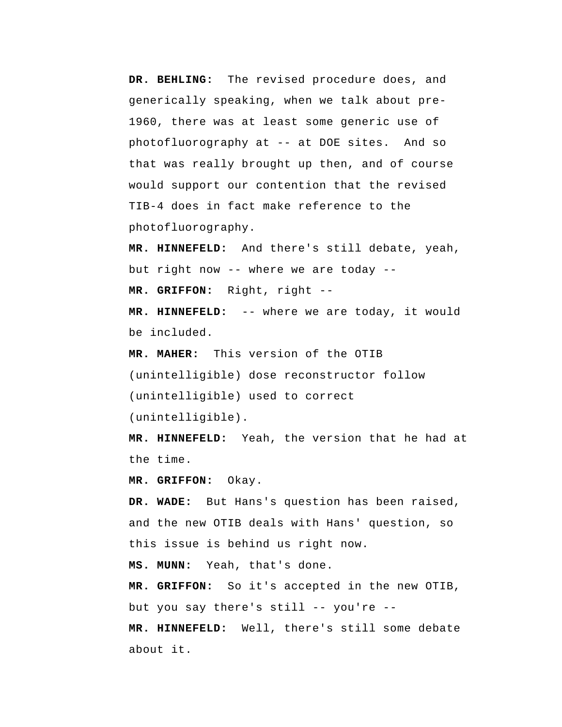**DR. BEHLING:** The revised procedure does, and generically speaking, when we talk about pre-1960, there was at least some generic use of photofluorography at -- at DOE sites. And so that was really brought up then, and of course would support our contention that the revised TIB-4 does in fact make reference to the photofluorography.

 **MR. HINNEFELD:** And there's still debate, yeah, but right now -- where we are today --  **MR. GRIFFON:** Right, right --

 **MR. HINNEFELD:** -- where we are today, it would be included.

**MR. MAHER:** This version of the OTIB (unintelligible) dose reconstructor follow (unintelligible) used to correct (unintelligible).

 **MR. HINNEFELD:** Yeah, the version that he had at the time.

 **MR. GRIFFON:** Okay.

 **DR. WADE:** But Hans's question has been raised, and the new OTIB deals with Hans' question, so this issue is behind us right now.

 **MS. MUNN:** Yeah, that's done.

 **MR. GRIFFON:** So it's accepted in the new OTIB, but you say there's still -- you're --

 **MR. HINNEFELD:** Well, there's still some debate about it.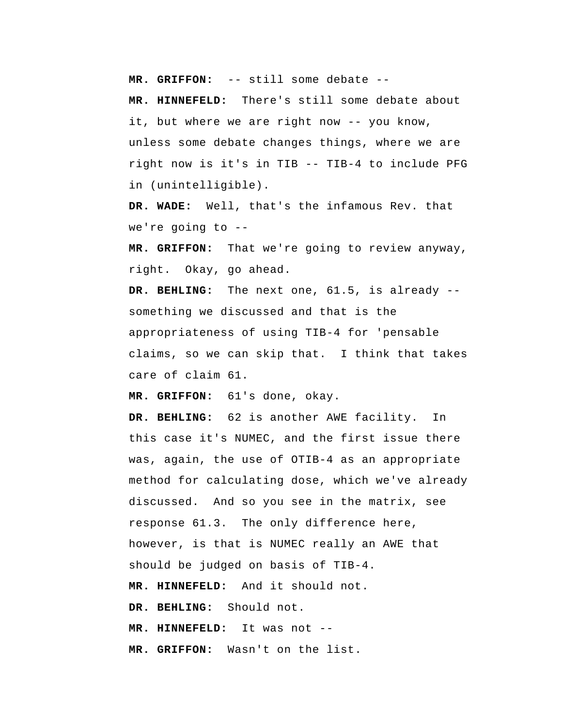**MR. GRIFFON:** -- still some debate --

 **MR. HINNEFELD:** There's still some debate about it, but where we are right now -- you know, unless some debate changes things, where we are right now is it's in TIB -- TIB-4 to include PFG in (unintelligible).

 **DR. WADE:** Well, that's the infamous Rev. that we're going to --

 **MR. GRIFFON:** That we're going to review anyway, right. Okay, go ahead.

 **DR. BEHLING:** The next one, 61.5, is already - something we discussed and that is the appropriateness of using TIB-4 for 'pensable claims, so we can skip that. I think that takes care of claim 61.

 **MR. GRIFFON:** 61's done, okay.

 **DR. BEHLING:** 62 is another AWE facility. In this case it's NUMEC, and the first issue there was, again, the use of OTIB-4 as an appropriate method for calculating dose, which we've already discussed. And so you see in the matrix, see response 61.3. The only difference here, however, is that is NUMEC really an AWE that should be judged on basis of TIB-4.  **MR. HINNEFELD:** And it should not.  **DR. BEHLING:** Should not.  **MR. HINNEFELD:** It was not -- **MR. GRIFFON:** Wasn't on the list.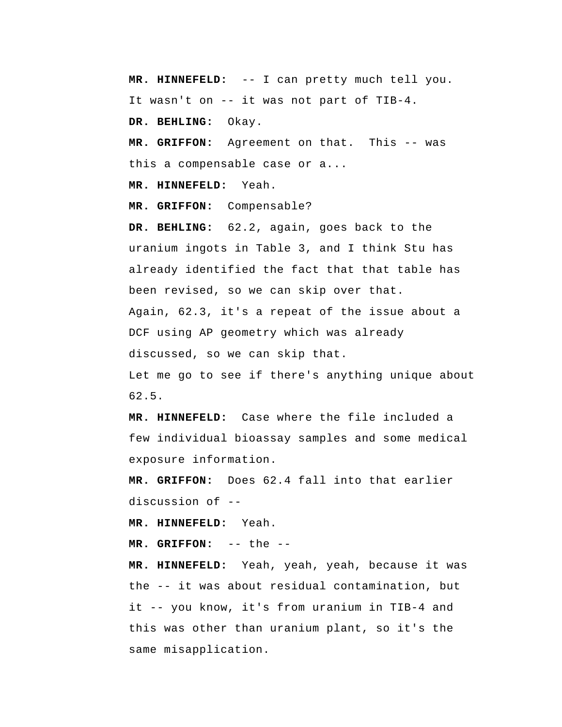**MR. HINNEFELD:** -- I can pretty much tell you. It wasn't on -- it was not part of TIB-4.

 **DR. BEHLING:** Okay.

 **MR. GRIFFON:** Agreement on that. This -- was this a compensable case or a...

 **MR. HINNEFELD:** Yeah.

 **MR. GRIFFON:** Compensable?

 **DR. BEHLING:** 62.2, again, goes back to the uranium ingots in Table 3, and I think Stu has already identified the fact that that table has been revised, so we can skip over that. Again, 62.3, it's a repeat of the issue about a DCF using AP geometry which was already discussed, so we can skip that. Let me go to see if there's anything unique about

62.5.

 **MR. HINNEFELD:** Case where the file included a few individual bioassay samples and some medical exposure information.

 **MR. GRIFFON:** Does 62.4 fall into that earlier discussion of --

 **MR. HINNEFELD:** Yeah.

 **MR. GRIFFON:** -- the --

 **MR. HINNEFELD:** Yeah, yeah, yeah, because it was the -- it was about residual contamination, but it -- you know, it's from uranium in TIB-4 and this was other than uranium plant, so it's the same misapplication.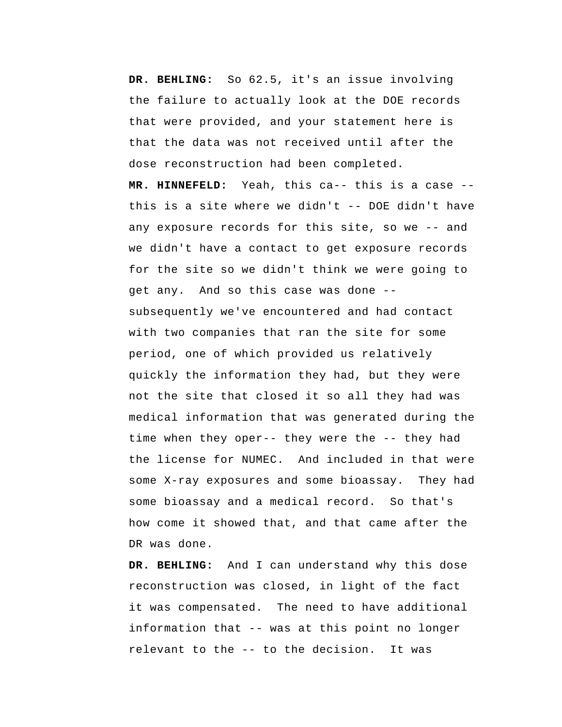**DR. BEHLING:** So 62.5, it's an issue involving the failure to actually look at the DOE records that were provided, and your statement here is that the data was not received until after the dose reconstruction had been completed.  **MR. HINNEFELD:** Yeah, this ca-- this is a case - this is a site where we didn't -- DOE didn't have any exposure records for this site, so we -- and we didn't have a contact to get exposure records for the site so we didn't think we were going to get any. And so this case was done - subsequently we've encountered and had contact with two companies that ran the site for some period, one of which provided us relatively quickly the information they had, but they were not the site that closed it so all they had was medical information that was generated during the time when they oper-- they were the -- they had the license for NUMEC. And included in that were some X-ray exposures and some bioassay. They had some bioassay and a medical record. So that's how come it showed that, and that came after the DR was done.

 **DR. BEHLING:** And I can understand why this dose reconstruction was closed, in light of the fact it was compensated. The need to have additional information that -- was at this point no longer relevant to the -- to the decision. It was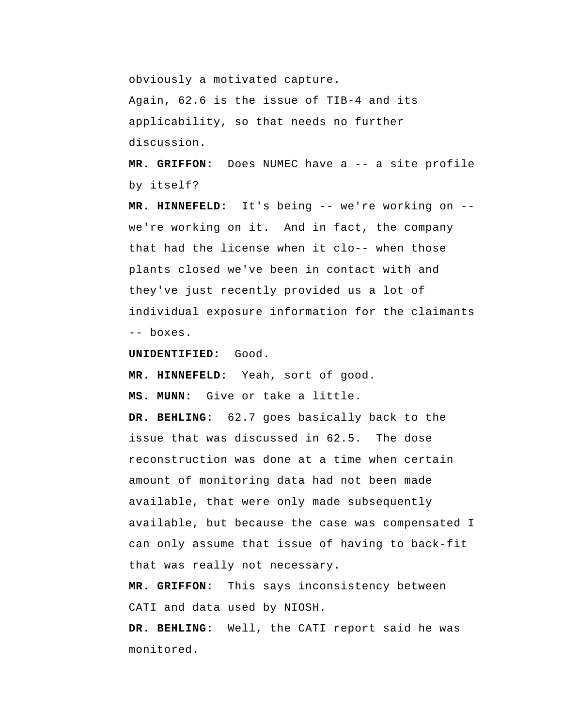obviously a motivated capture.

Again, 62.6 is the issue of TIB-4 and its applicability, so that needs no further discussion.

 **MR. GRIFFON:** Does NUMEC have a -- a site profile by itself?

 **MR. HINNEFELD:** It's being -- we're working on - we're working on it. And in fact, the company that had the license when it clo-- when those plants closed we've been in contact with and they've just recently provided us a lot of individual exposure information for the claimants -- boxes.

**UNIDENTIFIED:** Good.

 **MR. HINNEFELD:** Yeah, sort of good.

 **MS. MUNN:** Give or take a little.

 **DR. BEHLING:** 62.7 goes basically back to the issue that was discussed in 62.5. The dose reconstruction was done at a time when certain amount of monitoring data had not been made available, that were only made subsequently available, but because the case was compensated I can only assume that issue of having to back-fit that was really not necessary.

 **MR. GRIFFON:** This says inconsistency between CATI and data used by NIOSH.

 **DR. BEHLING:** Well, the CATI report said he was monitored.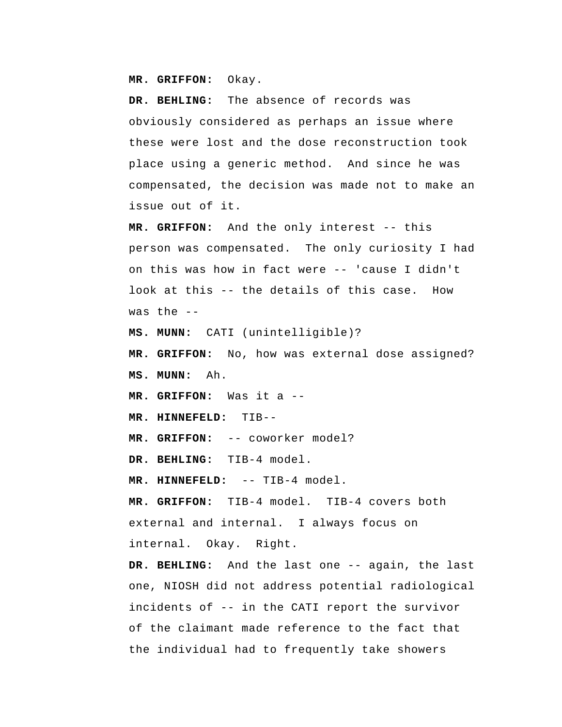**MR. GRIFFON:** Okay.

 **DR. BEHLING:** The absence of records was obviously considered as perhaps an issue where these were lost and the dose reconstruction took place using a generic method. And since he was compensated, the decision was made not to make an issue out of it.

 **MR. GRIFFON:** And the only interest -- this person was compensated. The only curiosity I had on this was how in fact were -- 'cause I didn't look at this -- the details of this case. How was the  $-$ 

 **MS. MUNN:** CATI (unintelligible)?

 **MR. GRIFFON:** No, how was external dose assigned?  **MS. MUNN:** Ah.

 **MR. GRIFFON:** Was it a --

 **MR. HINNEFELD:** TIB--

 **MR. GRIFFON:** -- coworker model?

 **DR. BEHLING:** TIB-4 model.

 **MR. HINNEFELD:** -- TIB-4 model.

 **MR. GRIFFON:** TIB-4 model. TIB-4 covers both external and internal. I always focus on internal. Okay. Right.

 **DR. BEHLING:** And the last one -- again, the last one, NIOSH did not address potential radiological incidents of -- in the CATI report the survivor of the claimant made reference to the fact that the individual had to frequently take showers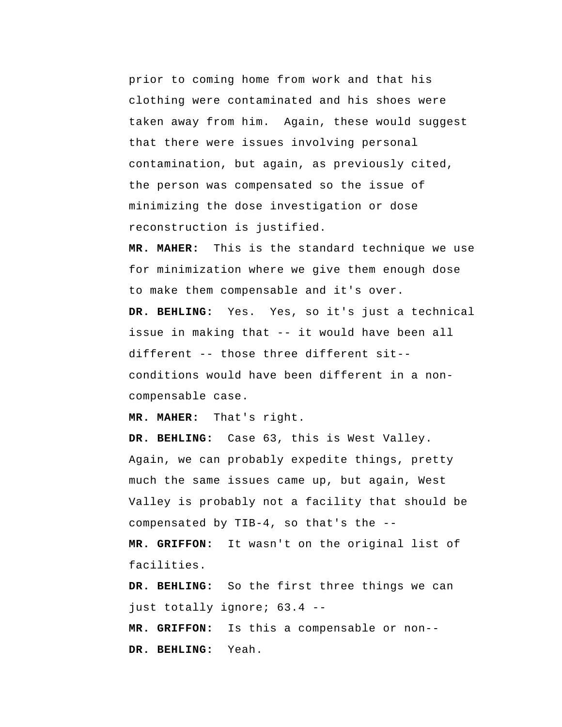prior to coming home from work and that his clothing were contaminated and his shoes were taken away from him. Again, these would suggest that there were issues involving personal contamination, but again, as previously cited, the person was compensated so the issue of minimizing the dose investigation or dose reconstruction is justified.

**MR. MAHER:** This is the standard technique we use for minimization where we give them enough dose to make them compensable and it's over.

 **DR. BEHLING:** Yes. Yes, so it's just a technical issue in making that -- it would have been all different -- those three different sit- conditions would have been different in a noncompensable case.

**MR. MAHER:** That's right.

 **DR. BEHLING:** Case 63, this is West Valley. Again, we can probably expedite things, pretty much the same issues came up, but again, West Valley is probably not a facility that should be compensated by TIB-4, so that's the --

 **MR. GRIFFON:** It wasn't on the original list of facilities.

 **DR. BEHLING:** So the first three things we can just totally ignore; 63.4 --

 **MR. GRIFFON:** Is this a compensable or non--  **DR. BEHLING:** Yeah.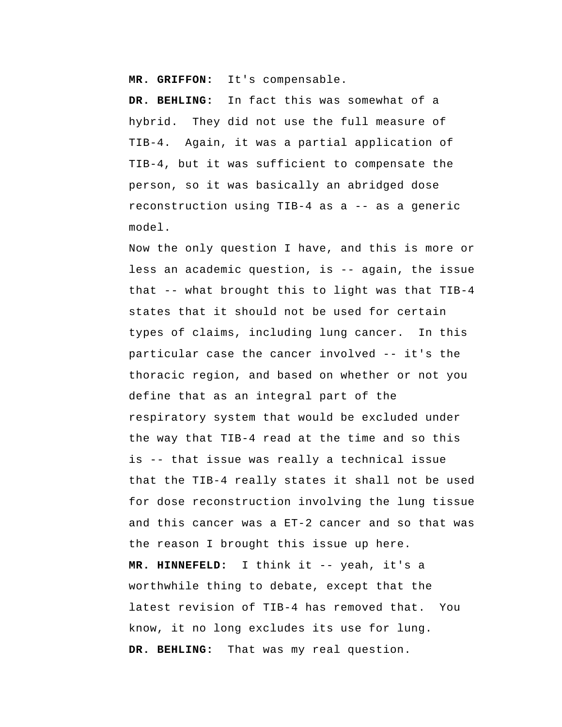**MR. GRIFFON:** It's compensable.

 **DR. BEHLING:** In fact this was somewhat of a hybrid. They did not use the full measure of TIB-4. Again, it was a partial application of TIB-4, but it was sufficient to compensate the person, so it was basically an abridged dose reconstruction using TIB-4 as a -- as a generic model.

Now the only question I have, and this is more or less an academic question, is -- again, the issue that -- what brought this to light was that TIB-4 states that it should not be used for certain types of claims, including lung cancer. In this particular case the cancer involved -- it's the thoracic region, and based on whether or not you define that as an integral part of the respiratory system that would be excluded under the way that TIB-4 read at the time and so this is -- that issue was really a technical issue that the TIB-4 really states it shall not be used for dose reconstruction involving the lung tissue and this cancer was a ET-2 cancer and so that was the reason I brought this issue up here.  **MR. HINNEFELD:** I think it -- yeah, it's a worthwhile thing to debate, except that the latest revision of TIB-4 has removed that. You know, it no long excludes its use for lung.  **DR. BEHLING:** That was my real question.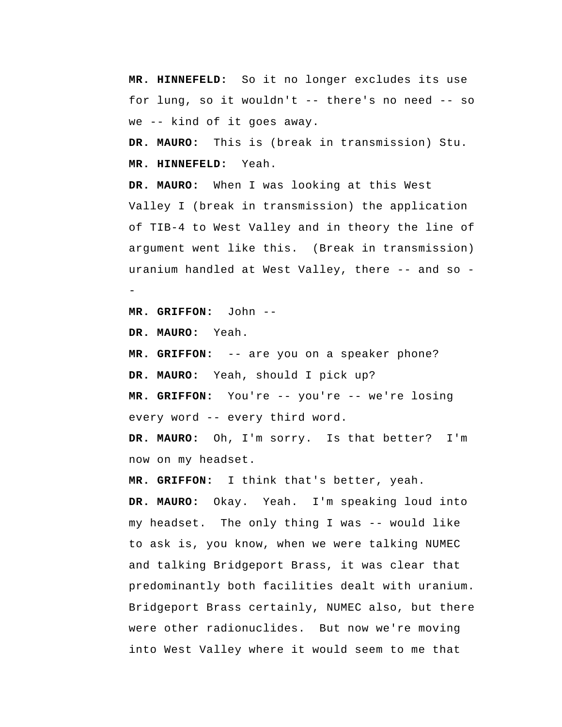**MR. HINNEFELD:** So it no longer excludes its use for lung, so it wouldn't -- there's no need -- so we -- kind of it goes away.

**DR. MAURO:** This is (break in transmission) Stu.  **MR. HINNEFELD:** Yeah.

**DR. MAURO:** When I was looking at this West Valley I (break in transmission) the application of TIB-4 to West Valley and in theory the line of argument went like this. (Break in transmission) uranium handled at West Valley, there -- and so --

 **MR. GRIFFON:** John --

**DR. MAURO:** Yeah.

 **MR. GRIFFON:** -- are you on a speaker phone?

**DR. MAURO:** Yeah, should I pick up?

 **MR. GRIFFON:** You're -- you're -- we're losing every word -- every third word.

**DR. MAURO:** Oh, I'm sorry. Is that better? I'm now on my headset.

 **MR. GRIFFON:** I think that's better, yeah.

**DR. MAURO:** Okay. Yeah. I'm speaking loud into my headset. The only thing I was -- would like to ask is, you know, when we were talking NUMEC and talking Bridgeport Brass, it was clear that predominantly both facilities dealt with uranium. Bridgeport Brass certainly, NUMEC also, but there were other radionuclides. But now we're moving into West Valley where it would seem to me that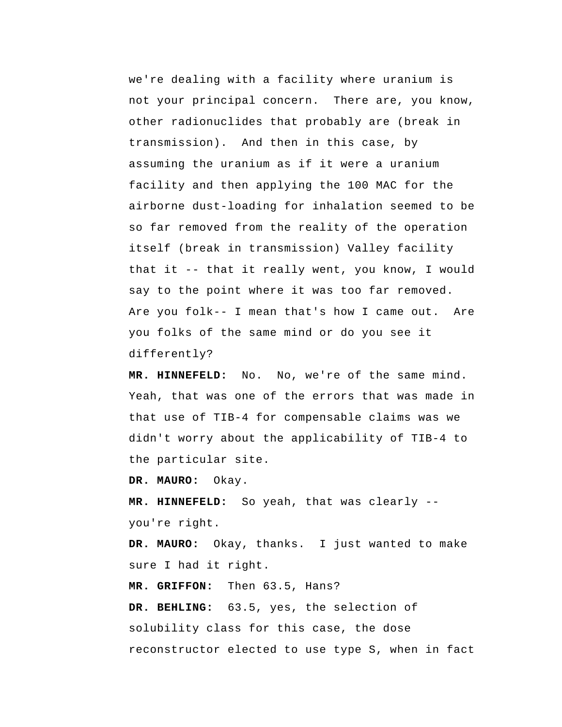we're dealing with a facility where uranium is not your principal concern. There are, you know, other radionuclides that probably are (break in transmission). And then in this case, by assuming the uranium as if it were a uranium facility and then applying the 100 MAC for the airborne dust-loading for inhalation seemed to be so far removed from the reality of the operation itself (break in transmission) Valley facility that it -- that it really went, you know, I would say to the point where it was too far removed. Are you folk-- I mean that's how I came out. Are you folks of the same mind or do you see it differently?

 **MR. HINNEFELD:** No. No, we're of the same mind. Yeah, that was one of the errors that was made in that use of TIB-4 for compensable claims was we didn't worry about the applicability of TIB-4 to the particular site.

**DR. MAURO:** Okay.

 **MR. HINNEFELD:** So yeah, that was clearly - you're right.

**DR. MAURO:** Okay, thanks. I just wanted to make sure I had it right.

 **MR. GRIFFON:** Then 63.5, Hans?  **DR. BEHLING:** 63.5, yes, the selection of solubility class for this case, the dose reconstructor elected to use type S, when in fact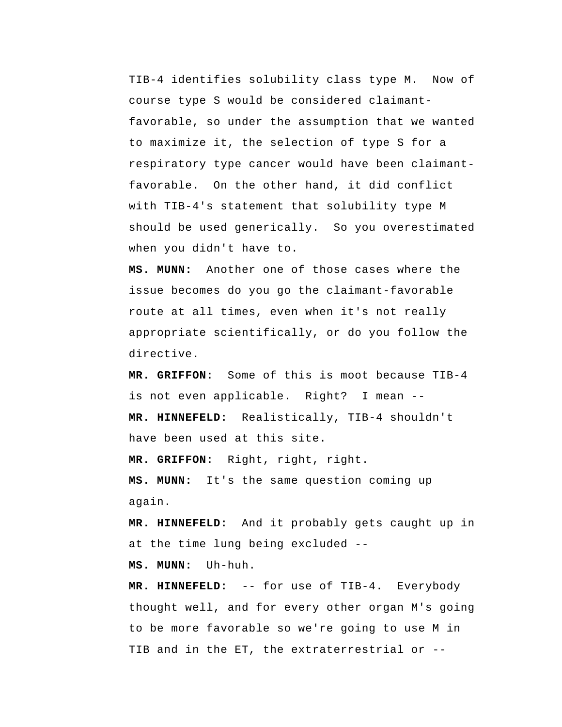TIB-4 identifies solubility class type M. Now of course type S would be considered claimantfavorable, so under the assumption that we wanted to maximize it, the selection of type S for a respiratory type cancer would have been claimantfavorable. On the other hand, it did conflict with TIB-4's statement that solubility type M should be used generically. So you overestimated when you didn't have to.

 **MS. MUNN:** Another one of those cases where the issue becomes do you go the claimant-favorable route at all times, even when it's not really appropriate scientifically, or do you follow the directive.

 **MR. GRIFFON:** Some of this is moot because TIB-4 is not even applicable. Right? I mean -- **MR. HINNEFELD:** Realistically, TIB-4 shouldn't have been used at this site.

 **MR. GRIFFON:** Right, right, right.

 **MS. MUNN:** It's the same question coming up again.

 **MR. HINNEFELD:** And it probably gets caught up in at the time lung being excluded --

 **MS. MUNN:** Uh-huh.

 **MR. HINNEFELD:** -- for use of TIB-4. Everybody thought well, and for every other organ M's going to be more favorable so we're going to use M in TIB and in the ET, the extraterrestrial or --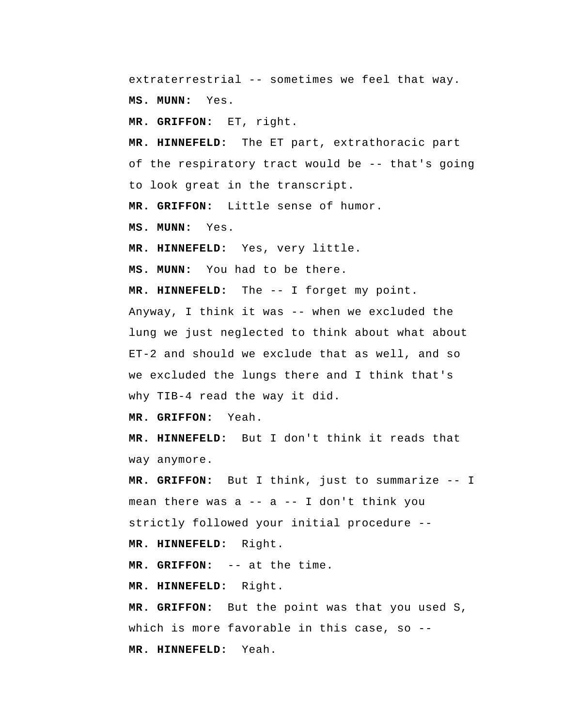extraterrestrial -- sometimes we feel that way.

 **MS. MUNN:** Yes.

 **MR. GRIFFON:** ET, right.

 **MR. HINNEFELD:** The ET part, extrathoracic part of the respiratory tract would be -- that's going to look great in the transcript.

 **MR. GRIFFON:** Little sense of humor.

 **MS. MUNN:** Yes.

 **MR. HINNEFELD:** Yes, very little.

 **MS. MUNN:** You had to be there.

 **MR. HINNEFELD:** The -- I forget my point.

Anyway, I think it was -- when we excluded the lung we just neglected to think about what about ET-2 and should we exclude that as well, and so we excluded the lungs there and I think that's why TIB-4 read the way it did.

 **MR. GRIFFON:** Yeah.

 **MR. HINNEFELD:** But I don't think it reads that way anymore.

 **MR. GRIFFON:** But I think, just to summarize -- I mean there was a  $--$  a  $--$  I don't think you strictly followed your initial procedure --  **MR. HINNEFELD:** Right.

 **MR. GRIFFON:** -- at the time.

 **MR. HINNEFELD:** Right.

 **MR. GRIFFON:** But the point was that you used S, which is more favorable in this case, so -- **MR. HINNEFELD:** Yeah.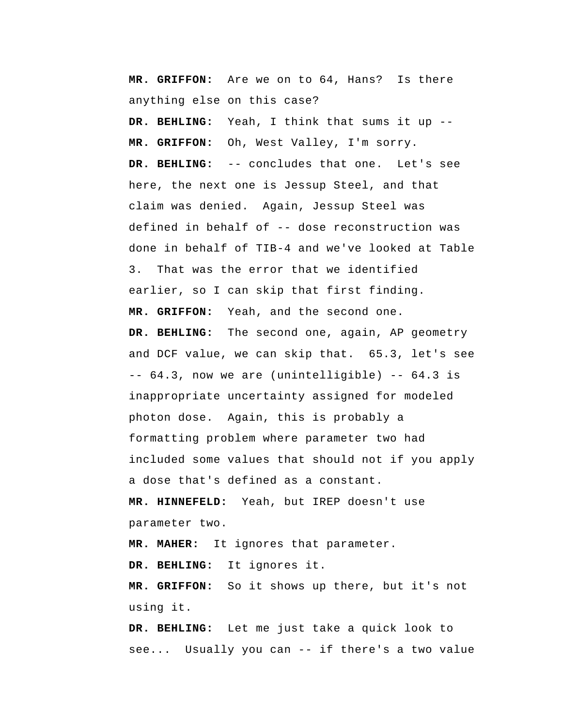**MR. GRIFFON:** Are we on to 64, Hans? Is there anything else on this case?

 **DR. BEHLING:** Yeah, I think that sums it up --  **MR. GRIFFON:** Oh, West Valley, I'm sorry.  **DR. BEHLING:** -- concludes that one. Let's see here, the next one is Jessup Steel, and that claim was denied. Again, Jessup Steel was defined in behalf of -- dose reconstruction was done in behalf of TIB-4 and we've looked at Table 3. That was the error that we identified earlier, so I can skip that first finding.  **MR. GRIFFON:** Yeah, and the second one.  **DR. BEHLING:** The second one, again, AP geometry and DCF value, we can skip that. 65.3, let's see -- 64.3, now we are (unintelligible) -- 64.3 is inappropriate uncertainty assigned for modeled photon dose. Again, this is probably a formatting problem where parameter two had included some values that should not if you apply a dose that's defined as a constant.  **MR. HINNEFELD:** Yeah, but IREP doesn't use

parameter two.

**MR. MAHER:** It ignores that parameter.

 **DR. BEHLING:** It ignores it.

 **MR. GRIFFON:** So it shows up there, but it's not using it.

 **DR. BEHLING:** Let me just take a quick look to see... Usually you can -- if there's a two value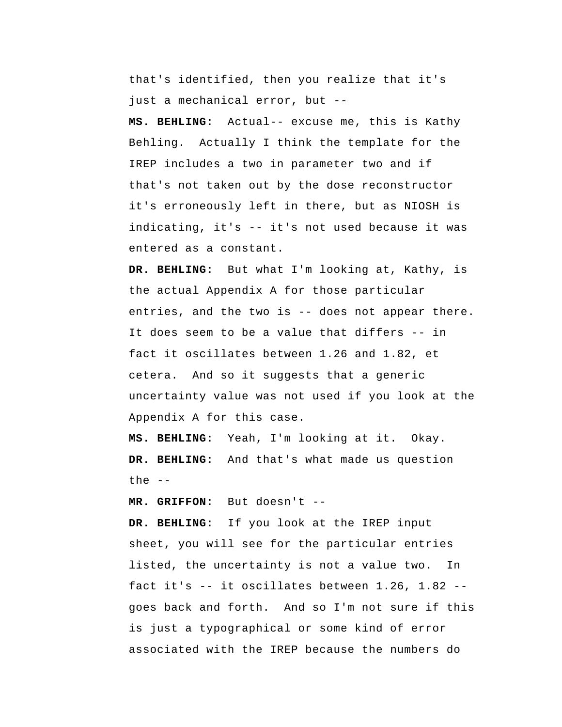that's identified, then you realize that it's just a mechanical error, but --

 **MS. BEHLING:** Actual-- excuse me, this is Kathy Behling. Actually I think the template for the IREP includes a two in parameter two and if that's not taken out by the dose reconstructor it's erroneously left in there, but as NIOSH is indicating, it's -- it's not used because it was entered as a constant.

 **DR. BEHLING:** But what I'm looking at, Kathy, is the actual Appendix A for those particular entries, and the two is -- does not appear there. It does seem to be a value that differs -- in fact it oscillates between 1.26 and 1.82, et cetera. And so it suggests that a generic uncertainty value was not used if you look at the Appendix A for this case.

 **MS. BEHLING:** Yeah, I'm looking at it. Okay.  **DR. BEHLING:** And that's what made us question the  $--$ 

 **MR. GRIFFON:** But doesn't --

 **DR. BEHLING:** If you look at the IREP input sheet, you will see for the particular entries listed, the uncertainty is not a value two. In fact it's -- it oscillates between 1.26, 1.82 - goes back and forth. And so I'm not sure if this is just a typographical or some kind of error associated with the IREP because the numbers do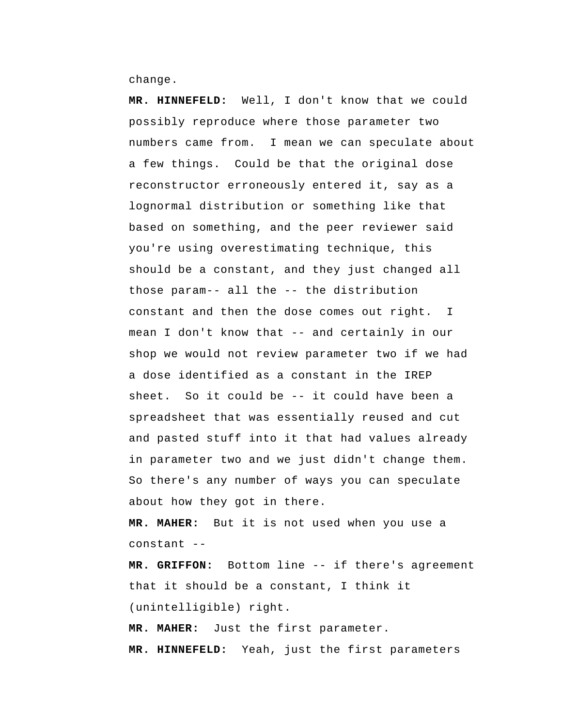change.

 **MR. HINNEFELD:** Well, I don't know that we could possibly reproduce where those parameter two numbers came from. I mean we can speculate about a few things. Could be that the original dose reconstructor erroneously entered it, say as a lognormal distribution or something like that based on something, and the peer reviewer said you're using overestimating technique, this should be a constant, and they just changed all those param-- all the -- the distribution constant and then the dose comes out right. I mean I don't know that -- and certainly in our shop we would not review parameter two if we had a dose identified as a constant in the IREP sheet. So it could be -- it could have been a spreadsheet that was essentially reused and cut and pasted stuff into it that had values already in parameter two and we just didn't change them. So there's any number of ways you can speculate about how they got in there.

**MR. MAHER:** But it is not used when you use a constant --

 **MR. GRIFFON:** Bottom line -- if there's agreement that it should be a constant, I think it (unintelligible) right.

**MR. MAHER:** Just the first parameter.  **MR. HINNEFELD:** Yeah, just the first parameters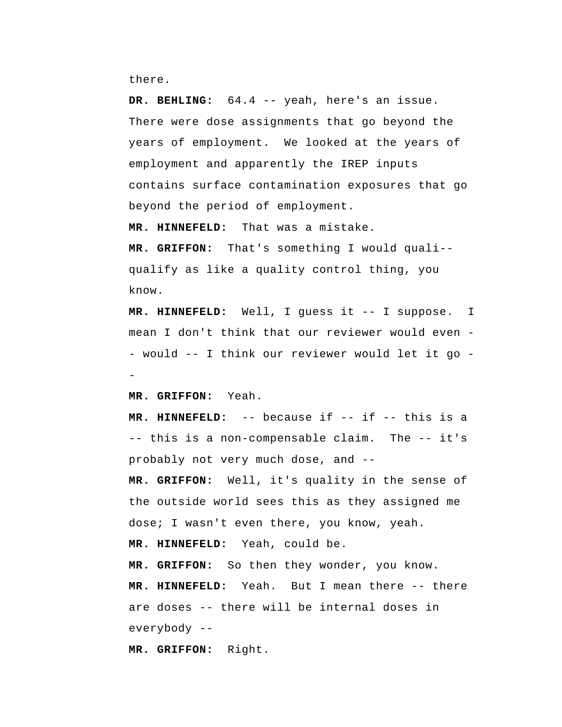there.

 **DR. BEHLING:** 64.4 -- yeah, here's an issue. There were dose assignments that go beyond the years of employment. We looked at the years of employment and apparently the IREP inputs contains surface contamination exposures that go beyond the period of employment.

 **MR. HINNEFELD:** That was a mistake.

 **MR. GRIFFON:** That's something I would quali- qualify as like a quality control thing, you know.

 **MR. HINNEFELD:** Well, I guess it -- I suppose. mean I don't think that our reviewer would even - would -- I think our reviewer would let it go -I

 **MR. GRIFFON:** Yeah.

 **MR. HINNEFELD:** -- because if -- if -- this is a -- this is a non-compensable claim. The -- it's probably not very much dose, and --  **MR. GRIFFON:** Well, it's quality in the sense of the outside world sees this as they assigned me dose; I wasn't even there, you know, yeah.

 **MR. HINNEFELD:** Yeah, could be.

 **MR. GRIFFON:** So then they wonder, you know.  **MR. HINNEFELD:** Yeah. But I mean there -- there are doses -- there will be internal doses in everybody --

 **MR. GRIFFON:** Right.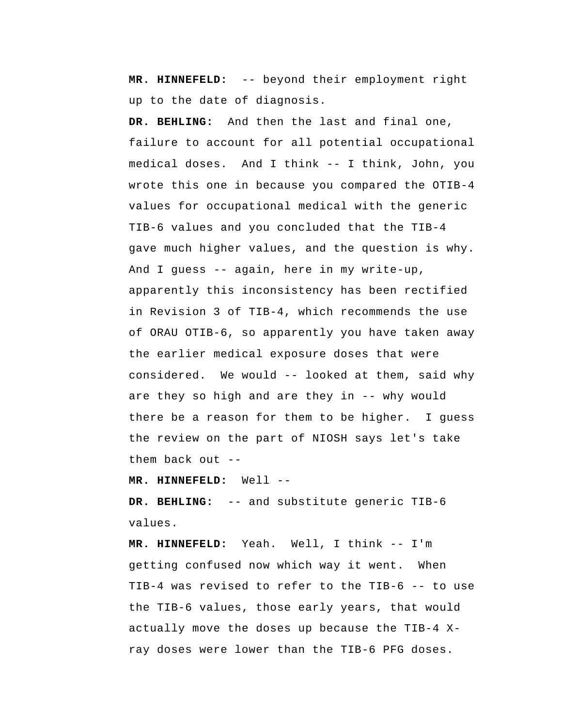**MR. HINNEFELD:** -- beyond their employment right up to the date of diagnosis.

 **DR. BEHLING:** And then the last and final one, failure to account for all potential occupational medical doses. And I think -- I think, John, you wrote this one in because you compared the OTIB-4 values for occupational medical with the generic TIB-6 values and you concluded that the TIB-4 gave much higher values, and the question is why. And I guess -- again, here in my write-up, apparently this inconsistency has been rectified in Revision 3 of TIB-4, which recommends the use of ORAU OTIB-6, so apparently you have taken away the earlier medical exposure doses that were considered. We would -- looked at them, said why are they so high and are they in -- why would there be a reason for them to be higher. I guess the review on the part of NIOSH says let's take them back out --

 **MR. HINNEFELD:** Well --

 **DR. BEHLING:** -- and substitute generic TIB-6 values.

 **MR. HINNEFELD:** Yeah. Well, I think -- I'm getting confused now which way it went. When TIB-4 was revised to refer to the TIB-6 -- to use the TIB-6 values, those early years, that would actually move the doses up because the TIB-4 Xray doses were lower than the TIB-6 PFG doses.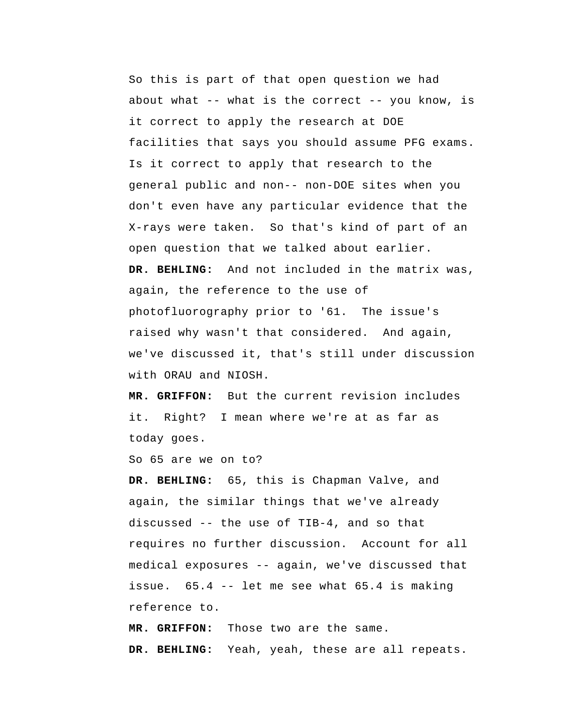So this is part of that open question we had about what  $--$  what is the correct  $--$  you know, is it correct to apply the research at DOE facilities that says you should assume PFG exams. Is it correct to apply that research to the general public and non-- non-DOE sites when you don't even have any particular evidence that the X-rays were taken. So that's kind of part of an open question that we talked about earlier.  **DR. BEHLING:** And not included in the matrix was, again, the reference to the use of photofluorography prior to '61. The issue's raised why wasn't that considered. And again, we've discussed it, that's still under discussion with ORAU and NTOSH.

 **MR. GRIFFON:** But the current revision includes it. Right? I mean where we're at as far as today goes.

So 65 are we on to?

 **DR. BEHLING:** 65, this is Chapman Valve, and again, the similar things that we've already discussed -- the use of TIB-4, and so that requires no further discussion. Account for all medical exposures -- again, we've discussed that issue. 65.4 -- let me see what 65.4 is making reference to.

 **MR. GRIFFON:** Those two are the same.  **DR. BEHLING:** Yeah, yeah, these are all repeats.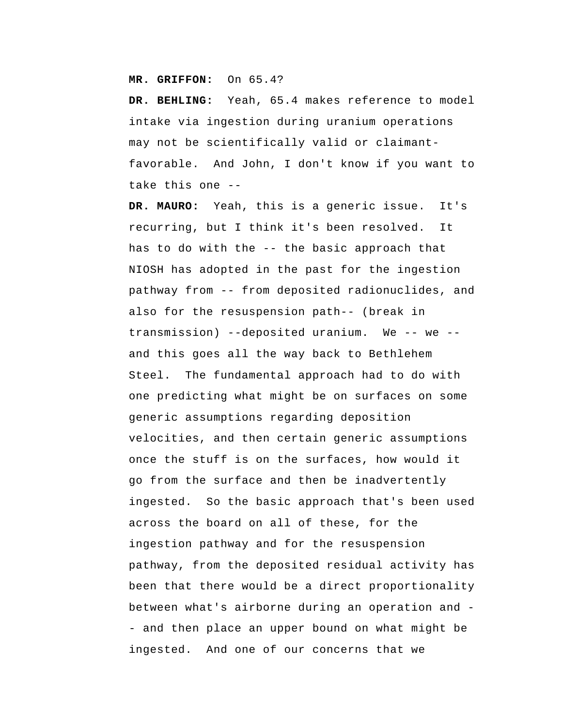## **MR. GRIFFON:** On 65.4?

 **DR. BEHLING:** Yeah, 65.4 makes reference to model intake via ingestion during uranium operations may not be scientifically valid or claimantfavorable. And John, I don't know if you want to take this one --

**DR. MAURO:** Yeah, this is a generic issue. It's recurring, but I think it's been resolved. It has to do with the -- the basic approach that NIOSH has adopted in the past for the ingestion pathway from -- from deposited radionuclides, and also for the resuspension path-- (break in transmission) --deposited uranium. We -- we -and this goes all the way back to Bethlehem Steel. The fundamental approach had to do with one predicting what might be on surfaces on some generic assumptions regarding deposition velocities, and then certain generic assumptions once the stuff is on the surfaces, how would it go from the surface and then be inadvertently ingested. So the basic approach that's been used across the board on all of these, for the ingestion pathway and for the resuspension pathway, from the deposited residual activity has been that there would be a direct proportionality between what's airborne during an operation and - and then place an upper bound on what might be ingested. And one of our concerns that we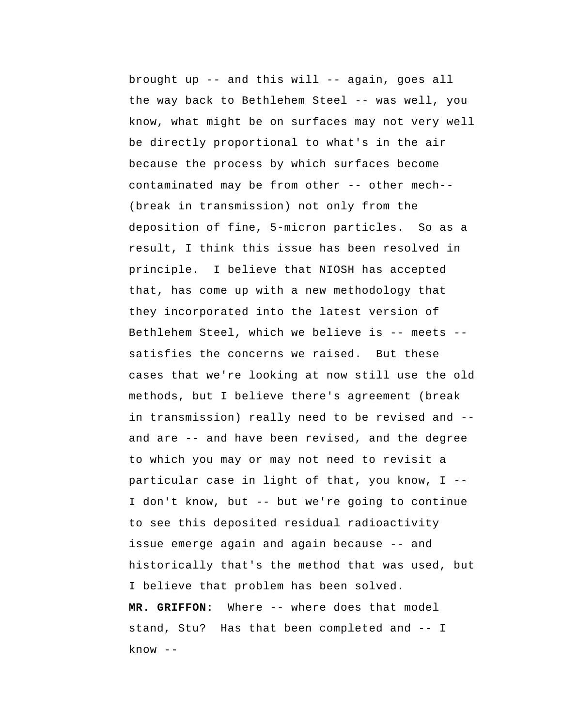brought up -- and this will -- again, goes all the way back to Bethlehem Steel -- was well, you know, what might be on surfaces may not very well be directly proportional to what's in the air because the process by which surfaces become contaminated may be from other -- other mech--(break in transmission) not only from the deposition of fine, 5-micron particles. So as a result, I think this issue has been resolved in principle. I believe that NIOSH has accepted that, has come up with a new methodology that they incorporated into the latest version of Bethlehem Steel, which we believe is -- meets - satisfies the concerns we raised. But these cases that we're looking at now still use the old methods, but I believe there's agreement (break in transmission) really need to be revised and - and are -- and have been revised, and the degree to which you may or may not need to revisit a particular case in light of that, you know, I -- I don't know, but -- but we're going to continue to see this deposited residual radioactivity issue emerge again and again because -- and historically that's the method that was used, but I believe that problem has been solved.  **MR. GRIFFON:** Where -- where does that model stand, Stu? Has that been completed and -- I  $know --$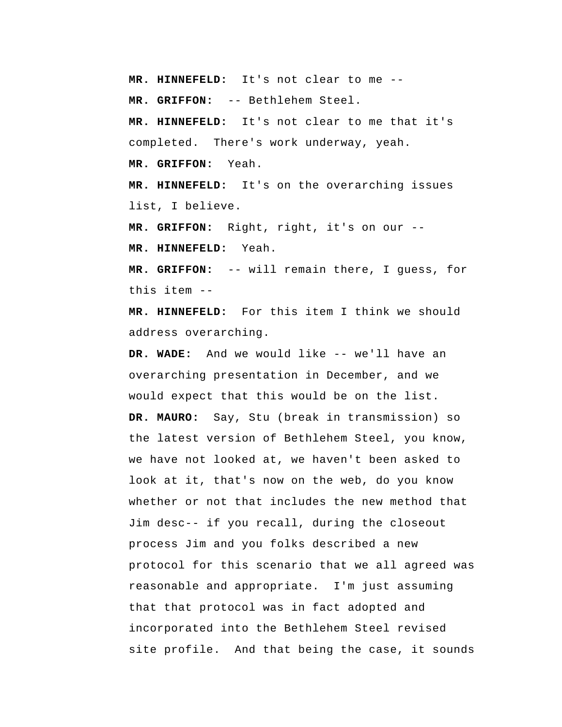**MR. HINNEFELD:** It's not clear to me --

 **MR. GRIFFON:** -- Bethlehem Steel.

 **MR. HINNEFELD:** It's not clear to me that it's completed. There's work underway, yeah.  **MR. GRIFFON:** Yeah.

 **MR. HINNEFELD:** It's on the overarching issues list, I believe.

 **MR. GRIFFON:** Right, right, it's on our --

 **MR. HINNEFELD:** Yeah.

 **MR. GRIFFON:** -- will remain there, I guess, for this item --

 **MR. HINNEFELD:** For this item I think we should address overarching.

 **DR. WADE:** And we would like -- we'll have an overarching presentation in December, and we would expect that this would be on the list. **DR. MAURO:** Say, Stu (break in transmission) so the latest version of Bethlehem Steel, you know, we have not looked at, we haven't been asked to look at it, that's now on the web, do you know whether or not that includes the new method that Jim desc-- if you recall, during the closeout process Jim and you folks described a new protocol for this scenario that we all agreed was reasonable and appropriate. I'm just assuming that that protocol was in fact adopted and incorporated into the Bethlehem Steel revised site profile. And that being the case, it sounds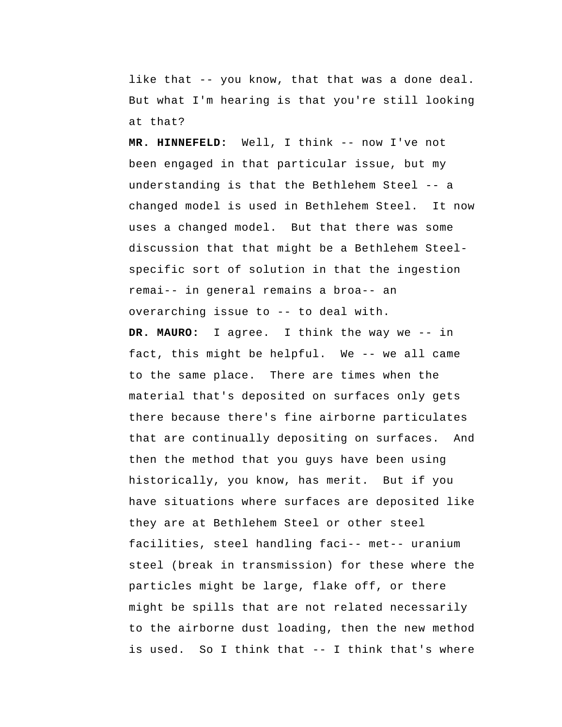like that -- you know, that that was a done deal. But what I'm hearing is that you're still looking at that?

 **MR. HINNEFELD:** Well, I think -- now I've not been engaged in that particular issue, but my understanding is that the Bethlehem Steel -- a changed model is used in Bethlehem Steel. It now uses a changed model. But that there was some discussion that that might be a Bethlehem Steel specific sort of solution in that the ingestion remai-- in general remains a broa-- an overarching issue to -- to deal with.

**DR. MAURO:** I agree. I think the way we -- in fact, this might be helpful. We -- we all came to the same place. There are times when the material that's deposited on surfaces only gets there because there's fine airborne particulates that are continually depositing on surfaces. And then the method that you guys have been using historically, you know, has merit. But if you have situations where surfaces are deposited like they are at Bethlehem Steel or other steel facilities, steel handling faci-- met-- uranium steel (break in transmission) for these where the particles might be large, flake off, or there might be spills that are not related necessarily to the airborne dust loading, then the new method is used. So I think that -- I think that's where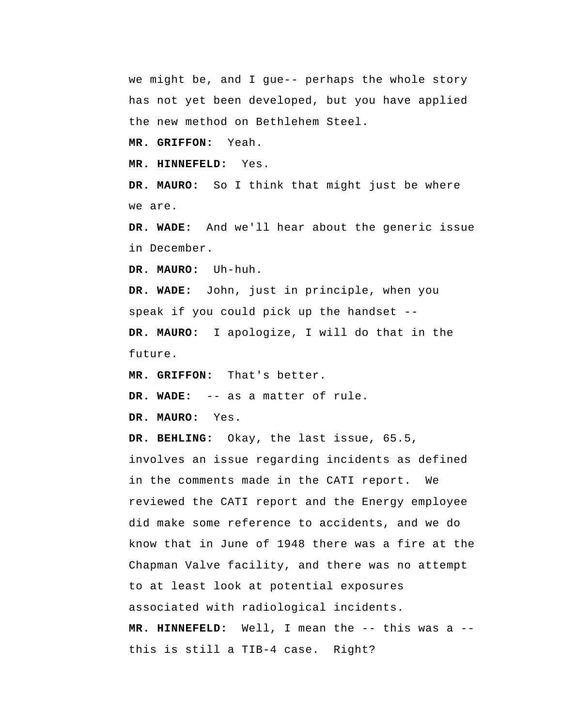we might be, and I gue-- perhaps the whole story has not yet been developed, but you have applied the new method on Bethlehem Steel.

 **MR. GRIFFON:** Yeah.

 **MR. HINNEFELD:** Yes.

**DR. MAURO:** So I think that might just be where we are.

 **DR. WADE:** And we'll hear about the generic issue in December.

**DR. MAURO:** Uh-huh.

 **DR. WADE:** John, just in principle, when you speak if you could pick up the handset -- **DR. MAURO:** I apologize, I will do that in the

future.

 **MR. GRIFFON:** That's better.

 **DR. WADE:** -- as a matter of rule.

**DR. MAURO:** Yes.

 **DR. BEHLING:** Okay, the last issue, 65.5, involves an issue regarding incidents as defined in the comments made in the CATI report. We reviewed the CATI report and the Energy employee did make some reference to accidents, and we do know that in June of 1948 there was a fire at the Chapman Valve facility, and there was no attempt to at least look at potential exposures associated with radiological incidents.  **MR. HINNEFELD:** Well, I mean the -- this was a - this is still a TIB-4 case. Right?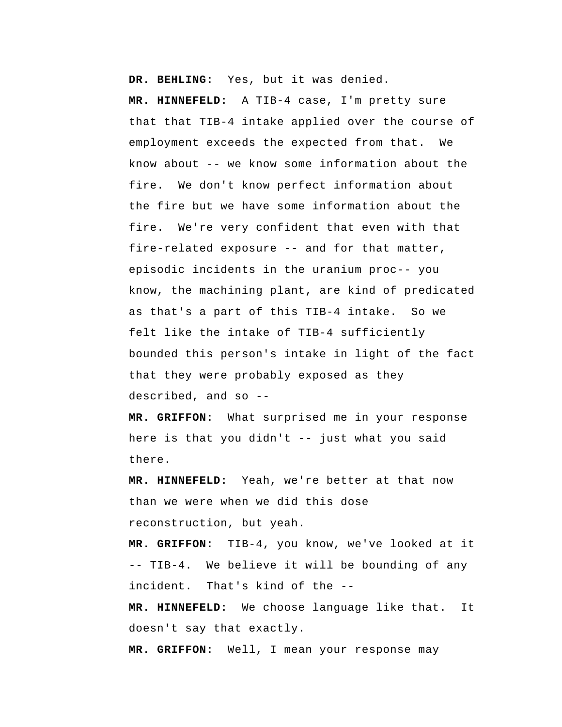**DR. BEHLING:** Yes, but it was denied.

 **MR. HINNEFELD:** A TIB-4 case, I'm pretty sure that that TIB-4 intake applied over the course of employment exceeds the expected from that. We know about -- we know some information about the fire. We don't know perfect information about the fire but we have some information about the fire. We're very confident that even with that fire-related exposure -- and for that matter, episodic incidents in the uranium proc-- you know, the machining plant, are kind of predicated as that's a part of this TIB-4 intake. So we felt like the intake of TIB-4 sufficiently bounded this person's intake in light of the fact that they were probably exposed as they described, and so --

 **MR. GRIFFON:** What surprised me in your response here is that you didn't -- just what you said there.

 **MR. HINNEFELD:** Yeah, we're better at that now than we were when we did this dose reconstruction, but yeah.

 **MR. GRIFFON:** TIB-4, you know, we've looked at it -- TIB-4. We believe it will be bounding of any incident. That's kind of the --

 **MR. HINNEFELD:** We choose language like that. It doesn't say that exactly.

 **MR. GRIFFON:** Well, I mean your response may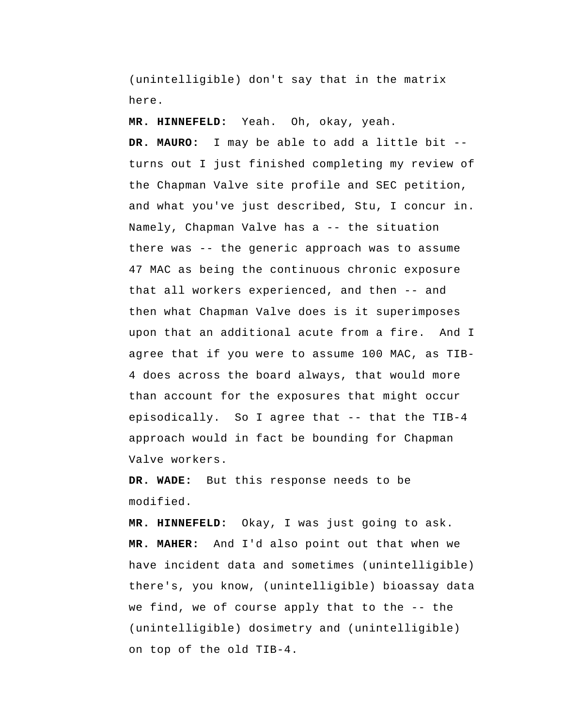(unintelligible) don't say that in the matrix here.

 **MR. HINNEFELD:** Yeah. Oh, okay, yeah.

**DR. MAURO:** I may be able to add a little bit - turns out I just finished completing my review of the Chapman Valve site profile and SEC petition, and what you've just described, Stu, I concur in. Namely, Chapman Valve has a -- the situation there was -- the generic approach was to assume 47 MAC as being the continuous chronic exposure that all workers experienced, and then -- and then what Chapman Valve does is it superimposes upon that an additional acute from a fire. And I agree that if you were to assume 100 MAC, as TIB-4 does across the board always, that would more than account for the exposures that might occur episodically. So I agree that -- that the TIB-4 approach would in fact be bounding for Chapman Valve workers.

 **DR. WADE:** But this response needs to be modified.

 **MR. HINNEFELD:** Okay, I was just going to ask. **MR. MAHER:** And I'd also point out that when we have incident data and sometimes (unintelligible) there's, you know, (unintelligible) bioassay data we find, we of course apply that to the -- the (unintelligible) dosimetry and (unintelligible) on top of the old TIB-4.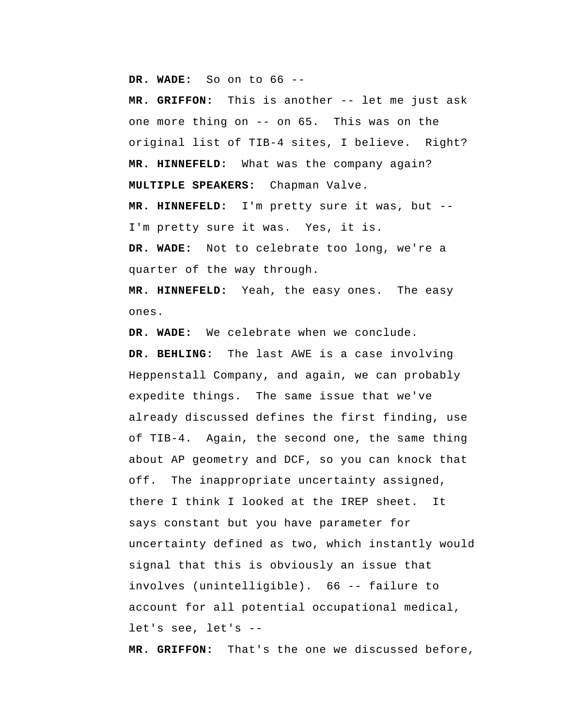**DR. WADE:** So on to 66 --

 **MR. GRIFFON:** This is another -- let me just ask one more thing on -- on 65. This was on the original list of TIB-4 sites, I believe. Right?  **MR. HINNEFELD:** What was the company again? **MULTIPLE SPEAKERS:** Chapman Valve.  **MR. HINNEFELD:** I'm pretty sure it was, but -- I'm pretty sure it was. Yes, it is.  **DR. WADE:** Not to celebrate too long, we're a quarter of the way through.

 **MR. HINNEFELD:** Yeah, the easy ones. The easy ones.

 **DR. WADE:** We celebrate when we conclude.  **DR. BEHLING:** The last AWE is a case involving Heppenstall Company, and again, we can probably expedite things. The same issue that we've already discussed defines the first finding, use of TIB-4. Again, the second one, the same thing about AP geometry and DCF, so you can knock that off. The inappropriate uncertainty assigned, there I think I looked at the IREP sheet. It says constant but you have parameter for uncertainty defined as two, which instantly would signal that this is obviously an issue that involves (unintelligible). 66 -- failure to account for all potential occupational medical, let's see, let's --

 **MR. GRIFFON:** That's the one we discussed before,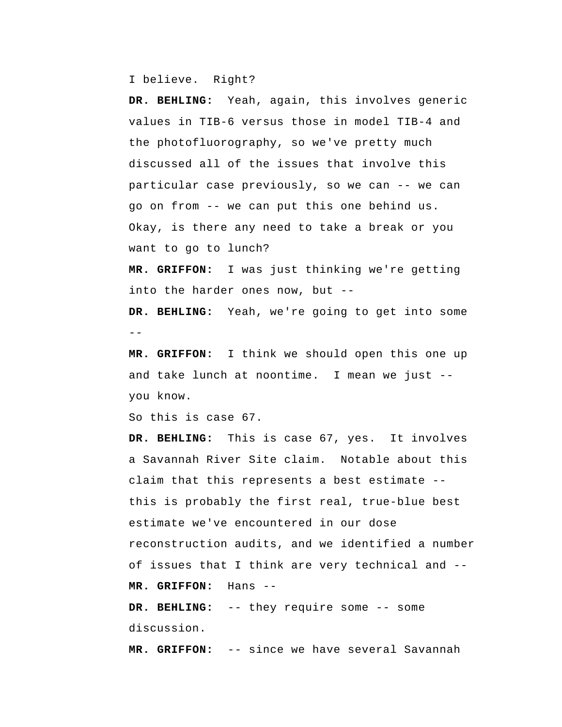I believe. Right?

 **DR. BEHLING:** Yeah, again, this involves generic values in TIB-6 versus those in model TIB-4 and the photofluorography, so we've pretty much discussed all of the issues that involve this particular case previously, so we can -- we can go on from -- we can put this one behind us. Okay, is there any need to take a break or you want to go to lunch?

 **MR. GRIFFON:** I was just thinking we're getting into the harder ones now, but --

 **DR. BEHLING:** Yeah, we're going to get into some  $-$ 

 **MR. GRIFFON:** I think we should open this one up and take lunch at noontime. I mean we just - you know.

So this is case 67.

 **DR. BEHLING:** This is case 67, yes. It involves a Savannah River Site claim. Notable about this claim that this represents a best estimate - this is probably the first real, true-blue best estimate we've encountered in our dose reconstruction audits, and we identified a number of issues that I think are very technical and --  **MR. GRIFFON:** Hans --

 **DR. BEHLING:** -- they require some -- some discussion.

 **MR. GRIFFON:** -- since we have several Savannah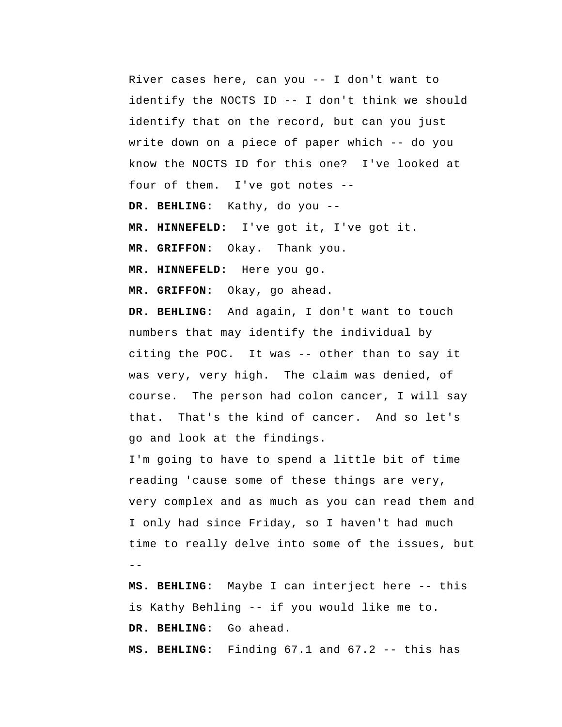River cases here, can you -- I don't want to identify the NOCTS ID -- I don't think we should identify that on the record, but can you just write down on a piece of paper which -- do you know the NOCTS ID for this one? I've looked at four of them. I've got notes --

 **DR. BEHLING:** Kathy, do you --

 **MR. HINNEFELD:** I've got it, I've got it.

 **MR. GRIFFON:** Okay. Thank you.

 **MR. HINNEFELD:** Here you go.

 **MR. GRIFFON:** Okay, go ahead.

 **DR. BEHLING:** And again, I don't want to touch numbers that may identify the individual by citing the POC. It was -- other than to say it was very, very high. The claim was denied, of course. The person had colon cancer, I will say that. That's the kind of cancer. And so let's go and look at the findings.

-- I'm going to have to spend a little bit of time reading 'cause some of these things are very, very complex and as much as you can read them and I only had since Friday, so I haven't had much time to really delve into some of the issues, but

 **MS. BEHLING:** Maybe I can interject here -- this is Kathy Behling -- if you would like me to. DR. BEHLING: Go ahead.

 **MS. BEHLING:** Finding 67.1 and 67.2 -- this has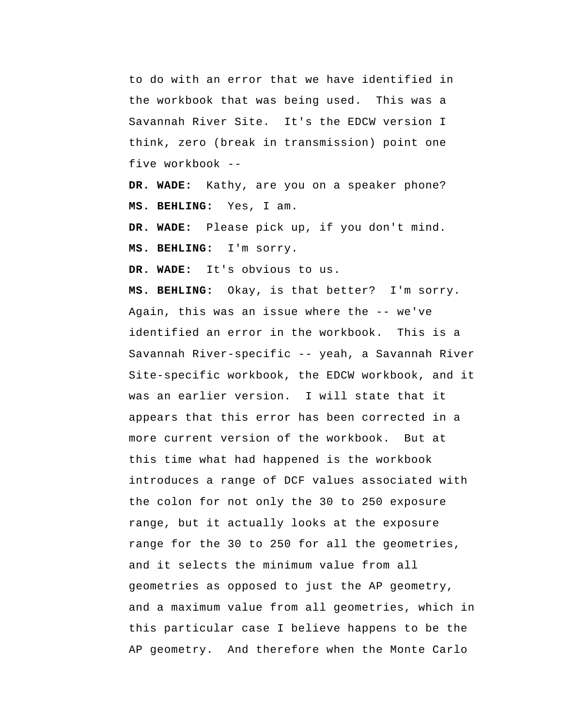to do with an error that we have identified in the workbook that was being used. This was a Savannah River Site. It's the EDCW version I think, zero (break in transmission) point one five workbook --

 **DR. WADE:** Kathy, are you on a speaker phone?  **MS. BEHLING:** Yes, I am.

 **DR. WADE:** Please pick up, if you don't mind.  **MS. BEHLING:** I'm sorry.

 **DR. WADE:** It's obvious to us.

 **MS. BEHLING:** Okay, is that better? I'm sorry. Again, this was an issue where the -- we've identified an error in the workbook. This is a Savannah River-specific -- yeah, a Savannah River Site-specific workbook, the EDCW workbook, and it was an earlier version. I will state that it appears that this error has been corrected in a more current version of the workbook. But at this time what had happened is the workbook introduces a range of DCF values associated with the colon for not only the 30 to 250 exposure range, but it actually looks at the exposure range for the 30 to 250 for all the geometries, and it selects the minimum value from all geometries as opposed to just the AP geometry, and a maximum value from all geometries, which in this particular case I believe happens to be the AP geometry. And therefore when the Monte Carlo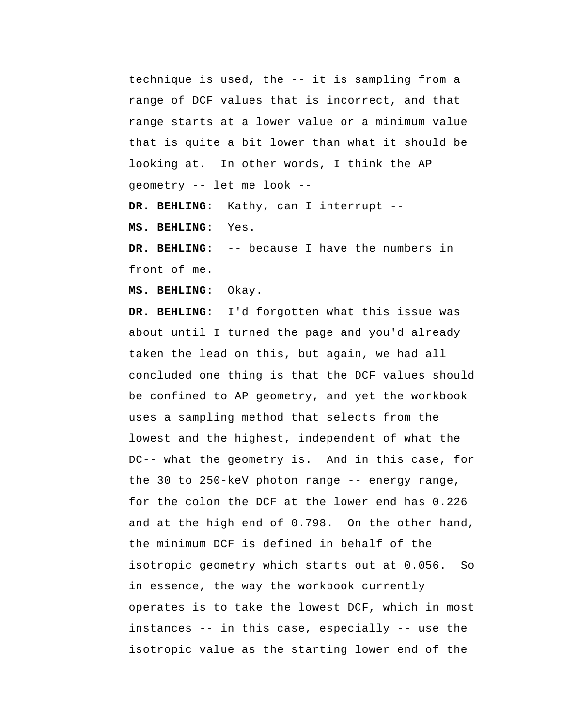technique is used, the -- it is sampling from a range of DCF values that is incorrect, and that range starts at a lower value or a minimum value that is quite a bit lower than what it should be looking at. In other words, I think the AP geometry -- let me look --

 **DR. BEHLING:** Kathy, can I interrupt --

 **MS. BEHLING:** Yes.

 **DR. BEHLING:** -- because I have the numbers in front of me.

 **MS. BEHLING:** Okay.

 **DR. BEHLING:** I'd forgotten what this issue was about until I turned the page and you'd already taken the lead on this, but again, we had all concluded one thing is that the DCF values should be confined to AP geometry, and yet the workbook uses a sampling method that selects from the lowest and the highest, independent of what the DC-- what the geometry is. And in this case, for the 30 to 250-keV photon range -- energy range, for the colon the DCF at the lower end has 0.226 and at the high end of 0.798. On the other hand, the minimum DCF is defined in behalf of the isotropic geometry which starts out at 0.056. So in essence, the way the workbook currently operates is to take the lowest DCF, which in most instances -- in this case, especially -- use the isotropic value as the starting lower end of the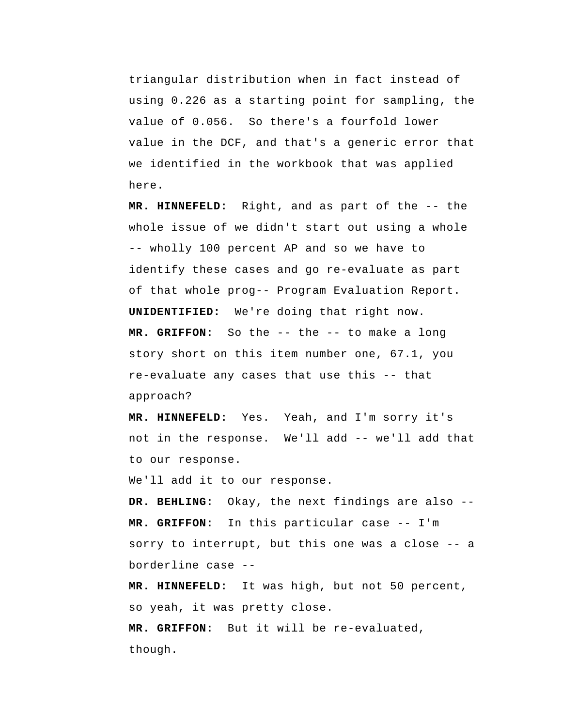triangular distribution when in fact instead of using 0.226 as a starting point for sampling, the value of 0.056. So there's a fourfold lower value in the DCF, and that's a generic error that we identified in the workbook that was applied here.

 **MR. HINNEFELD:** Right, and as part of the -- the whole issue of we didn't start out using a whole -- wholly 100 percent AP and so we have to identify these cases and go re-evaluate as part of that whole prog-- Program Evaluation Report. **UNIDENTIFIED:** We're doing that right now.  **MR. GRIFFON:** So the -- the -- to make a long story short on this item number one, 67.1, you re-evaluate any cases that use this -- that approach?

 **MR. HINNEFELD:** Yes. Yeah, and I'm sorry it's not in the response. We'll add -- we'll add that to our response.

We'll add it to our response.

 **DR. BEHLING:** Okay, the next findings are also --  **MR. GRIFFON:** In this particular case -- I'm sorry to interrupt, but this one was a close -- a borderline case --

 **MR. HINNEFELD:** It was high, but not 50 percent, so yeah, it was pretty close.

 **MR. GRIFFON:** But it will be re-evaluated, though.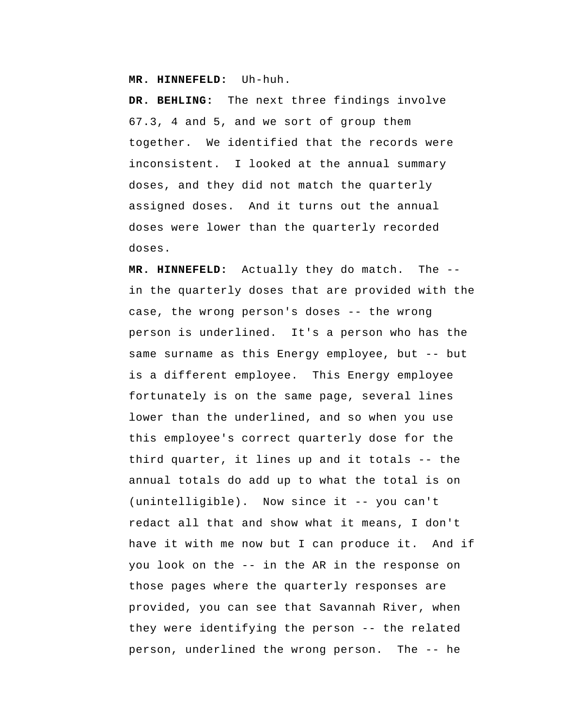**MR. HINNEFELD:** Uh-huh.

 **DR. BEHLING:** The next three findings involve 67.3, 4 and 5, and we sort of group them together. We identified that the records were inconsistent. I looked at the annual summary doses, and they did not match the quarterly assigned doses. And it turns out the annual doses were lower than the quarterly recorded doses.

 **MR. HINNEFELD:** Actually they do match. The -in the quarterly doses that are provided with the case, the wrong person's doses -- the wrong person is underlined. It's a person who has the same surname as this Energy employee, but -- but is a different employee. This Energy employee fortunately is on the same page, several lines lower than the underlined, and so when you use this employee's correct quarterly dose for the third quarter, it lines up and it totals -- the annual totals do add up to what the total is on (unintelligible). Now since it -- you can't redact all that and show what it means, I don't have it with me now but I can produce it. And if you look on the -- in the AR in the response on those pages where the quarterly responses are provided, you can see that Savannah River, when they were identifying the person -- the related person, underlined the wrong person. The -- he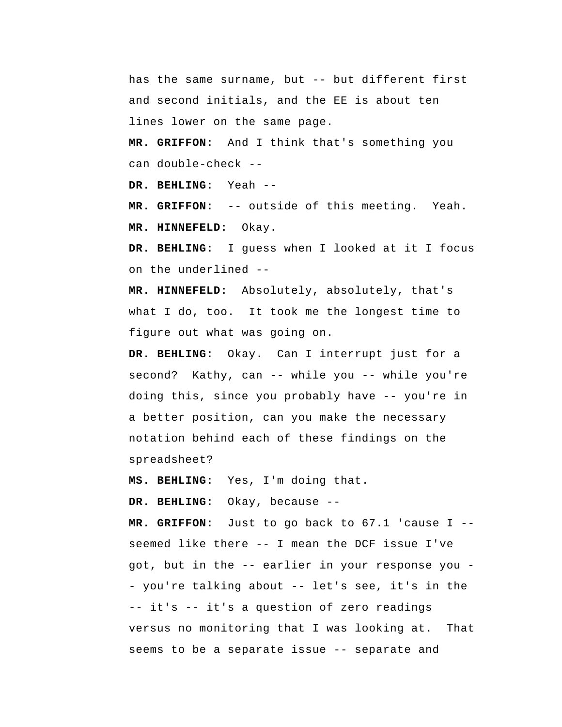has the same surname, but -- but different first and second initials, and the EE is about ten lines lower on the same page.

 **MR. GRIFFON:** And I think that's something you can double-check --

 **DR. BEHLING:** Yeah --

 **MR. GRIFFON:** -- outside of this meeting. Yeah.  **MR. HINNEFELD:** Okay.

 **DR. BEHLING:** I guess when I looked at it I focus on the underlined --

 **MR. HINNEFELD:** Absolutely, absolutely, that's what I do, too. It took me the longest time to figure out what was going on.

 **DR. BEHLING:** Okay. Can I interrupt just for a second? Kathy, can -- while you -- while you're doing this, since you probably have -- you're in a better position, can you make the necessary notation behind each of these findings on the spreadsheet?

 **MS. BEHLING:** Yes, I'm doing that.

 **DR. BEHLING:** Okay, because --

 **MR. GRIFFON:** Just to go back to 67.1 'cause I - seemed like there -- I mean the DCF issue I've got, but in the -- earlier in your response you - you're talking about -- let's see, it's in the -- it's -- it's a question of zero readings versus no monitoring that I was looking at. That seems to be a separate issue -- separate and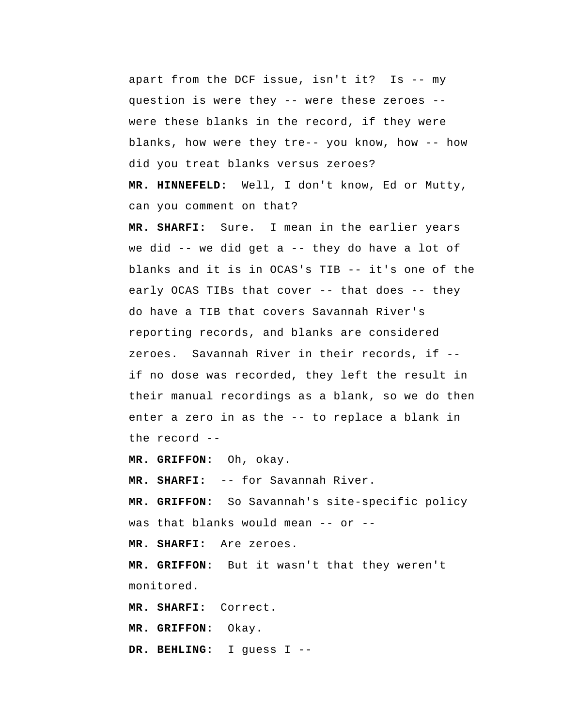apart from the DCF issue, isn't it? Is -- my question is were they -- were these zeroes - were these blanks in the record, if they were blanks, how were they tre-- you know, how -- how did you treat blanks versus zeroes?  **MR. HINNEFELD:** Well, I don't know, Ed or Mutty, can you comment on that?

 **MR. SHARFI:** Sure. I mean in the earlier years we did  $--$  we did get a  $--$  they do have a lot of blanks and it is in OCAS's TIB -- it's one of the early OCAS TIBs that cover -- that does -- they do have a TIB that covers Savannah River's reporting records, and blanks are considered zeroes. Savannah River in their records, if - if no dose was recorded, they left the result in their manual recordings as a blank, so we do then enter a zero in as the -- to replace a blank in the record --

 **MR. GRIFFON:** Oh, okay.

 **MR. SHARFI:** -- for Savannah River.

 **MR. GRIFFON:** So Savannah's site-specific policy was that blanks would mean -- or --

 **MR. SHARFI:** Are zeroes.

 **MR. GRIFFON:** But it wasn't that they weren't monitored.

 **MR. SHARFI:** Correct.

 **MR. GRIFFON:** Okay.

 **DR. BEHLING:** I guess I --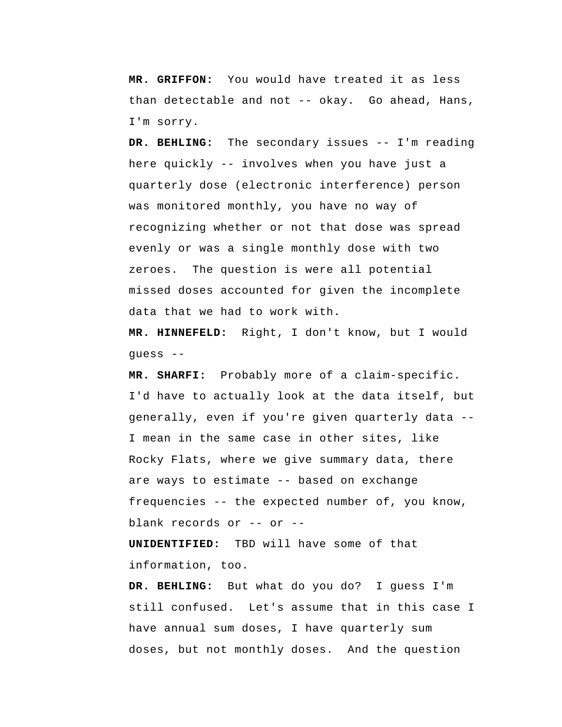**MR. GRIFFON:** You would have treated it as less than detectable and not -- okay. Go ahead, Hans, I'm sorry.

 **DR. BEHLING:** The secondary issues -- I'm reading here quickly -- involves when you have just a quarterly dose (electronic interference) person was monitored monthly, you have no way of recognizing whether or not that dose was spread evenly or was a single monthly dose with two zeroes. The question is were all potential missed doses accounted for given the incomplete data that we had to work with.

 **MR. HINNEFELD:** Right, I don't know, but I would guess --

 **MR. SHARFI:** Probably more of a claim-specific. I'd have to actually look at the data itself, but generally, even if you're given quarterly data -- I mean in the same case in other sites, like Rocky Flats, where we give summary data, there are ways to estimate -- based on exchange frequencies -- the expected number of, you know, blank records or -- or --

**UNIDENTIFIED:** TBD will have some of that information, too.

 **DR. BEHLING:** But what do you do? I guess I'm still confused. Let's assume that in this case I have annual sum doses, I have quarterly sum doses, but not monthly doses. And the question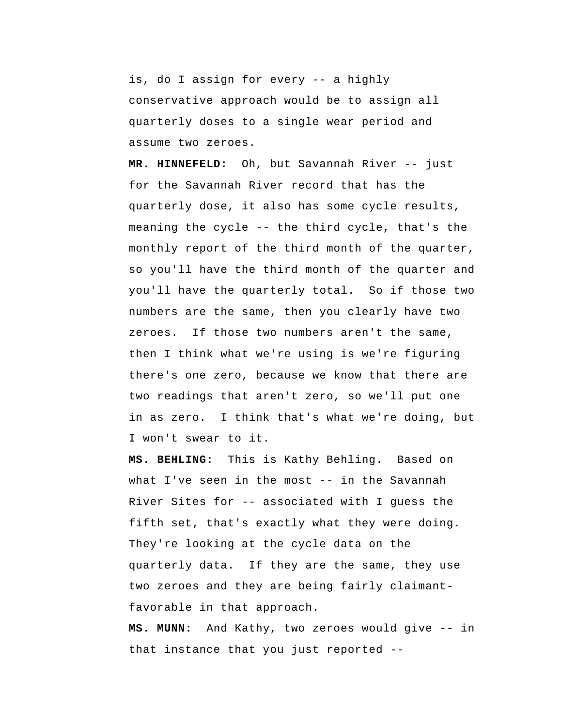is, do I assign for every -- a highly conservative approach would be to assign all quarterly doses to a single wear period and assume two zeroes.

 **MR. HINNEFELD:** Oh, but Savannah River -- just for the Savannah River record that has the quarterly dose, it also has some cycle results, meaning the cycle -- the third cycle, that's the monthly report of the third month of the quarter, so you'll have the third month of the quarter and you'll have the quarterly total. So if those two numbers are the same, then you clearly have two zeroes. If those two numbers aren't the same, then I think what we're using is we're figuring there's one zero, because we know that there are two readings that aren't zero, so we'll put one in as zero. I think that's what we're doing, but I won't swear to it.

 **MS. BEHLING:** This is Kathy Behling. Based on what I've seen in the most -- in the Savannah River Sites for -- associated with I guess the fifth set, that's exactly what they were doing. They're looking at the cycle data on the quarterly data. If they are the same, they use two zeroes and they are being fairly claimantfavorable in that approach.

 **MS. MUNN:** And Kathy, two zeroes would give -- in that instance that you just reported --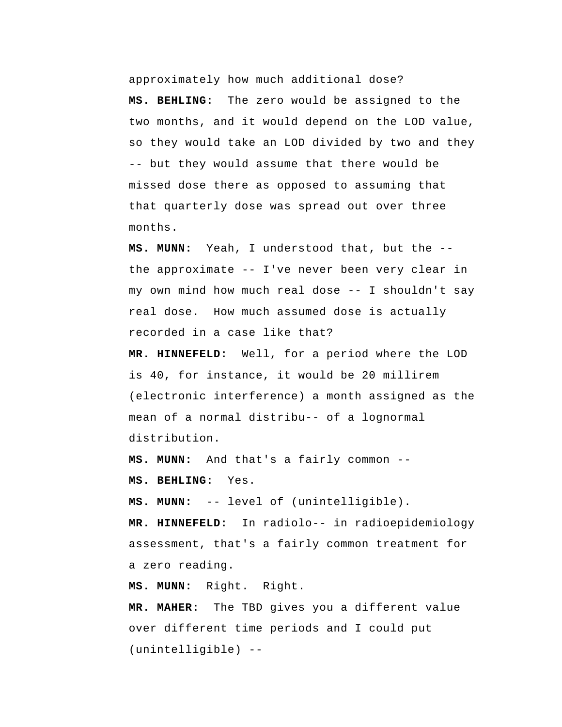approximately how much additional dose?

 **MS. BEHLING:** The zero would be assigned to the two months, and it would depend on the LOD value, so they would take an LOD divided by two and they -- but they would assume that there would be missed dose there as opposed to assuming that that quarterly dose was spread out over three months.

 **MS. MUNN:** Yeah, I understood that, but the - the approximate -- I've never been very clear in my own mind how much real dose -- I shouldn't say real dose. How much assumed dose is actually recorded in a case like that?

 **MR. HINNEFELD:** Well, for a period where the LOD is 40, for instance, it would be 20 millirem (electronic interference) a month assigned as the mean of a normal distribu-- of a lognormal distribution.

 **MS. MUNN:** And that's a fairly common --  **MS. BEHLING:** Yes.

 **MS. MUNN:** -- level of (unintelligible).

 **MR. HINNEFELD:** In radiolo-- in radioepidemiology assessment, that's a fairly common treatment for a zero reading.

 **MS. MUNN:** Right. Right.

**MR. MAHER:** The TBD gives you a different value over different time periods and I could put (unintelligible) --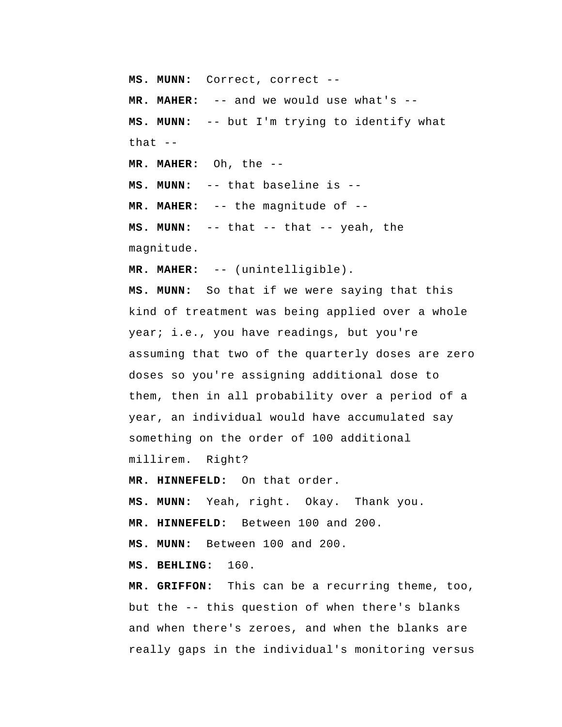**MS. MUNN:** Correct, correct -- **MR. MAHER:** -- and we would use what's --  **MS. MUNN:** -- but I'm trying to identify what that  $--$ **MR. MAHER:** Oh, the -- **MS. MUNN:** -- that baseline is --**MR. MAHER:** -- the magnitude of --  **MS. MUNN:** -- that -- that -- yeah, the magnitude.

**MR. MAHER:** -- (unintelligible).

 **MS. MUNN:** So that if we were saying that this kind of treatment was being applied over a whole year; i.e., you have readings, but you're assuming that two of the quarterly doses are zero doses so you're assigning additional dose to them, then in all probability over a period of a year, an individual would have accumulated say something on the order of 100 additional millirem. Right?

 **MR. HINNEFELD:** On that order.

 **MS. MUNN:** Yeah, right. Okay. Thank you.

 **MR. HINNEFELD:** Between 100 and 200.

**MS. MUNN:** Between 100 and 200.

 **MS. BEHLING:** 160.

 **MR. GRIFFON:** This can be a recurring theme, too, but the -- this question of when there's blanks and when there's zeroes, and when the blanks are really gaps in the individual's monitoring versus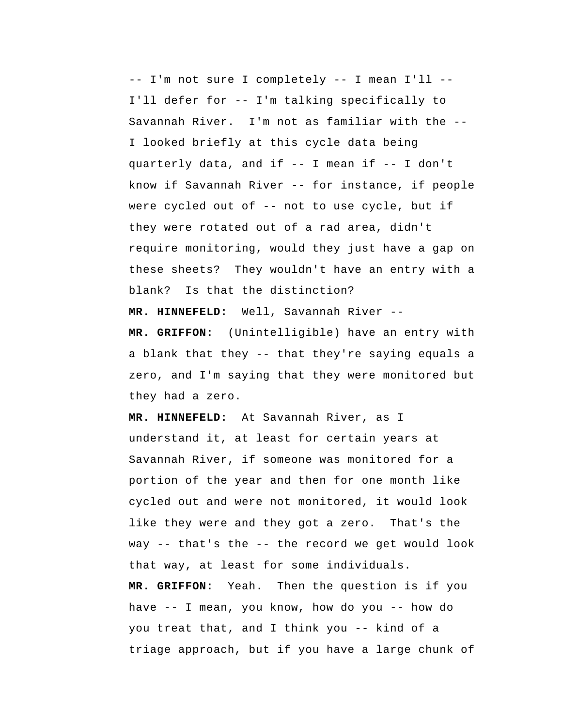-- I'm not sure I completely -- I mean I'll -- I'll defer for -- I'm talking specifically to Savannah River. I'm not as familiar with the -- I looked briefly at this cycle data being quarterly data, and if -- I mean if -- I don't know if Savannah River -- for instance, if people were cycled out of -- not to use cycle, but if they were rotated out of a rad area, didn't require monitoring, would they just have a gap on these sheets? They wouldn't have an entry with a blank? Is that the distinction?

 **MR. HINNEFELD:** Well, Savannah River --

 **MR. GRIFFON:** (Unintelligible) have an entry with a blank that they -- that they're saying equals a zero, and I'm saying that they were monitored but they had a zero.

 **MR. HINNEFELD:** At Savannah River, as I understand it, at least for certain years at Savannah River, if someone was monitored for a portion of the year and then for one month like cycled out and were not monitored, it would look like they were and they got a zero. That's the way -- that's the -- the record we get would look that way, at least for some individuals.  **MR. GRIFFON:** Yeah. Then the question is if you have -- I mean, you know, how do you -- how do you treat that, and I think you -- kind of a triage approach, but if you have a large chunk of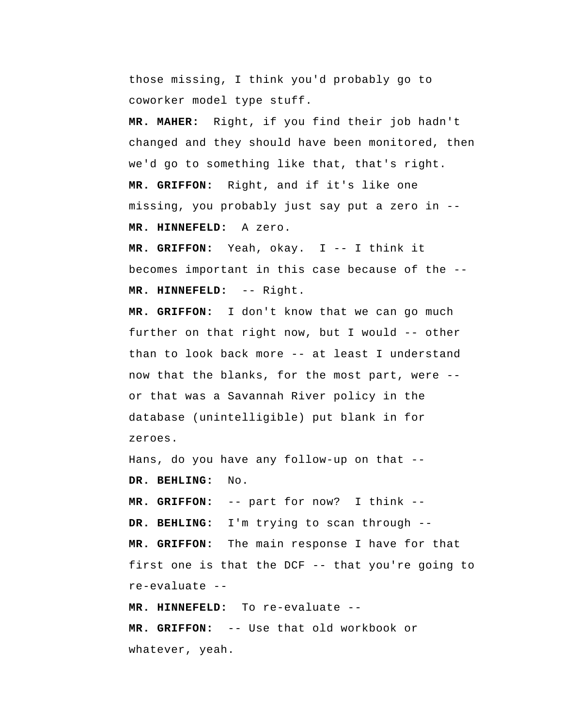those missing, I think you'd probably go to coworker model type stuff.

**MR. MAHER:** Right, if you find their job hadn't changed and they should have been monitored, then we'd go to something like that, that's right.  **MR. GRIFFON:** Right, and if it's like one missing, you probably just say put a zero in --  **MR. HINNEFELD:** A zero.

 **MR. GRIFFON:** Yeah, okay. I -- I think it becomes important in this case because of the --  **MR. HINNEFELD:** -- Right.

 **MR. GRIFFON:** I don't know that we can go much further on that right now, but I would -- other than to look back more -- at least I understand now that the blanks, for the most part, were - or that was a Savannah River policy in the database (unintelligible) put blank in for zeroes.

Hans, do you have any follow-up on that --  **DR. BEHLING:** No.

 **MR. GRIFFON:** -- part for now? I think -- **DR. BEHLING:** I'm trying to scan through --  **MR. GRIFFON:** The main response I have for that first one is that the DCF -- that you're going to re-evaluate --

 **MR. HINNEFELD:** To re-evaluate -- **MR. GRIFFON:** -- Use that old workbook or whatever, yeah.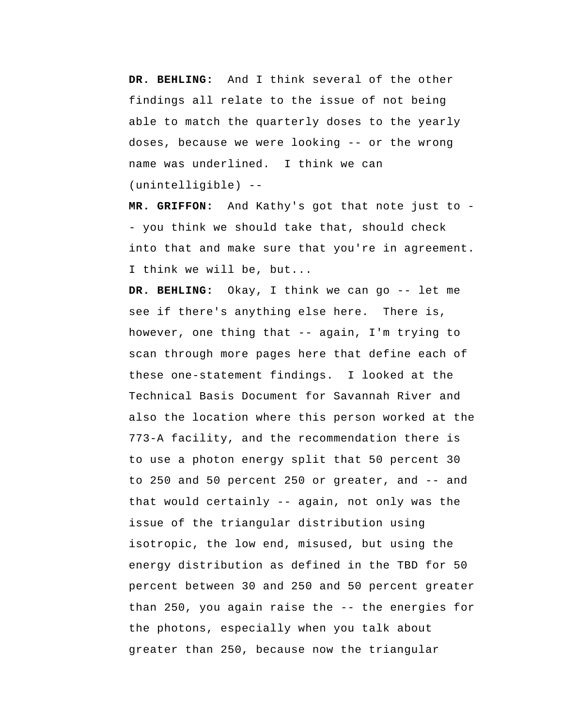**DR. BEHLING:** And I think several of the other findings all relate to the issue of not being able to match the quarterly doses to the yearly doses, because we were looking -- or the wrong name was underlined. I think we can (unintelligible) --

 **MR. GRIFFON:** And Kathy's got that note just to - you think we should take that, should check into that and make sure that you're in agreement. I think we will be, but...

 **DR. BEHLING:** Okay, I think we can go -- let me see if there's anything else here. There is, however, one thing that -- again, I'm trying to scan through more pages here that define each of these one-statement findings. I looked at the Technical Basis Document for Savannah River and also the location where this person worked at the 773-A facility, and the recommendation there is to use a photon energy split that 50 percent 30 to 250 and 50 percent 250 or greater, and -- and that would certainly -- again, not only was the issue of the triangular distribution using isotropic, the low end, misused, but using the energy distribution as defined in the TBD for 50 percent between 30 and 250 and 50 percent greater than 250, you again raise the -- the energies for the photons, especially when you talk about greater than 250, because now the triangular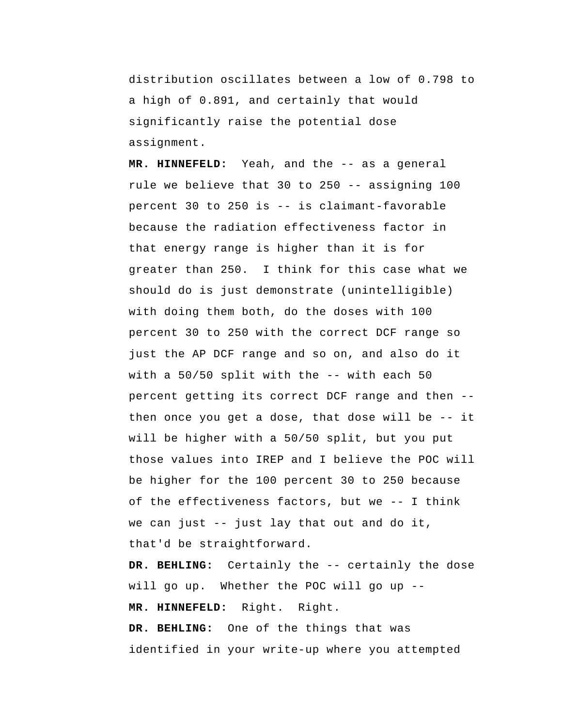distribution oscillates between a low of 0.798 to a high of 0.891, and certainly that would significantly raise the potential dose assignment.

 **MR. HINNEFELD:** Yeah, and the -- as a general rule we believe that 30 to 250 -- assigning 100 percent 30 to 250 is -- is claimant-favorable because the radiation effectiveness factor in that energy range is higher than it is for greater than 250. I think for this case what we should do is just demonstrate (unintelligible) with doing them both, do the doses with 100 percent 30 to 250 with the correct DCF range so just the AP DCF range and so on, and also do it with a 50/50 split with the -- with each 50 percent getting its correct DCF range and then - then once you get a dose, that dose will be -- it will be higher with a 50/50 split, but you put those values into IREP and I believe the POC will be higher for the 100 percent 30 to 250 because of the effectiveness factors, but we -- I think we can just -- just lay that out and do it, that'd be straightforward.

 **DR. BEHLING:** Certainly the -- certainly the dose will go up. Whether the POC will go up --  **MR. HINNEFELD:** Right. Right.  **DR. BEHLING:** One of the things that was identified in your write-up where you attempted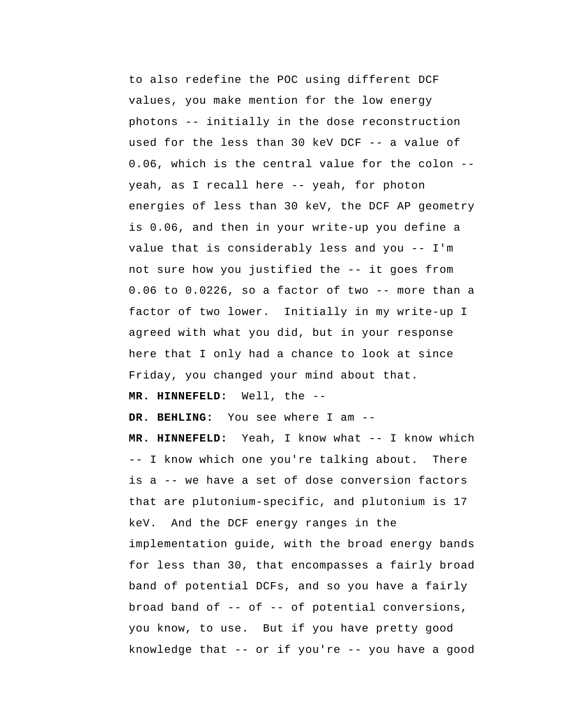to also redefine the POC using different DCF values, you make mention for the low energy photons -- initially in the dose reconstruction used for the less than 30 keV DCF -- a value of 0.06, which is the central value for the colon - yeah, as I recall here -- yeah, for photon energies of less than 30 keV, the DCF AP geometry is 0.06, and then in your write-up you define a value that is considerably less and you -- I'm not sure how you justified the -- it goes from 0.06 to 0.0226, so a factor of two -- more than a factor of two lower. Initially in my write-up I agreed with what you did, but in your response here that I only had a chance to look at since Friday, you changed your mind about that.

 **MR. HINNEFELD:** Well, the --

 **DR. BEHLING:** You see where I am --

 **MR. HINNEFELD:** Yeah, I know what -- I know which -- I know which one you're talking about. There is a -- we have a set of dose conversion factors that are plutonium-specific, and plutonium is 17 keV. And the DCF energy ranges in the implementation guide, with the broad energy bands for less than 30, that encompasses a fairly broad band of potential DCFs, and so you have a fairly broad band of -- of -- of potential conversions, you know, to use. But if you have pretty good knowledge that -- or if you're -- you have a good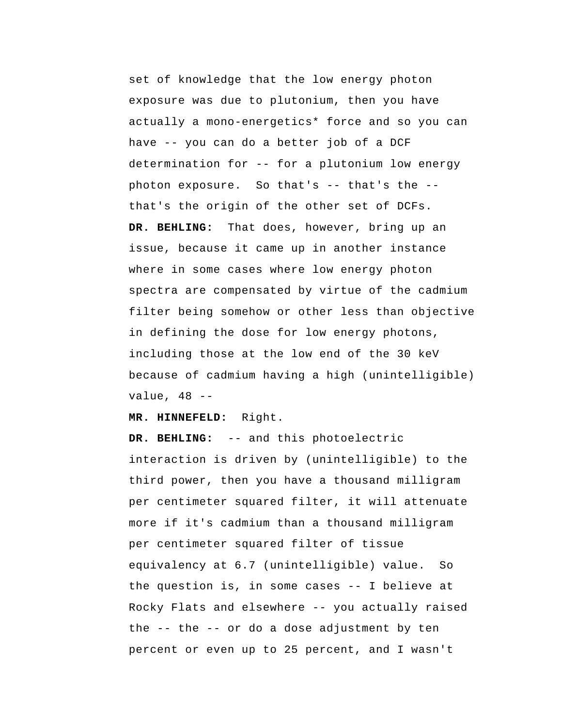set of knowledge that the low energy photon exposure was due to plutonium, then you have actually a mono-energetics\* force and so you can have -- you can do a better job of a DCF determination for -- for a plutonium low energy photon exposure. So that's -- that's the - that's the origin of the other set of DCFs.  **DR. BEHLING:** That does, however, bring up an issue, because it came up in another instance where in some cases where low energy photon spectra are compensated by virtue of the cadmium filter being somehow or other less than objective in defining the dose for low energy photons, including those at the low end of the 30 keV because of cadmium having a high (unintelligible) value, 48 --

 **MR. HINNEFELD:** Right.

 **DR. BEHLING:** -- and this photoelectric interaction is driven by (unintelligible) to the third power, then you have a thousand milligram per centimeter squared filter, it will attenuate more if it's cadmium than a thousand milligram per centimeter squared filter of tissue equivalency at 6.7 (unintelligible) value. So the question is, in some cases -- I believe at Rocky Flats and elsewhere -- you actually raised the -- the -- or do a dose adjustment by ten percent or even up to 25 percent, and I wasn't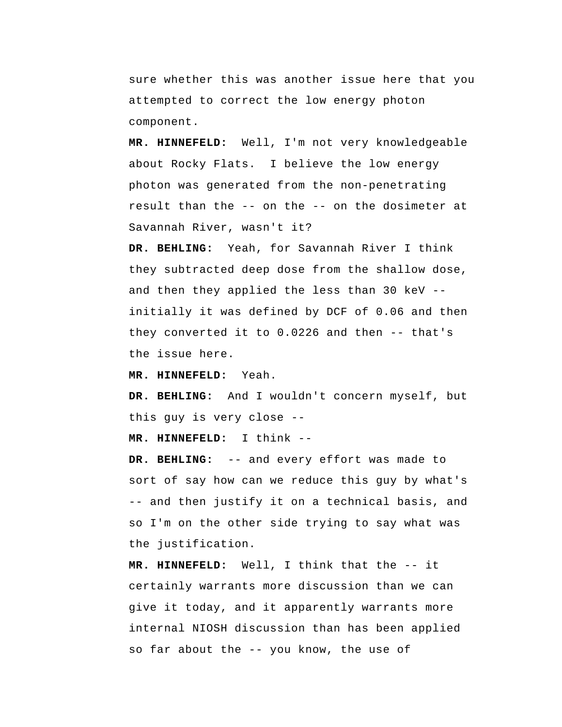sure whether this was another issue here that you attempted to correct the low energy photon component.

 **MR. HINNEFELD:** Well, I'm not very knowledgeable about Rocky Flats. I believe the low energy photon was generated from the non-penetrating result than the -- on the -- on the dosimeter at Savannah River, wasn't it?

 **DR. BEHLING:** Yeah, for Savannah River I think they subtracted deep dose from the shallow dose, and then they applied the less than 30 keV - initially it was defined by DCF of 0.06 and then they converted it to 0.0226 and then -- that's the issue here.

 **MR. HINNEFELD:** Yeah.

 **DR. BEHLING:** And I wouldn't concern myself, but this guy is very close --

 **MR. HINNEFELD:** I think --

 **DR. BEHLING:** -- and every effort was made to sort of say how can we reduce this guy by what's -- and then justify it on a technical basis, and so I'm on the other side trying to say what was the justification.

 **MR. HINNEFELD:** Well, I think that the -- it certainly warrants more discussion than we can give it today, and it apparently warrants more internal NIOSH discussion than has been applied so far about the -- you know, the use of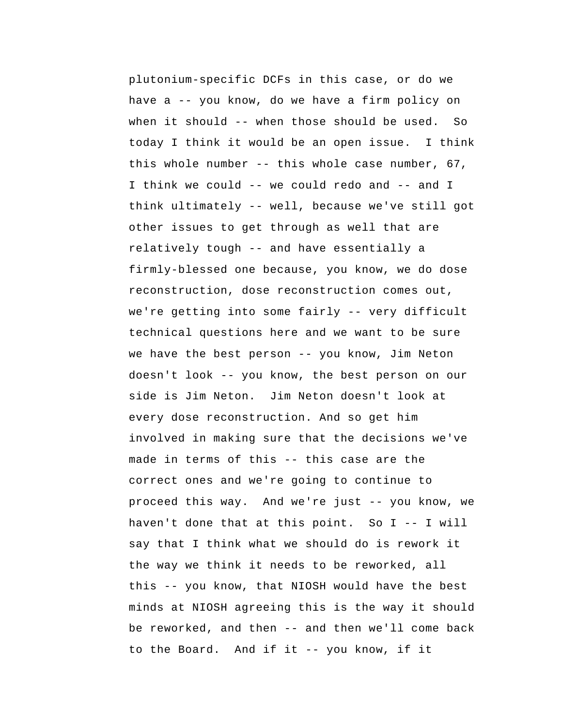plutonium-specific DCFs in this case, or do we have a -- you know, do we have a firm policy on when it should -- when those should be used. So today I think it would be an open issue. I think this whole number -- this whole case number, 67, I think we could -- we could redo and -- and I think ultimately -- well, because we've still got other issues to get through as well that are relatively tough -- and have essentially a firmly-blessed one because, you know, we do dose reconstruction, dose reconstruction comes out, we're getting into some fairly -- very difficult technical questions here and we want to be sure we have the best person -- you know, Jim Neton doesn't look -- you know, the best person on our side is Jim Neton. Jim Neton doesn't look at every dose reconstruction. And so get him involved in making sure that the decisions we've made in terms of this -- this case are the correct ones and we're going to continue to proceed this way. And we're just -- you know, we haven't done that at this point. So I -- I will say that I think what we should do is rework it the way we think it needs to be reworked, all this -- you know, that NIOSH would have the best minds at NIOSH agreeing this is the way it should be reworked, and then -- and then we'll come back to the Board. And if it -- you know, if it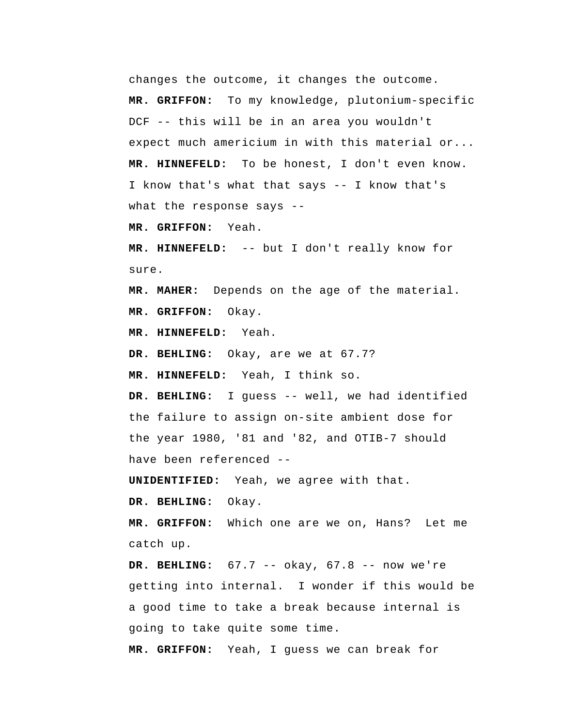changes the outcome, it changes the outcome.  **MR. GRIFFON:** To my knowledge, plutonium-specific DCF -- this will be in an area you wouldn't expect much americium in with this material or...  **MR. HINNEFELD:** To be honest, I don't even know. I know that's what that says -- I know that's what the response says --  **MR. GRIFFON:** Yeah.

 **MR. HINNEFELD:** -- but I don't really know for sure.

**MR. MAHER:** Depends on the age of the material.  **MR. GRIFFON:** Okay.

 **MR. HINNEFELD:** Yeah.

 **DR. BEHLING:** Okay, are we at 67.7?

 **MR. HINNEFELD:** Yeah, I think so.

 **DR. BEHLING:** I guess -- well, we had identified the failure to assign on-site ambient dose for the year 1980, '81 and '82, and OTIB-7 should have been referenced --

**UNIDENTIFIED:** Yeah, we agree with that.

 **DR. BEHLING:** Okay.

 **MR. GRIFFON:** Which one are we on, Hans? Let me catch up.

 **DR. BEHLING:** 67.7 -- okay, 67.8 -- now we're getting into internal. I wonder if this would be a good time to take a break because internal is going to take quite some time.

 **MR. GRIFFON:** Yeah, I guess we can break for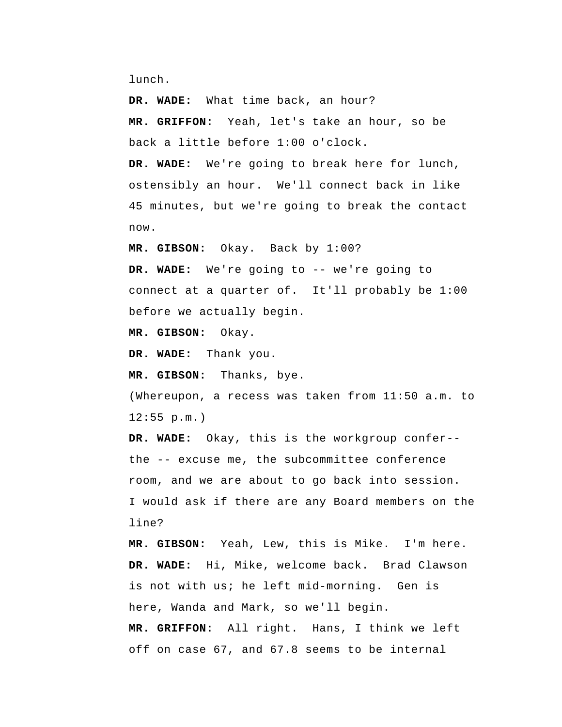lunch.

 **DR. WADE:** What time back, an hour?  **MR. GRIFFON:** Yeah, let's take an hour, so be back a little before 1:00 o'clock.

 **DR. WADE:** We're going to break here for lunch, ostensibly an hour. We'll connect back in like 45 minutes, but we're going to break the contact now.

 **MR. GIBSON:** Okay. Back by 1:00?

 **DR. WADE:** We're going to -- we're going to connect at a quarter of. It'll probably be 1:00 before we actually begin.

 **MR. GIBSON:** Okay.

 **DR. WADE:** Thank you.

 **MR. GIBSON:** Thanks, bye.

 (Whereupon, a recess was taken from 11:50 a.m. to 12:55 p.m.)

 **DR. WADE:** Okay, this is the workgroup confer- the -- excuse me, the subcommittee conference room, and we are about to go back into session. I would ask if there are any Board members on the line?

 **MR. GIBSON:** Yeah, Lew, this is Mike. I'm here.  **DR. WADE:** Hi, Mike, welcome back. Brad Clawson is not with us; he left mid-morning. Gen is here, Wanda and Mark, so we'll begin.  **MR. GRIFFON:** All right. Hans, I think we left off on case 67, and 67.8 seems to be internal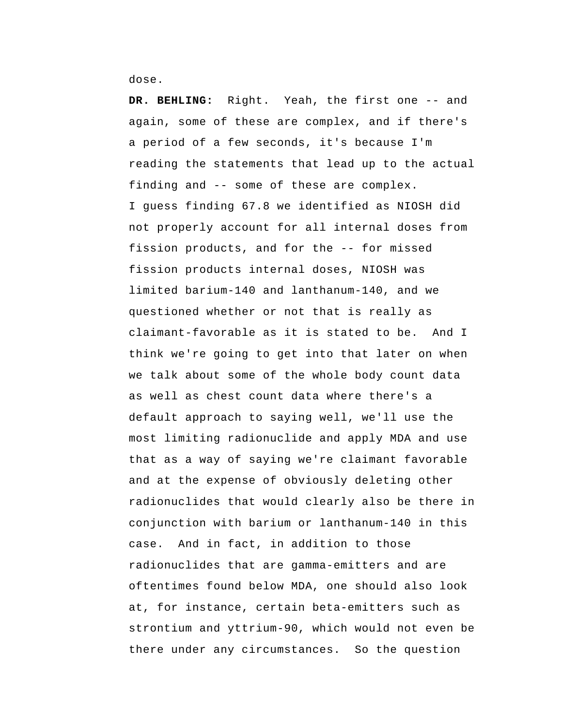dose.

 **DR. BEHLING:** Right. Yeah, the first one -- and again, some of these are complex, and if there's a period of a few seconds, it's because I'm reading the statements that lead up to the actual finding and -- some of these are complex. I guess finding 67.8 we identified as NIOSH did not properly account for all internal doses from fission products, and for the -- for missed fission products internal doses, NIOSH was limited barium-140 and lanthanum-140, and we questioned whether or not that is really as claimant-favorable as it is stated to be. And I think we're going to get into that later on when we talk about some of the whole body count data as well as chest count data where there's a default approach to saying well, we'll use the most limiting radionuclide and apply MDA and use that as a way of saying we're claimant favorable and at the expense of obviously deleting other radionuclides that would clearly also be there in conjunction with barium or lanthanum-140 in this case. And in fact, in addition to those radionuclides that are gamma-emitters and are oftentimes found below MDA, one should also look at, for instance, certain beta-emitters such as strontium and yttrium-90, which would not even be there under any circumstances. So the question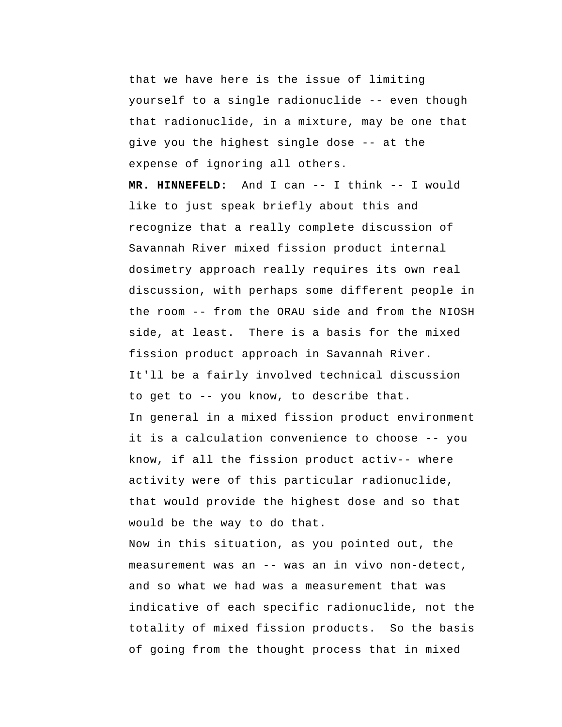that we have here is the issue of limiting yourself to a single radionuclide -- even though that radionuclide, in a mixture, may be one that give you the highest single dose -- at the expense of ignoring all others.

 **MR. HINNEFELD:** And I can -- I think -- I would like to just speak briefly about this and recognize that a really complete discussion of Savannah River mixed fission product internal dosimetry approach really requires its own real discussion, with perhaps some different people in the room -- from the ORAU side and from the NIOSH side, at least. There is a basis for the mixed fission product approach in Savannah River. It'll be a fairly involved technical discussion to get to -- you know, to describe that. In general in a mixed fission product environment it is a calculation convenience to choose -- you know, if all the fission product activ-- where activity were of this particular radionuclide, that would provide the highest dose and so that would be the way to do that.

Now in this situation, as you pointed out, the measurement was an -- was an in vivo non-detect, and so what we had was a measurement that was indicative of each specific radionuclide, not the totality of mixed fission products. So the basis of going from the thought process that in mixed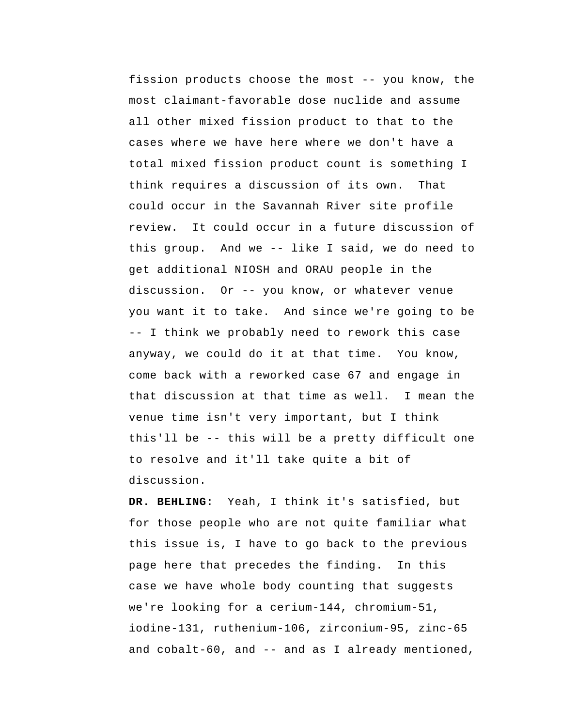fission products choose the most -- you know, the most claimant-favorable dose nuclide and assume all other mixed fission product to that to the cases where we have here where we don't have a total mixed fission product count is something I think requires a discussion of its own. That could occur in the Savannah River site profile review. It could occur in a future discussion of this group. And we -- like I said, we do need to get additional NIOSH and ORAU people in the discussion. Or -- you know, or whatever venue you want it to take. And since we're going to be -- I think we probably need to rework this case anyway, we could do it at that time. You know, come back with a reworked case 67 and engage in that discussion at that time as well. I mean the venue time isn't very important, but I think this'll be -- this will be a pretty difficult one to resolve and it'll take quite a bit of discussion.

 **DR. BEHLING:** Yeah, I think it's satisfied, but for those people who are not quite familiar what this issue is, I have to go back to the previous page here that precedes the finding. In this case we have whole body counting that suggests we're looking for a cerium-144, chromium-51, iodine-131, ruthenium-106, zirconium-95, zinc-65 and cobalt-60, and -- and as I already mentioned,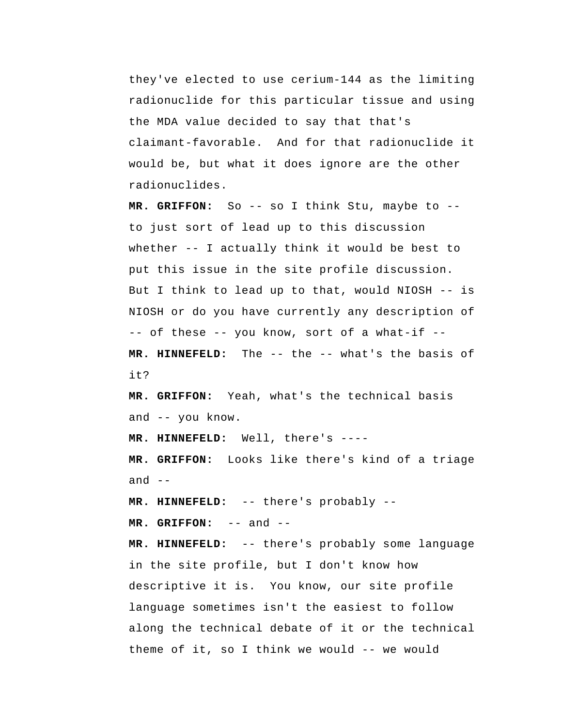they've elected to use cerium-144 as the limiting radionuclide for this particular tissue and using the MDA value decided to say that that's claimant-favorable. And for that radionuclide it would be, but what it does ignore are the other radionuclides.

 **MR. GRIFFON:** So -- so I think Stu, maybe to - to just sort of lead up to this discussion whether -- I actually think it would be best to put this issue in the site profile discussion. But I think to lead up to that, would NIOSH -- is NIOSH or do you have currently any description of -- of these -- you know, sort of a what-if --  **MR. HINNEFELD:** The -- the -- what's the basis of it?

 **MR. GRIFFON:** Yeah, what's the technical basis and -- you know.

 **MR. HINNEFELD:** Well, there's ----

 **MR. GRIFFON:** Looks like there's kind of a triage and  $--$ 

 **MR. HINNEFELD:** -- there's probably --

 **MR. GRIFFON:** -- and --

 **MR. HINNEFELD:** -- there's probably some language in the site profile, but I don't know how descriptive it is. You know, our site profile language sometimes isn't the easiest to follow along the technical debate of it or the technical theme of it, so I think we would -- we would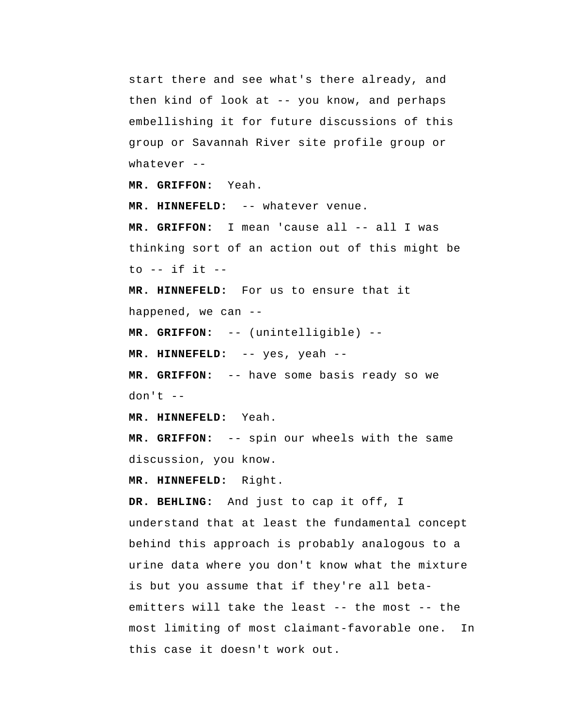start there and see what's there already, and then kind of look at -- you know, and perhaps embellishing it for future discussions of this group or Savannah River site profile group or whatever --

 **MR. GRIFFON:** Yeah.

 **MR. HINNEFELD:** -- whatever venue.  **MR. GRIFFON:** I mean 'cause all -- all I was thinking sort of an action out of this might be to -- if it --

 **MR. HINNEFELD:** For us to ensure that it happened, we can --

 **MR. GRIFFON:** -- (unintelligible) --

 **MR. HINNEFELD:** -- yes, yeah --

 **MR. GRIFFON:** -- have some basis ready so we  $don't --$ 

 **MR. HINNEFELD:** Yeah.

 **MR. GRIFFON:** -- spin our wheels with the same discussion, you know.

 **MR. HINNEFELD:** Right.

 **DR. BEHLING:** And just to cap it off, I understand that at least the fundamental concept behind this approach is probably analogous to a urine data where you don't know what the mixture is but you assume that if they're all betaemitters will take the least -- the most -- the most limiting of most claimant-favorable one. In this case it doesn't work out.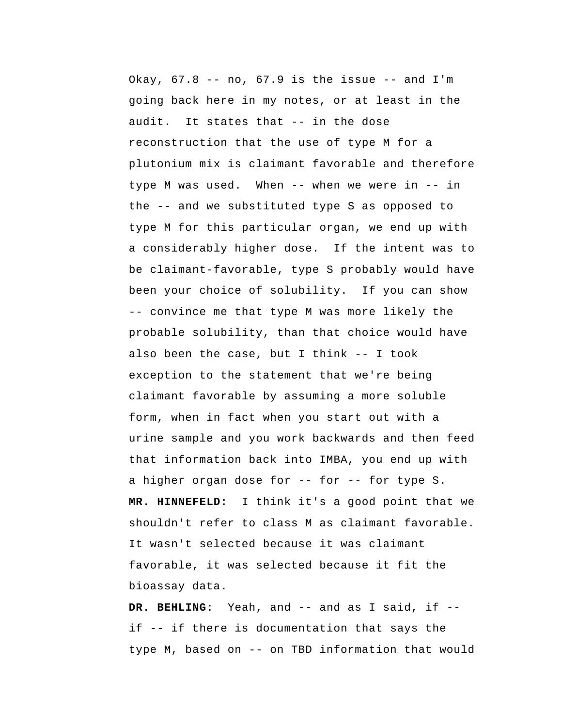Okay,  $67.8$  -- no,  $67.9$  is the issue -- and I'm going back here in my notes, or at least in the audit. It states that -- in the dose reconstruction that the use of type M for a plutonium mix is claimant favorable and therefore type M was used. When -- when we were in -- in the -- and we substituted type S as opposed to type M for this particular organ, we end up with a considerably higher dose. If the intent was to be claimant-favorable, type S probably would have been your choice of solubility. If you can show -- convince me that type M was more likely the probable solubility, than that choice would have also been the case, but I think -- I took exception to the statement that we're being claimant favorable by assuming a more soluble form, when in fact when you start out with a urine sample and you work backwards and then feed that information back into IMBA, you end up with a higher organ dose for -- for -- for type S.  **MR. HINNEFELD:** I think it's a good point that we shouldn't refer to class M as claimant favorable. It wasn't selected because it was claimant favorable, it was selected because it fit the bioassay data.

 **DR. BEHLING:** Yeah, and -- and as I said, if -if -- if there is documentation that says the type M, based on -- on TBD information that would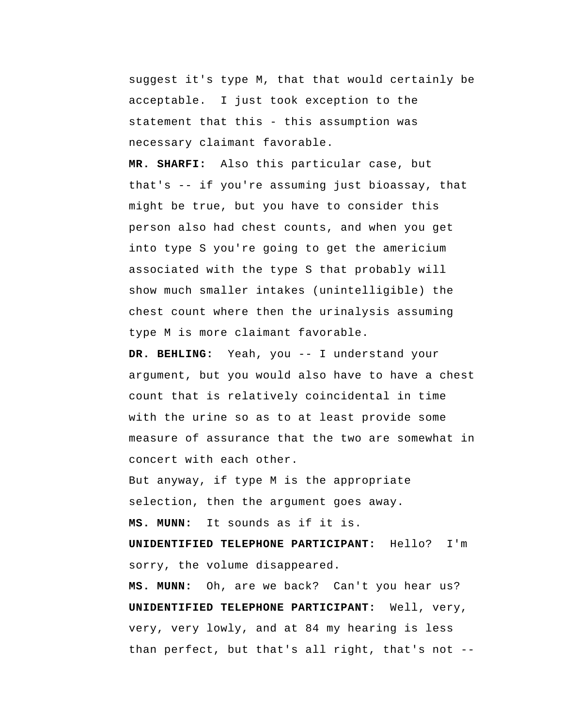suggest it's type M, that that would certainly be acceptable. I just took exception to the statement that this - this assumption was necessary claimant favorable.

 **MR. SHARFI:** Also this particular case, but that's -- if you're assuming just bioassay, that might be true, but you have to consider this person also had chest counts, and when you get into type S you're going to get the americium associated with the type S that probably will show much smaller intakes (unintelligible) the chest count where then the urinalysis assuming type M is more claimant favorable.

 **DR. BEHLING:** Yeah, you -- I understand your argument, but you would also have to have a chest count that is relatively coincidental in time with the urine so as to at least provide some measure of assurance that the two are somewhat in concert with each other.

But anyway, if type M is the appropriate selection, then the argument goes away.  **MS. MUNN:** It sounds as if it is.

 **UNIDENTIFIED TELEPHONE PARTICIPANT:** Hello? I'm sorry, the volume disappeared.

 **MS. MUNN:** Oh, are we back? Can't you hear us?  **UNIDENTIFIED TELEPHONE PARTICIPANT:** Well, very, very, very lowly, and at 84 my hearing is less than perfect, but that's all right, that's not --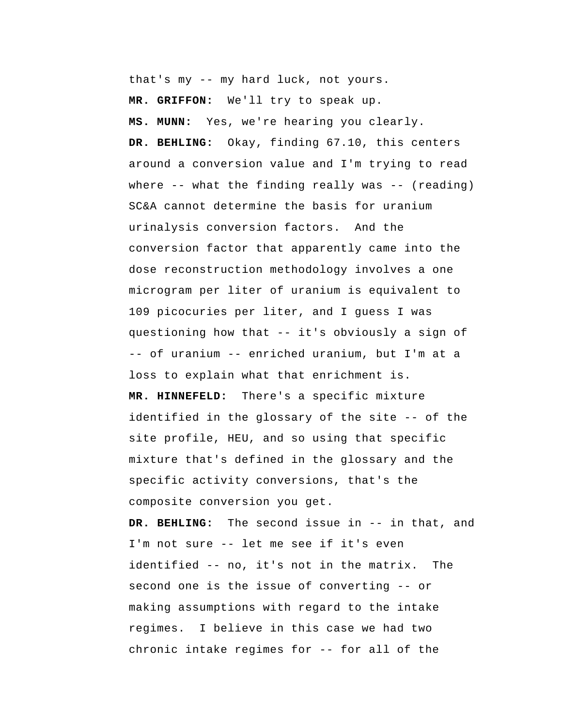that's my -- my hard luck, not yours.

 **MR. GRIFFON:** We'll try to speak up.

 **MS. MUNN:** Yes, we're hearing you clearly.  **DR. BEHLING:** Okay, finding 67.10, this centers around a conversion value and I'm trying to read where  $--$  what the finding really was  $--$  (reading) SC&A cannot determine the basis for uranium urinalysis conversion factors. And the conversion factor that apparently came into the dose reconstruction methodology involves a one microgram per liter of uranium is equivalent to 109 picocuries per liter, and I guess I was questioning how that -- it's obviously a sign of -- of uranium -- enriched uranium, but I'm at a loss to explain what that enrichment is.  **MR. HINNEFELD:** There's a specific mixture identified in the glossary of the site -- of the site profile, HEU, and so using that specific mixture that's defined in the glossary and the specific activity conversions, that's the composite conversion you get.

 **DR. BEHLING:** The second issue in -- in that, and I'm not sure -- let me see if it's even identified -- no, it's not in the matrix. The second one is the issue of converting -- or making assumptions with regard to the intake regimes. I believe in this case we had two chronic intake regimes for -- for all of the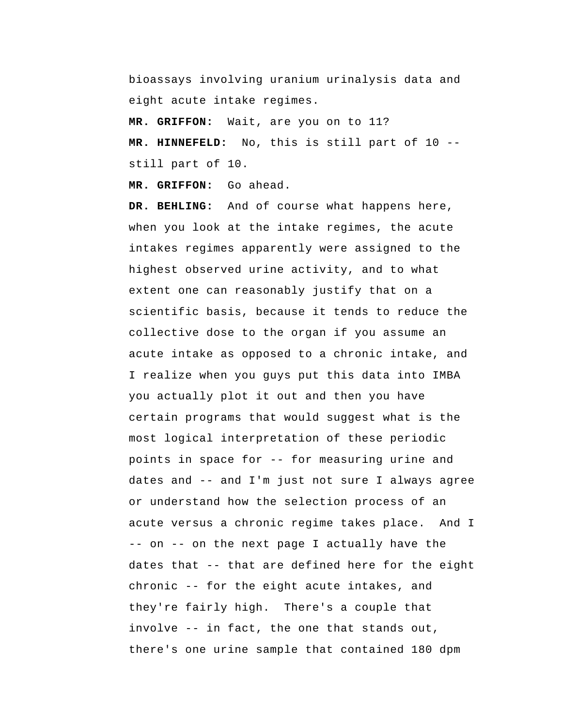bioassays involving uranium urinalysis data and eight acute intake regimes.

 **MR. GRIFFON:** Wait, are you on to 11?

 **MR. HINNEFELD:** No, this is still part of 10 - still part of 10.

 **MR. GRIFFON:** Go ahead.

 **DR. BEHLING:** And of course what happens here, when you look at the intake regimes, the acute intakes regimes apparently were assigned to the highest observed urine activity, and to what extent one can reasonably justify that on a scientific basis, because it tends to reduce the collective dose to the organ if you assume an acute intake as opposed to a chronic intake, and I realize when you guys put this data into IMBA you actually plot it out and then you have certain programs that would suggest what is the most logical interpretation of these periodic points in space for -- for measuring urine and dates and -- and I'm just not sure I always agree or understand how the selection process of an acute versus a chronic regime takes place. And I -- on -- on the next page I actually have the dates that -- that are defined here for the eight chronic -- for the eight acute intakes, and they're fairly high. There's a couple that involve -- in fact, the one that stands out, there's one urine sample that contained 180 dpm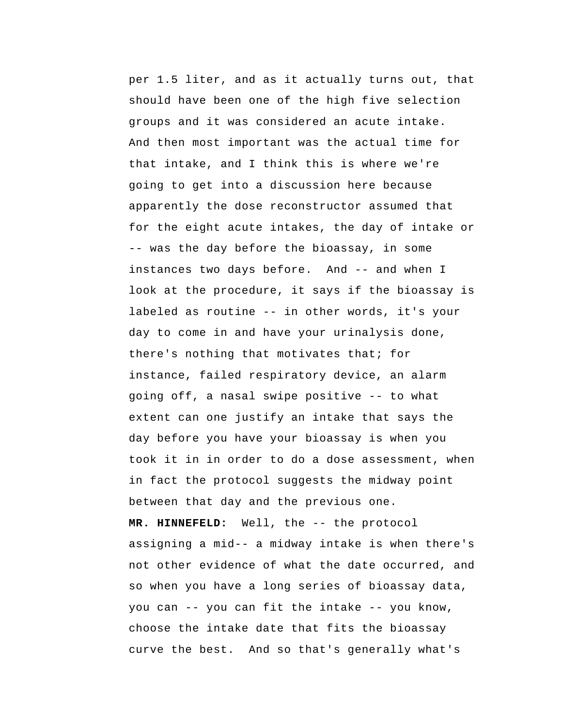per 1.5 liter, and as it actually turns out, that should have been one of the high five selection groups and it was considered an acute intake. And then most important was the actual time for that intake, and I think this is where we're going to get into a discussion here because apparently the dose reconstructor assumed that for the eight acute intakes, the day of intake or -- was the day before the bioassay, in some instances two days before. And -- and when I look at the procedure, it says if the bioassay is labeled as routine -- in other words, it's your day to come in and have your urinalysis done, there's nothing that motivates that; for instance, failed respiratory device, an alarm going off, a nasal swipe positive -- to what extent can one justify an intake that says the day before you have your bioassay is when you took it in in order to do a dose assessment, when in fact the protocol suggests the midway point between that day and the previous one.  **MR. HINNEFELD:** Well, the -- the protocol assigning a mid-- a midway intake is when there's not other evidence of what the date occurred, and so when you have a long series of bioassay data, you can -- you can fit the intake -- you know, choose the intake date that fits the bioassay curve the best. And so that's generally what's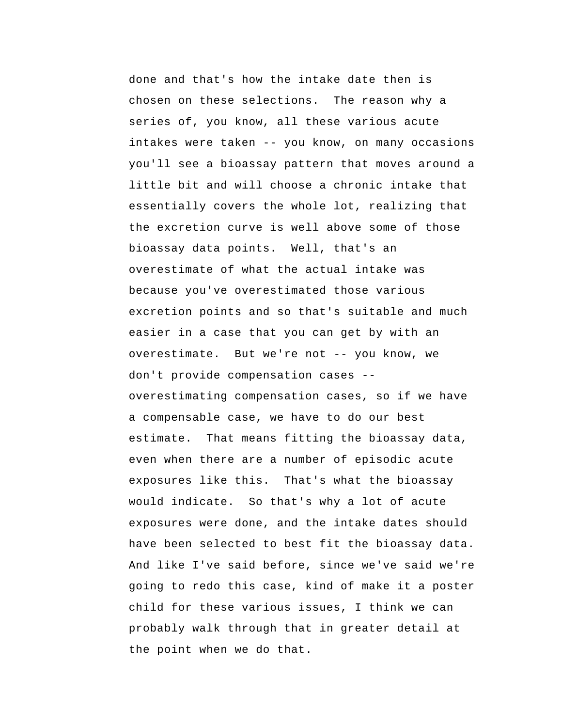done and that's how the intake date then is chosen on these selections. The reason why a series of, you know, all these various acute intakes were taken -- you know, on many occasions you'll see a bioassay pattern that moves around a little bit and will choose a chronic intake that essentially covers the whole lot, realizing that the excretion curve is well above some of those bioassay data points. Well, that's an overestimate of what the actual intake was because you've overestimated those various excretion points and so that's suitable and much easier in a case that you can get by with an overestimate. But we're not -- you know, we don't provide compensation cases - overestimating compensation cases, so if we have a compensable case, we have to do our best estimate. That means fitting the bioassay data, even when there are a number of episodic acute exposures like this. That's what the bioassay would indicate. So that's why a lot of acute exposures were done, and the intake dates should have been selected to best fit the bioassay data. And like I've said before, since we've said we're going to redo this case, kind of make it a poster child for these various issues, I think we can probably walk through that in greater detail at the point when we do that.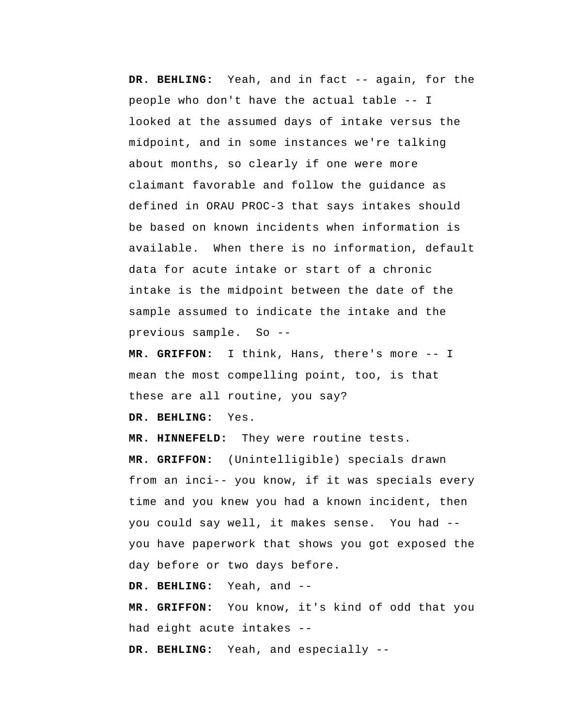**DR. BEHLING:** Yeah, and in fact -- again, for the people who don't have the actual table -- I looked at the assumed days of intake versus the midpoint, and in some instances we're talking about months, so clearly if one were more claimant favorable and follow the guidance as defined in ORAU PROC-3 that says intakes should be based on known incidents when information is available. When there is no information, default data for acute intake or start of a chronic intake is the midpoint between the date of the sample assumed to indicate the intake and the previous sample. So --

 **MR. GRIFFON:** I think, Hans, there's more -- I mean the most compelling point, too, is that these are all routine, you say?

 **DR. BEHLING:** Yes.

 **MR. HINNEFELD:** They were routine tests.  **MR. GRIFFON:** (Unintelligible) specials drawn from an inci-- you know, if it was specials every time and you knew you had a known incident, then you could say well, it makes sense. You had -you have paperwork that shows you got exposed the day before or two days before.

 **DR. BEHLING:** Yeah, and --

 **MR. GRIFFON:** You know, it's kind of odd that you had eight acute intakes --

 **DR. BEHLING:** Yeah, and especially --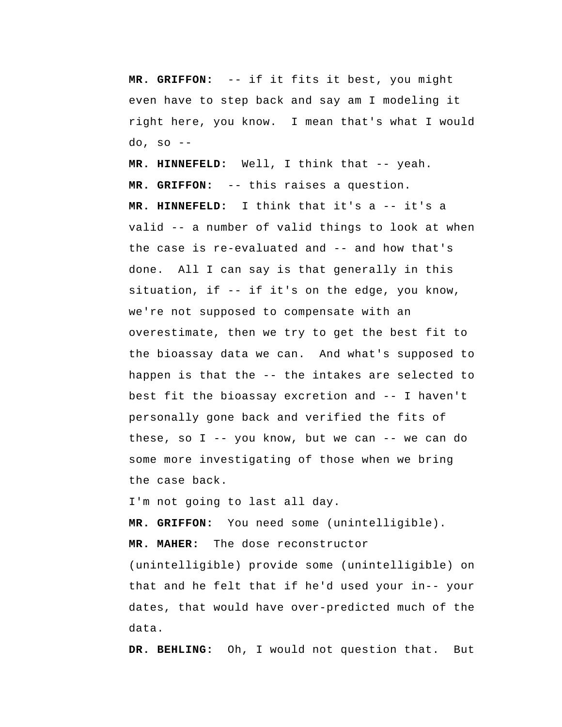**MR. GRIFFON:** -- if it fits it best, you might even have to step back and say am I modeling it right here, you know. I mean that's what I would do, so --

 **MR. HINNEFELD:** Well, I think that -- yeah.  **MR. GRIFFON:** -- this raises a question.  **MR. HINNEFELD:** I think that it's a -- it's a valid -- a number of valid things to look at when the case is re-evaluated and -- and how that's done. All I can say is that generally in this situation, if -- if it's on the edge, you know, we're not supposed to compensate with an overestimate, then we try to get the best fit to the bioassay data we can. And what's supposed to happen is that the -- the intakes are selected to best fit the bioassay excretion and -- I haven't personally gone back and verified the fits of these, so  $I$  -- you know, but we can -- we can do some more investigating of those when we bring the case back.

I'm not going to last all day.

 **MR. GRIFFON:** You need some (unintelligible). **MR. MAHER:** The dose reconstructor

(unintelligible) provide some (unintelligible) on that and he felt that if he'd used your in-- your dates, that would have over-predicted much of the data.

 **DR. BEHLING:** Oh, I would not question that. But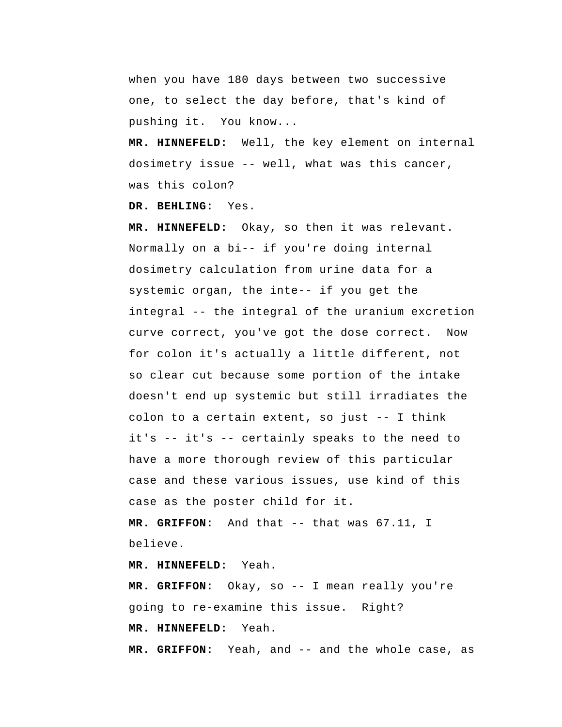when you have 180 days between two successive one, to select the day before, that's kind of pushing it. You know...

 **MR. HINNEFELD:** Well, the key element on internal dosimetry issue -- well, what was this cancer, was this colon?

 **DR. BEHLING:** Yes.

 **MR. HINNEFELD:** Okay, so then it was relevant. Normally on a bi-- if you're doing internal dosimetry calculation from urine data for a systemic organ, the inte-- if you get the integral -- the integral of the uranium excretion curve correct, you've got the dose correct. Now for colon it's actually a little different, not so clear cut because some portion of the intake doesn't end up systemic but still irradiates the colon to a certain extent, so just -- I think it's -- it's -- certainly speaks to the need to have a more thorough review of this particular case and these various issues, use kind of this case as the poster child for it.

 **MR. GRIFFON:** And that -- that was 67.11, I believe.

 **MR. HINNEFELD:** Yeah.

 **MR. GRIFFON:** Okay, so -- I mean really you're going to re-examine this issue. Right?  **MR. HINNEFELD:** Yeah.

 **MR. GRIFFON:** Yeah, and -- and the whole case, as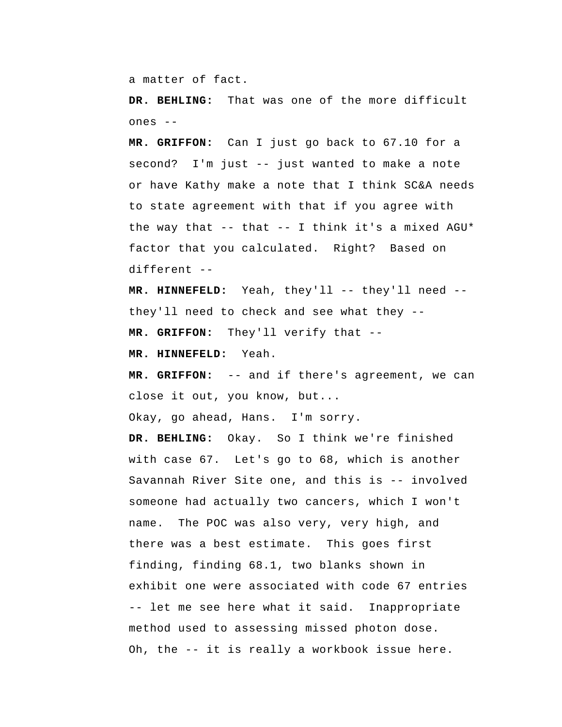a matter of fact.

 **DR. BEHLING:** That was one of the more difficult ones --

 **MR. GRIFFON:** Can I just go back to 67.10 for a second? I'm just -- just wanted to make a note or have Kathy make a note that I think SC&A needs to state agreement with that if you agree with the way that  $-$ - that  $-$ - I think it's a mixed AGU\* factor that you calculated. Right? Based on different --

 **MR. HINNEFELD:** Yeah, they'll -- they'll need - they'll need to check and see what they --  **MR. GRIFFON:** They'll verify that --

 **MR. HINNEFELD:** Yeah.

 **MR. GRIFFON:** -- and if there's agreement, we can close it out, you know, but...

Okay, go ahead, Hans. I'm sorry.

 **DR. BEHLING:** Okay. So I think we're finished with case 67. Let's go to 68, which is another Savannah River Site one, and this is -- involved someone had actually two cancers, which I won't name. The POC was also very, very high, and there was a best estimate. This goes first finding, finding 68.1, two blanks shown in exhibit one were associated with code 67 entries -- let me see here what it said. Inappropriate method used to assessing missed photon dose. Oh, the -- it is really a workbook issue here.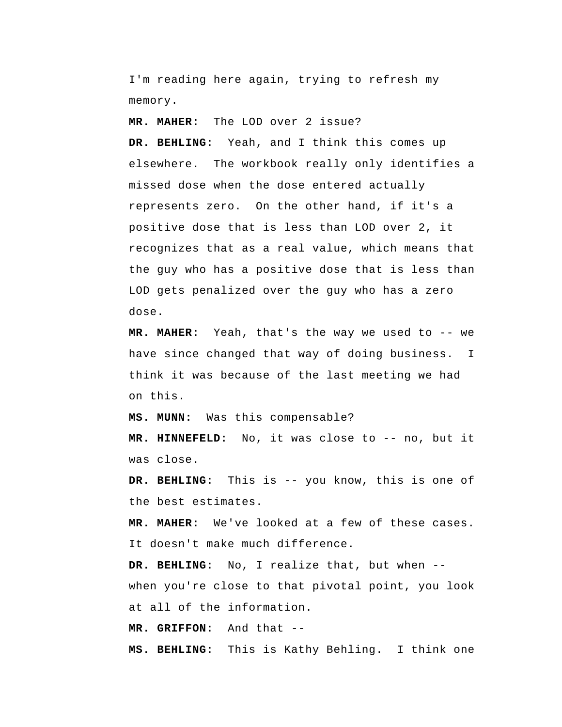I'm reading here again, trying to refresh my memory.

**MR. MAHER:** The LOD over 2 issue?

 **DR. BEHLING:** Yeah, and I think this comes up elsewhere. The workbook really only identifies a missed dose when the dose entered actually represents zero. On the other hand, if it's a positive dose that is less than LOD over 2, it recognizes that as a real value, which means that the guy who has a positive dose that is less than LOD gets penalized over the guy who has a zero dose.

**MR. MAHER:** Yeah, that's the way we used to -- we have since changed that way of doing business. I think it was because of the last meeting we had on this.

 **MS. MUNN:** Was this compensable?

 **MR. HINNEFELD:** No, it was close to -- no, but it was close.

 **DR. BEHLING:** This is -- you know, this is one of the best estimates.

**MR. MAHER:** We've looked at a few of these cases. It doesn't make much difference.

 **DR. BEHLING:** No, I realize that, but when - when you're close to that pivotal point, you look at all of the information.

 **MR. GRIFFON:** And that --

 **MS. BEHLING:** This is Kathy Behling. I think one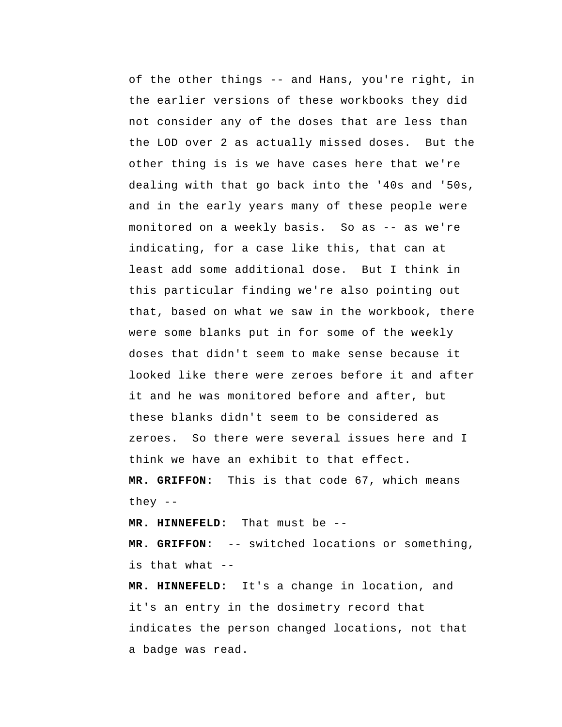of the other things -- and Hans, you're right, in the earlier versions of these workbooks they did not consider any of the doses that are less than the LOD over 2 as actually missed doses. But the other thing is is we have cases here that we're dealing with that go back into the '40s and '50s, and in the early years many of these people were monitored on a weekly basis. So as -- as we're indicating, for a case like this, that can at least add some additional dose. But I think in this particular finding we're also pointing out that, based on what we saw in the workbook, there were some blanks put in for some of the weekly doses that didn't seem to make sense because it looked like there were zeroes before it and after it and he was monitored before and after, but these blanks didn't seem to be considered as zeroes. So there were several issues here and I think we have an exhibit to that effect.  **MR. GRIFFON:** This is that code 67, which means they --

 **MR. HINNEFELD:** That must be --

 **MR. GRIFFON:** -- switched locations or something, is that what --

 **MR. HINNEFELD:** It's a change in location, and it's an entry in the dosimetry record that indicates the person changed locations, not that a badge was read.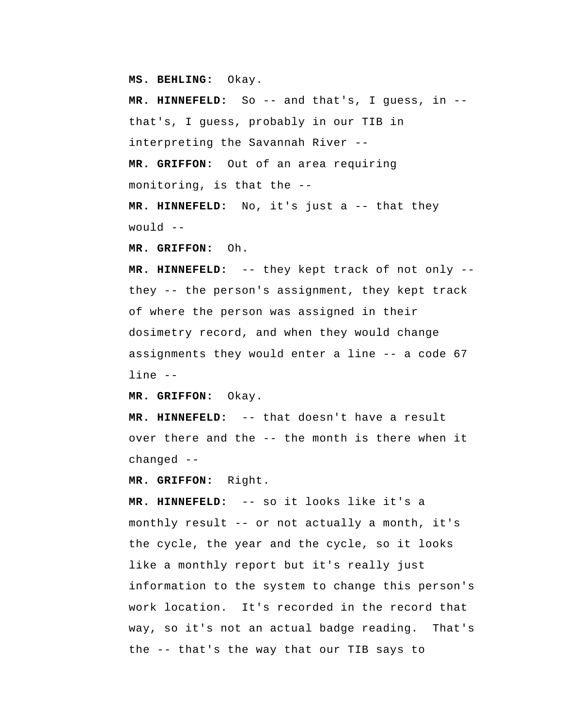**MS. BEHLING:** Okay.

 **MR. HINNEFELD:** So -- and that's, I guess, in - that's, I guess, probably in our TIB in interpreting the Savannah River --  **MR. GRIFFON:** Out of an area requiring monitoring, is that the --

 **MR. HINNEFELD:** No, it's just a -- that they would --

 **MR. GRIFFON:** Oh.

 **MR. HINNEFELD:** -- they kept track of not only - they -- the person's assignment, they kept track of where the person was assigned in their dosimetry record, and when they would change assignments they would enter a line -- a code 67 line --

 **MR. GRIFFON:** Okay.

 **MR. HINNEFELD:** -- that doesn't have a result over there and the -- the month is there when it changed --

 **MR. GRIFFON:** Right.

 **MR. HINNEFELD:** -- so it looks like it's a monthly result -- or not actually a month, it's the cycle, the year and the cycle, so it looks like a monthly report but it's really just information to the system to change this person's work location. It's recorded in the record that way, so it's not an actual badge reading. That's the -- that's the way that our TIB says to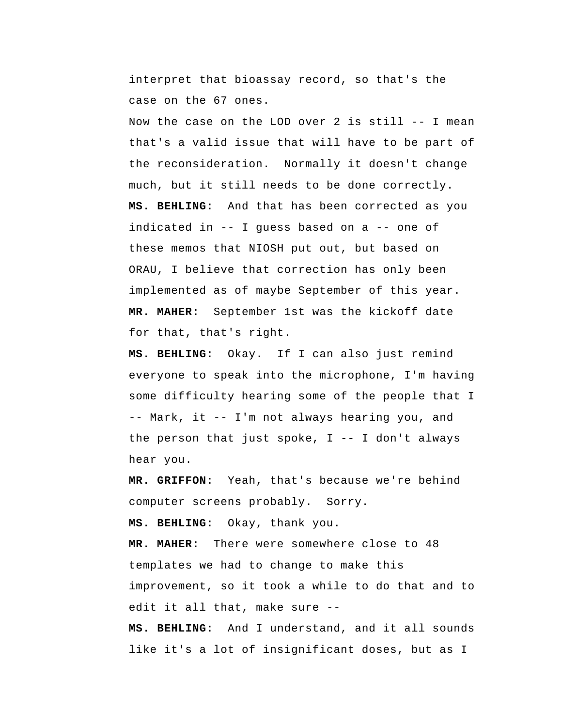interpret that bioassay record, so that's the case on the 67 ones.

Now the case on the LOD over 2 is still -- I mean that's a valid issue that will have to be part of the reconsideration. Normally it doesn't change much, but it still needs to be done correctly.  **MS. BEHLING:** And that has been corrected as you indicated in -- I guess based on a -- one of these memos that NIOSH put out, but based on ORAU, I believe that correction has only been implemented as of maybe September of this year. **MR. MAHER:** September 1st was the kickoff date for that, that's right.

 **MS. BEHLING:** Okay. If I can also just remind everyone to speak into the microphone, I'm having some difficulty hearing some of the people that I -- Mark, it -- I'm not always hearing you, and the person that just spoke,  $I$  -- I don't always hear you.

 **MR. GRIFFON:** Yeah, that's because we're behind computer screens probably. Sorry.

 **MS. BEHLING:** Okay, thank you.

**MR. MAHER:** There were somewhere close to 48 templates we had to change to make this improvement, so it took a while to do that and to edit it all that, make sure --

 **MS. BEHLING:** And I understand, and it all sounds like it's a lot of insignificant doses, but as I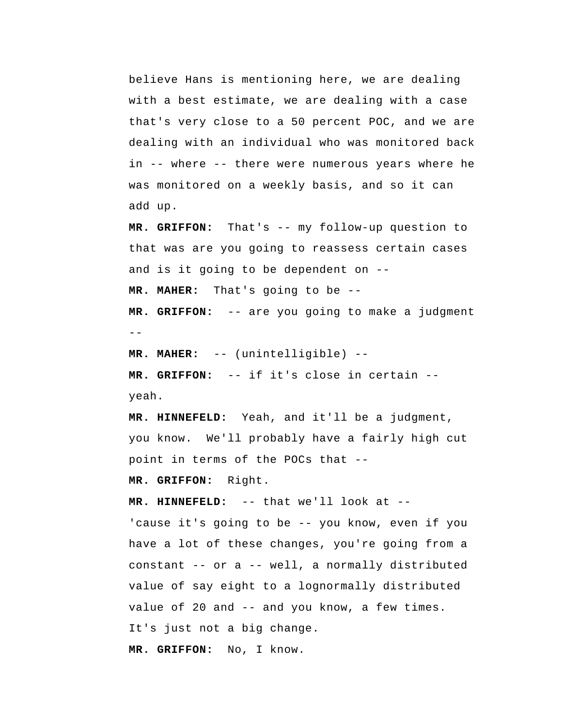believe Hans is mentioning here, we are dealing with a best estimate, we are dealing with a case that's very close to a 50 percent POC, and we are dealing with an individual who was monitored back in -- where -- there were numerous years where he was monitored on a weekly basis, and so it can add up.

 **MR. GRIFFON:** That's -- my follow-up question to that was are you going to reassess certain cases and is it going to be dependent on -- **MR. MAHER:** That's going to be --

 $-$  **MR. GRIFFON:** -- are you going to make a judgment

**MR. MAHER:** -- (unintelligible) --

 **MR. GRIFFON:** -- if it's close in certain - yeah.

 **MR. HINNEFELD:** Yeah, and it'll be a judgment, you know. We'll probably have a fairly high cut point in terms of the POCs that --

 **MR. GRIFFON:** Right.

 **MR. HINNEFELD:** -- that we'll look at -- 'cause it's going to be -- you know, even if you have a lot of these changes, you're going from a constant -- or a -- well, a normally distributed value of say eight to a lognormally distributed value of 20 and -- and you know, a few times. It's just not a big change.

 **MR. GRIFFON:** No, I know.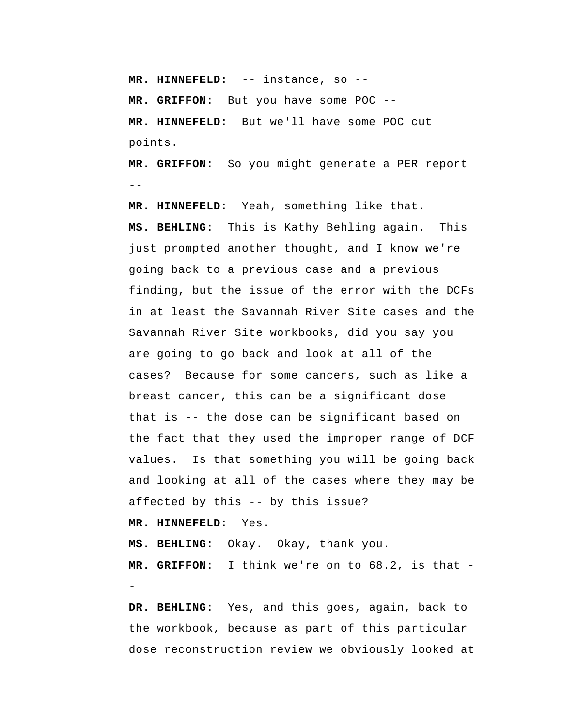**MR. HINNEFELD:** -- instance, so -- **MR. GRIFFON:** But you have some POC --  **MR. HINNEFELD:** But we'll have some POC cut points.

--  **MR. GRIFFON:** So you might generate a PER report

 **MR. HINNEFELD:** Yeah, something like that.  **MS. BEHLING:** This is Kathy Behling again. This just prompted another thought, and I know we're going back to a previous case and a previous finding, but the issue of the error with the DCFs in at least the Savannah River Site cases and the Savannah River Site workbooks, did you say you are going to go back and look at all of the cases? Because for some cancers, such as like a breast cancer, this can be a significant dose that is -- the dose can be significant based on the fact that they used the improper range of DCF values. Is that something you will be going back and looking at all of the cases where they may be affected by this -- by this issue?

 **MR. HINNEFELD:** Yes.

 **MS. BEHLING:** Okay. Okay, thank you.  **MR. GRIFFON:** I think we're on to 68.2, is that -

 **DR. BEHLING:** Yes, and this goes, again, back to the workbook, because as part of this particular dose reconstruction review we obviously looked at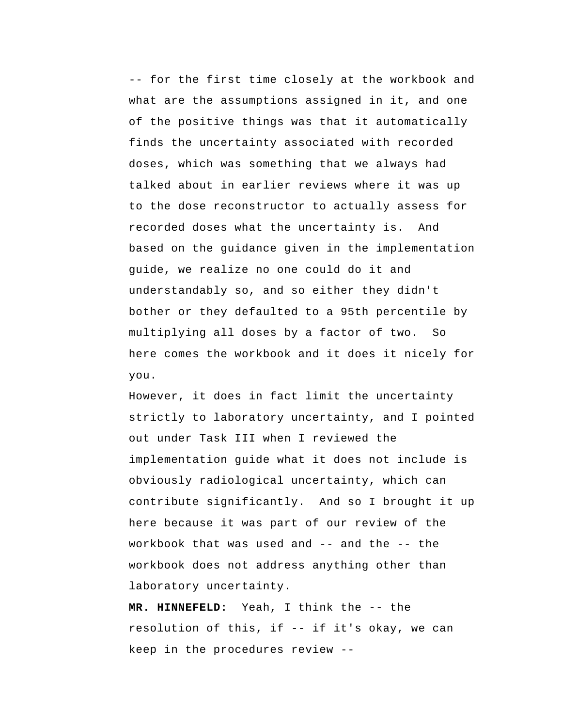-- for the first time closely at the workbook and what are the assumptions assigned in it, and one of the positive things was that it automatically finds the uncertainty associated with recorded doses, which was something that we always had talked about in earlier reviews where it was up to the dose reconstructor to actually assess for recorded doses what the uncertainty is. And based on the guidance given in the implementation guide, we realize no one could do it and understandably so, and so either they didn't bother or they defaulted to a 95th percentile by multiplying all doses by a factor of two. So here comes the workbook and it does it nicely for you.

However, it does in fact limit the uncertainty strictly to laboratory uncertainty, and I pointed out under Task III when I reviewed the implementation guide what it does not include is obviously radiological uncertainty, which can contribute significantly. And so I brought it up here because it was part of our review of the workbook that was used and -- and the -- the workbook does not address anything other than laboratory uncertainty.

 **MR. HINNEFELD:** Yeah, I think the -- the resolution of this, if -- if it's okay, we can keep in the procedures review --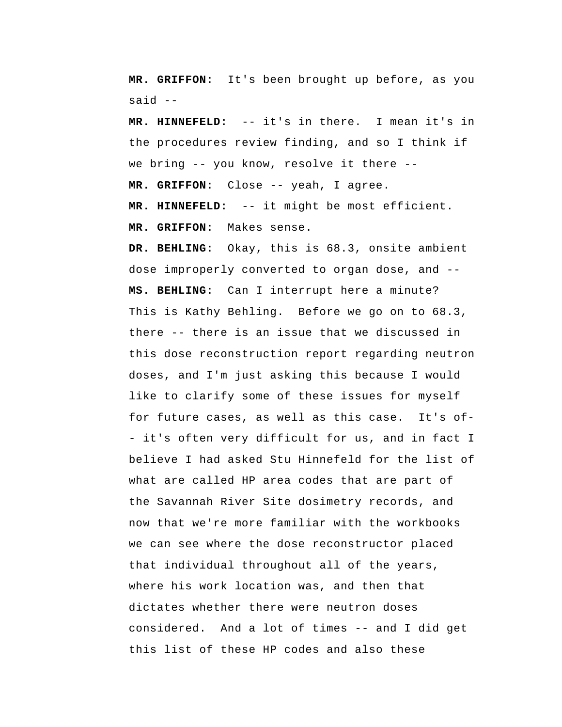**MR. GRIFFON:** It's been brought up before, as you said --

 **MR. HINNEFELD:** -- it's in there. I mean it's in the procedures review finding, and so I think if we bring -- you know, resolve it there --  **MR. GRIFFON:** Close -- yeah, I agree.

 **MR. HINNEFELD:** -- it might be most efficient.  **MR. GRIFFON:** Makes sense.

 **DR. BEHLING:** Okay, this is 68.3, onsite ambient dose improperly converted to organ dose, and --  **MS. BEHLING:** Can I interrupt here a minute? This is Kathy Behling. Before we go on to 68.3, there -- there is an issue that we discussed in this dose reconstruction report regarding neutron doses, and I'm just asking this because I would like to clarify some of these issues for myself for future cases, as well as this case. It's of - it's often very difficult for us, and in fact I believe I had asked Stu Hinnefeld for the list of what are called HP area codes that are part of the Savannah River Site dosimetry records, and now that we're more familiar with the workbooks we can see where the dose reconstructor placed that individual throughout all of the years, where his work location was, and then that dictates whether there were neutron doses considered. And a lot of times -- and I did get this list of these HP codes and also these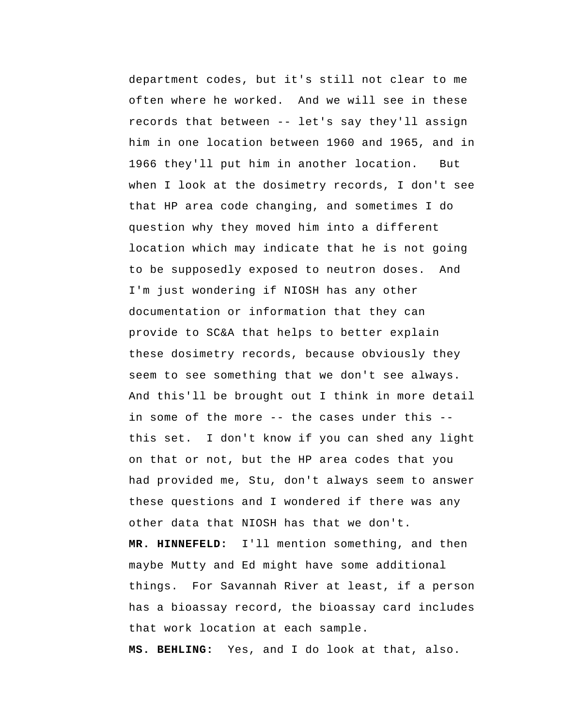department codes, but it's still not clear to me often where he worked. And we will see in these records that between -- let's say they'll assign him in one location between 1960 and 1965, and in 1966 they'll put him in another location. But when I look at the dosimetry records, I don't see that HP area code changing, and sometimes I do question why they moved him into a different location which may indicate that he is not going to be supposedly exposed to neutron doses. And I'm just wondering if NIOSH has any other documentation or information that they can provide to SC&A that helps to better explain these dosimetry records, because obviously they seem to see something that we don't see always. And this'll be brought out I think in more detail in some of the more -- the cases under this - this set. I don't know if you can shed any light on that or not, but the HP area codes that you had provided me, Stu, don't always seem to answer these questions and I wondered if there was any other data that NIOSH has that we don't.  **MR. HINNEFELD:** I'll mention something, and then maybe Mutty and Ed might have some additional things. For Savannah River at least, if a person has a bioassay record, the bioassay card includes that work location at each sample.

 **MS. BEHLING:** Yes, and I do look at that, also.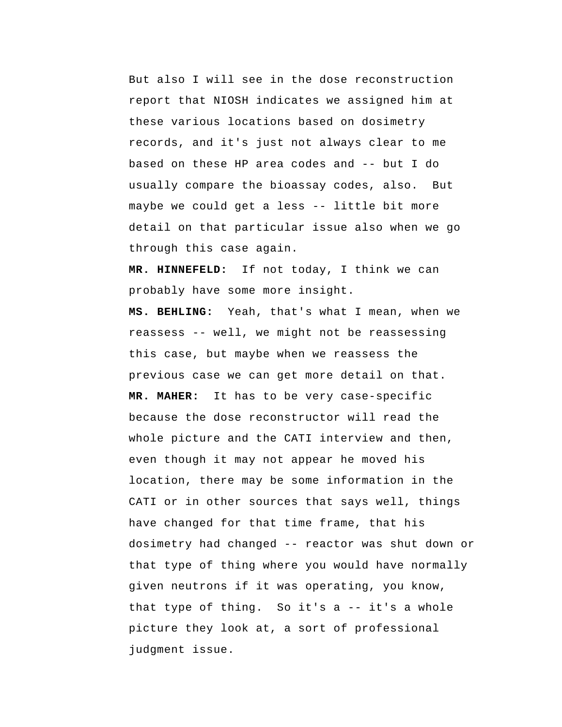But also I will see in the dose reconstruction report that NIOSH indicates we assigned him at these various locations based on dosimetry records, and it's just not always clear to me based on these HP area codes and -- but I do usually compare the bioassay codes, also. But maybe we could get a less -- little bit more detail on that particular issue also when we go through this case again.

 **MR. HINNEFELD:** If not today, I think we can probably have some more insight.

 **MS. BEHLING:** Yeah, that's what I mean, when we reassess -- well, we might not be reassessing this case, but maybe when we reassess the previous case we can get more detail on that. **MR. MAHER:** It has to be very case-specific because the dose reconstructor will read the whole picture and the CATI interview and then, even though it may not appear he moved his location, there may be some information in the CATI or in other sources that says well, things have changed for that time frame, that his dosimetry had changed -- reactor was shut down or that type of thing where you would have normally given neutrons if it was operating, you know, that type of thing. So it's  $a$  -- it's a whole picture they look at, a sort of professional judgment issue.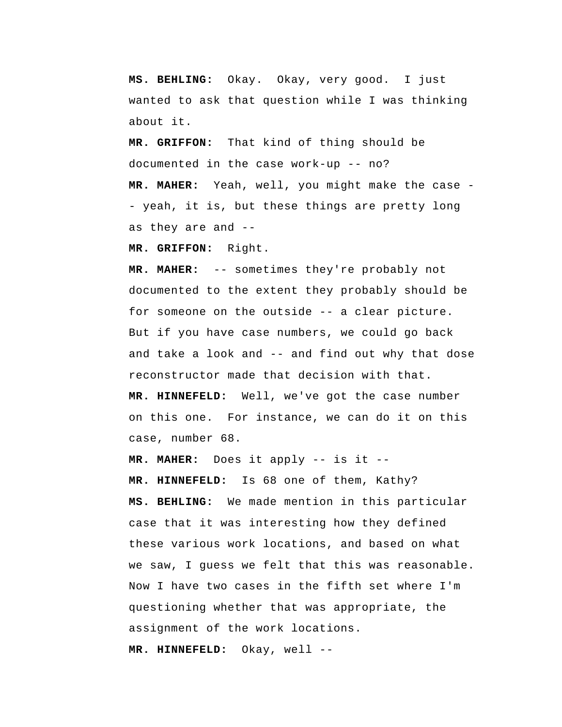**MS. BEHLING:** Okay. Okay, very good. I just wanted to ask that question while I was thinking about it.

 **MR. GRIFFON:** That kind of thing should be documented in the case work-up -- no? **MR. MAHER:** Yeah, well, you might make the case - yeah, it is, but these things are pretty long as they are and --

 **MR. GRIFFON:** Right.

**MR. MAHER:** -- sometimes they're probably not documented to the extent they probably should be for someone on the outside -- a clear picture. But if you have case numbers, we could go back and take a look and -- and find out why that dose reconstructor made that decision with that.

 **MR. HINNEFELD:** Well, we've got the case number on this one. For instance, we can do it on this case, number 68.

**MR. MAHER:** Does it apply -- is it --  **MR. HINNEFELD:** Is 68 one of them, Kathy?  **MS. BEHLING:** We made mention in this particular case that it was interesting how they defined these various work locations, and based on what we saw, I guess we felt that this was reasonable. Now I have two cases in the fifth set where I'm questioning whether that was appropriate, the assignment of the work locations.

 **MR. HINNEFELD:** Okay, well --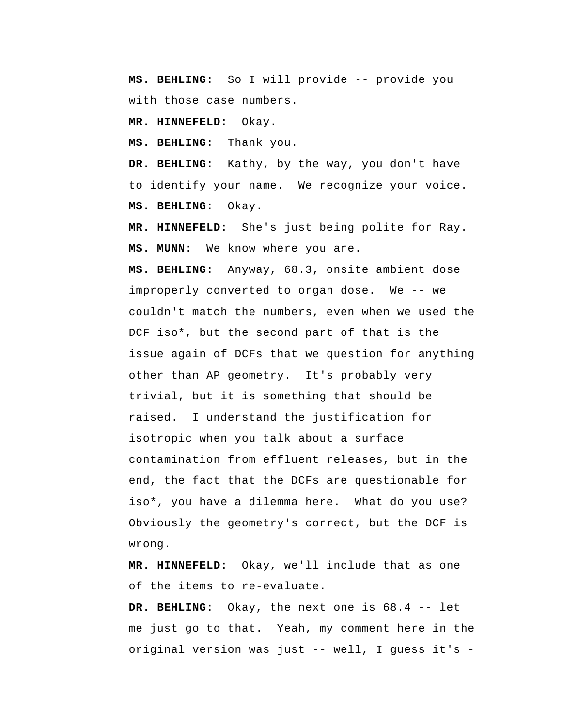**MS. BEHLING:** So I will provide -- provide you with those case numbers.

 **MR. HINNEFELD:** Okay.

 **MS. BEHLING:** Thank you.

 **DR. BEHLING:** Kathy, by the way, you don't have to identify your name. We recognize your voice.  **MS. BEHLING:** Okay.

 **MR. HINNEFELD:** She's just being polite for Ray.  **MS. MUNN:** We know where you are.

 **MS. BEHLING:** Anyway, 68.3, onsite ambient dose improperly converted to organ dose. We -- we couldn't match the numbers, even when we used the DCF iso\*, but the second part of that is the issue again of DCFs that we question for anything other than AP geometry. It's probably very trivial, but it is something that should be raised. I understand the justification for isotropic when you talk about a surface contamination from effluent releases, but in the end, the fact that the DCFs are questionable for iso\*, you have a dilemma here. What do you use? Obviously the geometry's correct, but the DCF is wrong.

 **MR. HINNEFELD:** Okay, we'll include that as one of the items to re-evaluate.

 **DR. BEHLING:** Okay, the next one is 68.4 -- let me just go to that. Yeah, my comment here in the original version was just -- well, I guess it's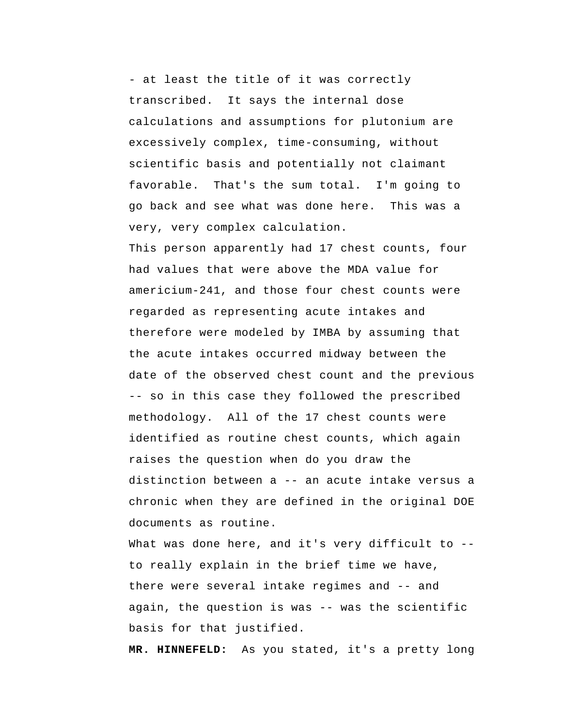- at least the title of it was correctly transcribed. It says the internal dose calculations and assumptions for plutonium are excessively complex, time-consuming, without scientific basis and potentially not claimant favorable. That's the sum total. I'm going to go back and see what was done here. This was a very, very complex calculation.

This person apparently had 17 chest counts, four had values that were above the MDA value for americium-241, and those four chest counts were regarded as representing acute intakes and therefore were modeled by IMBA by assuming that the acute intakes occurred midway between the date of the observed chest count and the previous -- so in this case they followed the prescribed methodology. All of the 17 chest counts were identified as routine chest counts, which again raises the question when do you draw the distinction between a -- an acute intake versus a chronic when they are defined in the original DOE documents as routine.

What was done here, and it's very difficult to -to really explain in the brief time we have, there were several intake regimes and -- and again, the question is was -- was the scientific basis for that justified.

 **MR. HINNEFELD:** As you stated, it's a pretty long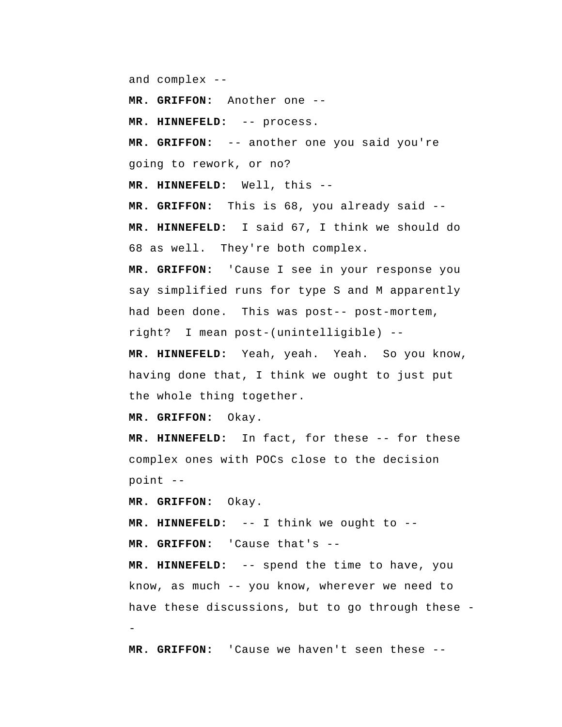and complex --

 **MR. GRIFFON:** Another one --

 **MR. HINNEFELD:** -- process.

 **MR. GRIFFON:** -- another one you said you're going to rework, or no?

 **MR. HINNEFELD:** Well, this --

 **MR. GRIFFON:** This is 68, you already said --  **MR. HINNEFELD:** I said 67, I think we should do 68 as well. They're both complex.

 **MR. GRIFFON:** 'Cause I see in your response you say simplified runs for type S and M apparently had been done. This was post-- post-mortem, right? I mean post-(unintelligible) --

 **MR. HINNEFELD:** Yeah, yeah. Yeah. So you know, having done that, I think we ought to just put the whole thing together.

 **MR. GRIFFON:** Okay.

 **MR. HINNEFELD:** In fact, for these -- for these complex ones with POCs close to the decision point --

 **MR. GRIFFON:** Okay.

 **MR. HINNEFELD:** -- I think we ought to --  **MR. GRIFFON:** 'Cause that's --

 **MR. HINNEFELD:** -- spend the time to have, you know, as much -- you know, wherever we need to have these discussions, but to go through these -

 **MR. GRIFFON:** 'Cause we haven't seen these --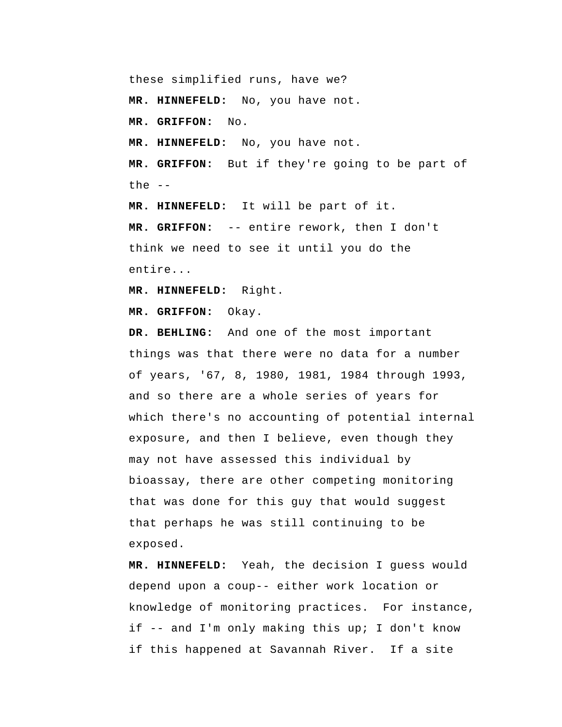these simplified runs, have we?  **MR. HINNEFELD:** No, you have not.  **MR. GRIFFON:** No.  **MR. HINNEFELD:** No, you have not.  **MR. GRIFFON:** But if they're going to be part of the  $-$ 

 **MR. HINNEFELD:** It will be part of it.  **MR. GRIFFON:** -- entire rework, then I don't think we need to see it until you do the entire...

 **MR. HINNEFELD:** Right.

 **MR. GRIFFON:** Okay.

 **DR. BEHLING:** And one of the most important things was that there were no data for a number of years, '67, 8, 1980, 1981, 1984 through 1993, and so there are a whole series of years for which there's no accounting of potential internal exposure, and then I believe, even though they may not have assessed this individual by bioassay, there are other competing monitoring that was done for this guy that would suggest that perhaps he was still continuing to be exposed.

 **MR. HINNEFELD:** Yeah, the decision I guess would depend upon a coup-- either work location or knowledge of monitoring practices. For instance, if -- and I'm only making this up; I don't know if this happened at Savannah River. If a site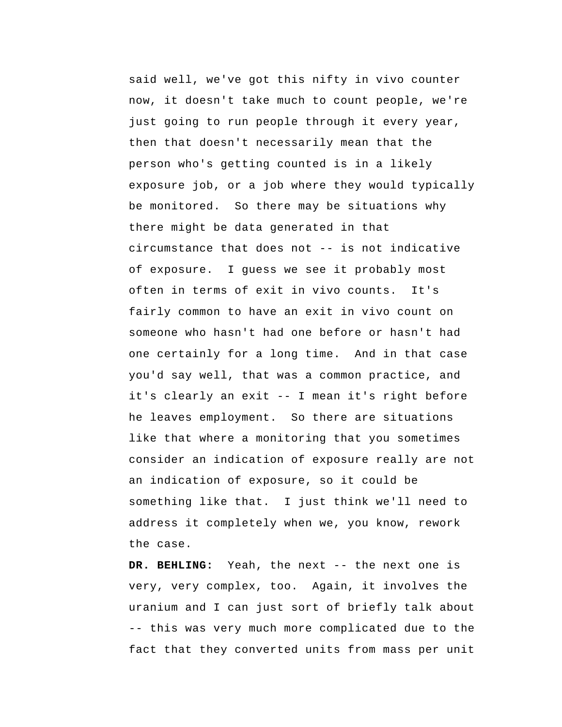said well, we've got this nifty in vivo counter now, it doesn't take much to count people, we're just going to run people through it every year, then that doesn't necessarily mean that the person who's getting counted is in a likely exposure job, or a job where they would typically be monitored. So there may be situations why there might be data generated in that circumstance that does not -- is not indicative of exposure. I guess we see it probably most often in terms of exit in vivo counts. It's fairly common to have an exit in vivo count on someone who hasn't had one before or hasn't had one certainly for a long time. And in that case you'd say well, that was a common practice, and it's clearly an exit -- I mean it's right before he leaves employment. So there are situations like that where a monitoring that you sometimes consider an indication of exposure really are not an indication of exposure, so it could be something like that. I just think we'll need to address it completely when we, you know, rework the case.

 **DR. BEHLING:** Yeah, the next -- the next one is very, very complex, too. Again, it involves the uranium and I can just sort of briefly talk about -- this was very much more complicated due to the fact that they converted units from mass per unit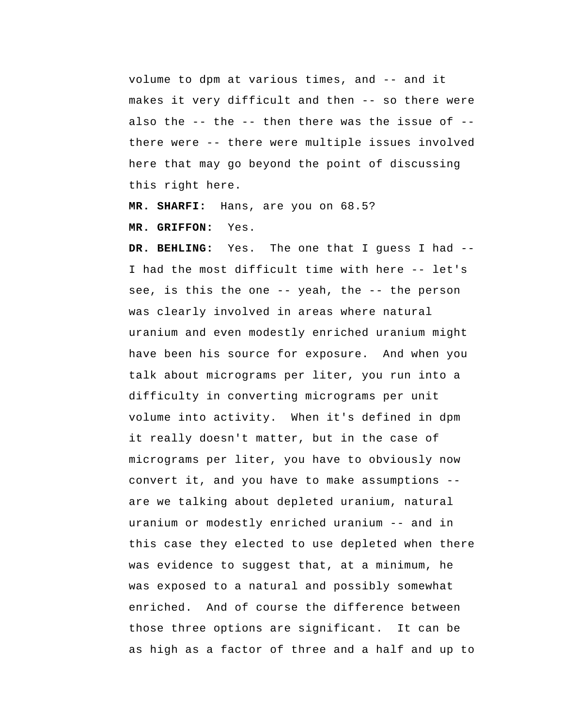volume to dpm at various times, and -- and it makes it very difficult and then -- so there were also the  $-$ - the  $-$ - then there was the issue of  $-$ there were -- there were multiple issues involved here that may go beyond the point of discussing this right here.

 **MR. SHARFI:** Hans, are you on 68.5?

 **MR. GRIFFON:** Yes.

 **DR. BEHLING:** Yes. The one that I guess I had -- I had the most difficult time with here -- let's see, is this the one -- yeah, the -- the person was clearly involved in areas where natural uranium and even modestly enriched uranium might have been his source for exposure. And when you talk about micrograms per liter, you run into a difficulty in converting micrograms per unit volume into activity. When it's defined in dpm it really doesn't matter, but in the case of micrograms per liter, you have to obviously now convert it, and you have to make assumptions - are we talking about depleted uranium, natural uranium or modestly enriched uranium -- and in this case they elected to use depleted when there was evidence to suggest that, at a minimum, he was exposed to a natural and possibly somewhat enriched. And of course the difference between those three options are significant. It can be as high as a factor of three and a half and up to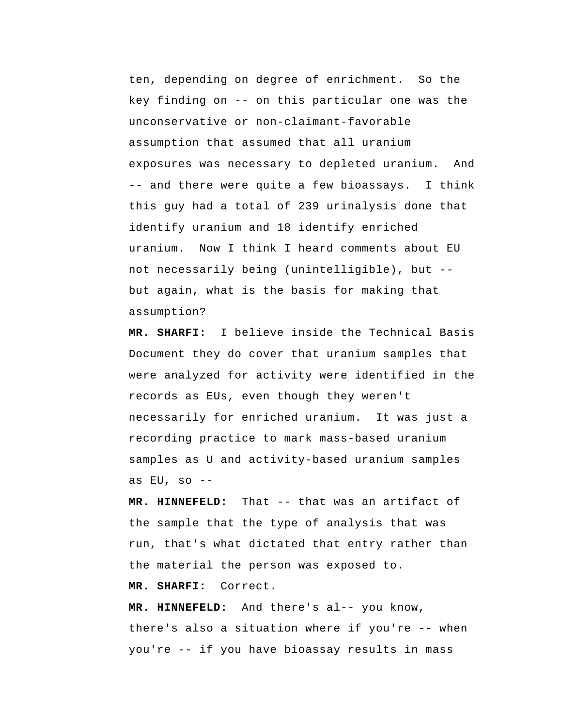ten, depending on degree of enrichment. So the key finding on -- on this particular one was the unconservative or non-claimant-favorable assumption that assumed that all uranium exposures was necessary to depleted uranium. And -- and there were quite a few bioassays. I think this guy had a total of 239 urinalysis done that identify uranium and 18 identify enriched uranium. Now I think I heard comments about EU not necessarily being (unintelligible), but - but again, what is the basis for making that assumption?

 **MR. SHARFI:** I believe inside the Technical Basis Document they do cover that uranium samples that were analyzed for activity were identified in the records as EUs, even though they weren't necessarily for enriched uranium. It was just a recording practice to mark mass-based uranium samples as U and activity-based uranium samples as  $EU$ , so  $--$ 

 **MR. HINNEFELD:** That -- that was an artifact of the sample that the type of analysis that was run, that's what dictated that entry rather than the material the person was exposed to.

 **MR. SHARFI:** Correct.

 **MR. HINNEFELD:** And there's al-- you know, there's also a situation where if you're -- when you're -- if you have bioassay results in mass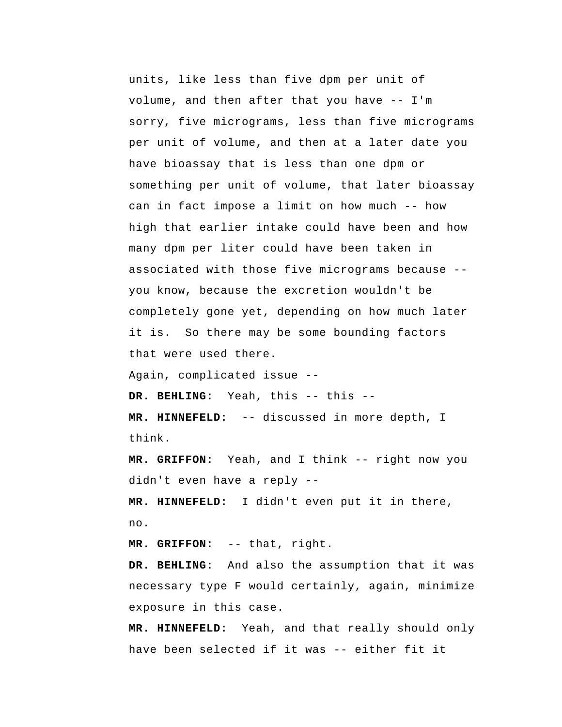units, like less than five dpm per unit of volume, and then after that you have -- I'm sorry, five micrograms, less than five micrograms per unit of volume, and then at a later date you have bioassay that is less than one dpm or something per unit of volume, that later bioassay can in fact impose a limit on how much -- how high that earlier intake could have been and how many dpm per liter could have been taken in associated with those five micrograms because - you know, because the excretion wouldn't be completely gone yet, depending on how much later it is. So there may be some bounding factors that were used there.

Again, complicated issue --

 **DR. BEHLING:** Yeah, this -- this --

 **MR. HINNEFELD:** -- discussed in more depth, I think.

 **MR. GRIFFON:** Yeah, and I think -- right now you didn't even have a reply --

 **MR. HINNEFELD:** I didn't even put it in there, no.

 **MR. GRIFFON:** -- that, right.

 **DR. BEHLING:** And also the assumption that it was necessary type F would certainly, again, minimize exposure in this case.

 **MR. HINNEFELD:** Yeah, and that really should only have been selected if it was -- either fit it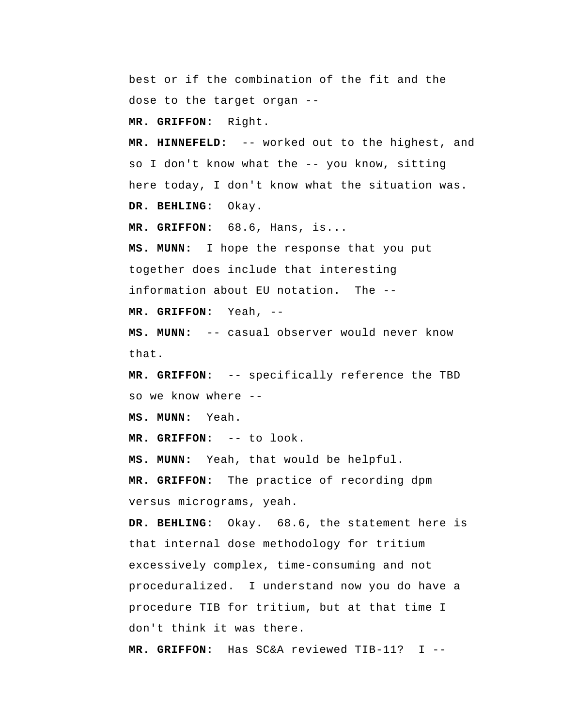best or if the combination of the fit and the dose to the target organ --

 **MR. GRIFFON:** Right.

 **MR. HINNEFELD:** -- worked out to the highest, and so I don't know what the -- you know, sitting here today, I don't know what the situation was.

 **DR. BEHLING:** Okay.

 **MR. GRIFFON:** 68.6, Hans, is...

 **MS. MUNN:** I hope the response that you put together does include that interesting information about EU notation. The --

 **MR. GRIFFON:** Yeah, --

 **MS. MUNN:** -- casual observer would never know that.

 **MR. GRIFFON:** -- specifically reference the TBD so we know where --

 **MS. MUNN:** Yeah.

 **MR. GRIFFON:** -- to look.

 **MS. MUNN:** Yeah, that would be helpful.

 **MR. GRIFFON:** The practice of recording dpm versus micrograms, yeah.

 **DR. BEHLING:** Okay. 68.6, the statement here is that internal dose methodology for tritium excessively complex, time-consuming and not proceduralized. I understand now you do have a procedure TIB for tritium, but at that time I don't think it was there.

 **MR. GRIFFON:** Has SC&A reviewed TIB-11? I --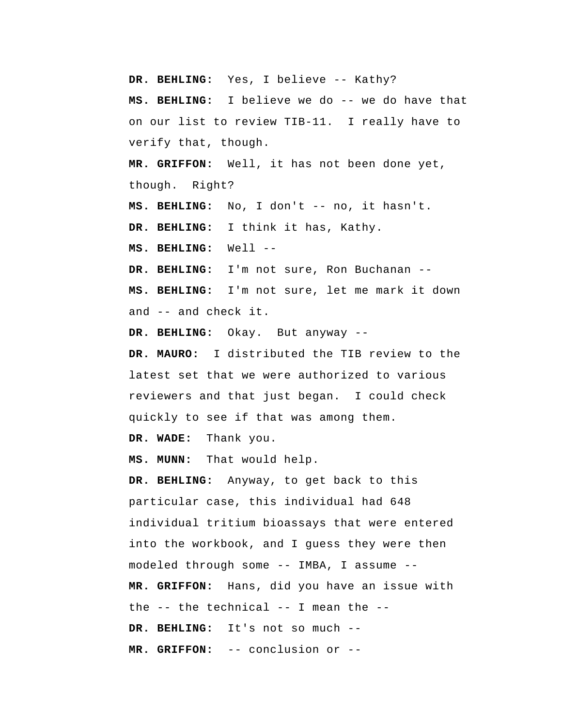**DR. BEHLING:** Yes, I believe -- Kathy?  **MS. BEHLING:** I believe we do -- we do have that on our list to review TIB-11. I really have to verify that, though.  **MR. GRIFFON:** Well, it has not been done yet, though. Right?  **MS. BEHLING:** No, I don't -- no, it hasn't.  **DR. BEHLING:** I think it has, Kathy.  **MS. BEHLING:** Well -- **DR. BEHLING:** I'm not sure, Ron Buchanan --  **MS. BEHLING:** I'm not sure, let me mark it down and -- and check it.  **DR. BEHLING:** Okay. But anyway --**DR. MAURO:** I distributed the TIB review to the latest set that we were authorized to various reviewers and that just began. I could check quickly to see if that was among them.  **DR. WADE:** Thank you.  **MS. MUNN:** That would help.  **DR. BEHLING:** Anyway, to get back to this particular case, this individual had 648 individual tritium bioassays that were entered into the workbook, and I guess they were then modeled through some -- IMBA, I assume --  **MR. GRIFFON:** Hans, did you have an issue with the -- the technical -- I mean the --  **DR. BEHLING:** It's not so much -- **MR. GRIFFON:** -- conclusion or --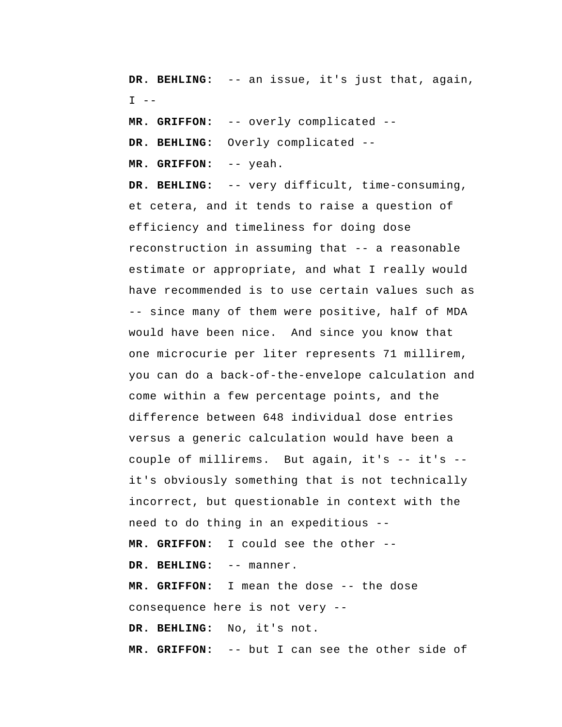**DR. BEHLING:** -- an issue, it's just that, again,  $I - -$ 

 **MR. GRIFFON:** -- overly complicated --

 **DR. BEHLING:** Overly complicated --

 **MR. GRIFFON:** -- yeah.

 **DR. BEHLING:** -- very difficult, time-consuming, et cetera, and it tends to raise a question of efficiency and timeliness for doing dose reconstruction in assuming that -- a reasonable estimate or appropriate, and what I really would have recommended is to use certain values such as -- since many of them were positive, half of MDA would have been nice. And since you know that one microcurie per liter represents 71 millirem, you can do a back-of-the-envelope calculation and come within a few percentage points, and the difference between 648 individual dose entries versus a generic calculation would have been a couple of millirems. But again, it's -- it's - it's obviously something that is not technically incorrect, but questionable in context with the need to do thing in an expeditious --  **MR. GRIFFON:** I could see the other --  **DR. BEHLING:** -- manner.  **MR. GRIFFON:** I mean the dose -- the dose consequence here is not very --  **DR. BEHLING:** No, it's not.  **MR. GRIFFON:** -- but I can see the other side of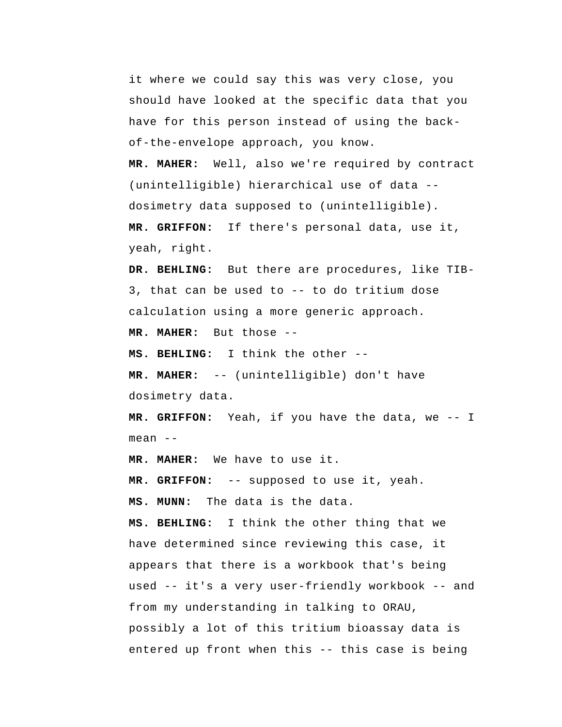it where we could say this was very close, you should have looked at the specific data that you have for this person instead of using the backof-the-envelope approach, you know.

**MR. MAHER:** Well, also we're required by contract (unintelligible) hierarchical use of data - dosimetry data supposed to (unintelligible).  **MR. GRIFFON:** If there's personal data, use it,

yeah, right.

 **DR. BEHLING:** But there are procedures, like TIB-3, that can be used to -- to do tritium dose calculation using a more generic approach.

**MR. MAHER:** But those --

 **MS. BEHLING:** I think the other --

**MR. MAHER:** -- (unintelligible) don't have dosimetry data.

 **MR. GRIFFON:** Yeah, if you have the data, we -- I mean --

**MR. MAHER:** We have to use it.

 **MR. GRIFFON:** -- supposed to use it, yeah.

 **MS. MUNN:** The data is the data.

 **MS. BEHLING:** I think the other thing that we have determined since reviewing this case, it appears that there is a workbook that's being used -- it's a very user-friendly workbook -- and from my understanding in talking to ORAU, possibly a lot of this tritium bioassay data is entered up front when this -- this case is being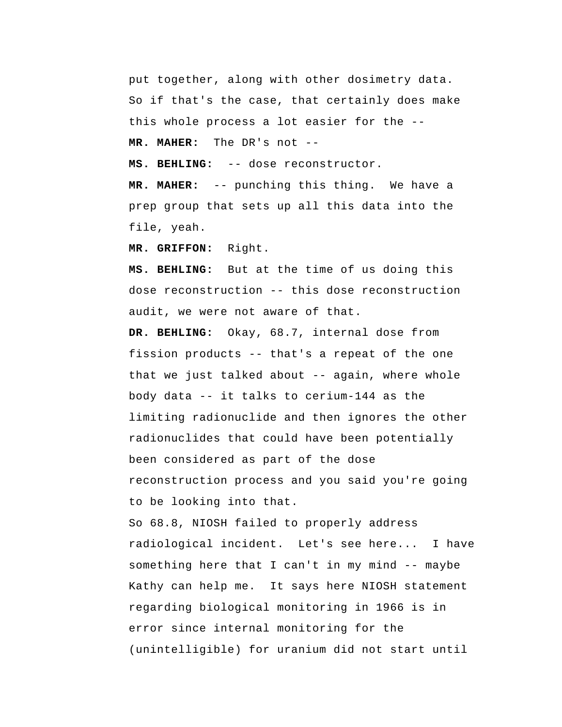put together, along with other dosimetry data. So if that's the case, that certainly does make this whole process a lot easier for the -- **MR. MAHER:** The DR's not --

 **MS. BEHLING:** -- dose reconstructor.

**MR. MAHER:** -- punching this thing. We have a prep group that sets up all this data into the file, yeah.

 **MR. GRIFFON:** Right.

 **MS. BEHLING:** But at the time of us doing this dose reconstruction -- this dose reconstruction audit, we were not aware of that.

 **DR. BEHLING:** Okay, 68.7, internal dose from fission products -- that's a repeat of the one that we just talked about -- again, where whole body data -- it talks to cerium-144 as the limiting radionuclide and then ignores the other radionuclides that could have been potentially been considered as part of the dose reconstruction process and you said you're going to be looking into that.

So 68.8, NIOSH failed to properly address radiological incident. Let's see here... I have something here that I can't in my mind -- maybe Kathy can help me. It says here NIOSH statement regarding biological monitoring in 1966 is in error since internal monitoring for the (unintelligible) for uranium did not start until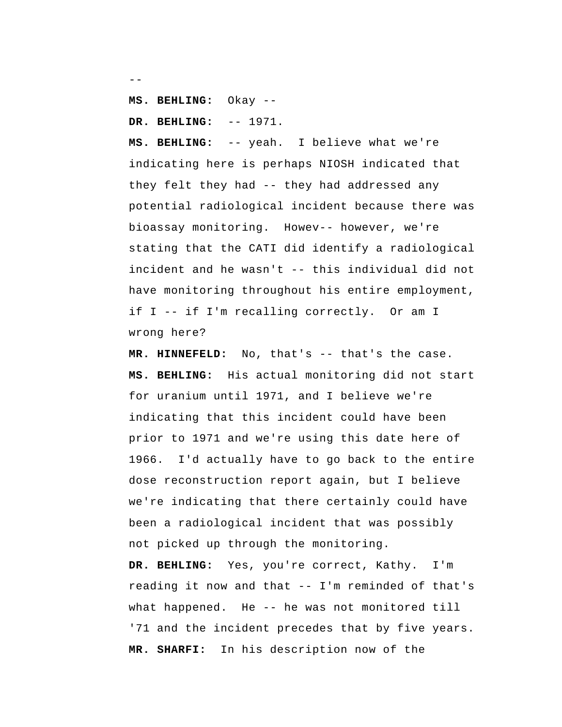```
--
```
 **MS. BEHLING:** Okay --

 **DR. BEHLING:** -- 1971.

 **MS. BEHLING:** -- yeah. I believe what we're indicating here is perhaps NIOSH indicated that they felt they had -- they had addressed any potential radiological incident because there was bioassay monitoring. Howev-- however, we're stating that the CATI did identify a radiological incident and he wasn't -- this individual did not have monitoring throughout his entire employment, if I -- if I'm recalling correctly. Or am I wrong here?

 **MR. HINNEFELD:** No, that's -- that's the case.  **MS. BEHLING:** His actual monitoring did not start for uranium until 1971, and I believe we're indicating that this incident could have been prior to 1971 and we're using this date here of 1966. I'd actually have to go back to the entire dose reconstruction report again, but I believe we're indicating that there certainly could have been a radiological incident that was possibly not picked up through the monitoring.

 **DR. BEHLING:** Yes, you're correct, Kathy. I'm reading it now and that -- I'm reminded of that's what happened. He -- he was not monitored till '71 and the incident precedes that by five years.  **MR. SHARFI:** In his description now of the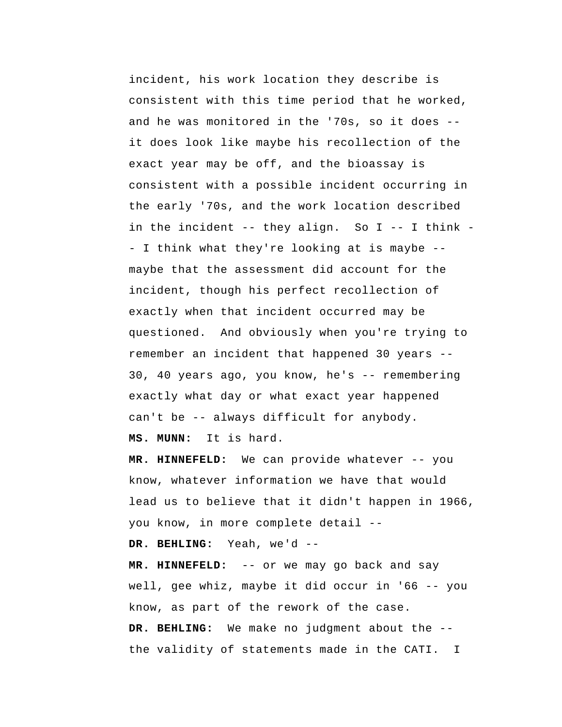incident, his work location they describe is consistent with this time period that he worked, and he was monitored in the '70s, so it does - it does look like maybe his recollection of the exact year may be off, and the bioassay is consistent with a possible incident occurring in the early '70s, and the work location described in the incident -- they align. So I -- I think - I think what they're looking at is maybe - maybe that the assessment did account for the incident, though his perfect recollection of exactly when that incident occurred may be questioned. And obviously when you're trying to remember an incident that happened 30 years -- 30, 40 years ago, you know, he's -- remembering exactly what day or what exact year happened can't be -- always difficult for anybody.

 **MS. MUNN:** It is hard.

 **MR. HINNEFELD:** We can provide whatever -- you know, whatever information we have that would lead us to believe that it didn't happen in 1966, you know, in more complete detail --

 **DR. BEHLING:** Yeah, we'd --

 **MR. HINNEFELD:** -- or we may go back and say well, gee whiz, maybe it did occur in '66 -- you know, as part of the rework of the case.  **DR. BEHLING:** We make no judgment about the - the validity of statements made in the CATI. I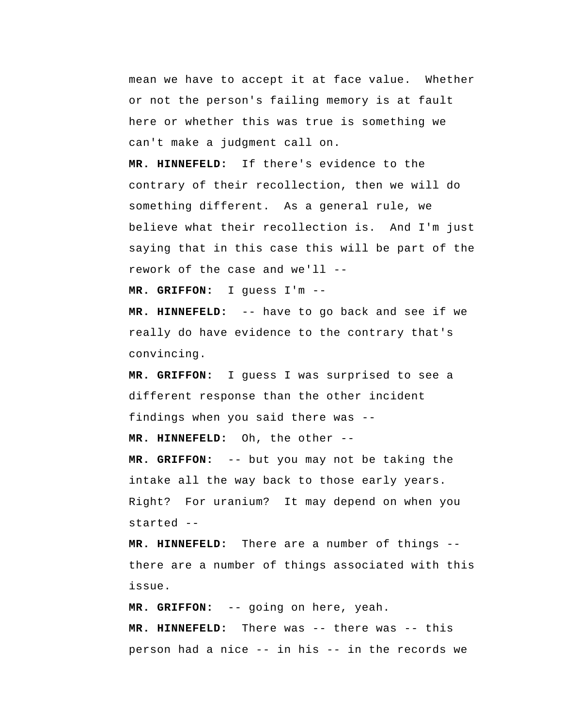mean we have to accept it at face value. Whether or not the person's failing memory is at fault here or whether this was true is something we can't make a judgment call on.

 **MR. HINNEFELD:** If there's evidence to the contrary of their recollection, then we will do something different. As a general rule, we believe what their recollection is. And I'm just saying that in this case this will be part of the rework of the case and we'll --

 **MR. GRIFFON:** I guess I'm --

 **MR. HINNEFELD:** -- have to go back and see if we really do have evidence to the contrary that's convincing.

 **MR. GRIFFON:** I guess I was surprised to see a different response than the other incident findings when you said there was --

 **MR. HINNEFELD:** Oh, the other --

 **MR. GRIFFON:** -- but you may not be taking the intake all the way back to those early years. Right? For uranium? It may depend on when you started --

 **MR. HINNEFELD:** There are a number of things - there are a number of things associated with this issue.

 **MR. GRIFFON:** -- going on here, yeah.

 **MR. HINNEFELD:** There was -- there was -- this person had a nice -- in his -- in the records we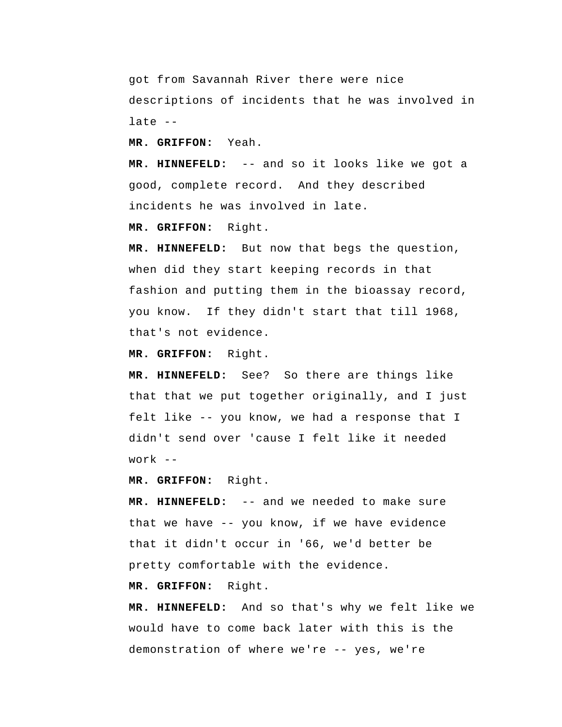got from Savannah River there were nice descriptions of incidents that he was involved in late --

 **MR. GRIFFON:** Yeah.

 **MR. HINNEFELD:** -- and so it looks like we got a good, complete record. And they described incidents he was involved in late.

 **MR. GRIFFON:** Right.

 **MR. HINNEFELD:** But now that begs the question, when did they start keeping records in that fashion and putting them in the bioassay record, you know. If they didn't start that till 1968, that's not evidence.

 **MR. GRIFFON:** Right.

 **MR. HINNEFELD:** See? So there are things like that that we put together originally, and I just felt like -- you know, we had a response that I didn't send over 'cause I felt like it needed work --

 **MR. GRIFFON:** Right.

 **MR. HINNEFELD:** -- and we needed to make sure that we have -- you know, if we have evidence that it didn't occur in '66, we'd better be pretty comfortable with the evidence.

 **MR. GRIFFON:** Right.

 **MR. HINNEFELD:** And so that's why we felt like we would have to come back later with this is the demonstration of where we're -- yes, we're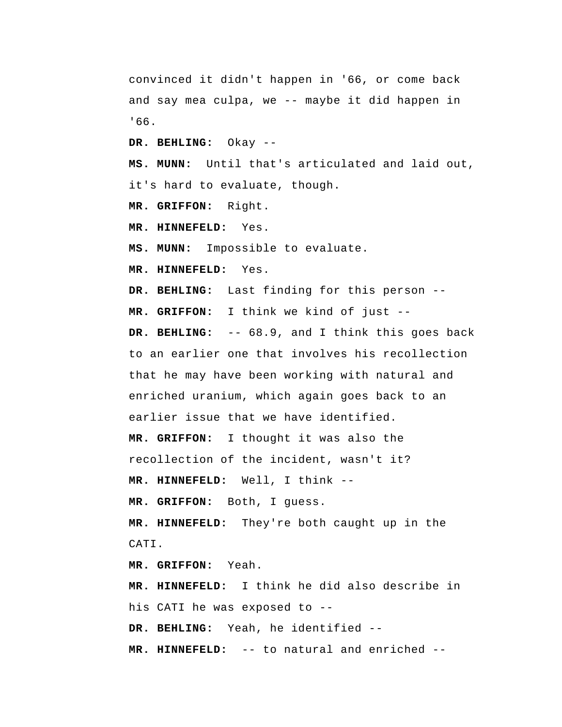convinced it didn't happen in '66, or come back and say mea culpa, we -- maybe it did happen in '66.

 **DR. BEHLING:** Okay --

 **MS. MUNN:** Until that's articulated and laid out, it's hard to evaluate, though.

 **MR. GRIFFON:** Right.

 **MR. HINNEFELD:** Yes.

 **MS. MUNN:** Impossible to evaluate.

 **MR. HINNEFELD:** Yes.

 **DR. BEHLING:** Last finding for this person --

 **MR. GRIFFON:** I think we kind of just --

 **DR. BEHLING:** -- 68.9, and I think this goes back to an earlier one that involves his recollection that he may have been working with natural and enriched uranium, which again goes back to an earlier issue that we have identified.

 **MR. GRIFFON:** I thought it was also the recollection of the incident, wasn't it?

 **MR. HINNEFELD:** Well, I think --

 **MR. GRIFFON:** Both, I guess.

 **MR. HINNEFELD:** They're both caught up in the CATI.

 **MR. GRIFFON:** Yeah.

 **MR. HINNEFELD:** I think he did also describe in his CATI he was exposed to --

 **DR. BEHLING:** Yeah, he identified --

 **MR. HINNEFELD:** -- to natural and enriched --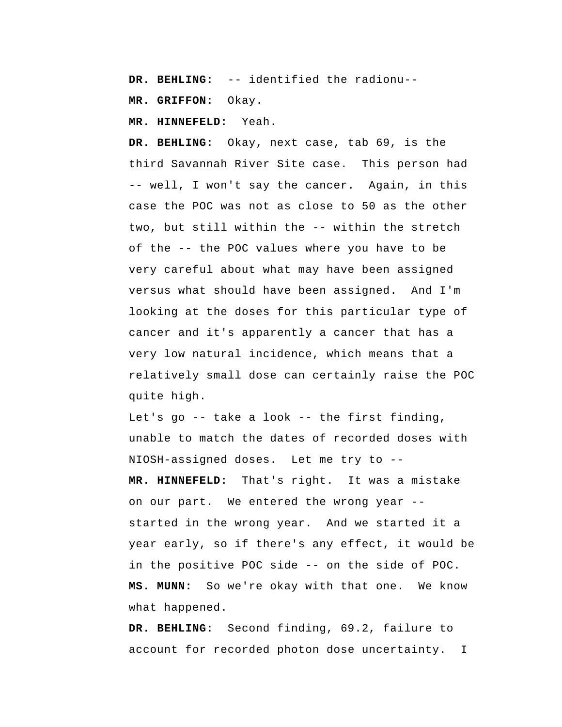**DR. BEHLING:** -- identified the radionu--

 **MR. GRIFFON:** Okay.

 **MR. HINNEFELD:** Yeah.

 **DR. BEHLING:** Okay, next case, tab 69, is the third Savannah River Site case. This person had -- well, I won't say the cancer. Again, in this case the POC was not as close to 50 as the other two, but still within the -- within the stretch of the -- the POC values where you have to be very careful about what may have been assigned versus what should have been assigned. And I'm looking at the doses for this particular type of cancer and it's apparently a cancer that has a very low natural incidence, which means that a relatively small dose can certainly raise the POC quite high.

Let's go -- take a look -- the first finding, unable to match the dates of recorded doses with NIOSH-assigned doses. Let me try to -- **MR. HINNEFELD:** That's right. It was a mistake on our part. We entered the wrong year - started in the wrong year. And we started it a year early, so if there's any effect, it would be in the positive POC side -- on the side of POC.  **MS. MUNN:** So we're okay with that one. We know what happened.

 **DR. BEHLING:** Second finding, 69.2, failure to account for recorded photon dose uncertainty. I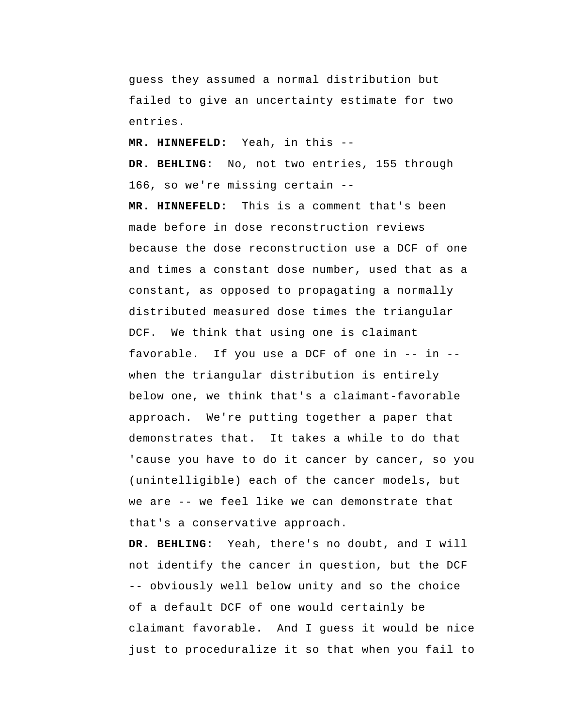guess they assumed a normal distribution but failed to give an uncertainty estimate for two entries.

 **MR. HINNEFELD:** Yeah, in this --

 **DR. BEHLING:** No, not two entries, 155 through 166, so we're missing certain --

 **MR. HINNEFELD:** This is a comment that's been made before in dose reconstruction reviews because the dose reconstruction use a DCF of one and times a constant dose number, used that as a constant, as opposed to propagating a normally distributed measured dose times the triangular DCF. We think that using one is claimant favorable. If you use a DCF of one in -- in - when the triangular distribution is entirely below one, we think that's a claimant-favorable approach. We're putting together a paper that demonstrates that. It takes a while to do that 'cause you have to do it cancer by cancer, so you (unintelligible) each of the cancer models, but we are -- we feel like we can demonstrate that that's a conservative approach.

 **DR. BEHLING:** Yeah, there's no doubt, and I will not identify the cancer in question, but the DCF -- obviously well below unity and so the choice of a default DCF of one would certainly be claimant favorable. And I guess it would be nice just to proceduralize it so that when you fail to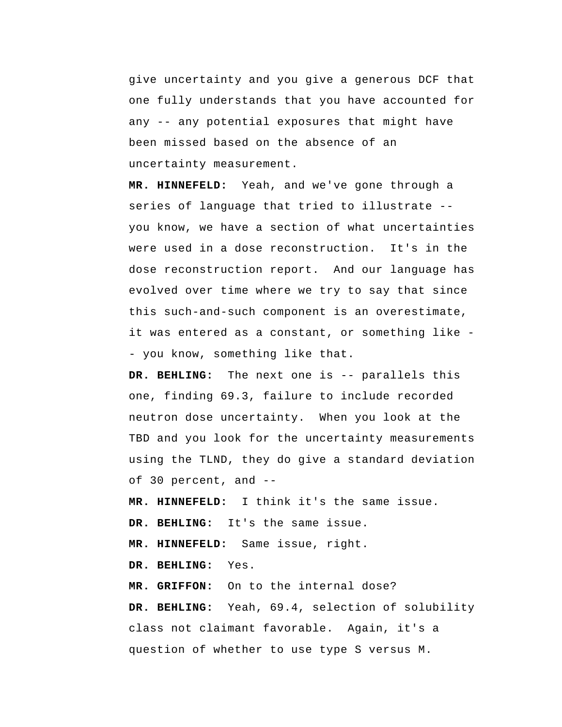give uncertainty and you give a generous DCF that one fully understands that you have accounted for any -- any potential exposures that might have been missed based on the absence of an uncertainty measurement.

 **MR. HINNEFELD:** Yeah, and we've gone through a series of language that tried to illustrate - you know, we have a section of what uncertainties were used in a dose reconstruction. It's in the dose reconstruction report. And our language has evolved over time where we try to say that since this such-and-such component is an overestimate, it was entered as a constant, or something like - you know, something like that.

 **DR. BEHLING:** The next one is -- parallels this one, finding 69.3, failure to include recorded neutron dose uncertainty. When you look at the TBD and you look for the uncertainty measurements using the TLND, they do give a standard deviation of 30 percent, and --

 **MR. HINNEFELD:** I think it's the same issue.

 **DR. BEHLING:** It's the same issue.

 **MR. HINNEFELD:** Same issue, right.

 **DR. BEHLING:** Yes.

 **MR. GRIFFON:** On to the internal dose?  **DR. BEHLING:** Yeah, 69.4, selection of solubility class not claimant favorable. Again, it's a question of whether to use type S versus M.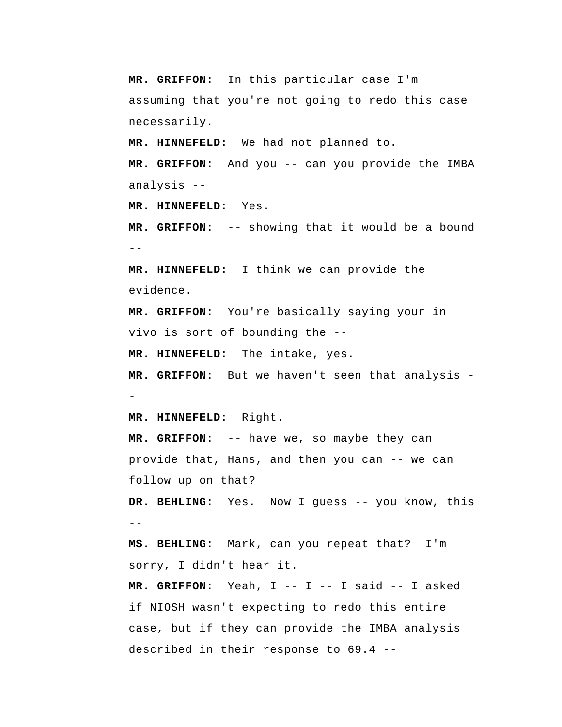**MR. GRIFFON:** In this particular case I'm assuming that you're not going to redo this case necessarily.

 **MR. HINNEFELD:** We had not planned to.

 **MR. GRIFFON:** And you -- can you provide the IMBA analysis --

 **MR. HINNEFELD:** Yes.

 $- -$  **MR. GRIFFON:** -- showing that it would be a bound

 **MR. HINNEFELD:** I think we can provide the evidence.

 **MR. GRIFFON:** You're basically saying your in vivo is sort of bounding the --

 **MR. HINNEFELD:** The intake, yes.

 **MR. GRIFFON:** But we haven't seen that analysis -

 **MR. HINNEFELD:** Right.

 **MR. GRIFFON:** -- have we, so maybe they can provide that, Hans, and then you can -- we can follow up on that?

 **DR. BEHLING:** Yes. Now I guess -- you know, this  $-$ 

 **MS. BEHLING:** Mark, can you repeat that? I'm sorry, I didn't hear it.

 **MR. GRIFFON:** Yeah, I -- I -- I said -- I asked if NIOSH wasn't expecting to redo this entire case, but if they can provide the IMBA analysis described in their response to 69.4 --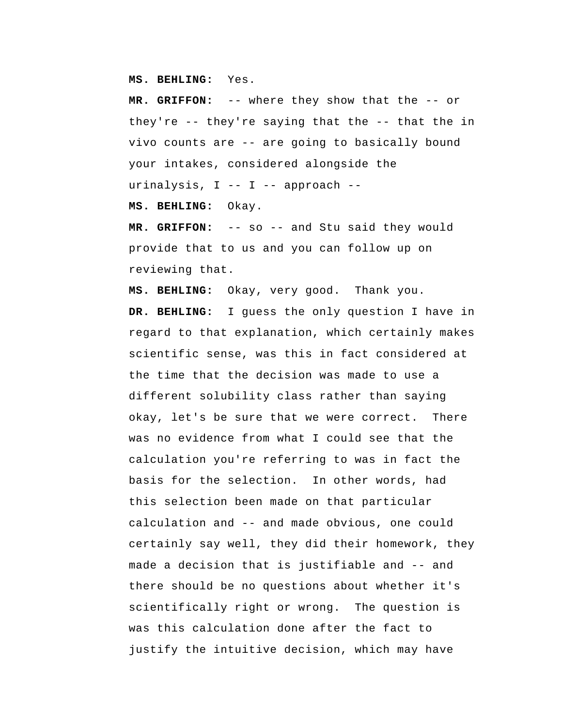**MS. BEHLING:** Yes.

 **MR. GRIFFON:** -- where they show that the -- or they're -- they're saying that the -- that the in vivo counts are -- are going to basically bound your intakes, considered alongside the urinalysis, I -- I -- approach --

 **MS. BEHLING:** Okay.

 **MR. GRIFFON:** -- so -- and Stu said they would provide that to us and you can follow up on reviewing that.

 **MS. BEHLING:** Okay, very good. Thank you.  **DR. BEHLING:** I guess the only question I have in regard to that explanation, which certainly makes scientific sense, was this in fact considered at the time that the decision was made to use a different solubility class rather than saying okay, let's be sure that we were correct. There was no evidence from what I could see that the calculation you're referring to was in fact the basis for the selection. In other words, had this selection been made on that particular calculation and -- and made obvious, one could certainly say well, they did their homework, they made a decision that is justifiable and -- and there should be no questions about whether it's scientifically right or wrong. The question is was this calculation done after the fact to justify the intuitive decision, which may have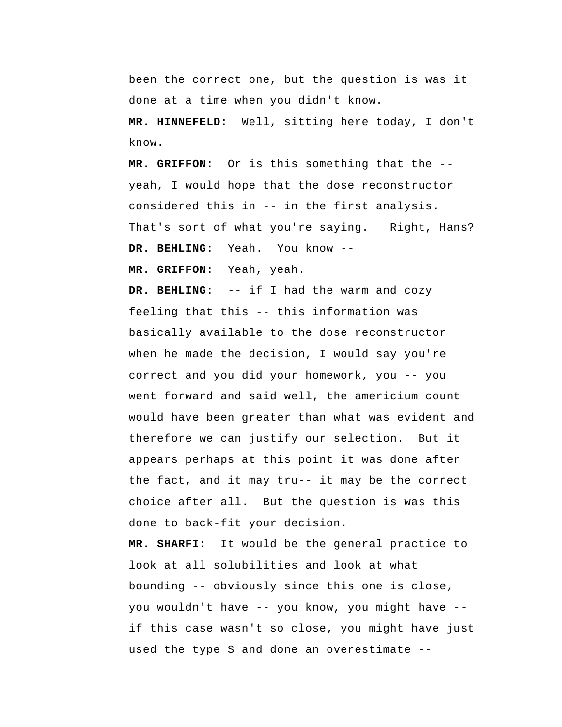been the correct one, but the question is was it done at a time when you didn't know.

 **MR. HINNEFELD:** Well, sitting here today, I don't know.

 **MR. GRIFFON:** Or is this something that the - yeah, I would hope that the dose reconstructor considered this in -- in the first analysis. That's sort of what you're saying. Right, Hans?  **DR. BEHLING:** Yeah. You know --

 **MR. GRIFFON:** Yeah, yeah.

 **DR. BEHLING:** -- if I had the warm and cozy feeling that this -- this information was basically available to the dose reconstructor when he made the decision, I would say you're correct and you did your homework, you -- you went forward and said well, the americium count would have been greater than what was evident and therefore we can justify our selection. But it appears perhaps at this point it was done after the fact, and it may tru-- it may be the correct choice after all. But the question is was this done to back-fit your decision.

 **MR. SHARFI:** It would be the general practice to look at all solubilities and look at what bounding -- obviously since this one is close, you wouldn't have -- you know, you might have - if this case wasn't so close, you might have just used the type S and done an overestimate --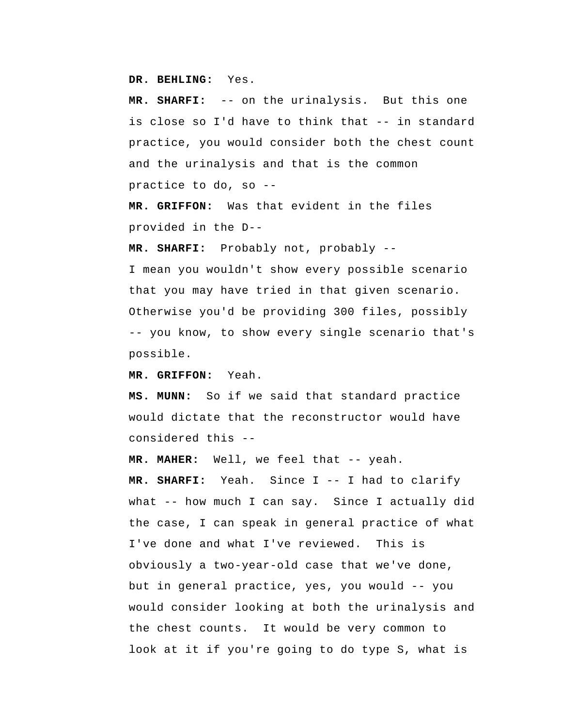**DR. BEHLING:** Yes.

 **MR. SHARFI:** -- on the urinalysis. But this one is close so I'd have to think that -- in standard practice, you would consider both the chest count and the urinalysis and that is the common practice to do, so --

 **MR. GRIFFON:** Was that evident in the files provided in the D--

 **MR. SHARFI:** Probably not, probably --

I mean you wouldn't show every possible scenario that you may have tried in that given scenario. Otherwise you'd be providing 300 files, possibly -- you know, to show every single scenario that's possible.

 **MR. GRIFFON:** Yeah.

 **MS. MUNN:** So if we said that standard practice would dictate that the reconstructor would have considered this --

**MR. MAHER:** Well, we feel that -- yeah.

 **MR. SHARFI:** Yeah. Since I -- I had to clarify what -- how much I can say. Since I actually did the case, I can speak in general practice of what I've done and what I've reviewed. This is obviously a two-year-old case that we've done, but in general practice, yes, you would -- you would consider looking at both the urinalysis and the chest counts. It would be very common to look at it if you're going to do type S, what is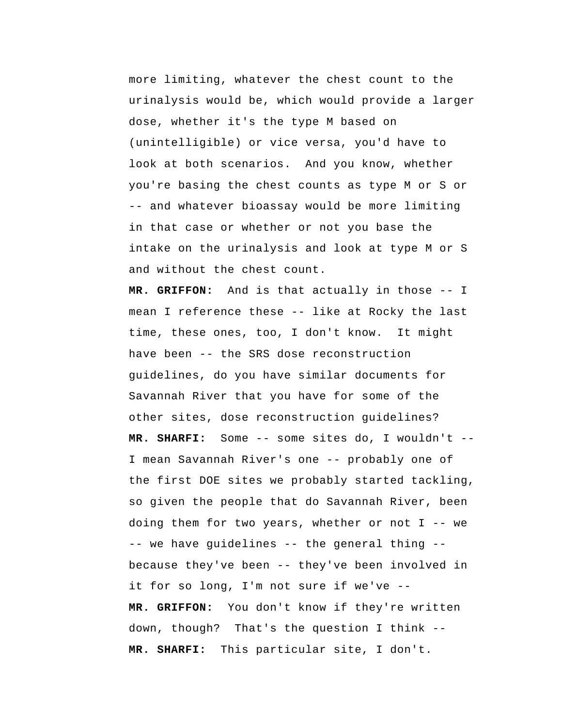more limiting, whatever the chest count to the urinalysis would be, which would provide a larger dose, whether it's the type M based on (unintelligible) or vice versa, you'd have to look at both scenarios. And you know, whether you're basing the chest counts as type M or S or -- and whatever bioassay would be more limiting in that case or whether or not you base the intake on the urinalysis and look at type M or S and without the chest count.

 **MR. GRIFFON:** And is that actually in those -- I mean I reference these -- like at Rocky the last time, these ones, too, I don't know. It might have been -- the SRS dose reconstruction guidelines, do you have similar documents for Savannah River that you have for some of the other sites, dose reconstruction guidelines?  **MR. SHARFI:** Some -- some sites do, I wouldn't -- I mean Savannah River's one -- probably one of the first DOE sites we probably started tackling, so given the people that do Savannah River, been doing them for two years, whether or not  $I$  -- we -- we have guidelines -- the general thing - because they've been -- they've been involved in it for so long, I'm not sure if we've --  **MR. GRIFFON:** You don't know if they're written down, though? That's the question I think --  **MR. SHARFI:** This particular site, I don't.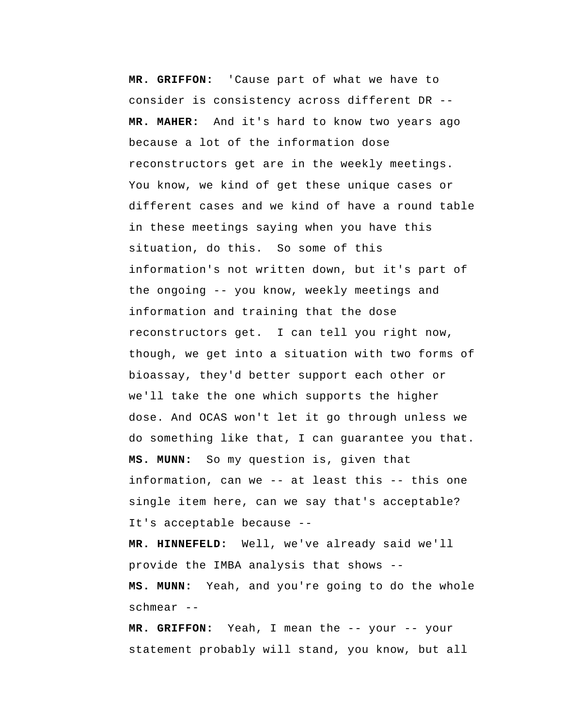**MR. GRIFFON:** 'Cause part of what we have to consider is consistency across different DR -- **MR. MAHER:** And it's hard to know two years ago because a lot of the information dose reconstructors get are in the weekly meetings. You know, we kind of get these unique cases or different cases and we kind of have a round table in these meetings saying when you have this situation, do this. So some of this information's not written down, but it's part of the ongoing -- you know, weekly meetings and information and training that the dose reconstructors get. I can tell you right now, though, we get into a situation with two forms of bioassay, they'd better support each other or we'll take the one which supports the higher dose. And OCAS won't let it go through unless we do something like that, I can guarantee you that.  **MS. MUNN:** So my question is, given that information, can we -- at least this -- this one single item here, can we say that's acceptable? It's acceptable because --

 **MR. HINNEFELD:** Well, we've already said we'll provide the IMBA analysis that shows --  **MS. MUNN:** Yeah, and you're going to do the whole schmear --

 **MR. GRIFFON:** Yeah, I mean the -- your -- your statement probably will stand, you know, but all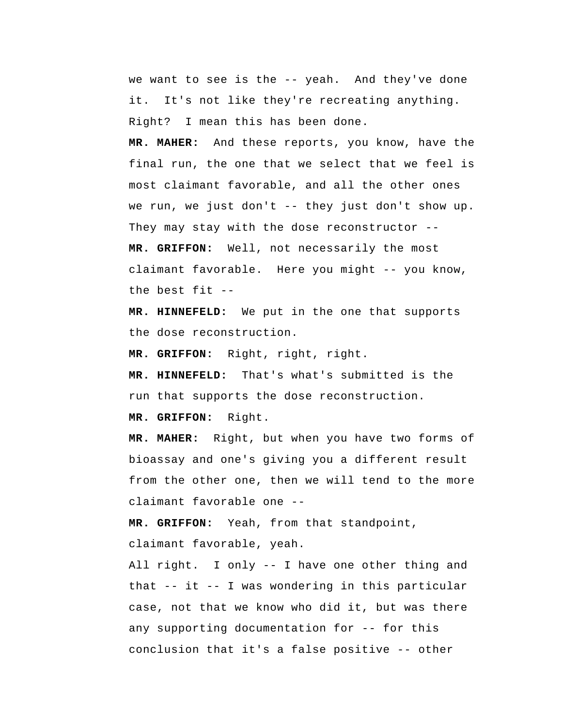we want to see is the -- yeah. And they've done it. It's not like they're recreating anything. Right? I mean this has been done.

**MR. MAHER:** And these reports, you know, have the final run, the one that we select that we feel is most claimant favorable, and all the other ones we run, we just don't -- they just don't show up. They may stay with the dose reconstructor --

 **MR. GRIFFON:** Well, not necessarily the most claimant favorable. Here you might -- you know, the best fit --

 **MR. HINNEFELD:** We put in the one that supports the dose reconstruction.

 **MR. GRIFFON:** Right, right, right.

 **MR. HINNEFELD:** That's what's submitted is the run that supports the dose reconstruction.

 **MR. GRIFFON:** Right.

**MR. MAHER:** Right, but when you have two forms of bioassay and one's giving you a different result from the other one, then we will tend to the more claimant favorable one --

 **MR. GRIFFON:** Yeah, from that standpoint, claimant favorable, yeah.

All right. I only -- I have one other thing and that -- it -- I was wondering in this particular case, not that we know who did it, but was there any supporting documentation for -- for this conclusion that it's a false positive -- other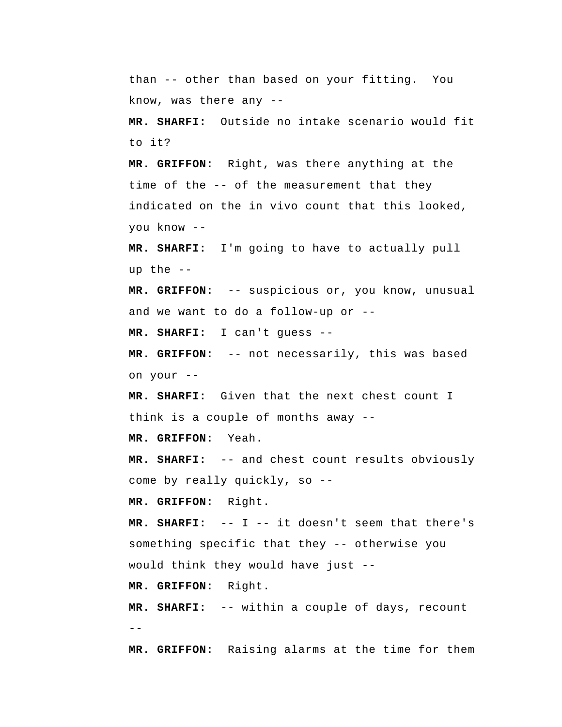than -- other than based on your fitting. You know, was there any --

 **MR. SHARFI:** Outside no intake scenario would fit to it?

 **MR. GRIFFON:** Right, was there anything at the time of the -- of the measurement that they indicated on the in vivo count that this looked, you know --

 **MR. SHARFI:** I'm going to have to actually pull up the --

 **MR. GRIFFON:** -- suspicious or, you know, unusual and we want to do a follow-up or --

 **MR. SHARFI:** I can't guess --

 **MR. GRIFFON:** -- not necessarily, this was based on your --

 **MR. SHARFI:** Given that the next chest count I think is a couple of months away --

 **MR. GRIFFON:** Yeah.

 **MR. SHARFI:** -- and chest count results obviously come by really quickly, so --

 **MR. GRIFFON:** Right.

 **MR. SHARFI:** -- I -- it doesn't seem that there's something specific that they -- otherwise you would think they would have just --

 **MR. GRIFFON:** Right.

--  **MR. SHARFI:** -- within a couple of days, recount

 **MR. GRIFFON:** Raising alarms at the time for them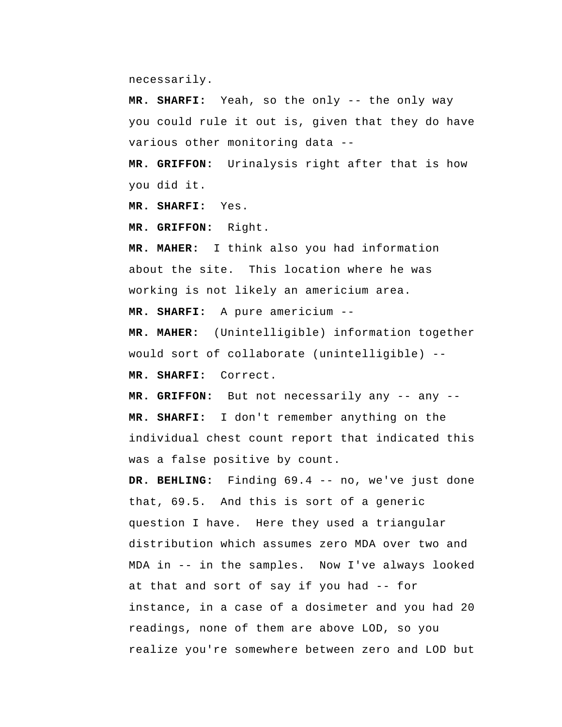necessarily.

 **MR. SHARFI:** Yeah, so the only -- the only way you could rule it out is, given that they do have various other monitoring data --

 **MR. GRIFFON:** Urinalysis right after that is how you did it.

 **MR. SHARFI:** Yes.

 **MR. GRIFFON:** Right.

**MR. MAHER:** I think also you had information about the site. This location where he was working is not likely an americium area.

 **MR. SHARFI:** A pure americium --

**MR. MAHER:** (Unintelligible) information together would sort of collaborate (unintelligible) --

 **MR. SHARFI:** Correct.

 **MR. GRIFFON:** But not necessarily any -- any --  **MR. SHARFI:** I don't remember anything on the individual chest count report that indicated this was a false positive by count.

 **DR. BEHLING:** Finding 69.4 -- no, we've just done that, 69.5. And this is sort of a generic question I have. Here they used a triangular distribution which assumes zero MDA over two and MDA in -- in the samples. Now I've always looked at that and sort of say if you had -- for instance, in a case of a dosimeter and you had 20 readings, none of them are above LOD, so you realize you're somewhere between zero and LOD but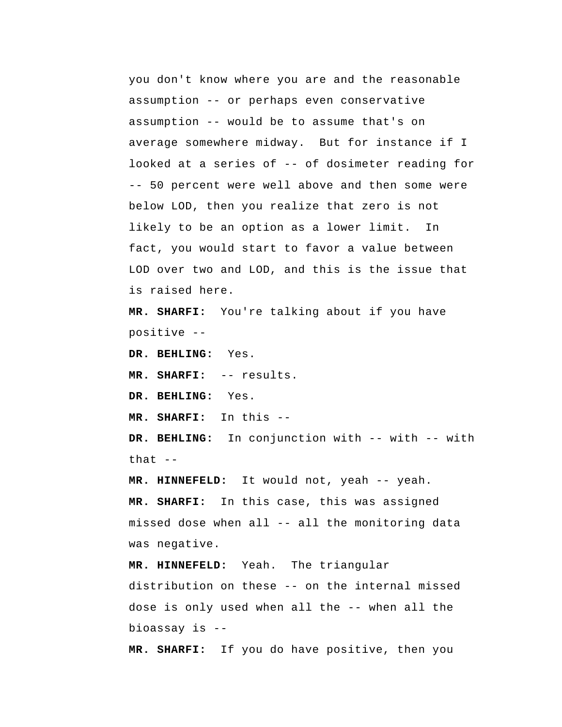you don't know where you are and the reasonable assumption -- or perhaps even conservative assumption -- would be to assume that's on average somewhere midway. But for instance if I looked at a series of -- of dosimeter reading for -- 50 percent were well above and then some were below LOD, then you realize that zero is not likely to be an option as a lower limit. In fact, you would start to favor a value between LOD over two and LOD, and this is the issue that is raised here.

 **MR. SHARFI:** You're talking about if you have positive --

 **DR. BEHLING:** Yes.

 **MR. SHARFI:** -- results.

 **DR. BEHLING:** Yes.

 **MR. SHARFI:** In this --

 **DR. BEHLING:** In conjunction with -- with -- with that  $--$ 

 **MR. HINNEFELD:** It would not, yeah -- yeah.

 **MR. SHARFI:** In this case, this was assigned missed dose when all -- all the monitoring data was negative.

 **MR. HINNEFELD:** Yeah. The triangular distribution on these -- on the internal missed dose is only used when all the -- when all the bioassay is --

 **MR. SHARFI:** If you do have positive, then you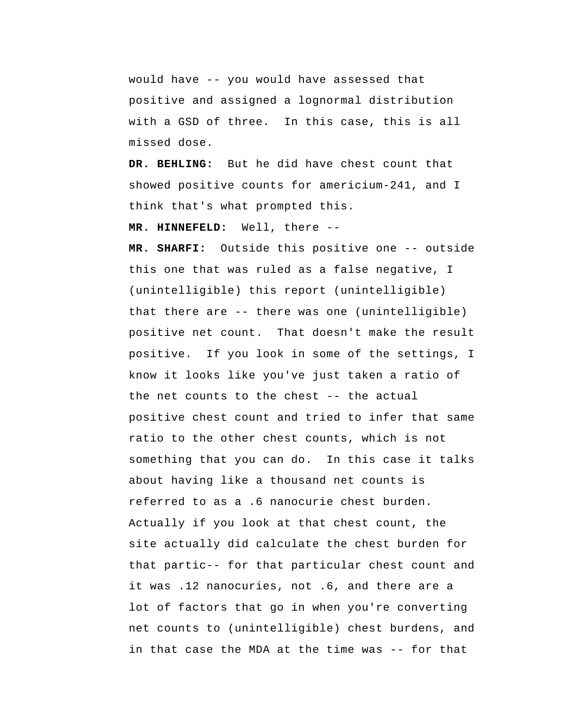would have -- you would have assessed that positive and assigned a lognormal distribution with a GSD of three. In this case, this is all missed dose.

 **DR. BEHLING:** But he did have chest count that showed positive counts for americium-241, and I think that's what prompted this.

 **MR. HINNEFELD:** Well, there --

 **MR. SHARFI:** Outside this positive one -- outside this one that was ruled as a false negative, I (unintelligible) this report (unintelligible) that there are -- there was one (unintelligible) positive net count. That doesn't make the result positive. If you look in some of the settings, I know it looks like you've just taken a ratio of the net counts to the chest -- the actual positive chest count and tried to infer that same ratio to the other chest counts, which is not something that you can do. In this case it talks about having like a thousand net counts is referred to as a .6 nanocurie chest burden. Actually if you look at that chest count, the site actually did calculate the chest burden for that partic-- for that particular chest count and it was .12 nanocuries, not .6, and there are a lot of factors that go in when you're converting net counts to (unintelligible) chest burdens, and in that case the MDA at the time was -- for that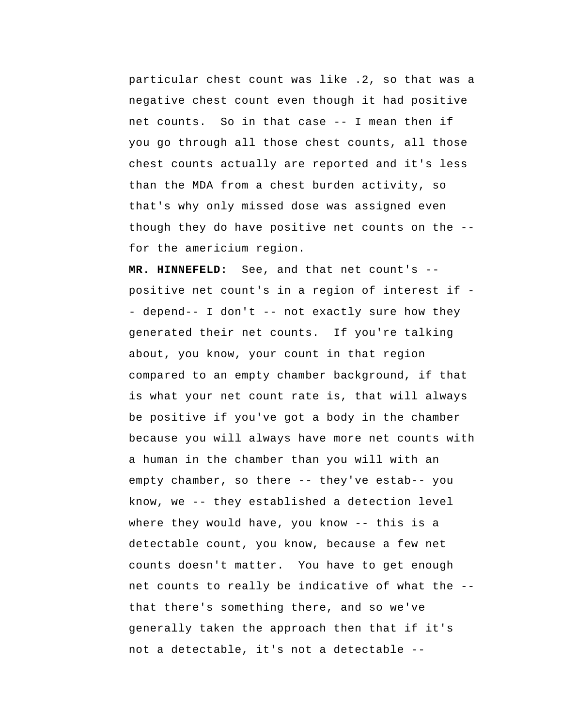particular chest count was like .2, so that was a negative chest count even though it had positive net counts. So in that case -- I mean then if you go through all those chest counts, all those chest counts actually are reported and it's less than the MDA from a chest burden activity, so that's why only missed dose was assigned even though they do have positive net counts on the - for the americium region.

 **MR. HINNEFELD:** See, and that net count's - positive net count's in a region of interest if - depend-- I don't -- not exactly sure how they generated their net counts. If you're talking about, you know, your count in that region compared to an empty chamber background, if that is what your net count rate is, that will always be positive if you've got a body in the chamber because you will always have more net counts with a human in the chamber than you will with an empty chamber, so there -- they've estab-- you know, we -- they established a detection level where they would have, you know -- this is a detectable count, you know, because a few net counts doesn't matter. You have to get enough net counts to really be indicative of what the - that there's something there, and so we've generally taken the approach then that if it's not a detectable, it's not a detectable --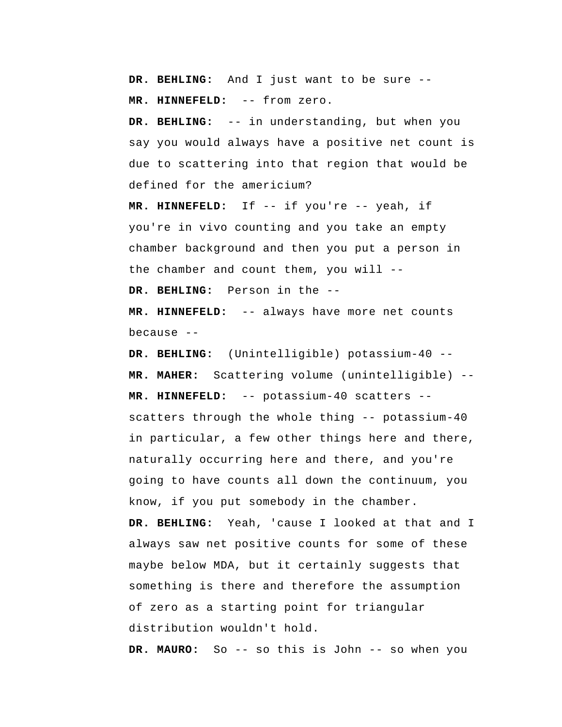**DR. BEHLING:** And I just want to be sure --  **MR. HINNEFELD:** -- from zero.

 **DR. BEHLING:** -- in understanding, but when you say you would always have a positive net count is due to scattering into that region that would be defined for the americium?

 **MR. HINNEFELD:** If -- if you're -- yeah, if you're in vivo counting and you take an empty chamber background and then you put a person in the chamber and count them, you will --

 **DR. BEHLING:** Person in the --

 **MR. HINNEFELD:** -- always have more net counts because --

 **DR. BEHLING:** (Unintelligible) potassium-40 -- **MR. MAHER:** Scattering volume (unintelligible) --  **MR. HINNEFELD:** -- potassium-40 scatters - scatters through the whole thing -- potassium-40 in particular, a few other things here and there, naturally occurring here and there, and you're going to have counts all down the continuum, you know, if you put somebody in the chamber.  **DR. BEHLING:** Yeah, 'cause I looked at that and I always saw net positive counts for some of these maybe below MDA, but it certainly suggests that something is there and therefore the assumption of zero as a starting point for triangular distribution wouldn't hold.

**DR. MAURO:** So -- so this is John -- so when you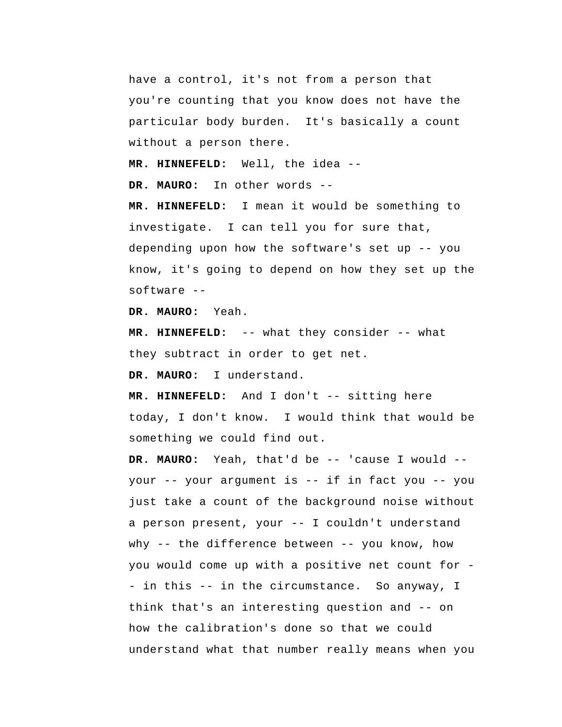have a control, it's not from a person that you're counting that you know does not have the particular body burden. It's basically a count without a person there.

 **MR. HINNEFELD:** Well, the idea --

**DR. MAURO:** In other words --

 **MR. HINNEFELD:** I mean it would be something to investigate. I can tell you for sure that, depending upon how the software's set up -- you know, it's going to depend on how they set up the software --

**DR. MAURO:** Yeah.

 **MR. HINNEFELD:** -- what they consider -- what they subtract in order to get net.

**DR. MAURO:** I understand.

 **MR. HINNEFELD:** And I don't -- sitting here today, I don't know. I would think that would be something we could find out.

**DR. MAURO:** Yeah, that'd be -- 'cause I would - your -- your argument is -- if in fact you -- you just take a count of the background noise without a person present, your -- I couldn't understand why -- the difference between -- you know, how you would come up with a positive net count for - in this -- in the circumstance. So anyway, I think that's an interesting question and -- on how the calibration's done so that we could understand what that number really means when you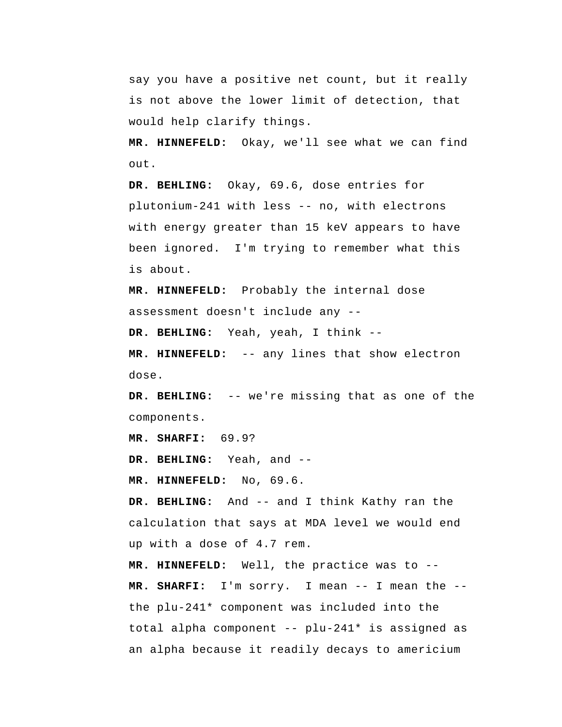say you have a positive net count, but it really is not above the lower limit of detection, that would help clarify things.

 **MR. HINNEFELD:** Okay, we'll see what we can find out.

 **DR. BEHLING:** Okay, 69.6, dose entries for plutonium-241 with less -- no, with electrons with energy greater than 15 keV appears to have been ignored. I'm trying to remember what this is about.

 **MR. HINNEFELD:** Probably the internal dose assessment doesn't include any --

 **DR. BEHLING:** Yeah, yeah, I think --

 **MR. HINNEFELD:** -- any lines that show electron dose.

 **DR. BEHLING:** -- we're missing that as one of the components.

 **MR. SHARFI:** 69.9?

 **DR. BEHLING:** Yeah, and --

 **MR. HINNEFELD:** No, 69.6.

 **DR. BEHLING:** And -- and I think Kathy ran the calculation that says at MDA level we would end up with a dose of 4.7 rem.

 **MR. HINNEFELD:** Well, the practice was to --  **MR. SHARFI:** I'm sorry. I mean -- I mean the - the plu-241\* component was included into the total alpha component -- plu-241\* is assigned as an alpha because it readily decays to americium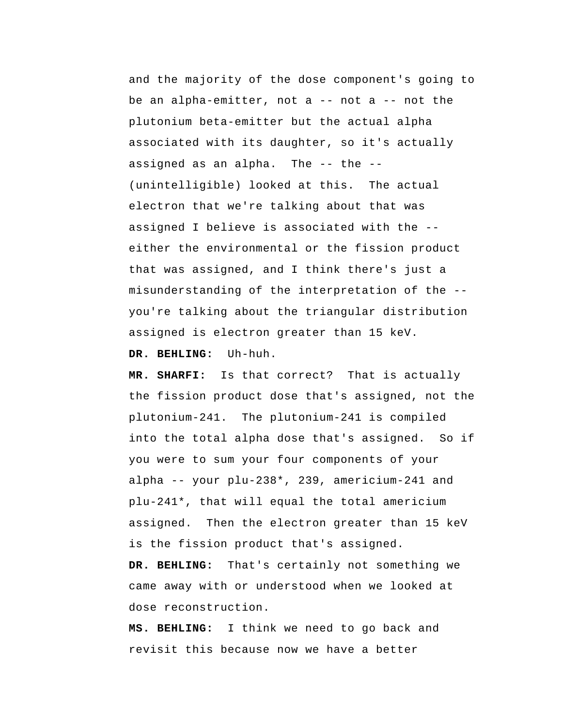and the majority of the dose component's going to be an alpha-emitter, not a  $--$  not a  $--$  not the plutonium beta-emitter but the actual alpha associated with its daughter, so it's actually assigned as an alpha. The -- the --(unintelligible) looked at this. The actual electron that we're talking about that was assigned I believe is associated with the - either the environmental or the fission product that was assigned, and I think there's just a misunderstanding of the interpretation of the - you're talking about the triangular distribution assigned is electron greater than 15 keV.  **DR. BEHLING:** Uh-huh.

 **MR. SHARFI:** Is that correct? That is actually the fission product dose that's assigned, not the plutonium-241. The plutonium-241 is compiled into the total alpha dose that's assigned. So if you were to sum your four components of your alpha -- your plu-238\*, 239, americium-241 and plu-241\*, that will equal the total americium assigned. Then the electron greater than 15 keV is the fission product that's assigned.

 **DR. BEHLING:** That's certainly not something we came away with or understood when we looked at dose reconstruction.

 **MS. BEHLING:** I think we need to go back and revisit this because now we have a better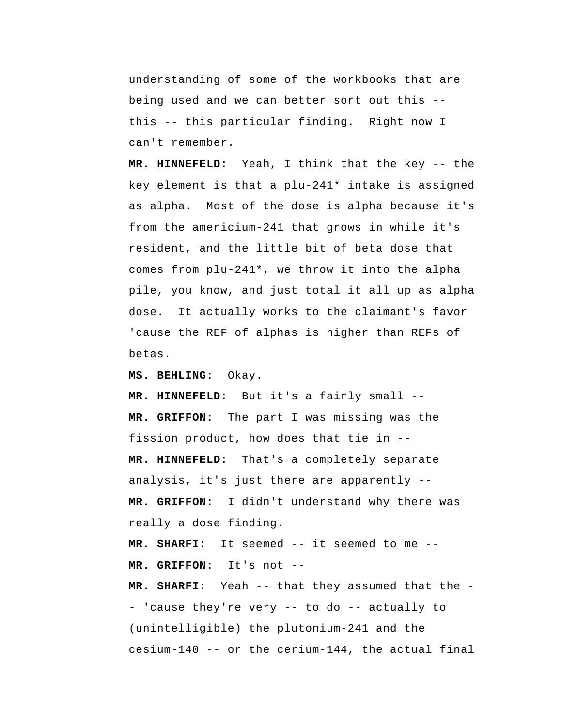understanding of some of the workbooks that are being used and we can better sort out this - this -- this particular finding. Right now I can't remember.

 **MR. HINNEFELD:** Yeah, I think that the key -- the key element is that a plu-241\* intake is assigned as alpha. Most of the dose is alpha because it's from the americium-241 that grows in while it's resident, and the little bit of beta dose that comes from plu-241\*, we throw it into the alpha pile, you know, and just total it all up as alpha dose. It actually works to the claimant's favor 'cause the REF of alphas is higher than REFs of betas.

 **MS. BEHLING:** Okay.

 **MR. HINNEFELD:** But it's a fairly small --  **MR. GRIFFON:** The part I was missing was the fission product, how does that tie in -- **MR. HINNEFELD:** That's a completely separate analysis, it's just there are apparently --  **MR. GRIFFON:** I didn't understand why there was really a dose finding.

 **MR. SHARFI:** It seemed -- it seemed to me --  **MR. GRIFFON:** It's not --

 **MR. SHARFI:** Yeah -- that they assumed that the - 'cause they're very -- to do -- actually to (unintelligible) the plutonium-241 and the cesium-140 -- or the cerium-144, the actual final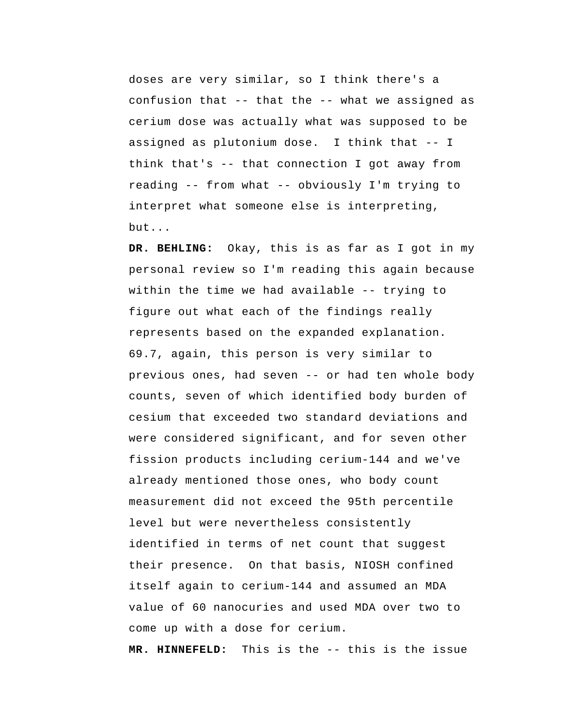doses are very similar, so I think there's a confusion that -- that the -- what we assigned as cerium dose was actually what was supposed to be assigned as plutonium dose. I think that -- I think that's -- that connection I got away from reading -- from what -- obviously I'm trying to interpret what someone else is interpreting, but...

 **DR. BEHLING:** Okay, this is as far as I got in my personal review so I'm reading this again because within the time we had available -- trying to figure out what each of the findings really represents based on the expanded explanation. 69.7, again, this person is very similar to previous ones, had seven -- or had ten whole body counts, seven of which identified body burden of cesium that exceeded two standard deviations and were considered significant, and for seven other fission products including cerium-144 and we've already mentioned those ones, who body count measurement did not exceed the 95th percentile level but were nevertheless consistently identified in terms of net count that suggest their presence. On that basis, NIOSH confined itself again to cerium-144 and assumed an MDA value of 60 nanocuries and used MDA over two to come up with a dose for cerium.

 **MR. HINNEFELD:** This is the -- this is the issue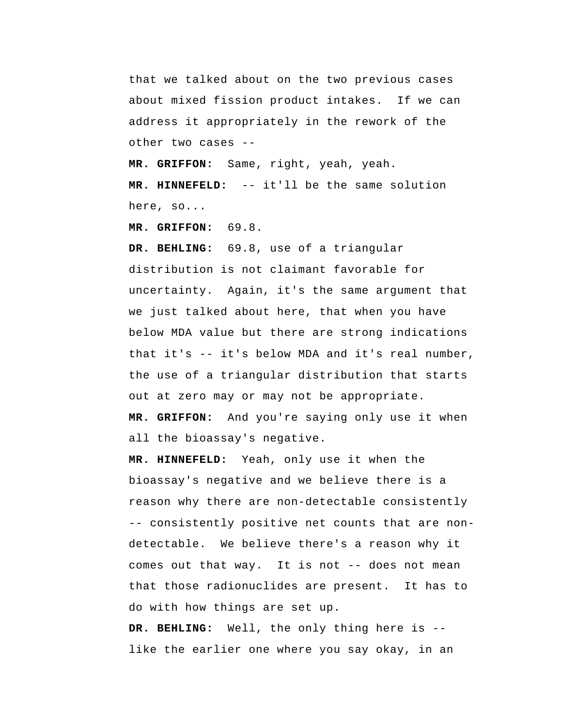that we talked about on the two previous cases about mixed fission product intakes. If we can address it appropriately in the rework of the other two cases --

 **MR. GRIFFON:** Same, right, yeah, yeah.

 **MR. HINNEFELD:** -- it'll be the same solution here, so...

 **MR. GRIFFON:** 69.8.

 **DR. BEHLING:** 69.8, use of a triangular distribution is not claimant favorable for uncertainty. Again, it's the same argument that we just talked about here, that when you have below MDA value but there are strong indications that it's -- it's below MDA and it's real number, the use of a triangular distribution that starts out at zero may or may not be appropriate.  **MR. GRIFFON:** And you're saying only use it when all the bioassay's negative.

 **MR. HINNEFELD:** Yeah, only use it when the bioassay's negative and we believe there is a reason why there are non-detectable consistently -- consistently positive net counts that are nondetectable. We believe there's a reason why it comes out that way. It is not -- does not mean that those radionuclides are present. It has to do with how things are set up.

 **DR. BEHLING:** Well, the only thing here is - like the earlier one where you say okay, in an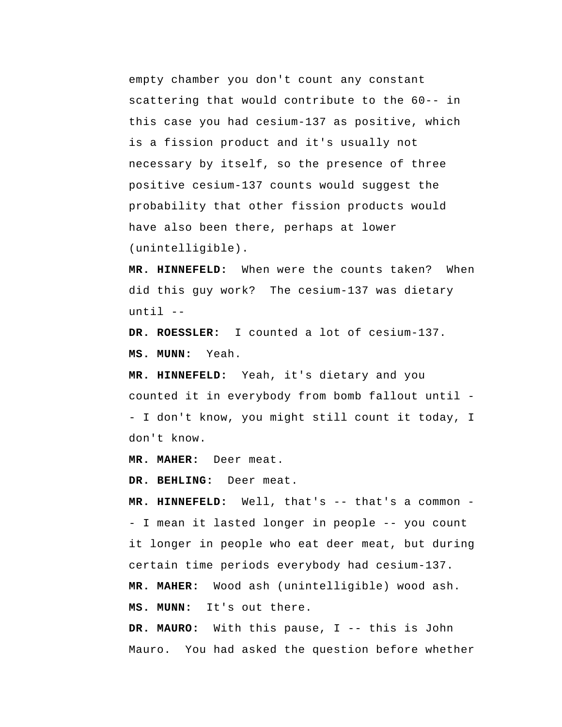empty chamber you don't count any constant scattering that would contribute to the 60-- in this case you had cesium-137 as positive, which is a fission product and it's usually not necessary by itself, so the presence of three positive cesium-137 counts would suggest the probability that other fission products would have also been there, perhaps at lower (unintelligible).

 **MR. HINNEFELD:** When were the counts taken? When did this guy work? The cesium-137 was dietary until --

**DR. ROESSLER:** I counted a lot of cesium-137.  **MS. MUNN:** Yeah.

 **MR. HINNEFELD:** Yeah, it's dietary and you counted it in everybody from bomb fallout until - I don't know, you might still count it today, I don't know.

**MR. MAHER:** Deer meat.

 **DR. BEHLING:** Deer meat.

 **MR. HINNEFELD:** Well, that's -- that's a common - I mean it lasted longer in people -- you count it longer in people who eat deer meat, but during certain time periods everybody had cesium-137. **MR. MAHER:** Wood ash (unintelligible) wood ash.  **MS. MUNN:** It's out there.

**DR. MAURO:** With this pause, I -- this is John Mauro. You had asked the question before whether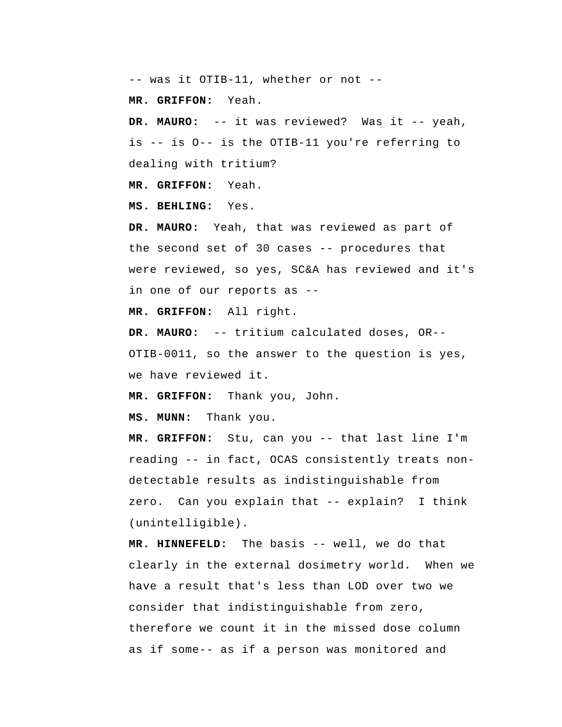-- was it OTIB-11, whether or not --

 **MR. GRIFFON:** Yeah.

**DR. MAURO:** -- it was reviewed? Was it -- yeah, is -- is O-- is the OTIB-11 you're referring to dealing with tritium?

 **MR. GRIFFON:** Yeah.

 **MS. BEHLING:** Yes.

**DR. MAURO:** Yeah, that was reviewed as part of the second set of 30 cases -- procedures that were reviewed, so yes, SC&A has reviewed and it's in one of our reports as --

 **MR. GRIFFON:** All right.

**DR. MAURO:** -- tritium calculated doses, OR-- OTIB-0011, so the answer to the question is yes, we have reviewed it.

 **MR. GRIFFON:** Thank you, John.

 **MS. MUNN:** Thank you.

 **MR. GRIFFON:** Stu, can you -- that last line I'm reading -- in fact, OCAS consistently treats nondetectable results as indistinguishable from zero. Can you explain that -- explain? I think (unintelligible).

 **MR. HINNEFELD:** The basis -- well, we do that clearly in the external dosimetry world. When we have a result that's less than LOD over two we consider that indistinguishable from zero, therefore we count it in the missed dose column as if some-- as if a person was monitored and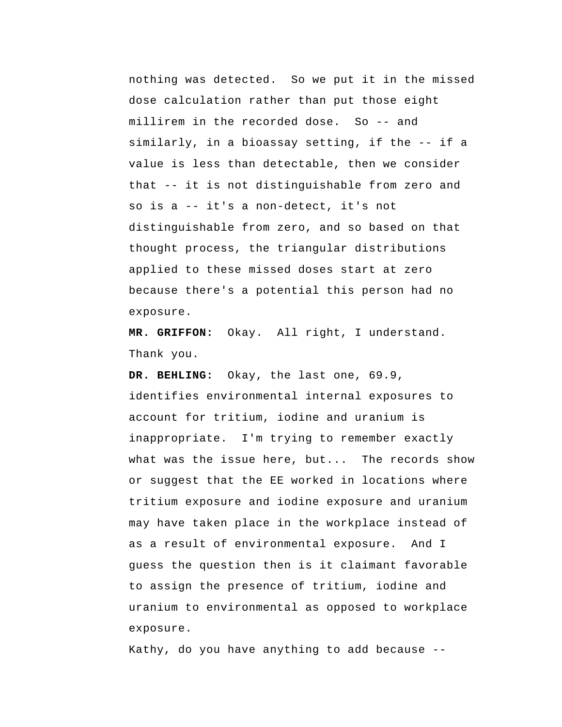nothing was detected. So we put it in the missed dose calculation rather than put those eight millirem in the recorded dose. So -- and similarly, in a bioassay setting, if the -- if a value is less than detectable, then we consider that -- it is not distinguishable from zero and so is a -- it's a non-detect, it's not distinguishable from zero, and so based on that thought process, the triangular distributions applied to these missed doses start at zero because there's a potential this person had no exposure.

 **MR. GRIFFON:** Okay. All right, I understand. Thank you.

 **DR. BEHLING:** Okay, the last one, 69.9, identifies environmental internal exposures to account for tritium, iodine and uranium is inappropriate. I'm trying to remember exactly what was the issue here, but... The records show or suggest that the EE worked in locations where tritium exposure and iodine exposure and uranium may have taken place in the workplace instead of as a result of environmental exposure. And I guess the question then is it claimant favorable to assign the presence of tritium, iodine and uranium to environmental as opposed to workplace exposure.

Kathy, do you have anything to add because --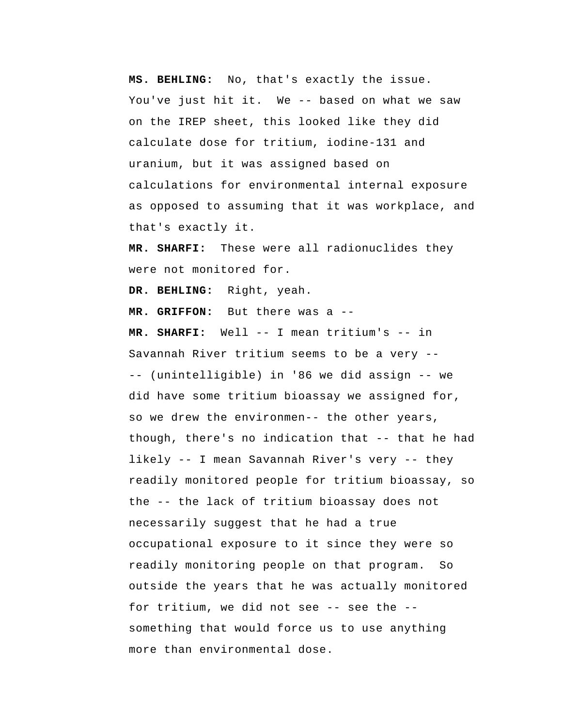**MS. BEHLING:** No, that's exactly the issue. You've just hit it. We -- based on what we saw on the IREP sheet, this looked like they did calculate dose for tritium, iodine-131 and uranium, but it was assigned based on calculations for environmental internal exposure as opposed to assuming that it was workplace, and that's exactly it.

 **MR. SHARFI:** These were all radionuclides they were not monitored for.

 **DR. BEHLING:** Right, yeah.

 **MR. GRIFFON:** But there was a --

 **MR. SHARFI:** Well -- I mean tritium's -- in Savannah River tritium seems to be a very -- -- (unintelligible) in '86 we did assign -- we did have some tritium bioassay we assigned for, so we drew the environmen-- the other years, though, there's no indication that -- that he had likely -- I mean Savannah River's very -- they readily monitored people for tritium bioassay, so the -- the lack of tritium bioassay does not necessarily suggest that he had a true occupational exposure to it since they were so readily monitoring people on that program. So outside the years that he was actually monitored for tritium, we did not see -- see the - something that would force us to use anything more than environmental dose.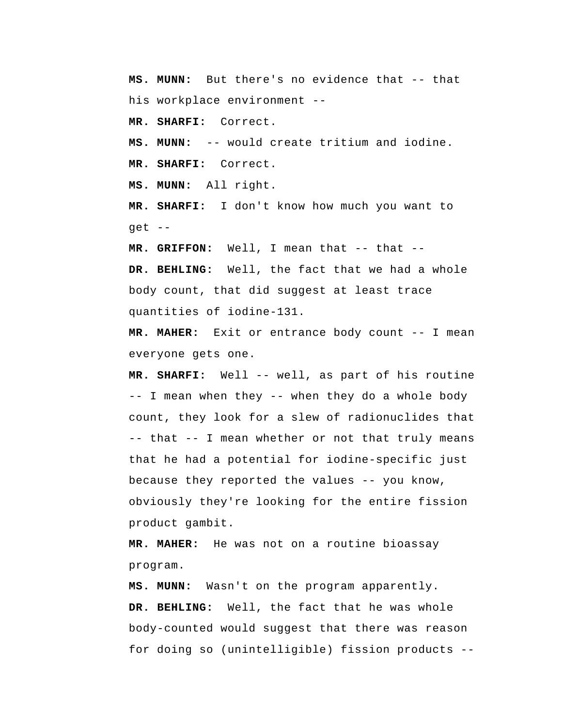**MS. MUNN:** But there's no evidence that -- that his workplace environment --

 **MR. SHARFI:** Correct.

 **MS. MUNN:** -- would create tritium and iodine.  **MR. SHARFI:** Correct.

 **MS. MUNN:** All right.

 **MR. SHARFI:** I don't know how much you want to get --

 **MR. GRIFFON:** Well, I mean that -- that --

 **DR. BEHLING:** Well, the fact that we had a whole body count, that did suggest at least trace quantities of iodine-131.

**MR. MAHER:** Exit or entrance body count -- I mean everyone gets one.

 **MR. SHARFI:** Well -- well, as part of his routine -- I mean when they -- when they do a whole body count, they look for a slew of radionuclides that -- that -- I mean whether or not that truly means that he had a potential for iodine-specific just because they reported the values -- you know, obviously they're looking for the entire fission product gambit.

**MR. MAHER:** He was not on a routine bioassay program.

 **MS. MUNN:** Wasn't on the program apparently.  **DR. BEHLING:** Well, the fact that he was whole body-counted would suggest that there was reason for doing so (unintelligible) fission products --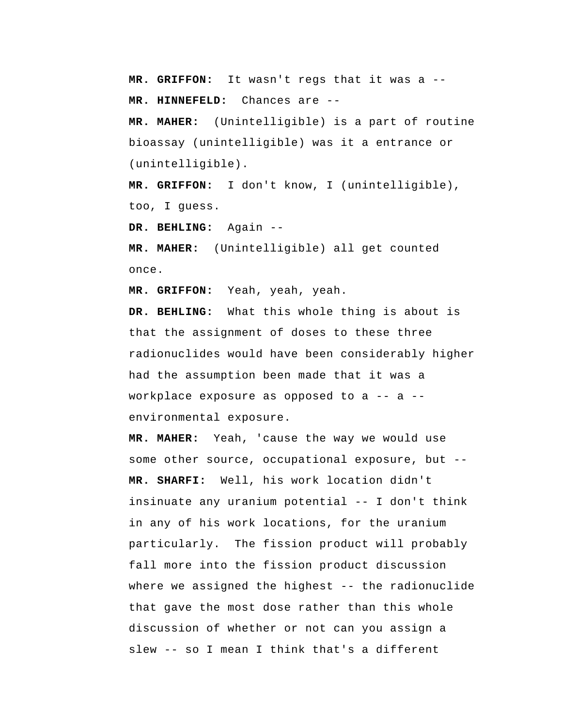**MR. GRIFFON:** It wasn't regs that it was a --  **MR. HINNEFELD:** Chances are --

**MR. MAHER:** (Unintelligible) is a part of routine bioassay (unintelligible) was it a entrance or (unintelligible).

 **MR. GRIFFON:** I don't know, I (unintelligible), too, I guess.

 **DR. BEHLING:** Again --

**MR. MAHER:** (Unintelligible) all get counted once.

 **MR. GRIFFON:** Yeah, yeah, yeah.

 **DR. BEHLING:** What this whole thing is about is that the assignment of doses to these three radionuclides would have been considerably higher had the assumption been made that it was a workplace exposure as opposed to a -- a - environmental exposure.

**MR. MAHER:** Yeah, 'cause the way we would use some other source, occupational exposure, but --  **MR. SHARFI:** Well, his work location didn't insinuate any uranium potential -- I don't think in any of his work locations, for the uranium particularly. The fission product will probably fall more into the fission product discussion where we assigned the highest -- the radionuclide that gave the most dose rather than this whole discussion of whether or not can you assign a slew -- so I mean I think that's a different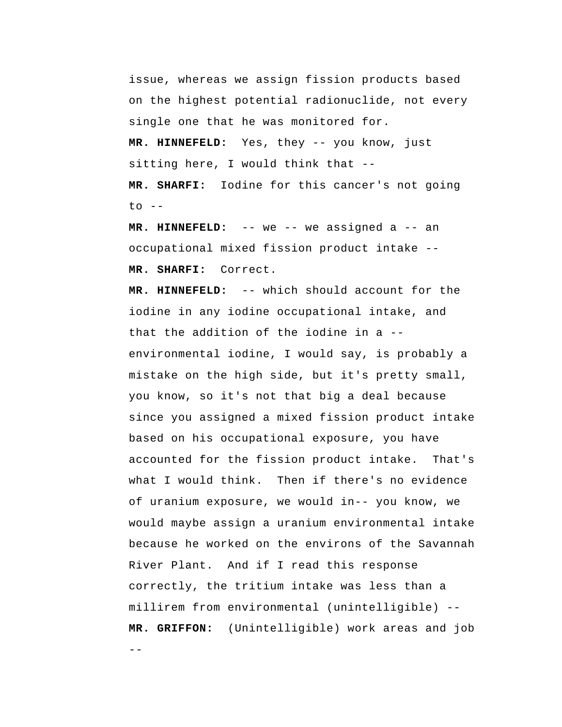issue, whereas we assign fission products based on the highest potential radionuclide, not every single one that he was monitored for.

 **MR. HINNEFELD:** Yes, they -- you know, just sitting here, I would think that --

 **MR. SHARFI:** Iodine for this cancer's not going  $to$   $-$ 

 **MR. HINNEFELD:** -- we -- we assigned a -- an occupational mixed fission product intake --  **MR. SHARFI:** Correct.

--  **MR. HINNEFELD:** -- which should account for the iodine in any iodine occupational intake, and that the addition of the iodine in a - environmental iodine, I would say, is probably a mistake on the high side, but it's pretty small, you know, so it's not that big a deal because since you assigned a mixed fission product intake based on his occupational exposure, you have accounted for the fission product intake. That's what I would think. Then if there's no evidence of uranium exposure, we would in-- you know, we would maybe assign a uranium environmental intake because he worked on the environs of the Savannah River Plant. And if I read this response correctly, the tritium intake was less than a millirem from environmental (unintelligible) --  **MR. GRIFFON:** (Unintelligible) work areas and job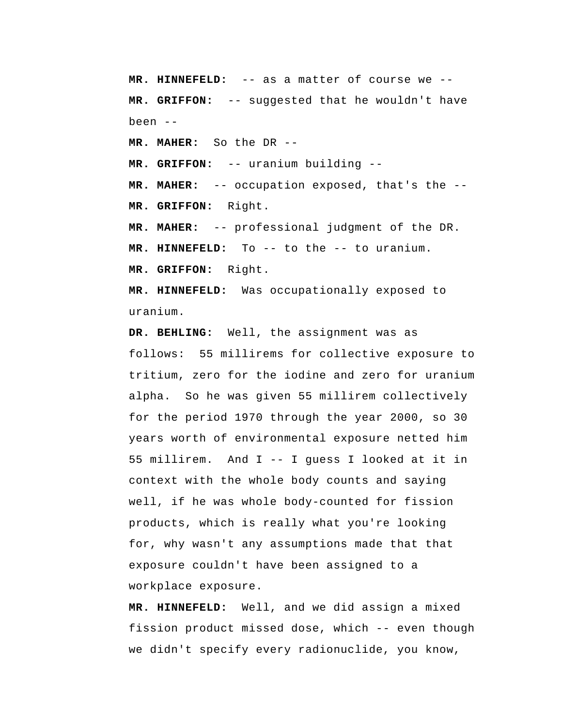**MR. HINNEFELD:** -- as a matter of course we --  **MR. GRIFFON:** -- suggested that he wouldn't have been --

**MR. MAHER:** So the DR --

 **MR. GRIFFON:** -- uranium building --

**MR. MAHER:** -- occupation exposed, that's the --  **MR. GRIFFON:** Right.

**MR. MAHER:** -- professional judgment of the DR.

 **MR. HINNEFELD:** To -- to the -- to uranium.

 **MR. GRIFFON:** Right.

 **MR. HINNEFELD:** Was occupationally exposed to uranium.

 **DR. BEHLING:** Well, the assignment was as follows: 55 millirems for collective exposure to tritium, zero for the iodine and zero for uranium alpha. So he was given 55 millirem collectively for the period 1970 through the year 2000, so 30 years worth of environmental exposure netted him 55 millirem. And I -- I guess I looked at it in context with the whole body counts and saying well, if he was whole body-counted for fission products, which is really what you're looking for, why wasn't any assumptions made that that exposure couldn't have been assigned to a workplace exposure.

 **MR. HINNEFELD:** Well, and we did assign a mixed fission product missed dose, which -- even though we didn't specify every radionuclide, you know,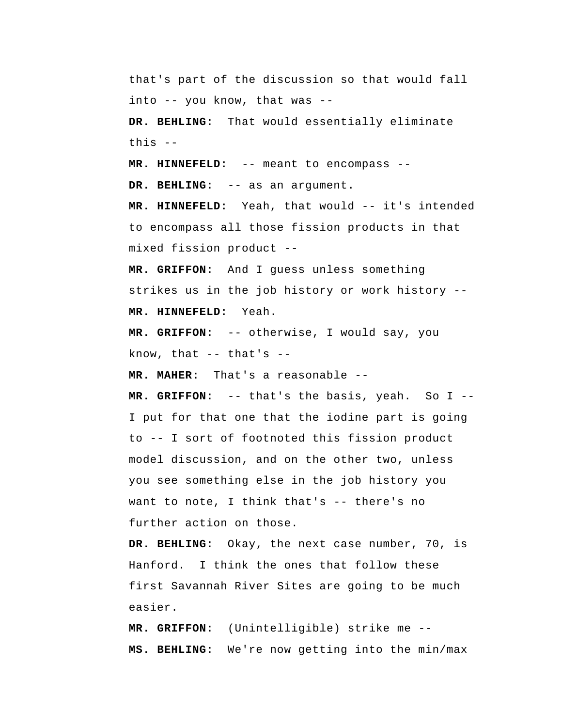that's part of the discussion so that would fall into -- you know, that was --

 **DR. BEHLING:** That would essentially eliminate this --

 **MR. HINNEFELD:** -- meant to encompass --

 **DR. BEHLING:** -- as an argument.

 **MR. HINNEFELD:** Yeah, that would -- it's intended to encompass all those fission products in that mixed fission product --

 **MR. GRIFFON:** And I guess unless something strikes us in the job history or work history --  **MR. HINNEFELD:** Yeah.

 **MR. GRIFFON:** -- otherwise, I would say, you know, that  $-$  that's  $-$ 

**MR. MAHER:** That's a reasonable --

 **MR. GRIFFON:** -- that's the basis, yeah. So I --I put for that one that the iodine part is going to -- I sort of footnoted this fission product model discussion, and on the other two, unless you see something else in the job history you want to note, I think that's -- there's no further action on those.

 **DR. BEHLING:** Okay, the next case number, 70, is Hanford. I think the ones that follow these first Savannah River Sites are going to be much easier.

 **MR. GRIFFON:** (Unintelligible) strike me --  **MS. BEHLING:** We're now getting into the min/max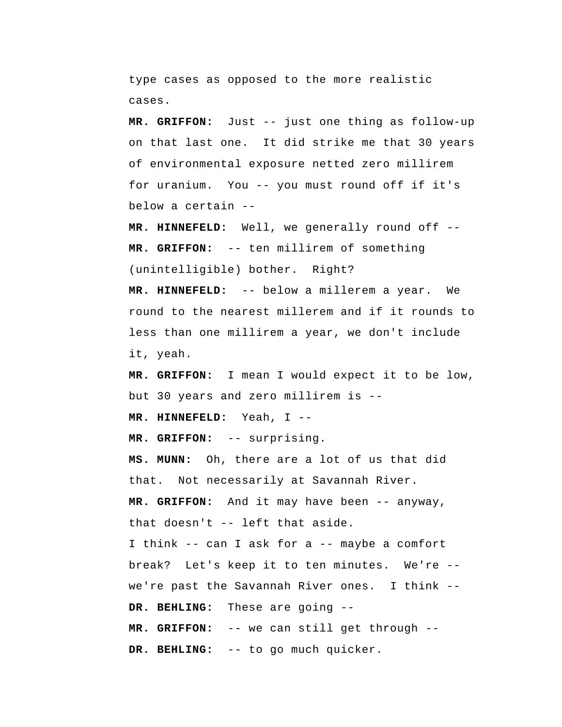type cases as opposed to the more realistic cases.

 **MR. GRIFFON:** Just -- just one thing as follow-up on that last one. It did strike me that 30 years of environmental exposure netted zero millirem for uranium. You -- you must round off if it's below a certain --

 **MR. HINNEFELD:** Well, we generally round off --  **MR. GRIFFON:** -- ten millirem of something (unintelligible) bother. Right?

 **MR. HINNEFELD:** -- below a millerem a year. We round to the nearest millerem and if it rounds to less than one millirem a year, we don't include it, yeah.

 **MR. GRIFFON:** I mean I would expect it to be low, but 30 years and zero millirem is --

 **MR. HINNEFELD:** Yeah, I --

 **MR. GRIFFON:** -- surprising.

 **MS. MUNN:** Oh, there are a lot of us that did that. Not necessarily at Savannah River.  **MR. GRIFFON:** And it may have been -- anyway, that doesn't -- left that aside. I think -- can I ask for a -- maybe a comfort break? Let's keep it to ten minutes. We're -we're past the Savannah River ones. I think -- **DR. BEHLING:** These are going -- **MR. GRIFFON:** -- we can still get through --  **DR. BEHLING:** -- to go much quicker.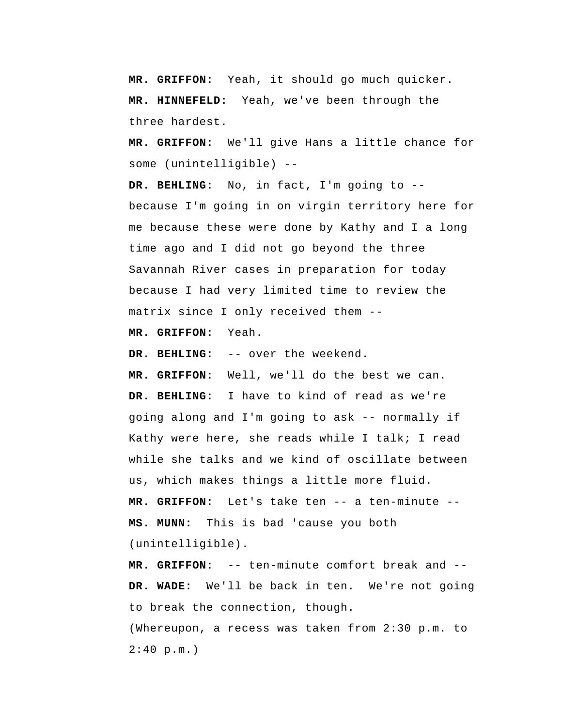**MR. GRIFFON:** Yeah, it should go much quicker.  **MR. HINNEFELD:** Yeah, we've been through the three hardest.

 **MR. GRIFFON:** We'll give Hans a little chance for some (unintelligible) --

 **DR. BEHLING:** No, in fact, I'm going to - because I'm going in on virgin territory here for me because these were done by Kathy and I a long time ago and I did not go beyond the three Savannah River cases in preparation for today because I had very limited time to review the matrix since I only received them --

 **MR. GRIFFON:** Yeah.

 **DR. BEHLING:** -- over the weekend.

 **MR. GRIFFON:** Well, we'll do the best we can.  **DR. BEHLING:** I have to kind of read as we're going along and I'm going to ask -- normally if Kathy were here, she reads while I talk; I read while she talks and we kind of oscillate between us, which makes things a little more fluid.  **MR. GRIFFON:** Let's take ten -- a ten-minute --  **MS. MUNN:** This is bad 'cause you both (unintelligible).

 **MR. GRIFFON:** -- ten-minute comfort break and --  **DR. WADE:** We'll be back in ten. We're not going to break the connection, though. (Whereupon, a recess was taken from 2:30 p.m. to  $2:40$  p.m.)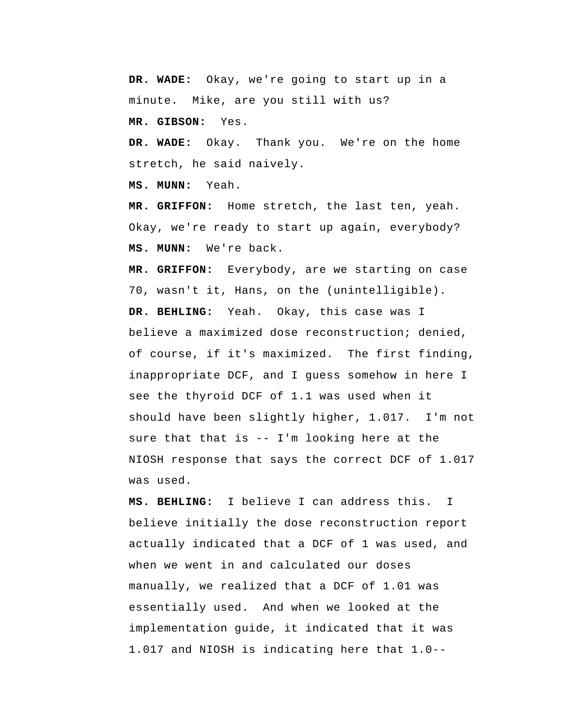**DR. WADE:** Okay, we're going to start up in a minute. Mike, are you still with us?

 **MR. GIBSON:** Yes.

 **DR. WADE:** Okay. Thank you. We're on the home stretch, he said naively.

 **MS. MUNN:** Yeah.

 **MR. GRIFFON:** Home stretch, the last ten, yeah. Okay, we're ready to start up again, everybody?  **MS. MUNN:** We're back.

 **MR. GRIFFON:** Everybody, are we starting on case 70, wasn't it, Hans, on the (unintelligible).  **DR. BEHLING:** Yeah. Okay, this case was I believe a maximized dose reconstruction; denied, of course, if it's maximized. The first finding, inappropriate DCF, and I guess somehow in here I see the thyroid DCF of 1.1 was used when it should have been slightly higher, 1.017. I'm not sure that that is -- I'm looking here at the NIOSH response that says the correct DCF of 1.017 was used.

 **MS. BEHLING:** I believe I can address this. I believe initially the dose reconstruction report actually indicated that a DCF of 1 was used, and when we went in and calculated our doses manually, we realized that a DCF of 1.01 was essentially used. And when we looked at the implementation guide, it indicated that it was 1.017 and NIOSH is indicating here that 1.0--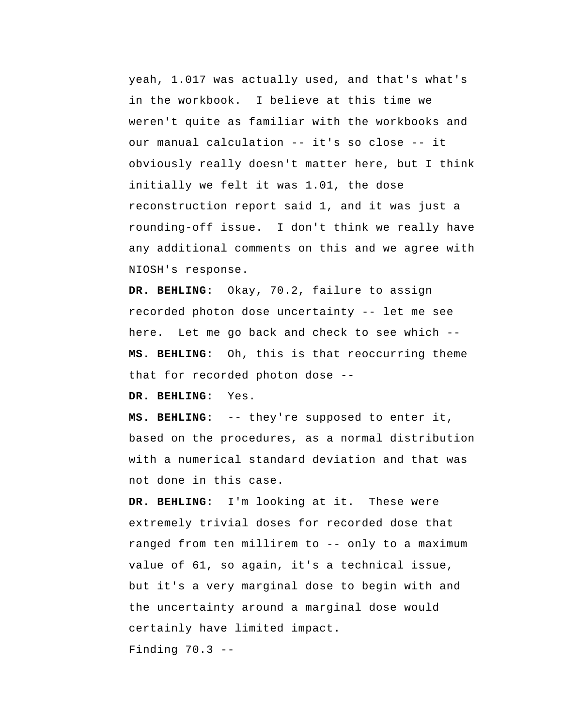yeah, 1.017 was actually used, and that's what's in the workbook. I believe at this time we weren't quite as familiar with the workbooks and our manual calculation -- it's so close -- it obviously really doesn't matter here, but I think initially we felt it was 1.01, the dose reconstruction report said 1, and it was just a rounding-off issue. I don't think we really have any additional comments on this and we agree with NIOSH's response.

 **DR. BEHLING:** Okay, 70.2, failure to assign recorded photon dose uncertainty -- let me see here. Let me go back and check to see which --  **MS. BEHLING:** Oh, this is that reoccurring theme that for recorded photon dose --

 **DR. BEHLING:** Yes.

 **MS. BEHLING:** -- they're supposed to enter it, based on the procedures, as a normal distribution with a numerical standard deviation and that was not done in this case.

 **DR. BEHLING:** I'm looking at it. These were extremely trivial doses for recorded dose that ranged from ten millirem to -- only to a maximum value of 61, so again, it's a technical issue, but it's a very marginal dose to begin with and the uncertainty around a marginal dose would certainly have limited impact.

Finding 70.3 --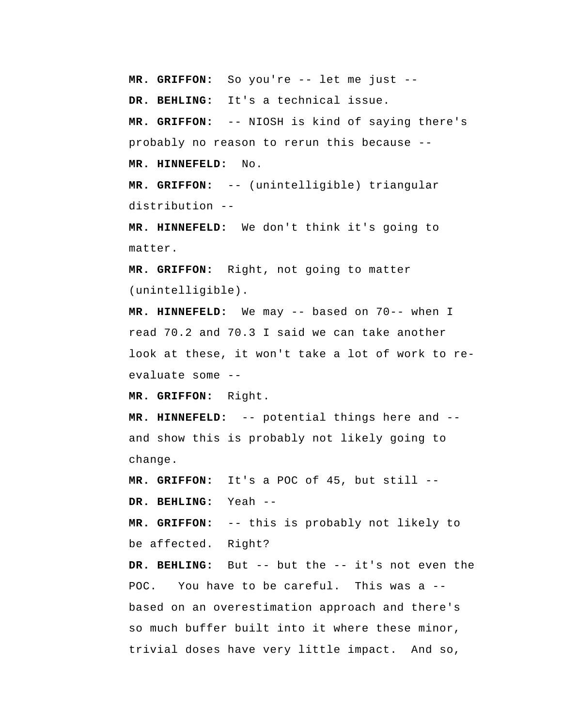**MR. GRIFFON:** So you're -- let me just --

 **DR. BEHLING:** It's a technical issue.

 **MR. GRIFFON:** -- NIOSH is kind of saying there's probably no reason to rerun this because --  **MR. HINNEFELD:** No.

 **MR. GRIFFON:** -- (unintelligible) triangular distribution --

 **MR. HINNEFELD:** We don't think it's going to matter.

 **MR. GRIFFON:** Right, not going to matter (unintelligible).

 **MR. HINNEFELD:** We may -- based on 70-- when I read 70.2 and 70.3 I said we can take another look at these, it won't take a lot of work to reevaluate some --

 **MR. GRIFFON:** Right.

 **MR. HINNEFELD:** -- potential things here and - and show this is probably not likely going to change.

 **MR. GRIFFON:** It's a POC of 45, but still --

 **DR. BEHLING:** Yeah --

 **MR. GRIFFON:** -- this is probably not likely to be affected. Right?

 **DR. BEHLING:** But -- but the -- it's not even the POC. You have to be careful. This was a -based on an overestimation approach and there's so much buffer built into it where these minor, trivial doses have very little impact. And so,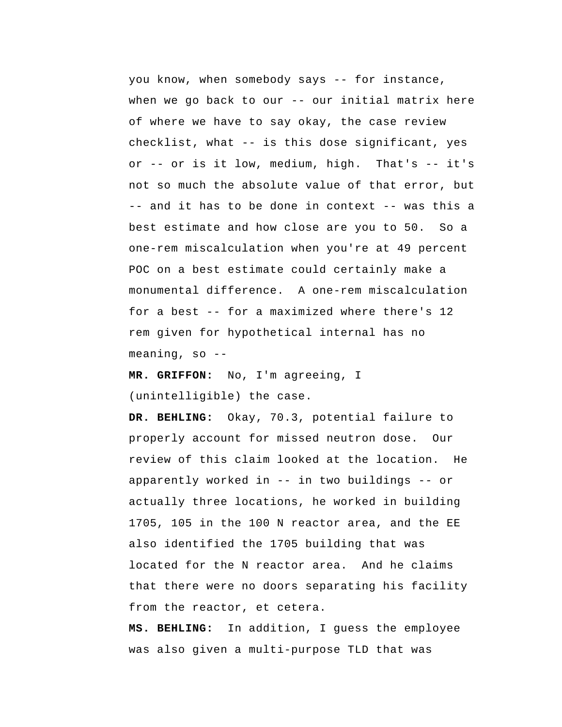you know, when somebody says -- for instance, when we go back to our -- our initial matrix here of where we have to say okay, the case review checklist, what -- is this dose significant, yes or -- or is it low, medium, high. That's -- it's not so much the absolute value of that error, but -- and it has to be done in context -- was this a best estimate and how close are you to 50. So a one-rem miscalculation when you're at 49 percent POC on a best estimate could certainly make a monumental difference. A one-rem miscalculation for a best -- for a maximized where there's 12 rem given for hypothetical internal has no meaning, so  $-$ -

 **MR. GRIFFON:** No, I'm agreeing, I (unintelligible) the case.

 **DR. BEHLING:** Okay, 70.3, potential failure to properly account for missed neutron dose. Our review of this claim looked at the location. He apparently worked in -- in two buildings -- or actually three locations, he worked in building 1705, 105 in the 100 N reactor area, and the EE also identified the 1705 building that was located for the N reactor area. And he claims that there were no doors separating his facility from the reactor, et cetera.

 **MS. BEHLING:** In addition, I guess the employee was also given a multi-purpose TLD that was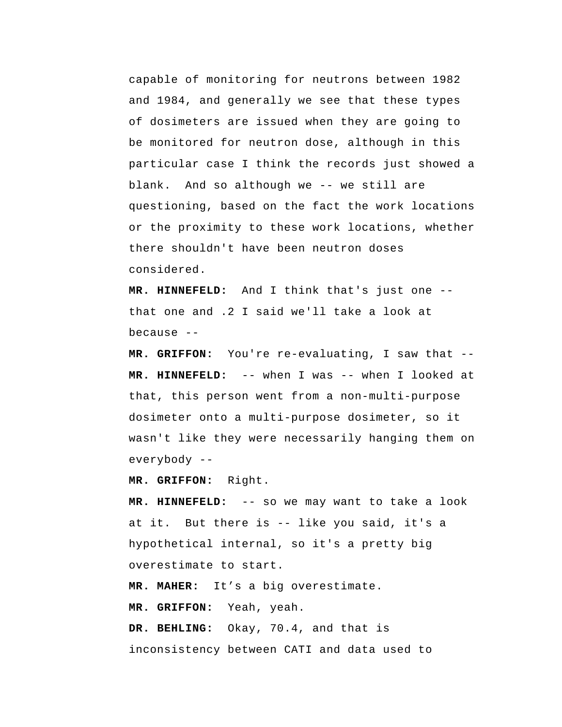capable of monitoring for neutrons between 1982 and 1984, and generally we see that these types of dosimeters are issued when they are going to be monitored for neutron dose, although in this particular case I think the records just showed a blank. And so although we -- we still are questioning, based on the fact the work locations or the proximity to these work locations, whether there shouldn't have been neutron doses considered.

 **MR. HINNEFELD:** And I think that's just one - that one and .2 I said we'll take a look at because --

 **MR. GRIFFON:** You're re-evaluating, I saw that --  **MR. HINNEFELD:** -- when I was -- when I looked at that, this person went from a non-multi-purpose dosimeter onto a multi-purpose dosimeter, so it wasn't like they were necessarily hanging them on everybody --

 **MR. GRIFFON:** Right.

 **MR. HINNEFELD:** -- so we may want to take a look at it. But there is -- like you said, it's a hypothetical internal, so it's a pretty big overestimate to start.

**MR. MAHER:** It's a big overestimate.

 **MR. GRIFFON:** Yeah, yeah.

 **DR. BEHLING:** Okay, 70.4, and that is inconsistency between CATI and data used to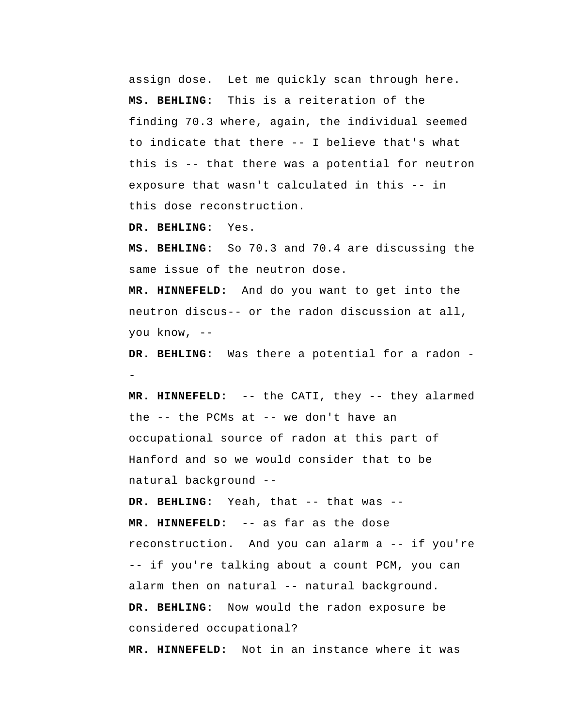assign dose. Let me quickly scan through here.  **MS. BEHLING:** This is a reiteration of the finding 70.3 where, again, the individual seemed to indicate that there -- I believe that's what this is -- that there was a potential for neutron exposure that wasn't calculated in this -- in this dose reconstruction.

 **DR. BEHLING:** Yes.

 **MS. BEHLING:** So 70.3 and 70.4 are discussing the same issue of the neutron dose.

 **MR. HINNEFELD:** And do you want to get into the neutron discus-- or the radon discussion at all, you know, --

 **DR. BEHLING:** Was there a potential for a radon -

 **MR. HINNEFELD:** -- the CATI, they -- they alarmed the -- the PCMs at -- we don't have an occupational source of radon at this part of Hanford and so we would consider that to be natural background --

 **DR. BEHLING:** Yeah, that -- that was --  **MR. HINNEFELD:** -- as far as the dose reconstruction. And you can alarm a -- if you're -- if you're talking about a count PCM, you can alarm then on natural -- natural background.  **DR. BEHLING:** Now would the radon exposure be considered occupational?

 **MR. HINNEFELD:** Not in an instance where it was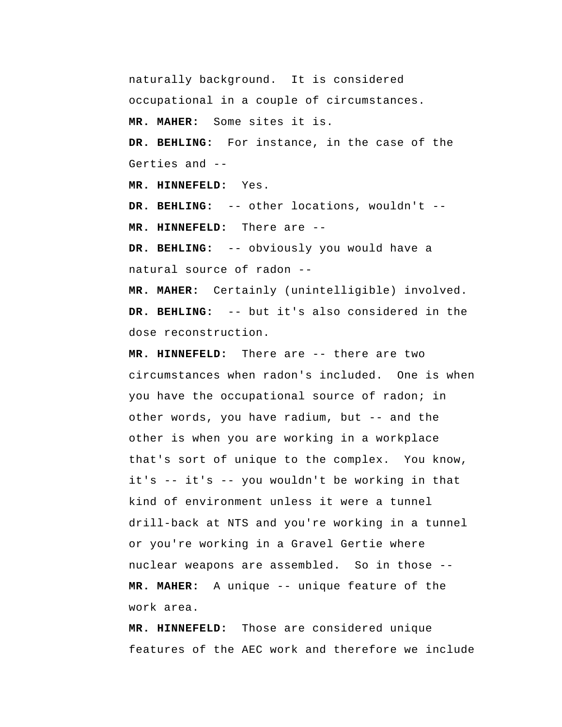naturally background. It is considered occupational in a couple of circumstances. **MR. MAHER:** Some sites it is.  **DR. BEHLING:** For instance, in the case of the Gerties and -- **MR. HINNEFELD:** Yes.  **DR. BEHLING:** -- other locations, wouldn't --  **MR. HINNEFELD:** There are -- **DR. BEHLING:** -- obviously you would have a natural source of radon --

**MR. MAHER:** Certainly (unintelligible) involved.  **DR. BEHLING:** -- but it's also considered in the dose reconstruction.

 **MR. HINNEFELD:** There are -- there are two circumstances when radon's included. One is when you have the occupational source of radon; in other words, you have radium, but -- and the other is when you are working in a workplace that's sort of unique to the complex. You know, it's -- it's -- you wouldn't be working in that kind of environment unless it were a tunnel drill-back at NTS and you're working in a tunnel or you're working in a Gravel Gertie where nuclear weapons are assembled. So in those --**MR. MAHER:** A unique -- unique feature of the work area.

 **MR. HINNEFELD:** Those are considered unique features of the AEC work and therefore we include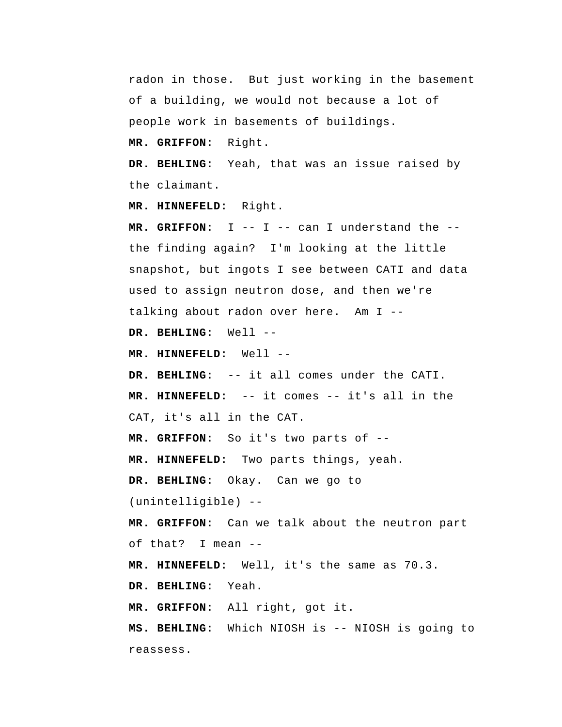radon in those. But just working in the basement of a building, we would not because a lot of people work in basements of buildings.

 **MR. GRIFFON:** Right.

 **DR. BEHLING:** Yeah, that was an issue raised by the claimant.

 **MR. HINNEFELD:** Right.

 **MR. GRIFFON:** I -- I -- can I understand the - the finding again? I'm looking at the little snapshot, but ingots I see between CATI and data used to assign neutron dose, and then we're talking about radon over here. Am I --

 **DR. BEHLING:** Well --

 **MR. HINNEFELD:** Well --

 **DR. BEHLING:** -- it all comes under the CATI.

 **MR. HINNEFELD:** -- it comes -- it's all in the CAT, it's all in the CAT.

 **MR. GRIFFON:** So it's two parts of --

 **MR. HINNEFELD:** Two parts things, yeah.

 **DR. BEHLING:** Okay. Can we go to

(unintelligible) --

 **MR. GRIFFON:** Can we talk about the neutron part of that? I mean --

 **MR. HINNEFELD:** Well, it's the same as 70.3.

 **DR. BEHLING:** Yeah.

 **MR. GRIFFON:** All right, got it.

 **MS. BEHLING:** Which NIOSH is -- NIOSH is going to reassess.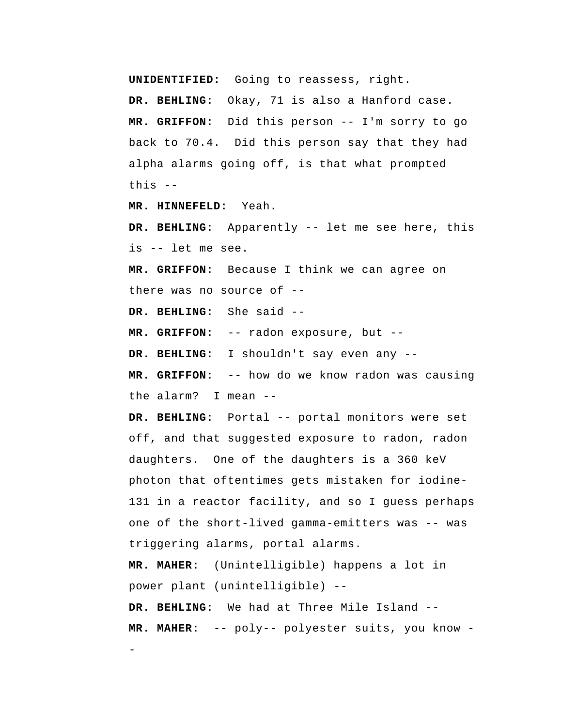**UNIDENTIFIED:** Going to reassess, right.

 **DR. BEHLING:** Okay, 71 is also a Hanford case.  **MR. GRIFFON:** Did this person -- I'm sorry to go back to 70.4. Did this person say that they had alpha alarms going off, is that what prompted this --

 **MR. HINNEFELD:** Yeah.

 **DR. BEHLING:** Apparently -- let me see here, this is -- let me see.

 **MR. GRIFFON:** Because I think we can agree on there was no source of --

 **DR. BEHLING:** She said --

-

 **MR. GRIFFON:** -- radon exposure, but --

 **DR. BEHLING:** I shouldn't say even any --

 **MR. GRIFFON:** -- how do we know radon was causing the alarm? I mean --

DR. BEHLING: Portal -- portal monitors were set off, and that suggested exposure to radon, radon daughters. One of the daughters is a 360 keV photon that oftentimes gets mistaken for iodine-131 in a reactor facility, and so I guess perhaps one of the short-lived gamma-emitters was -- was triggering alarms, portal alarms.

**MR. MAHER:** (Unintelligible) happens a lot in power plant (unintelligible) --  **DR. BEHLING:** We had at Three Mile Island --

**MR. MAHER:** -- poly-- polyester suits, you know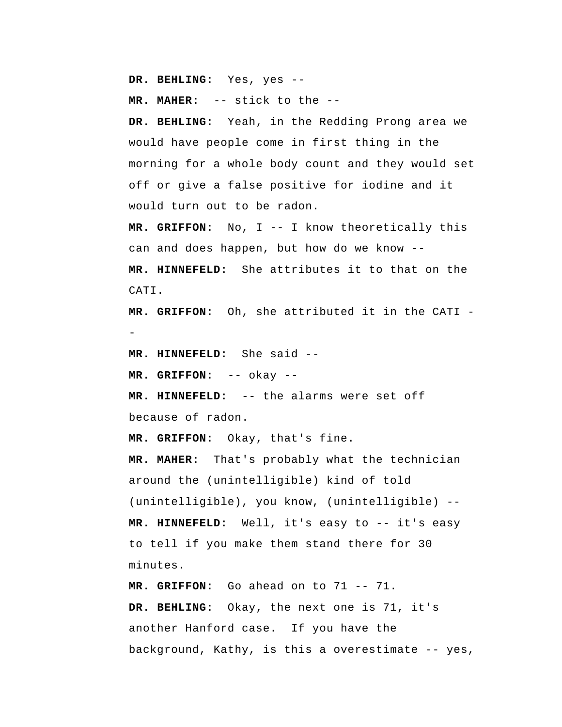**DR. BEHLING:** Yes, yes --

**MR. MAHER:** -- stick to the --

 **DR. BEHLING:** Yeah, in the Redding Prong area we would have people come in first thing in the morning for a whole body count and they would set off or give a false positive for iodine and it would turn out to be radon.

 **MR. GRIFFON:** No, I -- I know theoretically this can and does happen, but how do we know --  **MR. HINNEFELD:** She attributes it to that on the CATI.

 **MR. GRIFFON:** Oh, she attributed it in the CATI -

 **MR. HINNEFELD:** She said --

 **MR. GRIFFON:** -- okay --

 **MR. HINNEFELD:** -- the alarms were set off because of radon.

 **MR. GRIFFON:** Okay, that's fine.

**MR. MAHER:** That's probably what the technician around the (unintelligible) kind of told (unintelligible), you know, (unintelligible) --  **MR. HINNEFELD:** Well, it's easy to -- it's easy to tell if you make them stand there for 30 minutes.

 **MR. GRIFFON:** Go ahead on to 71 -- 71.  **DR. BEHLING:** Okay, the next one is 71, it's another Hanford case. If you have the background, Kathy, is this a overestimate -- yes,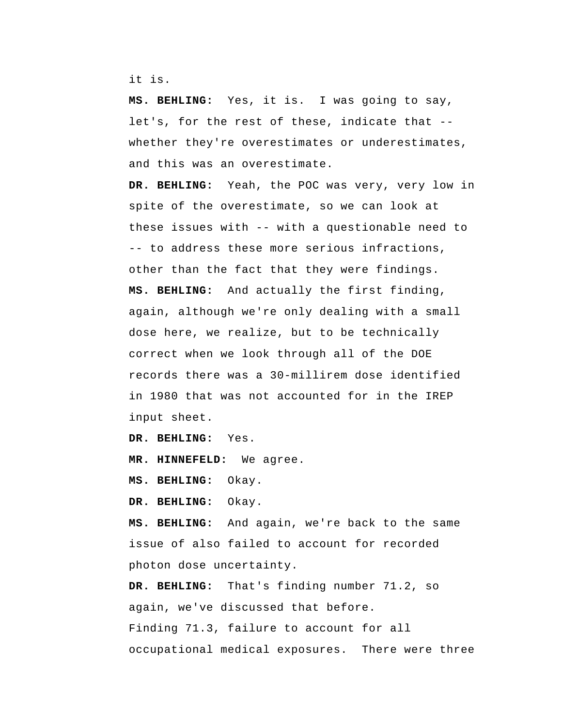it is.

 **MS. BEHLING:** Yes, it is. I was going to say, let's, for the rest of these, indicate that - whether they're overestimates or underestimates, and this was an overestimate.

 **DR. BEHLING:** Yeah, the POC was very, very low in spite of the overestimate, so we can look at these issues with -- with a questionable need to -- to address these more serious infractions, other than the fact that they were findings.  **MS. BEHLING:** And actually the first finding, again, although we're only dealing with a small dose here, we realize, but to be technically correct when we look through all of the DOE records there was a 30-millirem dose identified in 1980 that was not accounted for in the IREP input sheet.

 **DR. BEHLING:** Yes.

 **MR. HINNEFELD:** We agree.

 **MS. BEHLING:** Okay.

 **DR. BEHLING:** Okay.

 **MS. BEHLING:** And again, we're back to the same issue of also failed to account for recorded photon dose uncertainty.

 **DR. BEHLING:** That's finding number 71.2, so again, we've discussed that before. Finding 71.3, failure to account for all occupational medical exposures. There were three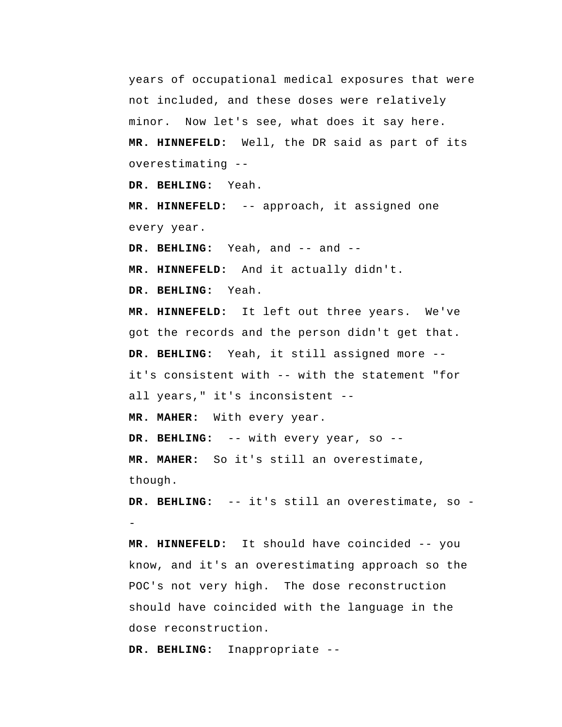years of occupational medical exposures that were not included, and these doses were relatively minor. Now let's see, what does it say here.  **MR. HINNEFELD:** Well, the DR said as part of its overestimating --

 **DR. BEHLING:** Yeah.

 **MR. HINNEFELD:** -- approach, it assigned one every year.

 **DR. BEHLING:** Yeah, and -- and --

 **MR. HINNEFELD:** And it actually didn't.

 **DR. BEHLING:** Yeah.

 **MR. HINNEFELD:** It left out three years. We've got the records and the person didn't get that.  **DR. BEHLING:** Yeah, it still assigned more - it's consistent with -- with the statement "for all years," it's inconsistent --

**MR. MAHER:** With every year.

 **DR. BEHLING:** -- with every year, so --

**MR. MAHER:** So it's still an overestimate, though.

 **DR. BEHLING:** -- it's still an overestimate, so -

 **MR. HINNEFELD:** It should have coincided -- you know, and it's an overestimating approach so the POC's not very high. The dose reconstruction should have coincided with the language in the dose reconstruction.

 **DR. BEHLING:** Inappropriate --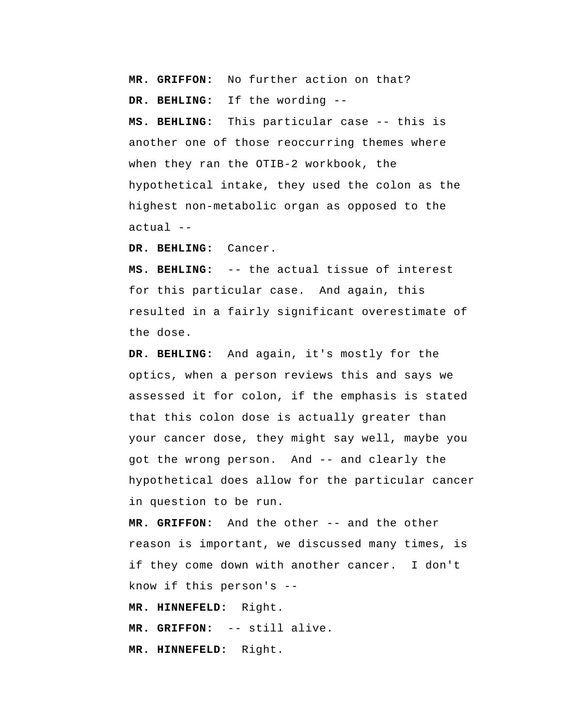**MR. GRIFFON:** No further action on that?  **DR. BEHLING:** If the wording --

 **MS. BEHLING:** This particular case -- this is another one of those reoccurring themes where when they ran the OTIB-2 workbook, the hypothetical intake, they used the colon as the highest non-metabolic organ as opposed to the actual --

 **DR. BEHLING:** Cancer.

 **MS. BEHLING:** -- the actual tissue of interest for this particular case. And again, this resulted in a fairly significant overestimate of the dose.

 **DR. BEHLING:** And again, it's mostly for the optics, when a person reviews this and says we assessed it for colon, if the emphasis is stated that this colon dose is actually greater than your cancer dose, they might say well, maybe you got the wrong person. And -- and clearly the hypothetical does allow for the particular cancer in question to be run.

 **MR. GRIFFON:** And the other -- and the other reason is important, we discussed many times, is if they come down with another cancer. I don't know if this person's --

 **MR. HINNEFELD:** Right.

 **MR. GRIFFON:** -- still alive.

 **MR. HINNEFELD:** Right.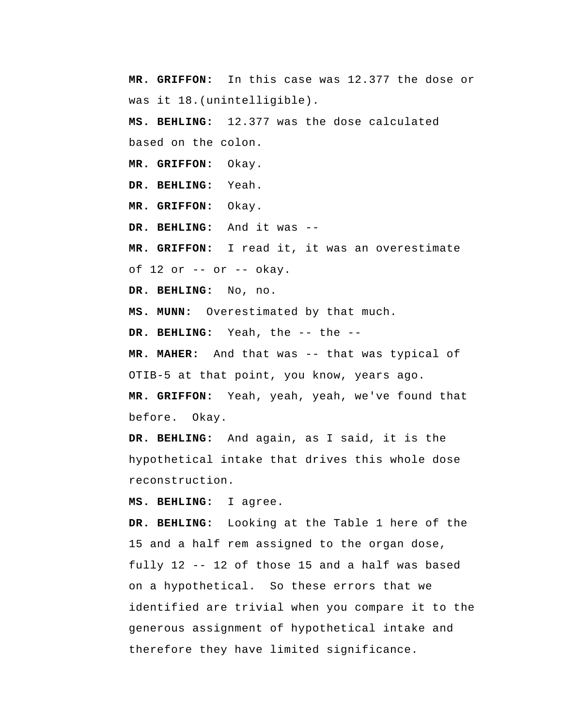**MR. GRIFFON:** In this case was 12.377 the dose or was it 18.(unintelligible).

 **MS. BEHLING:** 12.377 was the dose calculated based on the colon.

 **MR. GRIFFON:** Okay.

 **DR. BEHLING:** Yeah.

 **MR. GRIFFON:** Okay.

 **DR. BEHLING:** And it was --

 **MR. GRIFFON:** I read it, it was an overestimate

of  $12$  or  $-$  or  $-$  okay.

 **DR. BEHLING:** No, no.

 **MS. MUNN:** Overestimated by that much.

 **DR. BEHLING:** Yeah, the -- the --

**MR. MAHER:** And that was -- that was typical of OTIB-5 at that point, you know, years ago.

 **MR. GRIFFON:** Yeah, yeah, yeah, we've found that before. Okay.

 **DR. BEHLING:** And again, as I said, it is the hypothetical intake that drives this whole dose reconstruction.

 **MS. BEHLING:** I agree.

 **DR. BEHLING:** Looking at the Table 1 here of the 15 and a half rem assigned to the organ dose, fully 12 -- 12 of those 15 and a half was based on a hypothetical. So these errors that we identified are trivial when you compare it to the generous assignment of hypothetical intake and therefore they have limited significance.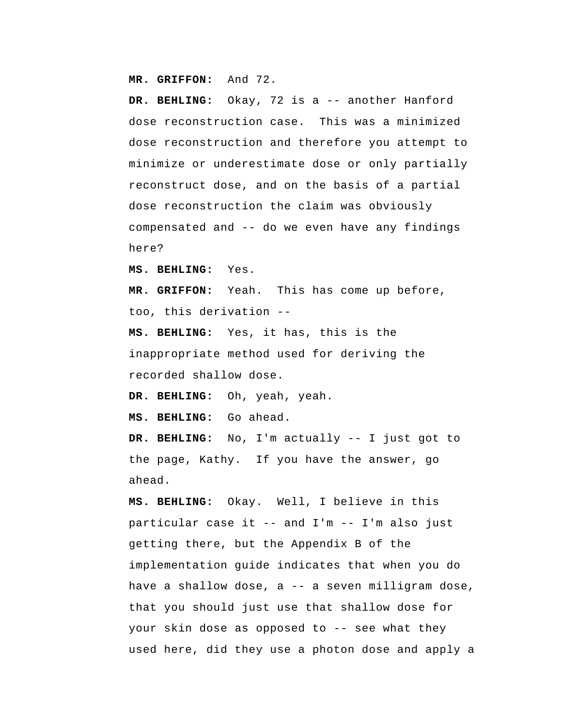**MR. GRIFFON:** And 72.

 **DR. BEHLING:** Okay, 72 is a -- another Hanford dose reconstruction case. This was a minimized dose reconstruction and therefore you attempt to minimize or underestimate dose or only partially reconstruct dose, and on the basis of a partial dose reconstruction the claim was obviously compensated and -- do we even have any findings here?

 **MS. BEHLING:** Yes.

 **MR. GRIFFON:** Yeah. This has come up before, too, this derivation --

 **MS. BEHLING:** Yes, it has, this is the inappropriate method used for deriving the recorded shallow dose.

 **DR. BEHLING:** Oh, yeah, yeah.

 **MS. BEHLING:** Go ahead.

 **DR. BEHLING:** No, I'm actually -- I just got to the page, Kathy. If you have the answer, go ahead.

 **MS. BEHLING:** Okay. Well, I believe in this particular case it -- and I'm -- I'm also just getting there, but the Appendix B of the implementation guide indicates that when you do have a shallow dose, a -- a seven milligram dose, that you should just use that shallow dose for your skin dose as opposed to -- see what they used here, did they use a photon dose and apply a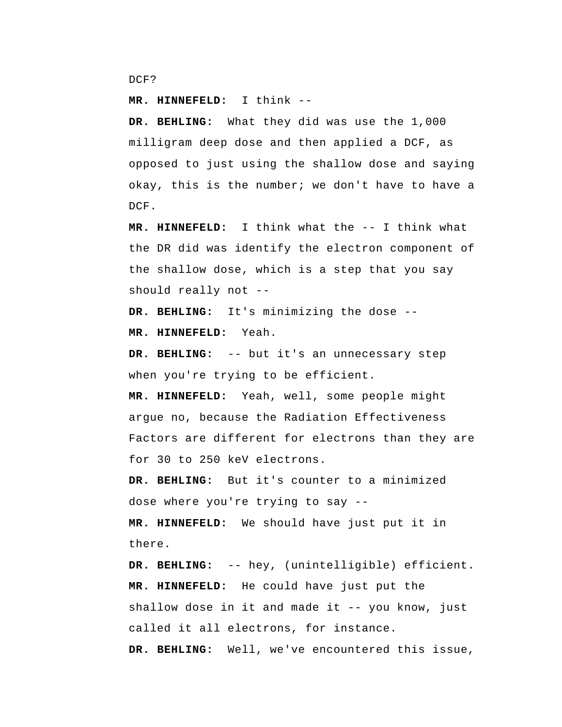```
DCF?
```
 **MR. HINNEFELD:** I think --

 **DR. BEHLING:** What they did was use the 1,000 milligram deep dose and then applied a DCF, as opposed to just using the shallow dose and saying okay, this is the number; we don't have to have a DCF.

 **MR. HINNEFELD:** I think what the -- I think what the DR did was identify the electron component of the shallow dose, which is a step that you say should really not --

 **DR. BEHLING:** It's minimizing the dose --

 **MR. HINNEFELD:** Yeah.

 **DR. BEHLING:** -- but it's an unnecessary step when you're trying to be efficient.

 **MR. HINNEFELD:** Yeah, well, some people might argue no, because the Radiation Effectiveness Factors are different for electrons than they are for 30 to 250 keV electrons.

 **DR. BEHLING:** But it's counter to a minimized dose where you're trying to say --

 **MR. HINNEFELD:** We should have just put it in there.

 **DR. BEHLING:** -- hey, (unintelligible) efficient.  **MR. HINNEFELD:** He could have just put the shallow dose in it and made it  $-$ - you know, just called it all electrons, for instance.

 **DR. BEHLING:** Well, we've encountered this issue,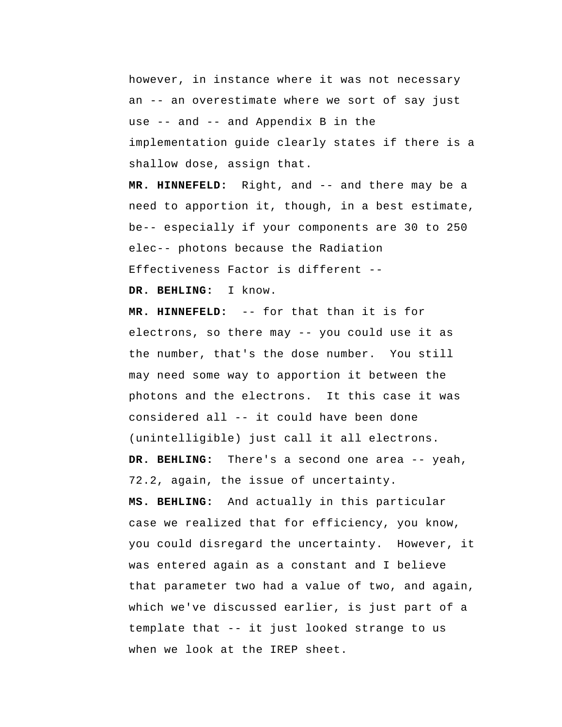however, in instance where it was not necessary an -- an overestimate where we sort of say just use -- and -- and Appendix B in the implementation guide clearly states if there is a shallow dose, assign that.

 **MR. HINNEFELD:** Right, and -- and there may be a need to apportion it, though, in a best estimate, be-- especially if your components are 30 to 250 elec-- photons because the Radiation Effectiveness Factor is different --

 **DR. BEHLING:** I know.

 **MR. HINNEFELD:** -- for that than it is for electrons, so there may -- you could use it as the number, that's the dose number. You still may need some way to apportion it between the photons and the electrons. It this case it was considered all -- it could have been done (unintelligible) just call it all electrons.  **DR. BEHLING:** There's a second one area -- yeah, 72.2, again, the issue of uncertainty.  **MS. BEHLING:** And actually in this particular case we realized that for efficiency, you know, you could disregard the uncertainty. However, it was entered again as a constant and I believe that parameter two had a value of two, and again, which we've discussed earlier, is just part of a template that -- it just looked strange to us when we look at the IREP sheet.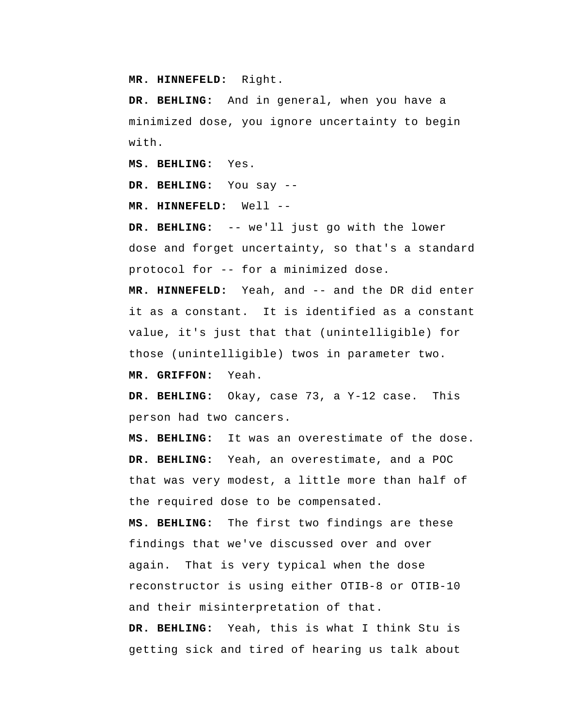**MR. HINNEFELD:** Right.

 **DR. BEHLING:** And in general, when you have a minimized dose, you ignore uncertainty to begin with.

 **MS. BEHLING:** Yes.

 **DR. BEHLING:** You say --

 **MR. HINNEFELD:** Well --

 **DR. BEHLING:** -- we'll just go with the lower dose and forget uncertainty, so that's a standard protocol for -- for a minimized dose.

 **MR. HINNEFELD:** Yeah, and -- and the DR did enter it as a constant. It is identified as a constant value, it's just that that (unintelligible) for those (unintelligible) twos in parameter two.

 **MR. GRIFFON:** Yeah.

 **DR. BEHLING:** Okay, case 73, a Y-12 case. This person had two cancers.

 **MS. BEHLING:** It was an overestimate of the dose.  **DR. BEHLING:** Yeah, an overestimate, and a POC that was very modest, a little more than half of the required dose to be compensated.

 **MS. BEHLING:** The first two findings are these findings that we've discussed over and over again. That is very typical when the dose reconstructor is using either OTIB-8 or OTIB-10 and their misinterpretation of that.

 **DR. BEHLING:** Yeah, this is what I think Stu is getting sick and tired of hearing us talk about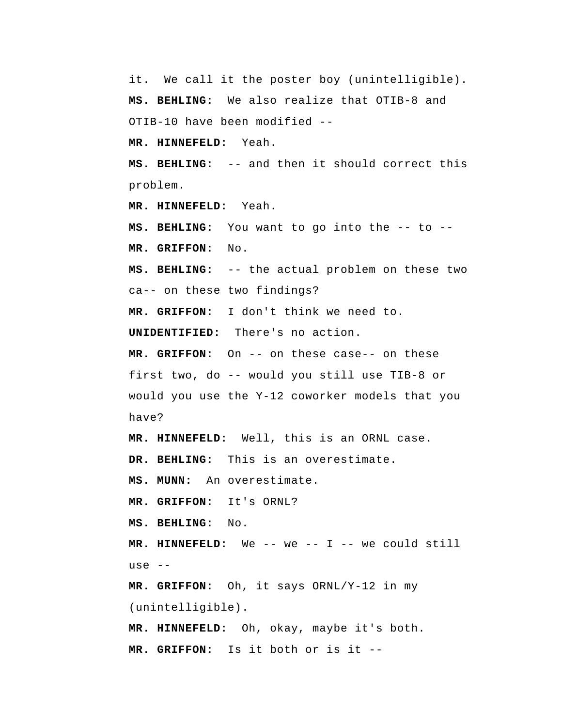it. We call it the poster boy (unintelligible).  **MS. BEHLING:** We also realize that OTIB-8 and OTIB-10 have been modified --

 **MR. HINNEFELD:** Yeah.

 **MS. BEHLING:** -- and then it should correct this problem.

 **MR. HINNEFELD:** Yeah.

 **MS. BEHLING:** You want to go into the -- to --

 **MR. GRIFFON:** No.

 **MS. BEHLING:** -- the actual problem on these two ca-- on these two findings?

 **MR. GRIFFON:** I don't think we need to.

**UNIDENTIFIED:** There's no action.

 **MR. GRIFFON:** On -- on these case-- on these first two, do -- would you still use TIB-8 or would you use the Y-12 coworker models that you have?

 **MR. HINNEFELD:** Well, this is an ORNL case.

 **DR. BEHLING:** This is an overestimate.

 **MS. MUNN:** An overestimate.

 **MR. GRIFFON:** It's ORNL?

 **MS. BEHLING:** No.

 **MR. HINNEFELD:** We -- we -- I -- we could still use --

 **MR. GRIFFON:** Oh, it says ORNL/Y-12 in my (unintelligible).

 **MR. HINNEFELD:** Oh, okay, maybe it's both.  **MR. GRIFFON:** Is it both or is it --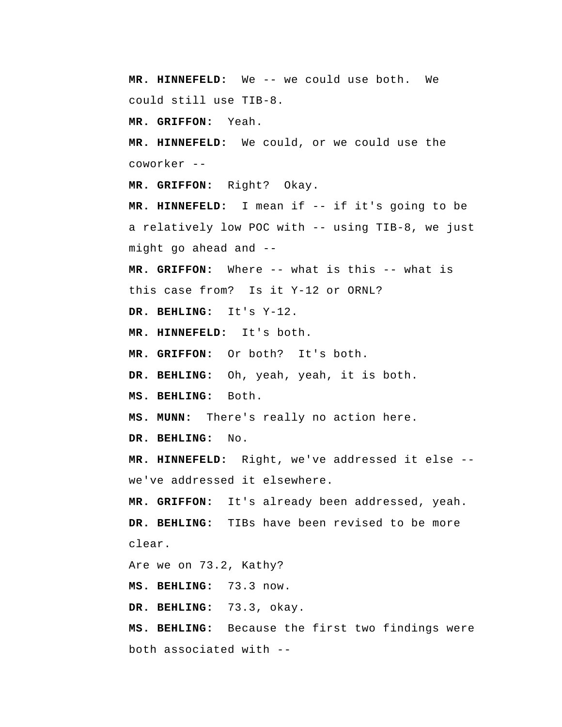**MR. HINNEFELD:** We -- we could use both. We could still use TIB-8.

 **MR. GRIFFON:** Yeah.

 **MR. HINNEFELD:** We could, or we could use the coworker --

 **MR. GRIFFON:** Right? Okay.

 **MR. HINNEFELD:** I mean if -- if it's going to be a relatively low POC with -- using TIB-8, we just might go ahead and --

 **MR. GRIFFON:** Where -- what is this -- what is this case from? Is it Y-12 or ORNL?

 **DR. BEHLING:** It's Y-12.

 **MR. HINNEFELD:** It's both.

 **MR. GRIFFON:** Or both? It's both.

 **DR. BEHLING:** Oh, yeah, yeah, it is both.

 **MS. BEHLING:** Both.

 **MS. MUNN:** There's really no action here.

 **DR. BEHLING:** No.

 **MR. HINNEFELD:** Right, we've addressed it else - we've addressed it elsewhere.

 **MR. GRIFFON:** It's already been addressed, yeah.  **DR. BEHLING:** TIBs have been revised to be more clear.

Are we on 73.2, Kathy?

 **MS. BEHLING:** 73.3 now.

 **DR. BEHLING:** 73.3, okay.

 **MS. BEHLING:** Because the first two findings were both associated with --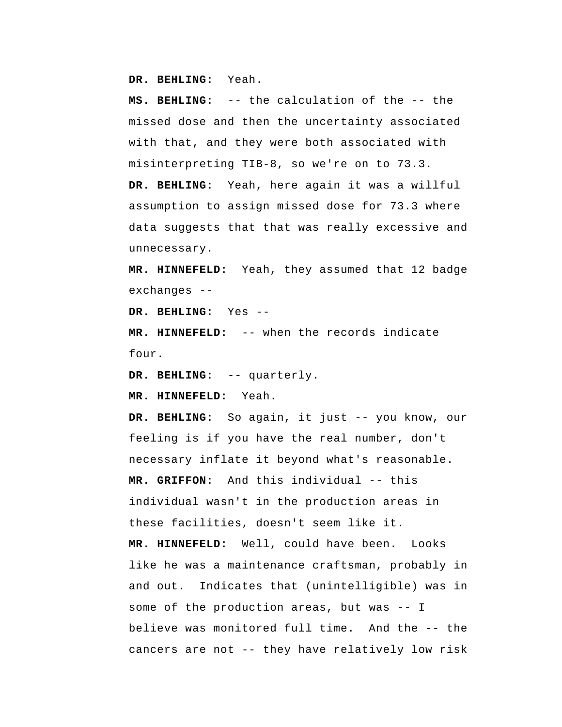**DR. BEHLING:** Yeah.

 **MS. BEHLING:** -- the calculation of the -- the missed dose and then the uncertainty associated with that, and they were both associated with misinterpreting TIB-8, so we're on to 73.3.  **DR. BEHLING:** Yeah, here again it was a willful assumption to assign missed dose for 73.3 where data suggests that that was really excessive and unnecessary.

 **MR. HINNEFELD:** Yeah, they assumed that 12 badge exchanges --

 **DR. BEHLING:** Yes --

 **MR. HINNEFELD:** -- when the records indicate four.

 **DR. BEHLING:** -- quarterly.

 **MR. HINNEFELD:** Yeah.

 **DR. BEHLING:** So again, it just -- you know, our feeling is if you have the real number, don't necessary inflate it beyond what's reasonable.  **MR. GRIFFON:** And this individual -- this individual wasn't in the production areas in these facilities, doesn't seem like it.  **MR. HINNEFELD:** Well, could have been. Looks like he was a maintenance craftsman, probably in and out. Indicates that (unintelligible) was in some of the production areas, but was -- I believe was monitored full time. And the -- the cancers are not -- they have relatively low risk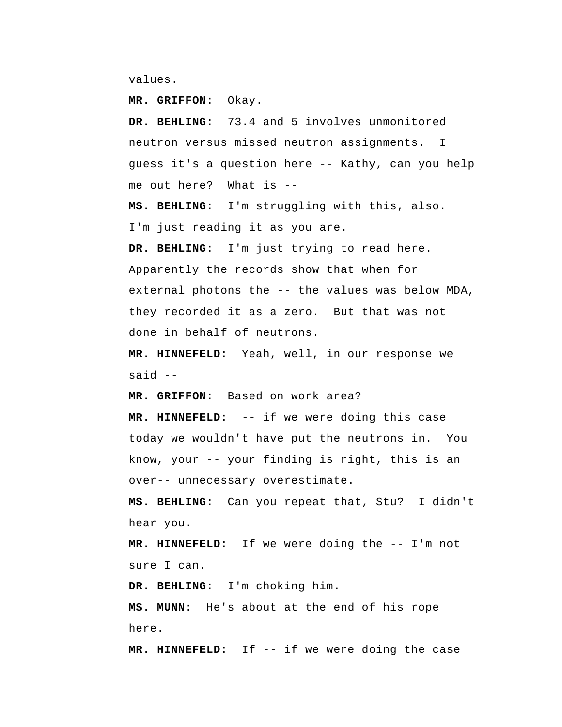values.

 **MR. GRIFFON:** Okay.

 **DR. BEHLING:** 73.4 and 5 involves unmonitored neutron versus missed neutron assignments. I guess it's a question here -- Kathy, can you help me out here? What is --

 **MS. BEHLING:** I'm struggling with this, also. I'm just reading it as you are.

 **DR. BEHLING:** I'm just trying to read here. Apparently the records show that when for external photons the -- the values was below MDA, they recorded it as a zero. But that was not done in behalf of neutrons.

 **MR. HINNEFELD:** Yeah, well, in our response we said --

 **MR. GRIFFON:** Based on work area?

 **MR. HINNEFELD:** -- if we were doing this case today we wouldn't have put the neutrons in. You know, your -- your finding is right, this is an over-- unnecessary overestimate.

 **MS. BEHLING:** Can you repeat that, Stu? I didn't hear you.

 **MR. HINNEFELD:** If we were doing the -- I'm not sure I can.

 **DR. BEHLING:** I'm choking him.

 **MS. MUNN:** He's about at the end of his rope here.

 **MR. HINNEFELD:** If -- if we were doing the case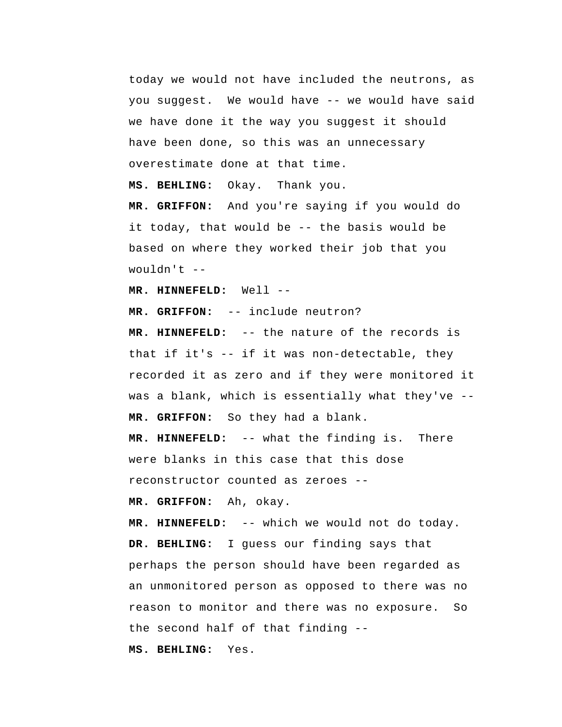today we would not have included the neutrons, as you suggest. We would have -- we would have said we have done it the way you suggest it should have been done, so this was an unnecessary overestimate done at that time.

 **MS. BEHLING:** Okay. Thank you.

 **MR. GRIFFON:** And you're saying if you would do it today, that would be -- the basis would be based on where they worked their job that you wouldn't  $--$ 

 **MR. HINNEFELD:** Well --

 **MR. GRIFFON:** -- include neutron?

 **MR. HINNEFELD:** -- the nature of the records is that if it's -- if it was non-detectable, they recorded it as zero and if they were monitored it was a blank, which is essentially what they've --  **MR. GRIFFON:** So they had a blank.

 **MR. HINNEFELD:** -- what the finding is. There were blanks in this case that this dose reconstructor counted as zeroes --

 **MR. GRIFFON:** Ah, okay.

 **MR. HINNEFELD:** -- which we would not do today.  **DR. BEHLING:** I guess our finding says that perhaps the person should have been regarded as an unmonitored person as opposed to there was no reason to monitor and there was no exposure. So the second half of that finding --

 **MS. BEHLING:** Yes.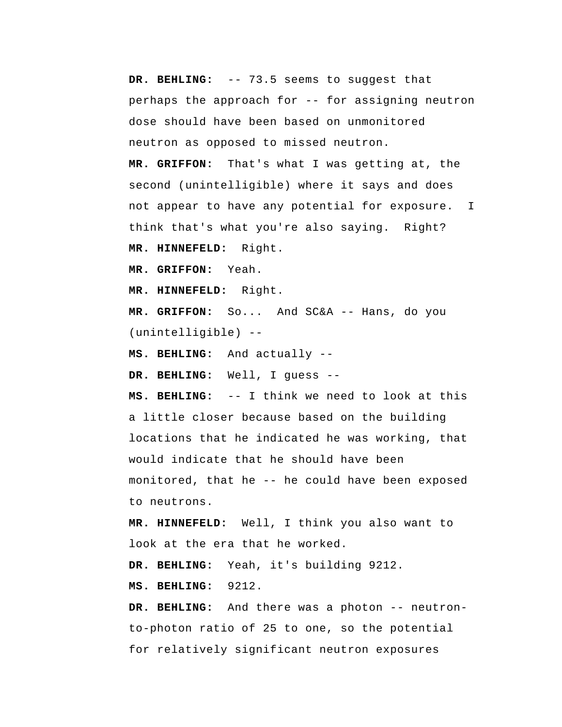**DR. BEHLING:** -- 73.5 seems to suggest that perhaps the approach for -- for assigning neutron dose should have been based on unmonitored neutron as opposed to missed neutron.  **MR. GRIFFON:** That's what I was getting at, the second (unintelligible) where it says and does not appear to have any potential for exposure. I think that's what you're also saying. Right?  **MR. HINNEFELD:** Right.  **MR. GRIFFON:** Yeah.  **MR. HINNEFELD:** Right.  **MR. GRIFFON:** So... And SC&A -- Hans, do you (unintelligible) -- **MS. BEHLING:** And actually -- **DR. BEHLING:** Well, I guess -- **MS. BEHLING:** -- I think we need to look at this a little closer because based on the building locations that he indicated he was working, that would indicate that he should have been

monitored, that he -- he could have been exposed to neutrons.

 **MR. HINNEFELD:** Well, I think you also want to look at the era that he worked.

 **DR. BEHLING:** Yeah, it's building 9212.

 **MS. BEHLING:** 9212.

 **DR. BEHLING:** And there was a photon -- neutronto-photon ratio of 25 to one, so the potential for relatively significant neutron exposures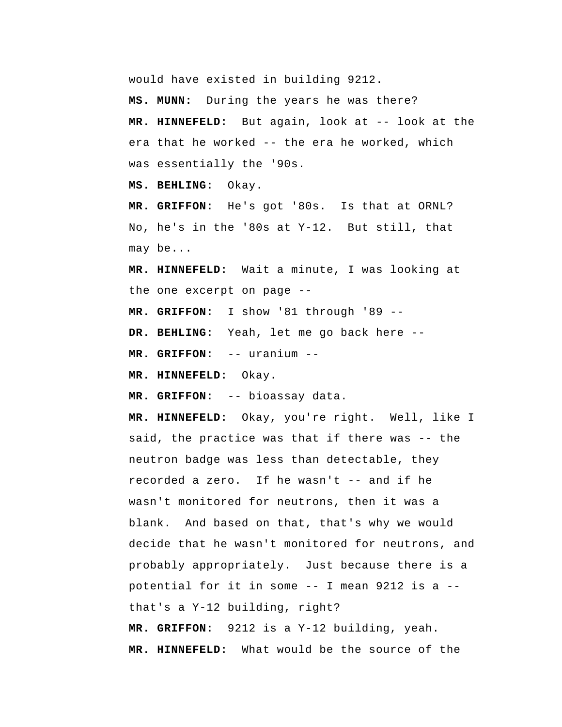would have existed in building 9212.

 **MS. MUNN:** During the years he was there?  **MR. HINNEFELD:** But again, look at -- look at the era that he worked -- the era he worked, which was essentially the '90s.

 **MS. BEHLING:** Okay.

 **MR. GRIFFON:** He's got '80s. Is that at ORNL? No, he's in the '80s at Y-12. But still, that may be...

 **MR. HINNEFELD:** Wait a minute, I was looking at the one excerpt on page --

 **MR. GRIFFON:** I show '81 through '89 --

 **DR. BEHLING:** Yeah, let me go back here --

 **MR. GRIFFON:** -- uranium --

 **MR. HINNEFELD:** Okay.

 **MR. GRIFFON:** -- bioassay data.

 **MR. HINNEFELD:** Okay, you're right. Well, like I said, the practice was that if there was -- the neutron badge was less than detectable, they recorded a zero. If he wasn't -- and if he wasn't monitored for neutrons, then it was a blank. And based on that, that's why we would decide that he wasn't monitored for neutrons, and probably appropriately. Just because there is a potential for it in some -- I mean 9212 is a - that's a Y-12 building, right?  **MR. GRIFFON:** 9212 is a Y-12 building, yeah.  **MR. HINNEFELD:** What would be the source of the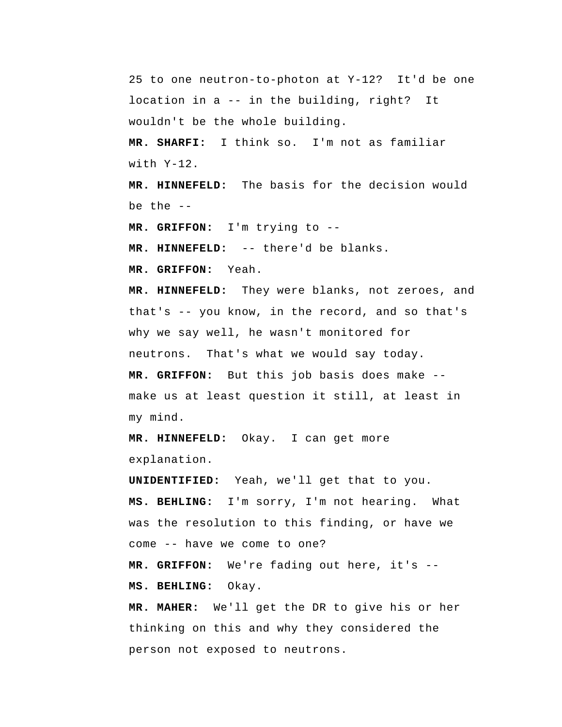25 to one neutron-to-photon at Y-12? It'd be one location in a -- in the building, right? It wouldn't be the whole building.

 **MR. SHARFI:** I think so. I'm not as familiar with  $Y-12$ .

 **MR. HINNEFELD:** The basis for the decision would be the --

 **MR. GRIFFON:** I'm trying to --

 **MR. HINNEFELD:** -- there'd be blanks.

 **MR. GRIFFON:** Yeah.

 **MR. HINNEFELD:** They were blanks, not zeroes, and that's -- you know, in the record, and so that's why we say well, he wasn't monitored for neutrons. That's what we would say today.

 **MR. GRIFFON:** But this job basis does make - make us at least question it still, at least in my mind.

 **MR. HINNEFELD:** Okay. I can get more explanation.

**UNIDENTIFIED:** Yeah, we'll get that to you.

 **MS. BEHLING:** I'm sorry, I'm not hearing. What was the resolution to this finding, or have we come -- have we come to one?

 **MR. GRIFFON:** We're fading out here, it's --  **MS. BEHLING:** Okay.

**MR. MAHER:** We'll get the DR to give his or her thinking on this and why they considered the person not exposed to neutrons.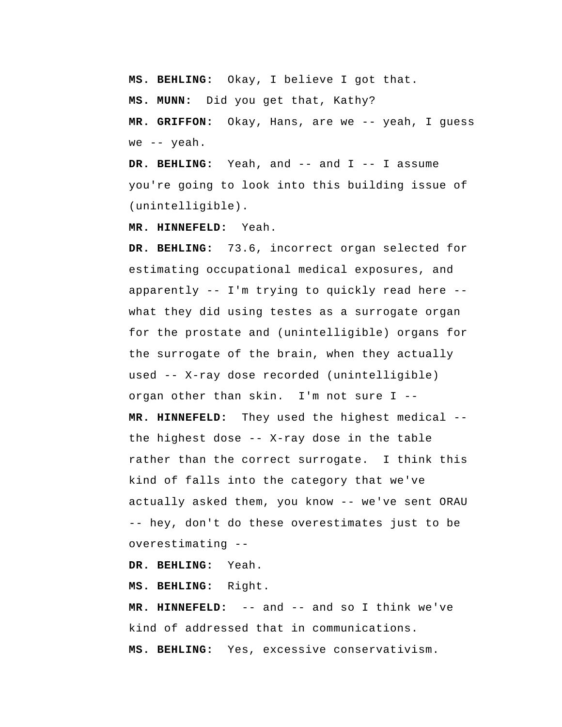**MS. BEHLING:** Okay, I believe I got that.

 **MS. MUNN:** Did you get that, Kathy?

 **MR. GRIFFON:** Okay, Hans, are we -- yeah, I guess we -- yeah.

 **DR. BEHLING:** Yeah, and -- and I -- I assume you're going to look into this building issue of (unintelligible).

 **MR. HINNEFELD:** Yeah.

 **DR. BEHLING:** 73.6, incorrect organ selected for estimating occupational medical exposures, and apparently -- I'm trying to quickly read here - what they did using testes as a surrogate organ for the prostate and (unintelligible) organs for the surrogate of the brain, when they actually used -- X-ray dose recorded (unintelligible) organ other than skin. I'm not sure I -- **MR. HINNEFELD:** They used the highest medical - the highest dose -- X-ray dose in the table rather than the correct surrogate. I think this kind of falls into the category that we've actually asked them, you know -- we've sent ORAU -- hey, don't do these overestimates just to be overestimating --

 **DR. BEHLING:** Yeah.

 **MS. BEHLING:** Right.

 **MR. HINNEFELD:** -- and -- and so I think we've kind of addressed that in communications.  **MS. BEHLING:** Yes, excessive conservativism.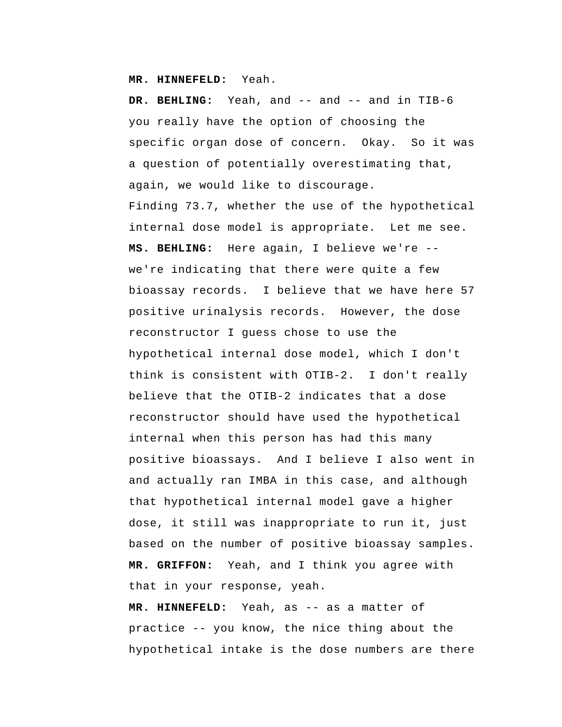**MR. HINNEFELD:** Yeah.

DR. BEHLING: Yeah, and -- and -- and in TIB-6 you really have the option of choosing the specific organ dose of concern. Okay. So it was a question of potentially overestimating that, again, we would like to discourage. Finding 73.7, whether the use of the hypothetical internal dose model is appropriate. Let me see.  **MS. BEHLING:** Here again, I believe we're - we're indicating that there were quite a few bioassay records. I believe that we have here 57 positive urinalysis records. However, the dose reconstructor I guess chose to use the hypothetical internal dose model, which I don't think is consistent with OTIB-2. I don't really believe that the OTIB-2 indicates that a dose reconstructor should have used the hypothetical internal when this person has had this many positive bioassays. And I believe I also went in and actually ran IMBA in this case, and although that hypothetical internal model gave a higher dose, it still was inappropriate to run it, just based on the number of positive bioassay samples.  **MR. GRIFFON:** Yeah, and I think you agree with that in your response, yeah.

 **MR. HINNEFELD:** Yeah, as -- as a matter of practice -- you know, the nice thing about the hypothetical intake is the dose numbers are there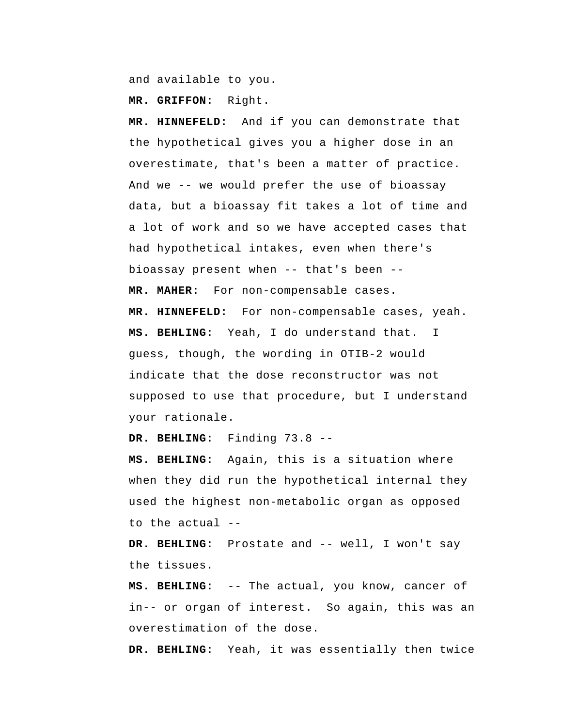and available to you.

 **MR. GRIFFON:** Right.

 **MR. HINNEFELD:** And if you can demonstrate that the hypothetical gives you a higher dose in an overestimate, that's been a matter of practice. And we -- we would prefer the use of bioassay data, but a bioassay fit takes a lot of time and a lot of work and so we have accepted cases that had hypothetical intakes, even when there's bioassay present when -- that's been -- **MR. MAHER:** For non-compensable cases.  **MR. HINNEFELD:** For non-compensable cases, yeah.  **MS. BEHLING:** Yeah, I do understand that. I guess, though, the wording in OTIB-2 would indicate that the dose reconstructor was not supposed to use that procedure, but I understand your rationale.

 **DR. BEHLING:** Finding 73.8 --

 **MS. BEHLING:** Again, this is a situation where when they did run the hypothetical internal they used the highest non-metabolic organ as opposed to the actual --

 **DR. BEHLING:** Prostate and -- well, I won't say the tissues.

 **MS. BEHLING:** -- The actual, you know, cancer of in-- or organ of interest. So again, this was an overestimation of the dose.

 **DR. BEHLING:** Yeah, it was essentially then twice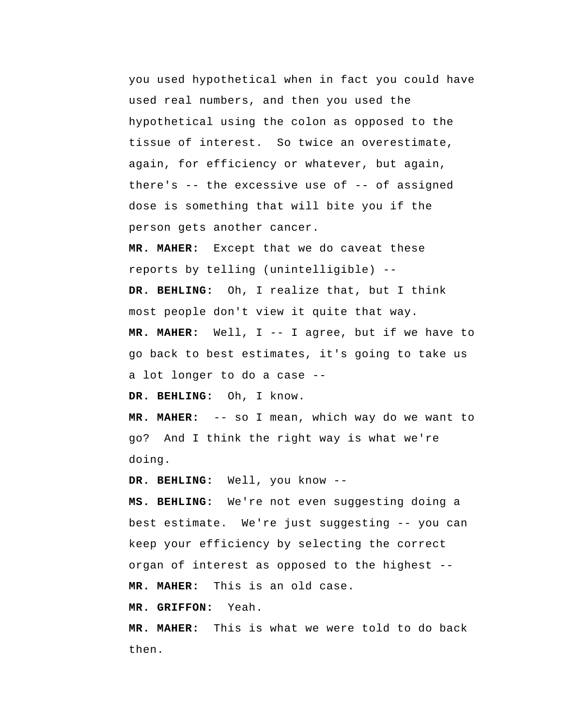you used hypothetical when in fact you could have used real numbers, and then you used the hypothetical using the colon as opposed to the tissue of interest. So twice an overestimate, again, for efficiency or whatever, but again, there's  $-$  the excessive use of  $-$ - of assigned dose is something that will bite you if the person gets another cancer.

**MR. MAHER:** Except that we do caveat these reports by telling (unintelligible) --  **DR. BEHLING:** Oh, I realize that, but I think

most people don't view it quite that way.

**MR. MAHER:** Well, I -- I agree, but if we have to go back to best estimates, it's going to take us a lot longer to do a case --

 **DR. BEHLING:** Oh, I know.

**MR. MAHER:** -- so I mean, which way do we want to go? And I think the right way is what we're doing.

 **DR. BEHLING:** Well, you know --

 **MS. BEHLING:** We're not even suggesting doing a best estimate. We're just suggesting -- you can keep your efficiency by selecting the correct organ of interest as opposed to the highest -- **MR. MAHER:** This is an old case.

 **MR. GRIFFON:** Yeah.

**MR. MAHER:** This is what we were told to do back then.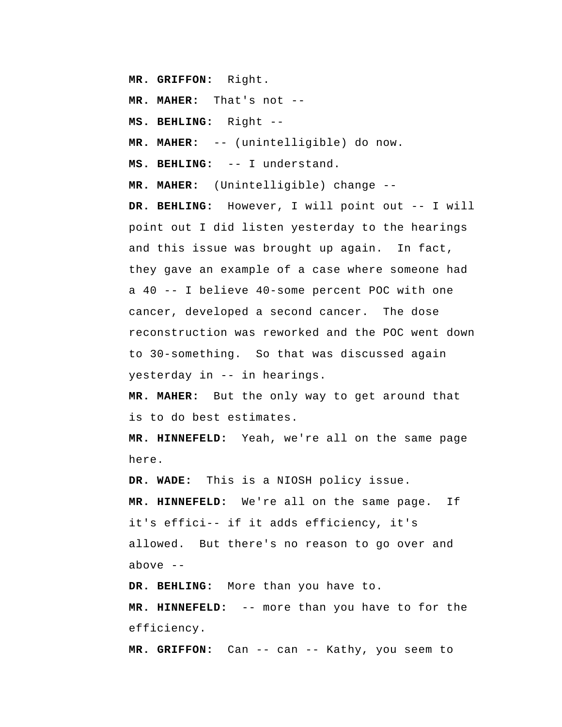**MR. GRIFFON:** Right.

**MR. MAHER:** That's not --

 **MS. BEHLING:** Right --

**MR. MAHER:** -- (unintelligible) do now.

 **MS. BEHLING:** -- I understand.

**MR. MAHER:** (Unintelligible) change --

 **DR. BEHLING:** However, I will point out -- I will point out I did listen yesterday to the hearings and this issue was brought up again. In fact, they gave an example of a case where someone had a 40 -- I believe 40-some percent POC with one cancer, developed a second cancer. The dose reconstruction was reworked and the POC went down to 30-something. So that was discussed again yesterday in -- in hearings.

**MR. MAHER:** But the only way to get around that is to do best estimates.

 **MR. HINNEFELD:** Yeah, we're all on the same page here.

 **DR. WADE:** This is a NIOSH policy issue.

 **MR. HINNEFELD:** We're all on the same page. If it's effici-- if it adds efficiency, it's allowed. But there's no reason to go over and above  $-$ 

 **DR. BEHLING:** More than you have to.

 **MR. HINNEFELD:** -- more than you have to for the efficiency.

 **MR. GRIFFON:** Can -- can -- Kathy, you seem to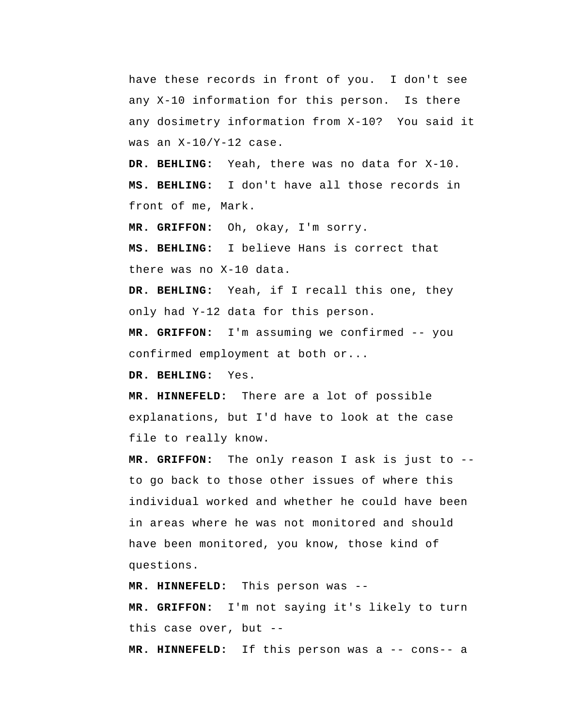have these records in front of you. I don't see any X-10 information for this person. Is there any dosimetry information from X-10? You said it was an X-10/Y-12 case.

 **DR. BEHLING:** Yeah, there was no data for X-10.  **MS. BEHLING:** I don't have all those records in front of me, Mark.

 **MR. GRIFFON:** Oh, okay, I'm sorry.

 **MS. BEHLING:** I believe Hans is correct that there was no X-10 data.

 **DR. BEHLING:** Yeah, if I recall this one, they only had Y-12 data for this person.

 **MR. GRIFFON:** I'm assuming we confirmed -- you confirmed employment at both or...

 **DR. BEHLING:** Yes.

 **MR. HINNEFELD:** There are a lot of possible explanations, but I'd have to look at the case file to really know.

 **MR. GRIFFON:** The only reason I ask is just to - to go back to those other issues of where this individual worked and whether he could have been in areas where he was not monitored and should have been monitored, you know, those kind of questions.

 **MR. HINNEFELD:** This person was --

 **MR. GRIFFON:** I'm not saying it's likely to turn this case over, but --

 **MR. HINNEFELD:** If this person was a -- cons-- a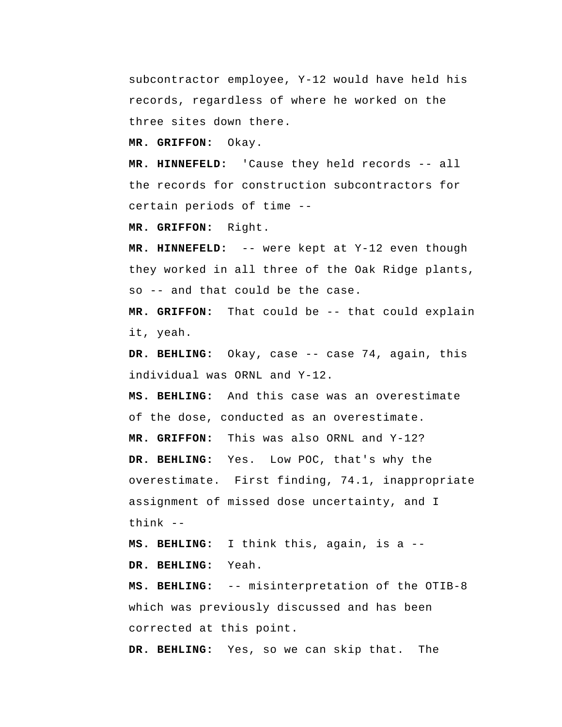subcontractor employee, Y-12 would have held his records, regardless of where he worked on the three sites down there.

 **MR. GRIFFON:** Okay.

 **MR. HINNEFELD:** 'Cause they held records -- all the records for construction subcontractors for certain periods of time --

 **MR. GRIFFON:** Right.

 **MR. HINNEFELD:** -- were kept at Y-12 even though they worked in all three of the Oak Ridge plants, so -- and that could be the case.

 **MR. GRIFFON:** That could be -- that could explain it, yeah.

 **DR. BEHLING:** Okay, case -- case 74, again, this individual was ORNL and Y-12.

 **MS. BEHLING:** And this case was an overestimate of the dose, conducted as an overestimate.

 **MR. GRIFFON:** This was also ORNL and Y-12?

 **DR. BEHLING:** Yes. Low POC, that's why the overestimate. First finding, 74.1, inappropriate assignment of missed dose uncertainty, and I think --

 **MS. BEHLING:** I think this, again, is a --  **DR. BEHLING:** Yeah.

 **MS. BEHLING:** -- misinterpretation of the OTIB-8 which was previously discussed and has been corrected at this point.

 **DR. BEHLING:** Yes, so we can skip that. The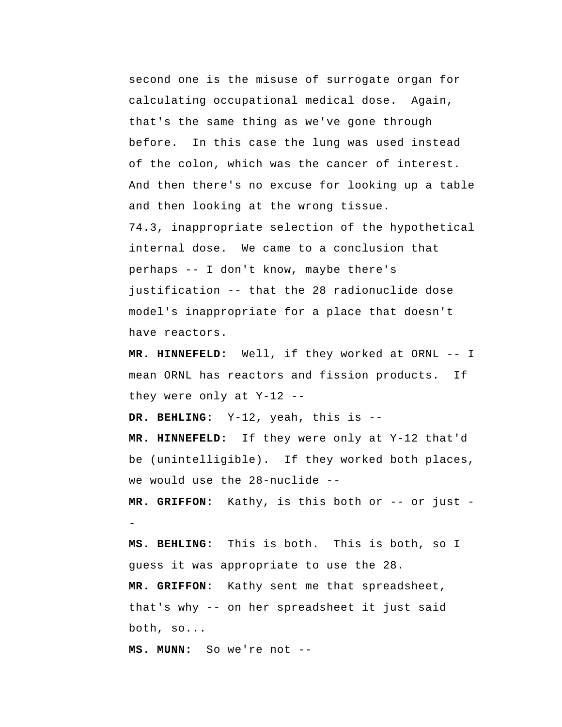second one is the misuse of surrogate organ for calculating occupational medical dose. Again, that's the same thing as we've gone through before. In this case the lung was used instead of the colon, which was the cancer of interest. And then there's no excuse for looking up a table and then looking at the wrong tissue. 74.3, inappropriate selection of the hypothetical internal dose. We came to a conclusion that perhaps -- I don't know, maybe there's justification -- that the 28 radionuclide dose model's inappropriate for a place that doesn't have reactors.

 **MR. HINNEFELD:** Well, if they worked at ORNL -- I mean ORNL has reactors and fission products. If they were only at Y-12 --

 **DR. BEHLING:** Y-12, yeah, this is --

 **MR. HINNEFELD:** If they were only at Y-12 that'd be (unintelligible). If they worked both places, we would use the 28-nuclide --

 **MR. GRIFFON:** Kathy, is this both or -- or just -

 **MS. BEHLING:** This is both. This is both, so I guess it was appropriate to use the 28.  **MR. GRIFFON:** Kathy sent me that spreadsheet, that's why -- on her spreadsheet it just said both, so...

 **MS. MUNN:** So we're not --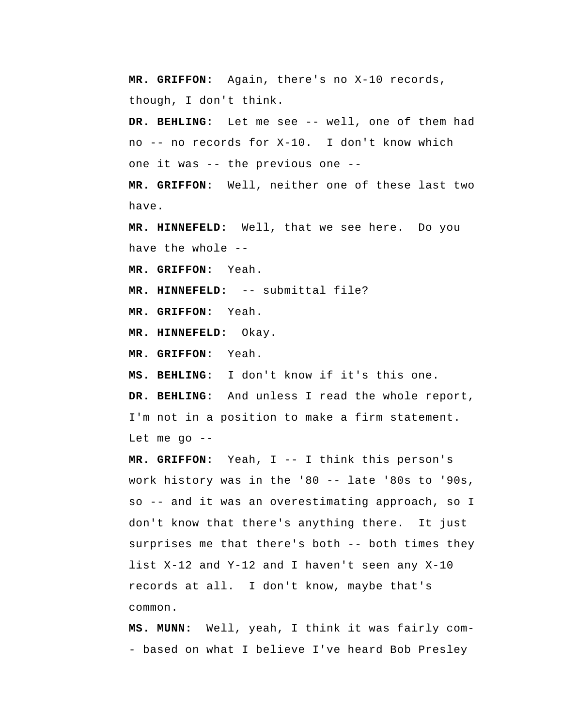**MR. GRIFFON:** Again, there's no X-10 records, though, I don't think.

 **DR. BEHLING:** Let me see -- well, one of them had no -- no records for X-10. I don't know which one it was -- the previous one --

 **MR. GRIFFON:** Well, neither one of these last two have.

 **MR. HINNEFELD:** Well, that we see here. Do you have the whole --

 **MR. GRIFFON:** Yeah.

 **MR. HINNEFELD:** -- submittal file?

 **MR. GRIFFON:** Yeah.

 **MR. HINNEFELD:** Okay.

 **MR. GRIFFON:** Yeah.

 **MS. BEHLING:** I don't know if it's this one.

 **DR. BEHLING:** And unless I read the whole report, I'm not in a position to make a firm statement. Let me go --

 **MR. GRIFFON:** Yeah, I -- I think this person's work history was in the '80 -- late '80s to '90s, so -- and it was an overestimating approach, so I don't know that there's anything there. It just surprises me that there's both -- both times they list X-12 and Y-12 and I haven't seen any X-10 records at all. I don't know, maybe that's common.

 **MS. MUNN:** Well, yeah, I think it was fairly com - based on what I believe I've heard Bob Presley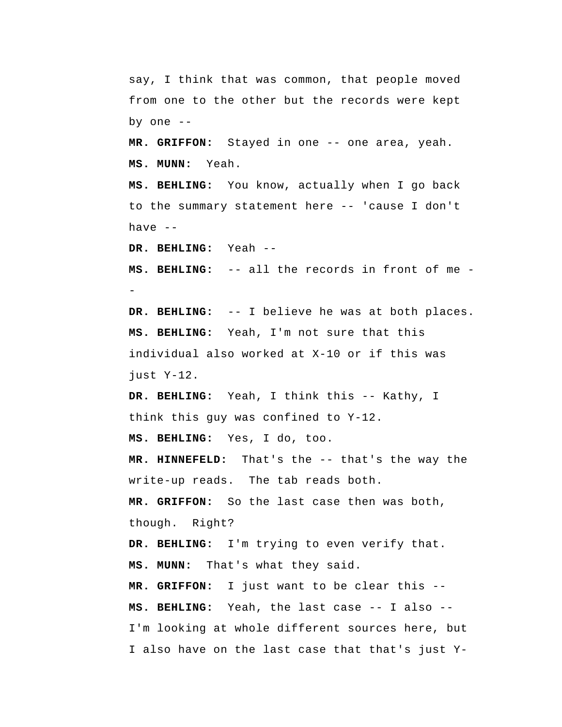say, I think that was common, that people moved from one to the other but the records were kept by one  $-$ 

 **MR. GRIFFON:** Stayed in one -- one area, yeah.  **MS. MUNN:** Yeah.

 **MS. BEHLING:** You know, actually when I go back to the summary statement here -- 'cause I don't have --

 **DR. BEHLING:**  Yeah --

**MS. BEHLING:** -- all the records in front of me --

 **DR. BEHLING:**  -- I believe he was at both places.  **MS. BEHLING:**  Yeah, I'm not sure that this individual also worked at X-10 or if this was just Y-12.

> **DR. BEHLING:** Yeah, I think this -- Kathy, I think this guy was confined to Y-12.

 **MS. BEHLING:** Yes, I do, too.

 **MR. HINNEFELD:** That's the -- that's the way the write-up reads. The tab reads both.

 **MR. GRIFFON:** So the last case then was both, though. Right?

 **DR. BEHLING:** I'm trying to even verify that.  **MS. MUNN:** That's what they said.

 **MR. GRIFFON:** I just want to be clear this --  **MS. BEHLING:** Yeah, the last case -- I also -- I'm looking at whole different sources here, but I also have on the last case that that's just Y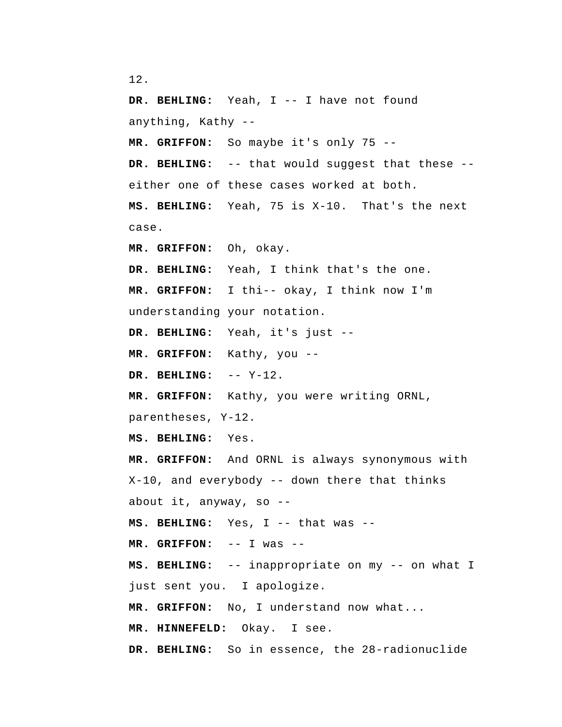```
12.
```
 **DR. BEHLING:** Yeah, I -- I have not found anything, Kathy -- **MR. GRIFFON:** So maybe it's only 75 --  **DR. BEHLING:** -- that would suggest that these - either one of these cases worked at both.  **MS. BEHLING:** Yeah, 75 is X-10. That's the next case.  **MR. GRIFFON:** Oh, okay.  **DR. BEHLING:** Yeah, I think that's the one.  **MR. GRIFFON:** I thi-- okay, I think now I'm understanding your notation.  **DR. BEHLING:** Yeah, it's just -- **MR. GRIFFON:** Kathy, you -- **DR. BEHLING:** -- Y-12.  **MR. GRIFFON:** Kathy, you were writing ORNL, parentheses, Y-12.  **MS. BEHLING:** Yes.  **MR. GRIFFON:** And ORNL is always synonymous with X-10, and everybody -- down there that thinks about it, anyway, so --  **MS. BEHLING:** Yes, I -- that was --  **MR. GRIFFON:** -- I was -- **MS. BEHLING:** -- inappropriate on my -- on what I just sent you. I apologize.  **MR. GRIFFON:** No, I understand now what...  **MR. HINNEFELD:** Okay. I see.  **DR. BEHLING:** So in essence, the 28-radionuclide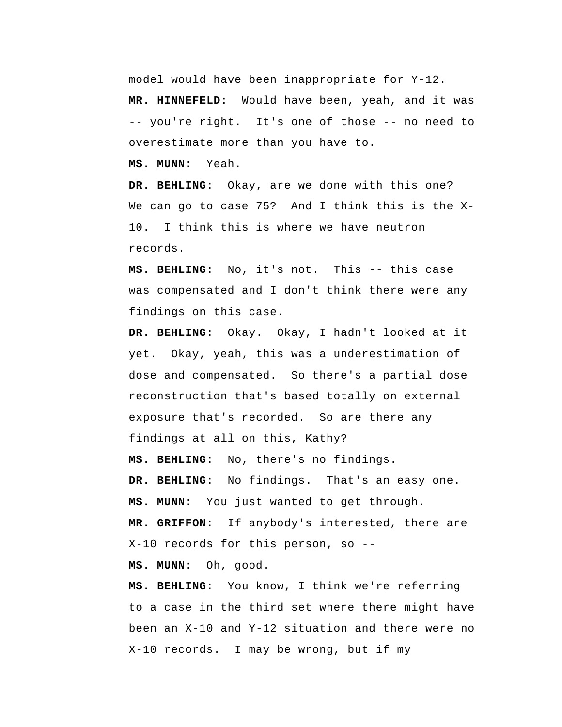model would have been inappropriate for Y-12.

 **MR. HINNEFELD:** Would have been, yeah, and it was -- you're right. It's one of those -- no need to overestimate more than you have to.

 **MS. MUNN:** Yeah.

 **DR. BEHLING:** Okay, are we done with this one? We can go to case 75? And I think this is the X-10. I think this is where we have neutron records.

 **MS. BEHLING:** No, it's not. This -- this case was compensated and I don't think there were any findings on this case.

 **DR. BEHLING:** Okay. Okay, I hadn't looked at it yet. Okay, yeah, this was a underestimation of dose and compensated. So there's a partial dose reconstruction that's based totally on external exposure that's recorded. So are there any findings at all on this, Kathy?  **MS. BEHLING:** No, there's no findings.  **DR. BEHLING:** No findings. That's an easy one.  **MS. MUNN:** You just wanted to get through.  **MR. GRIFFON:** If anybody's interested, there are X-10 records for this person, so --

 **MS. MUNN:** Oh, good.

 **MS. BEHLING:** You know, I think we're referring to a case in the third set where there might have been an X-10 and Y-12 situation and there were no X-10 records. I may be wrong, but if my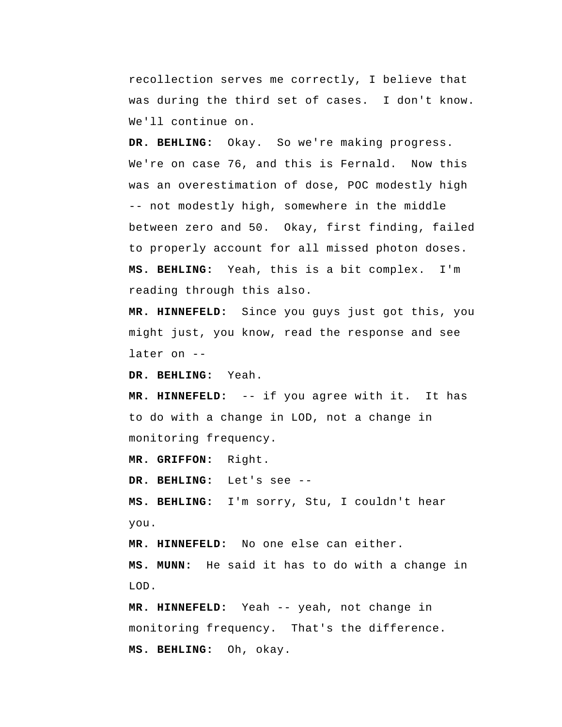recollection serves me correctly, I believe that was during the third set of cases. I don't know. We'll continue on.

 **DR. BEHLING:** Okay. So we're making progress. We're on case 76, and this is Fernald. Now this was an overestimation of dose, POC modestly high -- not modestly high, somewhere in the middle between zero and 50. Okay, first finding, failed to properly account for all missed photon doses.  **MS. BEHLING:** Yeah, this is a bit complex. I'm reading through this also.

 **MR. HINNEFELD:** Since you guys just got this, you might just, you know, read the response and see later on --

 **DR. BEHLING:** Yeah.

 **MR. HINNEFELD:** -- if you agree with it. It has to do with a change in LOD, not a change in monitoring frequency.

 **MR. GRIFFON:** Right.

 **DR. BEHLING:** Let's see --

 **MS. BEHLING:** I'm sorry, Stu, I couldn't hear you.

 **MR. HINNEFELD:** No one else can either.

 **MS. MUNN:** He said it has to do with a change in LOD.

 **MR. HINNEFELD:** Yeah -- yeah, not change in monitoring frequency. That's the difference.  **MS. BEHLING:** Oh, okay.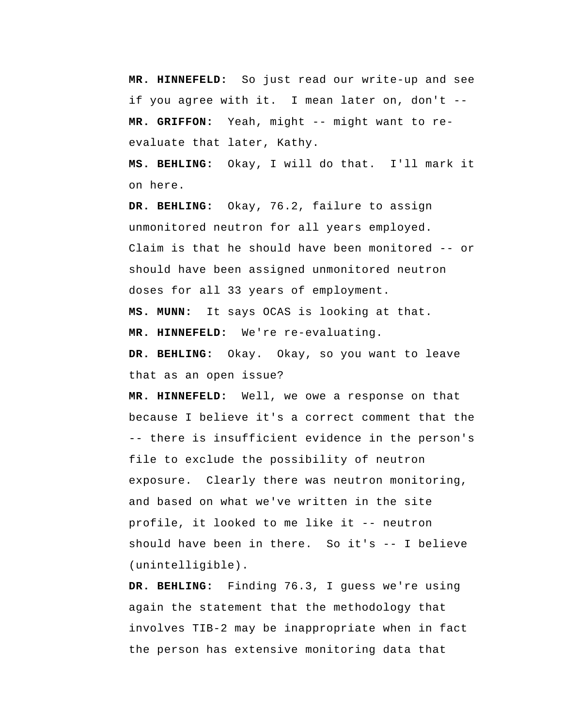**MR. HINNEFELD:** So just read our write-up and see if you agree with it. I mean later on, don't --  **MR. GRIFFON:** Yeah, might -- might want to reevaluate that later, Kathy.

 **MS. BEHLING:** Okay, I will do that. I'll mark it on here.

 **DR. BEHLING:** Okay, 76.2, failure to assign unmonitored neutron for all years employed. Claim is that he should have been monitored -- or should have been assigned unmonitored neutron doses for all 33 years of employment.

 **MS. MUNN:** It says OCAS is looking at that.

 **MR. HINNEFELD:** We're re-evaluating.

 **DR. BEHLING:** Okay. Okay, so you want to leave that as an open issue?

 **MR. HINNEFELD:** Well, we owe a response on that because I believe it's a correct comment that the -- there is insufficient evidence in the person's file to exclude the possibility of neutron exposure. Clearly there was neutron monitoring, and based on what we've written in the site profile, it looked to me like it -- neutron should have been in there. So it's -- I believe (unintelligible).

 **DR. BEHLING:** Finding 76.3, I guess we're using again the statement that the methodology that involves TIB-2 may be inappropriate when in fact the person has extensive monitoring data that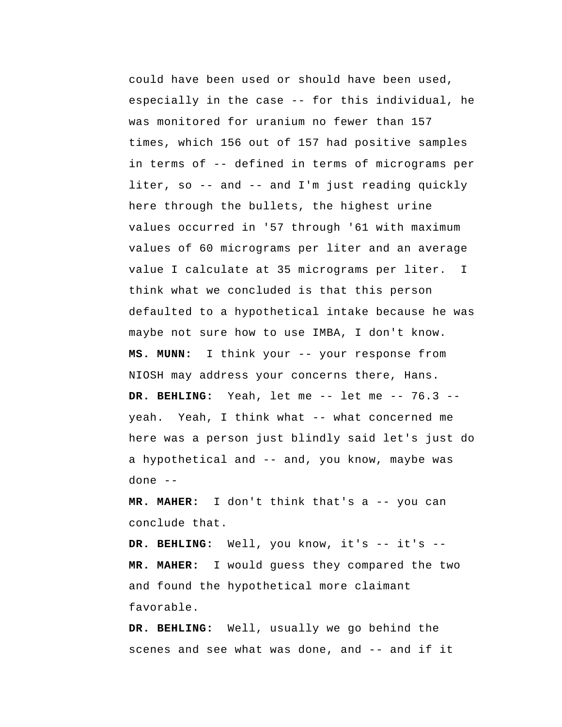could have been used or should have been used, especially in the case -- for this individual, he was monitored for uranium no fewer than 157 times, which 156 out of 157 had positive samples in terms of -- defined in terms of micrograms per liter, so -- and -- and I'm just reading quickly here through the bullets, the highest urine values occurred in '57 through '61 with maximum values of 60 micrograms per liter and an average value I calculate at 35 micrograms per liter. I think what we concluded is that this person defaulted to a hypothetical intake because he was maybe not sure how to use IMBA, I don't know.  **MS. MUNN:** I think your -- your response from NIOSH may address your concerns there, Hans.  **DR. BEHLING:** Yeah, let me -- let me -- 76.3 -yeah. Yeah, I think what -- what concerned me here was a person just blindly said let's just do a hypothetical and -- and, you know, maybe was done --

**MR. MAHER:** I don't think that's a -- you can conclude that.

 **DR. BEHLING:** Well, you know, it's -- it's -- **MR. MAHER:** I would guess they compared the two and found the hypothetical more claimant favorable.

 **DR. BEHLING:** Well, usually we go behind the scenes and see what was done, and -- and if it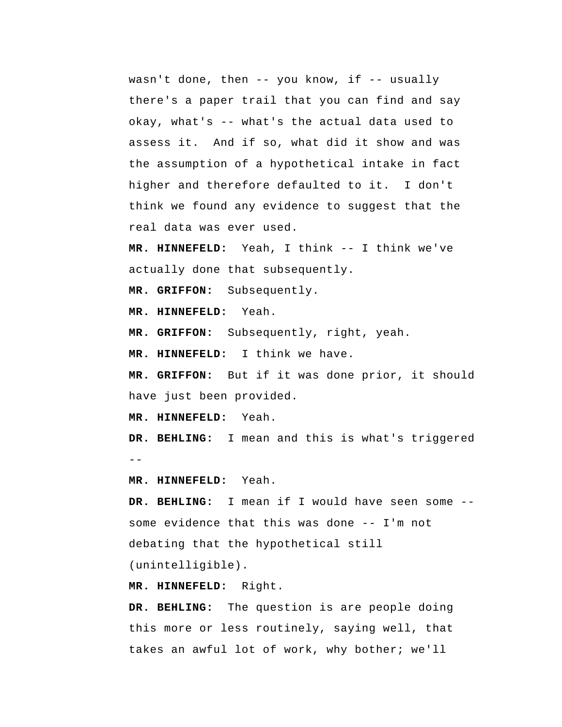wasn't done, then -- you know, if -- usually there's a paper trail that you can find and say okay, what's -- what's the actual data used to assess it. And if so, what did it show and was the assumption of a hypothetical intake in fact higher and therefore defaulted to it. I don't think we found any evidence to suggest that the real data was ever used.

 **MR. HINNEFELD:** Yeah, I think -- I think we've actually done that subsequently.

 **MR. GRIFFON:** Subsequently.

 **MR. HINNEFELD:** Yeah.

 **MR. GRIFFON:** Subsequently, right, yeah.

 **MR. HINNEFELD:** I think we have.

 **MR. GRIFFON:** But if it was done prior, it should have just been provided.

 **MR. HINNEFELD:** Yeah.

 $- -$  **DR. BEHLING:** I mean and this is what's triggered

 **MR. HINNEFELD:** Yeah.

 **DR. BEHLING:** I mean if I would have seen some - some evidence that this was done -- I'm not debating that the hypothetical still (unintelligible).

 **MR. HINNEFELD:** Right.

 **DR. BEHLING:** The question is are people doing this more or less routinely, saying well, that takes an awful lot of work, why bother; we'll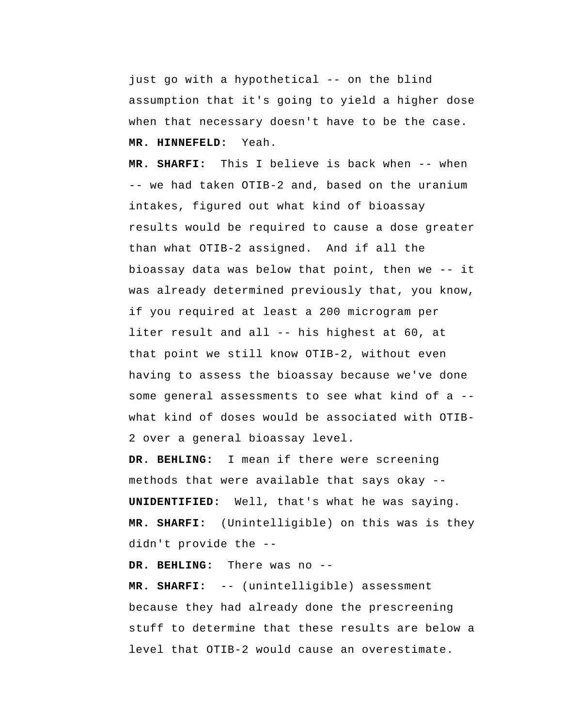just go with a hypothetical -- on the blind assumption that it's going to yield a higher dose when that necessary doesn't have to be the case.  **MR. HINNEFELD:** Yeah.

 **MR. SHARFI:** This I believe is back when -- when -- we had taken OTIB-2 and, based on the uranium intakes, figured out what kind of bioassay results would be required to cause a dose greater than what OTIB-2 assigned. And if all the bioassay data was below that point, then we -- it was already determined previously that, you know, if you required at least a 200 microgram per liter result and all -- his highest at 60, at that point we still know OTIB-2, without even having to assess the bioassay because we've done some general assessments to see what kind of a - what kind of doses would be associated with OTIB-2 over a general bioassay level.

 **DR. BEHLING:** I mean if there were screening methods that were available that says okay -- **UNIDENTIFIED:** Well, that's what he was saying. **MR. SHARFI:** (Unintelligible) on this was is they didn't provide the --

 **DR. BEHLING:** There was no --

 **MR. SHARFI:** -- (unintelligible) assessment because they had already done the prescreening stuff to determine that these results are below a level that OTIB-2 would cause an overestimate.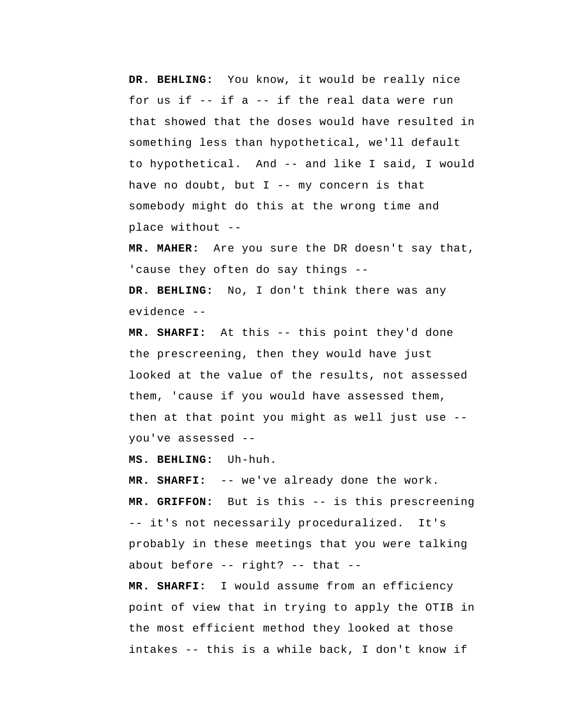**DR. BEHLING:** You know, it would be really nice for us if -- if a -- if the real data were run that showed that the doses would have resulted in something less than hypothetical, we'll default to hypothetical. And -- and like I said, I would have no doubt, but  $I$  -- my concern is that somebody might do this at the wrong time and place without --

**MR. MAHER:** Are you sure the DR doesn't say that, 'cause they often do say things --  **DR. BEHLING:** No, I don't think there was any evidence --

 **MR. SHARFI:** At this -- this point they'd done the prescreening, then they would have just looked at the value of the results, not assessed them, 'cause if you would have assessed them, then at that point you might as well just use - you've assessed --

 **MS. BEHLING:** Uh-huh.

 **MR. SHARFI:** -- we've already done the work.  **MR. GRIFFON:** But is this -- is this prescreening -- it's not necessarily proceduralized. It's probably in these meetings that you were talking about before -- right? -- that --

 **MR. SHARFI:** I would assume from an efficiency point of view that in trying to apply the OTIB in the most efficient method they looked at those intakes -- this is a while back, I don't know if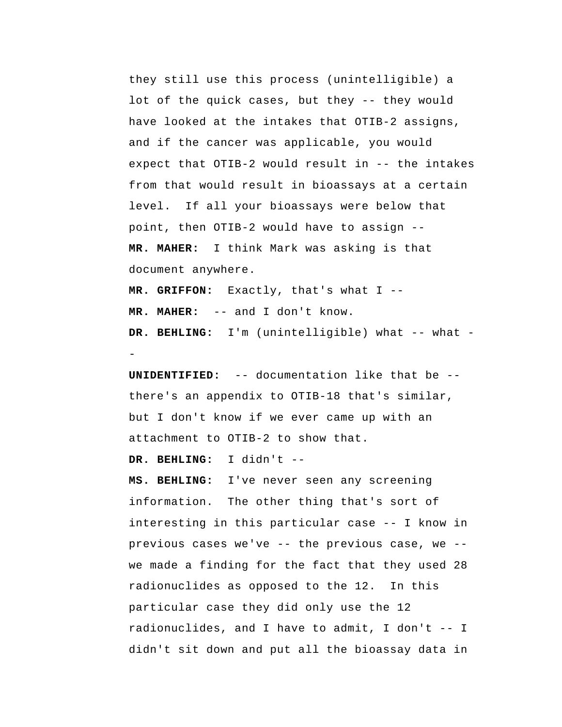they still use this process (unintelligible) a lot of the quick cases, but they -- they would have looked at the intakes that OTIB-2 assigns, and if the cancer was applicable, you would expect that OTIB-2 would result in -- the intakes from that would result in bioassays at a certain level. If all your bioassays were below that point, then OTIB-2 would have to assign -- **MR. MAHER:** I think Mark was asking is that document anywhere.

 **MR. GRIFFON:** Exactly, that's what I -- **MR. MAHER:** -- and I don't know.  **DR. BEHLING:** I'm (unintelligible) what -- what -

**UNIDENTIFIED:** -- documentation like that be - there's an appendix to OTIB-18 that's similar, but I don't know if we ever came up with an attachment to OTIB-2 to show that.

 **DR. BEHLING:** I didn't --

 **MS. BEHLING:** I've never seen any screening information. The other thing that's sort of interesting in this particular case -- I know in previous cases we've -- the previous case, we - we made a finding for the fact that they used 28 radionuclides as opposed to the 12. In this particular case they did only use the 12 radionuclides, and I have to admit, I don't -- I didn't sit down and put all the bioassay data in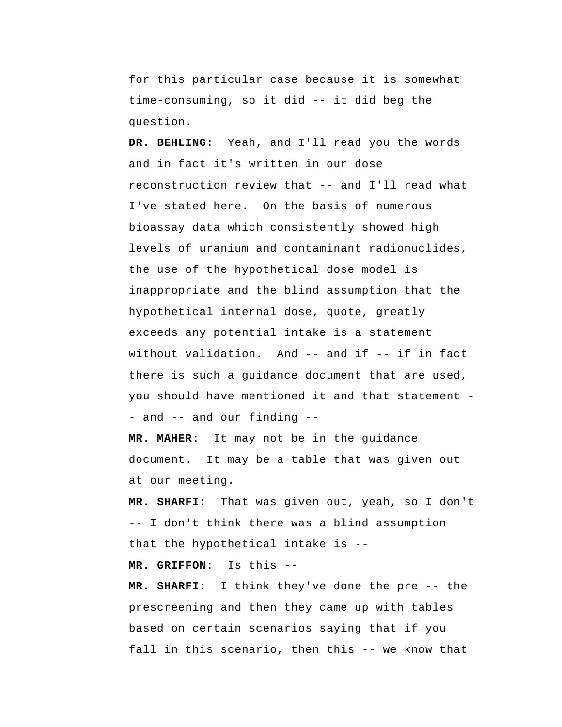for this particular case because it is somewhat time-consuming, so it did -- it did beg the question.

 **DR. BEHLING:** Yeah, and I'll read you the words and in fact it's written in our dose reconstruction review that -- and I'll read what I've stated here. On the basis of numerous bioassay data which consistently showed high levels of uranium and contaminant radionuclides, the use of the hypothetical dose model is inappropriate and the blind assumption that the hypothetical internal dose, quote, greatly exceeds any potential intake is a statement without validation. And -- and if -- if in fact there is such a guidance document that are used, you should have mentioned it and that statement - and -- and our finding --

**MR. MAHER:** It may not be in the guidance document. It may be a table that was given out at our meeting.

 **MR. SHARFI:** That was given out, yeah, so I don't -- I don't think there was a blind assumption that the hypothetical intake is --

 **MR. GRIFFON:** Is this --

 **MR. SHARFI:** I think they've done the pre -- the prescreening and then they came up with tables based on certain scenarios saying that if you fall in this scenario, then this -- we know that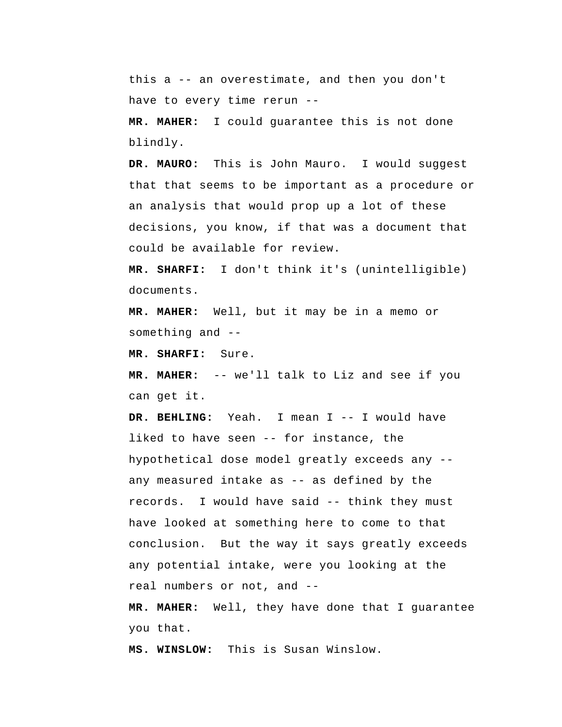this a -- an overestimate, and then you don't have to every time rerun --

**MR. MAHER:** I could guarantee this is not done blindly.

**DR. MAURO:** This is John Mauro. I would suggest that that seems to be important as a procedure or an analysis that would prop up a lot of these decisions, you know, if that was a document that could be available for review.

 **MR. SHARFI:** I don't think it's (unintelligible) documents.

**MR. MAHER:** Well, but it may be in a memo or something and --

 **MR. SHARFI:** Sure.

**MR. MAHER:** -- we'll talk to Liz and see if you can get it.

 **DR. BEHLING:** Yeah. I mean I -- I would have liked to have seen -- for instance, the hypothetical dose model greatly exceeds any - any measured intake as -- as defined by the records. I would have said -- think they must have looked at something here to come to that conclusion. But the way it says greatly exceeds any potential intake, were you looking at the real numbers or not, and --

**MR. MAHER:** Well, they have done that I guarantee you that.

 **MS. WINSLOW:** This is Susan Winslow.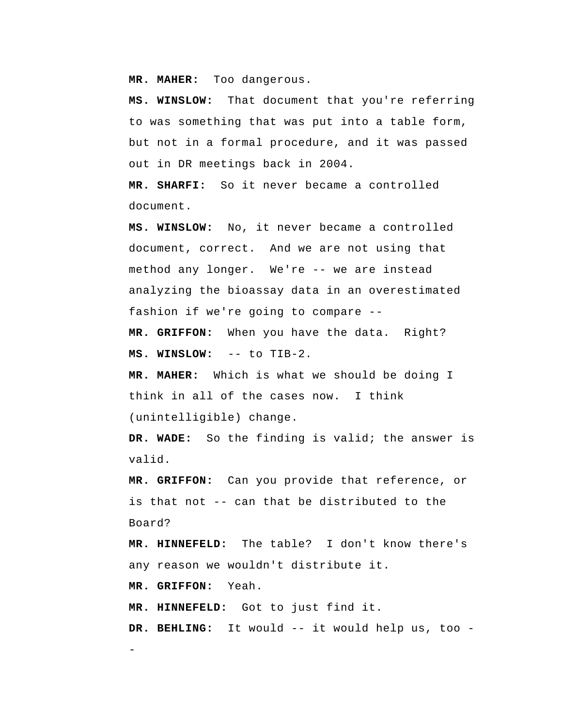**MR. MAHER:** Too dangerous.

 **MS. WINSLOW:** That document that you're referring to was something that was put into a table form, but not in a formal procedure, and it was passed out in DR meetings back in 2004.

 **MR. SHARFI:** So it never became a controlled document.

 **MS. WINSLOW:** No, it never became a controlled document, correct. And we are not using that method any longer. We're -- we are instead analyzing the bioassay data in an overestimated fashion if we're going to compare --

 **MR. GRIFFON:** When you have the data. Right?  **MS. WINSLOW:** -- to TIB-2.

**MR. MAHER:** Which is what we should be doing I think in all of the cases now. I think (unintelligible) change.

 **DR. WADE:** So the finding is valid; the answer is valid.

 **MR. GRIFFON:** Can you provide that reference, or is that not -- can that be distributed to the Board?

 **MR. HINNEFELD:** The table? I don't know there's any reason we wouldn't distribute it.

 **MR. GRIFFON:** Yeah.

-

 **MR. HINNEFELD:** Got to just find it.

DR. BEHLING: It would -- it would help us, too -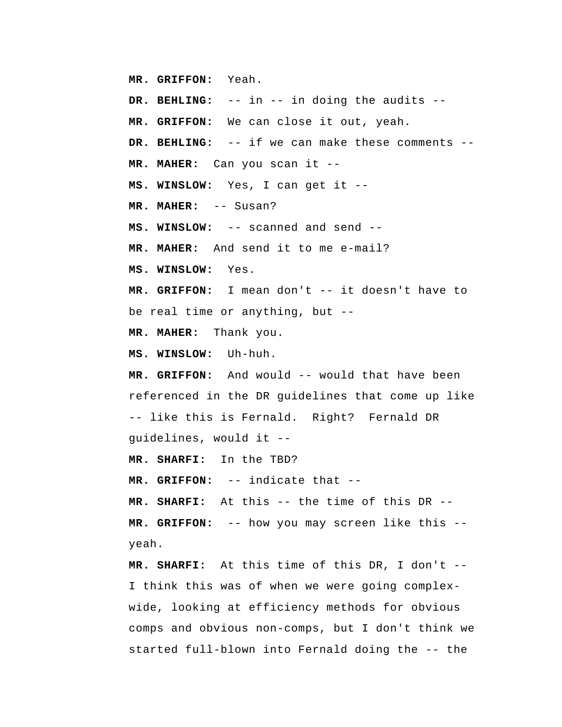**MR. GRIFFON:** Yeah.

 **DR. BEHLING:** -- in -- in doing the audits --

 **MR. GRIFFON:** We can close it out, yeah.

 **DR. BEHLING:** -- if we can make these comments --

**MR. MAHER:** Can you scan it --

 **MS. WINSLOW:** Yes, I can get it --

**MR. MAHER:** -- Susan?

 **MS. WINSLOW:** -- scanned and send --

**MR. MAHER:** And send it to me e-mail?

 **MS. WINSLOW:** Yes.

 **MR. GRIFFON:** I mean don't -- it doesn't have to be real time or anything, but --

**MR. MAHER:** Thank you.

 **MS. WINSLOW:** Uh-huh.

 **MR. GRIFFON:** And would -- would that have been referenced in the DR guidelines that come up like -- like this is Fernald. Right? Fernald DR guidelines, would it --

 **MR. SHARFI:** In the TBD?

 **MR. GRIFFON:** -- indicate that --

 **MR. SHARFI:** At this -- the time of this DR --  **MR. GRIFFON:** -- how you may screen like this - yeah.

 **MR. SHARFI:** At this time of this DR, I don't -- I think this was of when we were going complexwide, looking at efficiency methods for obvious comps and obvious non-comps, but I don't think we started full-blown into Fernald doing the -- the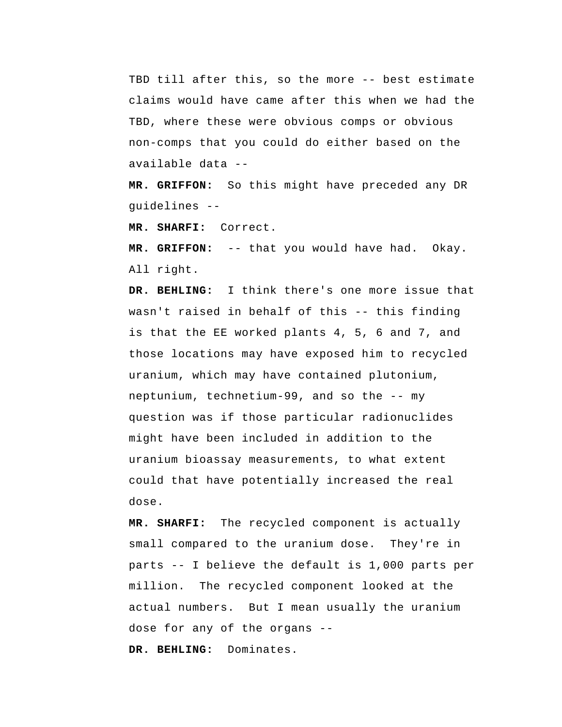TBD till after this, so the more -- best estimate claims would have came after this when we had the TBD, where these were obvious comps or obvious non-comps that you could do either based on the available data --

 **MR. GRIFFON:** So this might have preceded any DR guidelines --

 **MR. SHARFI:** Correct.

 **MR. GRIFFON:** -- that you would have had. Okay. All right.

 **DR. BEHLING:** I think there's one more issue that wasn't raised in behalf of this -- this finding is that the EE worked plants 4, 5, 6 and 7, and those locations may have exposed him to recycled uranium, which may have contained plutonium, neptunium, technetium-99, and so the -- my question was if those particular radionuclides might have been included in addition to the uranium bioassay measurements, to what extent could that have potentially increased the real dose.

 **MR. SHARFI:** The recycled component is actually small compared to the uranium dose. They're in parts -- I believe the default is 1,000 parts per million. The recycled component looked at the actual numbers. But I mean usually the uranium dose for any of the organs --

 **DR. BEHLING:** Dominates.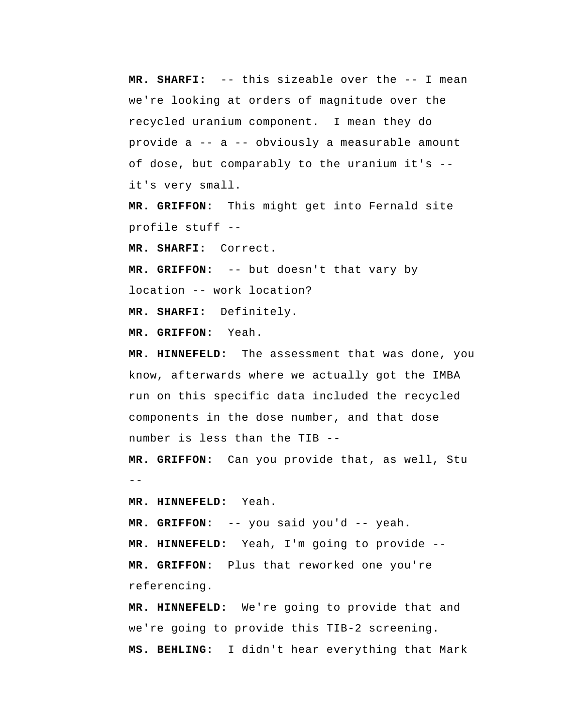**MR. SHARFI:** -- this sizeable over the -- I mean we're looking at orders of magnitude over the recycled uranium component. I mean they do provide a -- a -- obviously a measurable amount of dose, but comparably to the uranium it's - it's very small.

 **MR. GRIFFON:** This might get into Fernald site profile stuff --

 **MR. SHARFI:** Correct.

 **MR. GRIFFON:** -- but doesn't that vary by location -- work location?

 **MR. SHARFI:** Definitely.

 **MR. GRIFFON:** Yeah.

 **MR. HINNEFELD:** The assessment that was done, you know, afterwards where we actually got the IMBA run on this specific data included the recycled components in the dose number, and that dose number is less than the TIB --

 $- -$  **MR. GRIFFON:** Can you provide that, as well, Stu

 **MR. HINNEFELD:** Yeah.

 **MR. GRIFFON:** -- you said you'd -- yeah.  **MR. HINNEFELD:** Yeah, I'm going to provide --  **MR. GRIFFON:** Plus that reworked one you're referencing.

 **MR. HINNEFELD:** We're going to provide that and we're going to provide this TIB-2 screening.  **MS. BEHLING:** I didn't hear everything that Mark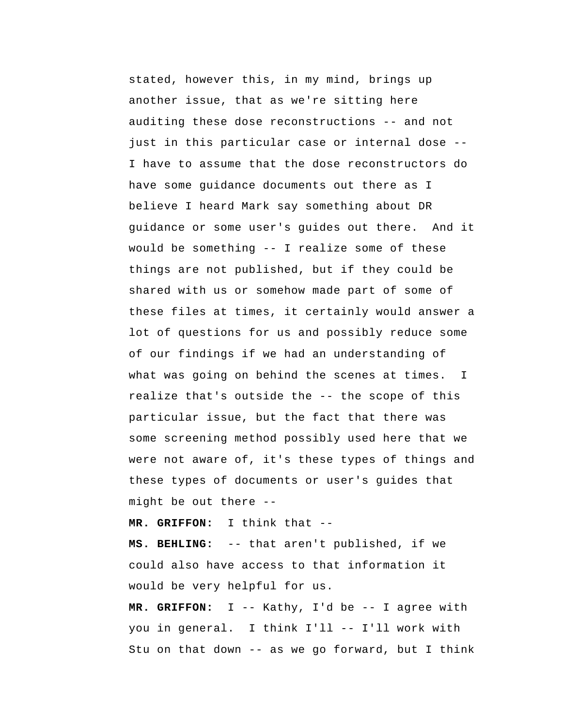stated, however this, in my mind, brings up another issue, that as we're sitting here auditing these dose reconstructions -- and not just in this particular case or internal dose -- I have to assume that the dose reconstructors do have some guidance documents out there as I believe I heard Mark say something about DR guidance or some user's guides out there. And it would be something -- I realize some of these things are not published, but if they could be shared with us or somehow made part of some of these files at times, it certainly would answer a lot of questions for us and possibly reduce some of our findings if we had an understanding of what was going on behind the scenes at times. realize that's outside the -- the scope of this particular issue, but the fact that there was some screening method possibly used here that we were not aware of, it's these types of things and these types of documents or user's guides that might be out there --I

 **MR. GRIFFON:** I think that --

 **MS. BEHLING:** -- that aren't published, if we could also have access to that information it would be very helpful for us.

 **MR. GRIFFON:** I -- Kathy, I'd be -- I agree with you in general. I think I'll -- I'll work with Stu on that down -- as we go forward, but I think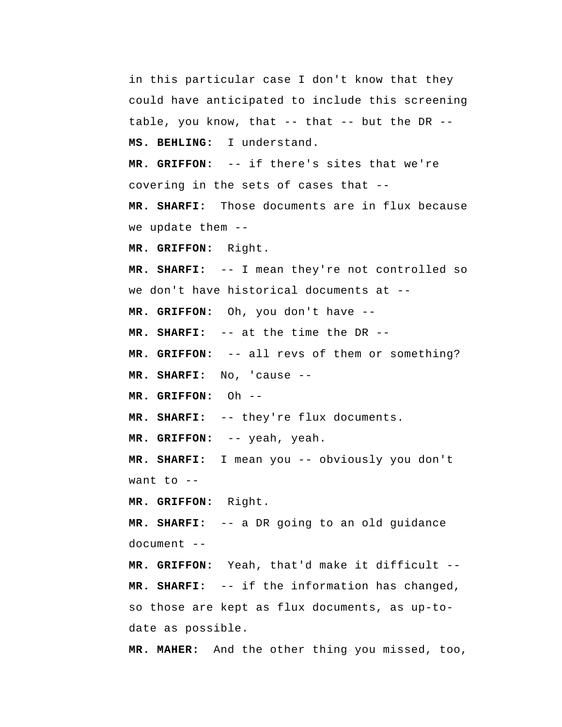in this particular case I don't know that they could have anticipated to include this screening table, you know, that -- that -- but the DR --  **MS. BEHLING:** I understand.  **MR. GRIFFON:** -- if there's sites that we're covering in the sets of cases that --  **MR. SHARFI:** Those documents are in flux because we update them -- **MR. GRIFFON:** Right.  **MR. SHARFI:** -- I mean they're not controlled so we don't have historical documents at --  **MR. GRIFFON:** Oh, you don't have -- **MR. SHARFI:** -- at the time the DR --  **MR. GRIFFON:** -- all revs of them or something?  **MR. SHARFI:** No, 'cause -- **MR. GRIFFON:** Oh -- **MR. SHARFI:** -- they're flux documents.  **MR. GRIFFON:** -- yeah, yeah.  **MR. SHARFI:** I mean you -- obviously you don't want to  $-$  **MR. GRIFFON:** Right.  **MR. SHARFI:** -- a DR going to an old guidance document -- **MR. GRIFFON:** Yeah, that'd make it difficult --  **MR. SHARFI:** -- if the information has changed, so those are kept as flux documents, as up-todate as possible.

**MR. MAHER:** And the other thing you missed, too,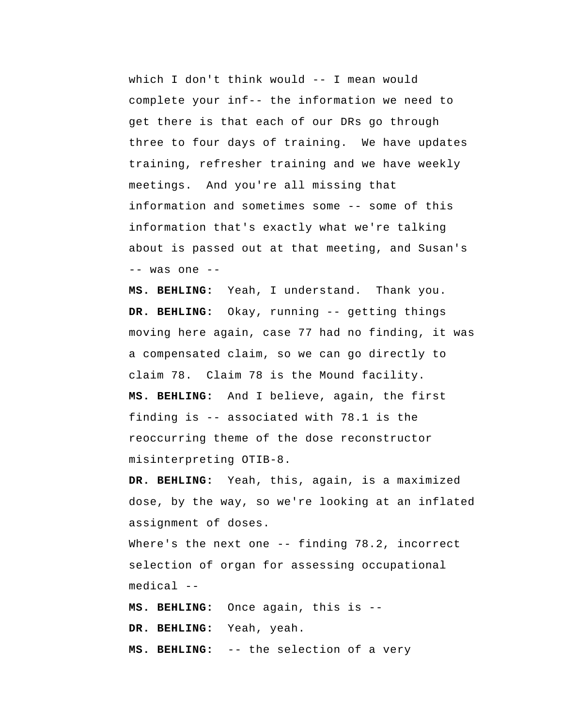which I don't think would -- I mean would complete your inf-- the information we need to get there is that each of our DRs go through three to four days of training. We have updates training, refresher training and we have weekly meetings. And you're all missing that information and sometimes some -- some of this information that's exactly what we're talking about is passed out at that meeting, and Susan's -- was one --

 **MS. BEHLING:** Yeah, I understand. Thank you.  **DR. BEHLING:** Okay, running -- getting things moving here again, case 77 had no finding, it was a compensated claim, so we can go directly to claim 78. Claim 78 is the Mound facility.  **MS. BEHLING:** And I believe, again, the first finding is -- associated with 78.1 is the reoccurring theme of the dose reconstructor misinterpreting OTIB-8.

 **DR. BEHLING:** Yeah, this, again, is a maximized dose, by the way, so we're looking at an inflated assignment of doses.

Where's the next one -- finding 78.2, incorrect selection of organ for assessing occupational medical --

 **MS. BEHLING:** Once again, this is -- **DR. BEHLING:** Yeah, yeah.  **MS. BEHLING:** -- the selection of a very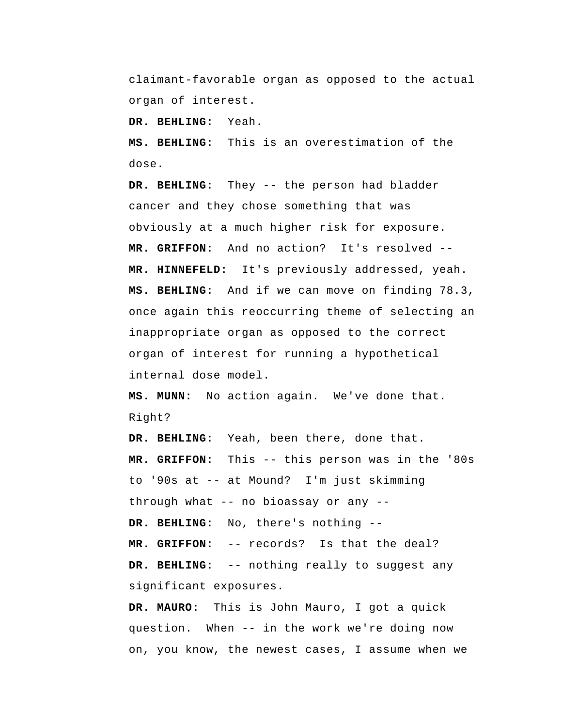claimant-favorable organ as opposed to the actual organ of interest.

 **DR. BEHLING:** Yeah.

 **MS. BEHLING:** This is an overestimation of the dose.

 **DR. BEHLING:** They -- the person had bladder cancer and they chose something that was obviously at a much higher risk for exposure.  **MR. GRIFFON:** And no action? It's resolved -- **MR. HINNEFELD:** It's previously addressed, yeah.  **MS. BEHLING:** And if we can move on finding 78.3, once again this reoccurring theme of selecting an inappropriate organ as opposed to the correct organ of interest for running a hypothetical internal dose model.

 **MS. MUNN:** No action again. We've done that. Right?

 **DR. BEHLING:** Yeah, been there, done that.  **MR. GRIFFON:** This -- this person was in the '80s to '90s at -- at Mound? I'm just skimming through what -- no bioassay or any --  **DR. BEHLING:** No, there's nothing -- **MR. GRIFFON:** -- records? Is that the deal?  **DR. BEHLING:** -- nothing really to suggest any significant exposures.

**DR. MAURO:** This is John Mauro, I got a quick question. When -- in the work we're doing now on, you know, the newest cases, I assume when we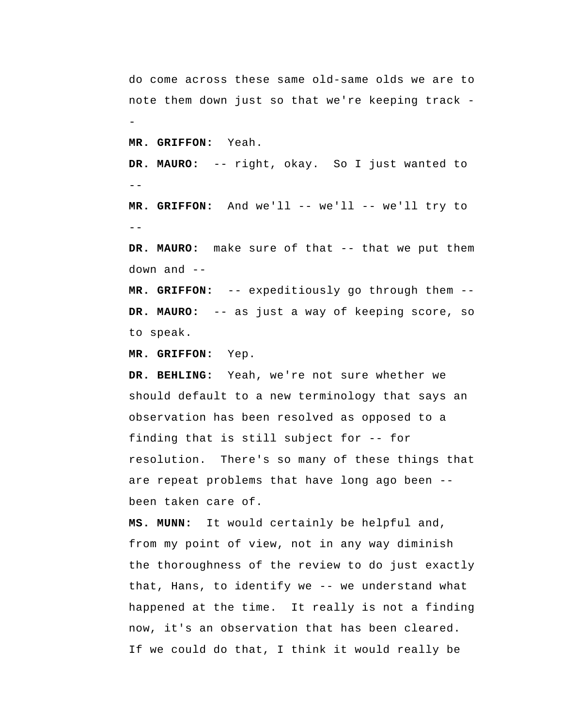--  $-$ do come across these same old-same olds we are to note them down just so that we're keeping track - **MR. GRIFFON:** Yeah. **DR. MAURO:** -- right, okay. So I just wanted to MR. GRIFFON: And we'll -- we'll -- we'll try to DR. MAURO: make sure of that -- that we put them down and  $-$  **MR. GRIFFON:** -- expeditiously go through them -- **DR. MAURO:** -- as just a way of keeping score, so to speak.

 **MR. GRIFFON:** Yep.

 **DR. BEHLING:** Yeah, we're not sure whether we should default to a new terminology that says an observation has been resolved as opposed to a finding that is still subject for -- for resolution. There's so many of these things that are repeat problems that have long ago been - been taken care of.

 **MS. MUNN:** It would certainly be helpful and, from my point of view, not in any way diminish the thoroughness of the review to do just exactly that, Hans, to identify we -- we understand what happened at the time. It really is not a finding now, it's an observation that has been cleared. If we could do that, I think it would really be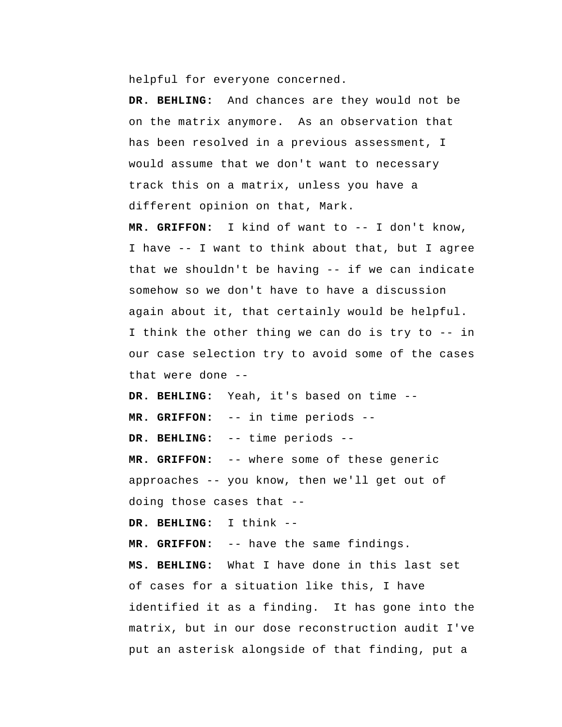helpful for everyone concerned.

 **DR. BEHLING:** And chances are they would not be on the matrix anymore. As an observation that has been resolved in a previous assessment, I would assume that we don't want to necessary track this on a matrix, unless you have a different opinion on that, Mark.

 **MR. GRIFFON:** I kind of want to -- I don't know, I have -- I want to think about that, but I agree that we shouldn't be having -- if we can indicate somehow so we don't have to have a discussion again about it, that certainly would be helpful. I think the other thing we can do is try to -- in our case selection try to avoid some of the cases that were done --

 **DR. BEHLING:** Yeah, it's based on time --

 **MR. GRIFFON:** -- in time periods --

 **DR. BEHLING:** -- time periods --

 **MR. GRIFFON:** -- where some of these generic approaches -- you know, then we'll get out of doing those cases that --

 **DR. BEHLING:** I think --

 **MR. GRIFFON:** -- have the same findings.

 **MS. BEHLING:** What I have done in this last set of cases for a situation like this, I have identified it as a finding. It has gone into the matrix, but in our dose reconstruction audit I've put an asterisk alongside of that finding, put a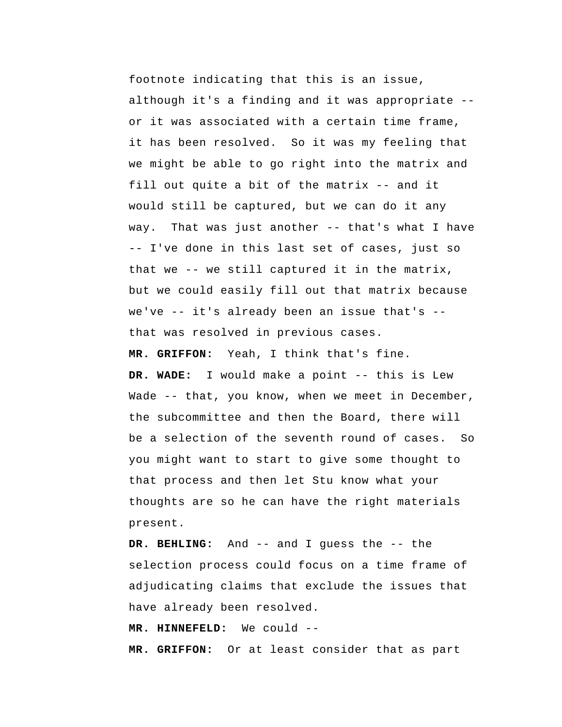footnote indicating that this is an issue, although it's a finding and it was appropriate - or it was associated with a certain time frame, it has been resolved. So it was my feeling that we might be able to go right into the matrix and fill out quite a bit of the matrix -- and it would still be captured, but we can do it any way. That was just another -- that's what I have -- I've done in this last set of cases, just so that we -- we still captured it in the matrix, but we could easily fill out that matrix because we've -- it's already been an issue that's - that was resolved in previous cases.  **MR. GRIFFON:** Yeah, I think that's fine.  **DR. WADE:** I would make a point -- this is Lew Wade -- that, you know, when we meet in December, the subcommittee and then the Board, there will be a selection of the seventh round of cases. So you might want to start to give some thought to

that process and then let Stu know what your thoughts are so he can have the right materials present.

 **DR. BEHLING:** And -- and I guess the -- the selection process could focus on a time frame of adjudicating claims that exclude the issues that have already been resolved.

 **MR. HINNEFELD:** We could --

 **MR. GRIFFON:** Or at least consider that as part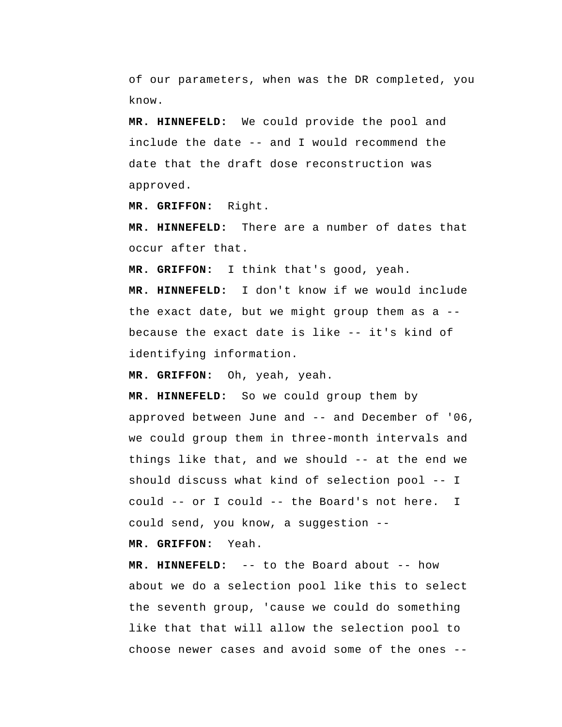of our parameters, when was the DR completed, you know.

 **MR. HINNEFELD:** We could provide the pool and include the date -- and I would recommend the date that the draft dose reconstruction was approved.

 **MR. GRIFFON:** Right.

 **MR. HINNEFELD:** There are a number of dates that occur after that.

 **MR. GRIFFON:** I think that's good, yeah.

 **MR. HINNEFELD:** I don't know if we would include the exact date, but we might group them as a - because the exact date is like -- it's kind of identifying information.

 **MR. GRIFFON:** Oh, yeah, yeah.

 **MR. HINNEFELD:** So we could group them by approved between June and -- and December of '06, we could group them in three-month intervals and things like that, and we should -- at the end we should discuss what kind of selection pool -- I could -- or I could -- the Board's not here. I could send, you know, a suggestion --

 **MR. GRIFFON:** Yeah.

 **MR. HINNEFELD:** -- to the Board about -- how about we do a selection pool like this to select the seventh group, 'cause we could do something like that that will allow the selection pool to choose newer cases and avoid some of the ones --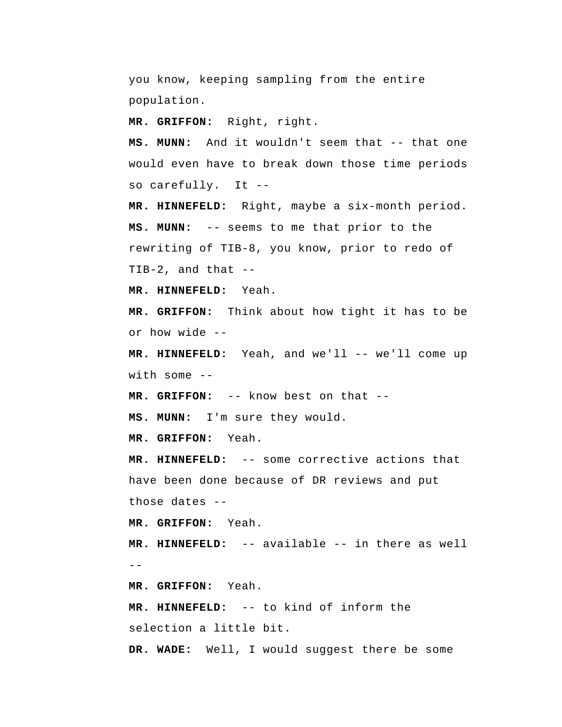you know, keeping sampling from the entire population.

 **MR. GRIFFON:** Right, right.

 **MS. MUNN:** And it wouldn't seem that -- that one would even have to break down those time periods so carefully. It --

 **MR. HINNEFELD:** Right, maybe a six-month period.  **MS. MUNN:** -- seems to me that prior to the rewriting of TIB-8, you know, prior to redo of TIB-2, and that --

 **MR. HINNEFELD:** Yeah.

 **MR. GRIFFON:** Think about how tight it has to be or how wide --

MR. HINNEFELD: Yeah, and we'll -- we'll come up with some --

 **MR. GRIFFON:** -- know best on that --

 **MS. MUNN:** I'm sure they would.

 **MR. GRIFFON:** Yeah.

 **MR. HINNEFELD:** -- some corrective actions that have been done because of DR reviews and put those dates --

 **MR. GRIFFON:** Yeah.

 $- -$  **MR. HINNEFELD:** -- available -- in there as well

 **MR. GRIFFON:** Yeah.

 **MR. HINNEFELD:** -- to kind of inform the selection a little bit.

 **DR. WADE:** Well, I would suggest there be some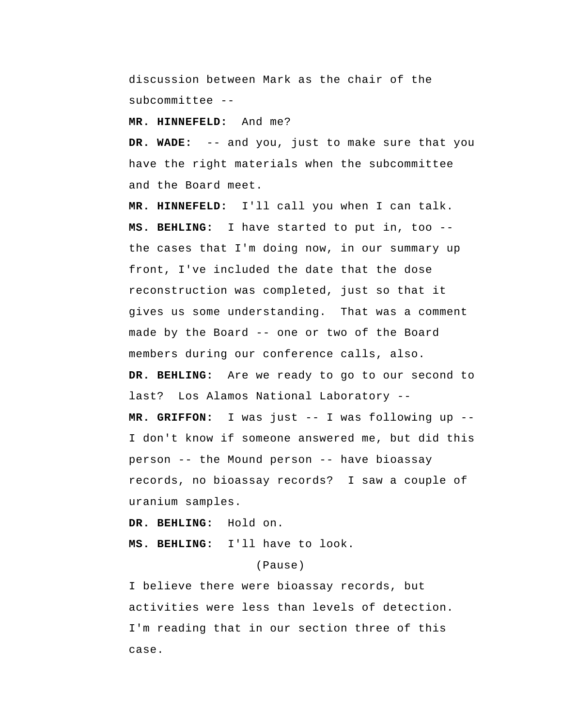discussion between Mark as the chair of the subcommittee --

 **MR. HINNEFELD:** And me?

 **DR. WADE:** -- and you, just to make sure that you have the right materials when the subcommittee and the Board meet.

 **MR. HINNEFELD:** I'll call you when I can talk.  **MS. BEHLING:** I have started to put in, too - the cases that I'm doing now, in our summary up front, I've included the date that the dose reconstruction was completed, just so that it gives us some understanding. That was a comment made by the Board -- one or two of the Board members during our conference calls, also.  **DR. BEHLING:** Are we ready to go to our second to last? Los Alamos National Laboratory --  **MR. GRIFFON:** I was just -- I was following up -- I don't know if someone answered me, but did this person -- the Mound person -- have bioassay records, no bioassay records? I saw a couple of uranium samples.

 **DR. BEHLING:** Hold on.

 **MS. BEHLING:** I'll have to look.

## (Pause)

I believe there were bioassay records, but activities were less than levels of detection. I'm reading that in our section three of this case.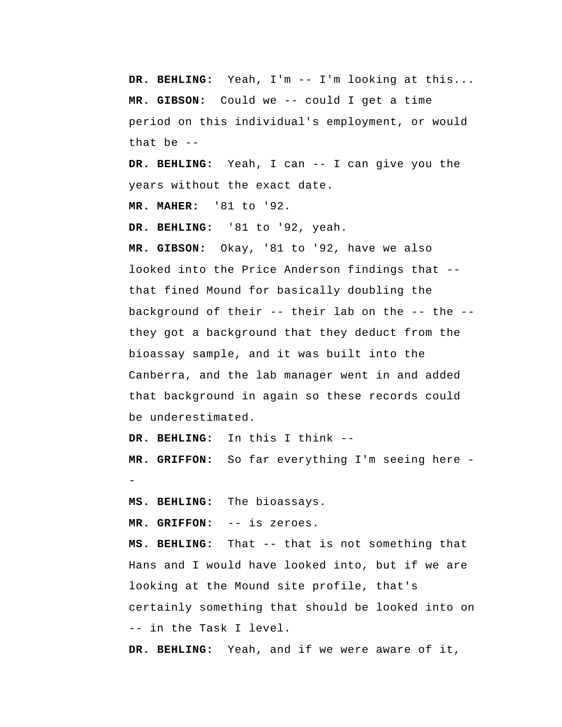**DR. BEHLING:** Yeah, I'm -- I'm looking at this...  **MR. GIBSON:** Could we -- could I get a time period on this individual's employment, or would that be --

 **DR. BEHLING:** Yeah, I can -- I can give you the years without the exact date.

**MR. MAHER:** '81 to '92.

 **DR. BEHLING:** '81 to '92, yeah.

 **MR. GIBSON:** Okay, '81 to '92, have we also looked into the Price Anderson findings that - that fined Mound for basically doubling the background of their -- their lab on the -- the - they got a background that they deduct from the bioassay sample, and it was built into the Canberra, and the lab manager went in and added that background in again so these records could be underestimated.

 **DR. BEHLING:** In this I think --

 **MR. GRIFFON:** So far everything I'm seeing here -

 **MS. BEHLING:** The bioassays.

 **MR. GRIFFON:** -- is zeroes.

 **MS. BEHLING:** That -- that is not something that Hans and I would have looked into, but if we are looking at the Mound site profile, that's certainly something that should be looked into on -- in the Task I level.

 **DR. BEHLING:** Yeah, and if we were aware of it,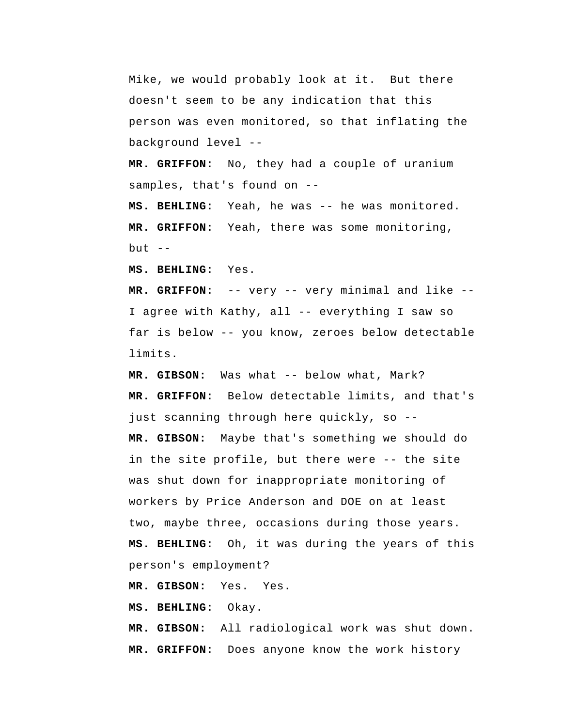Mike, we would probably look at it. But there doesn't seem to be any indication that this person was even monitored, so that inflating the background level --

 **MR. GRIFFON:** No, they had a couple of uranium samples, that's found on --

 **MS. BEHLING:** Yeah, he was -- he was monitored.  **MR. GRIFFON:** Yeah, there was some monitoring, but  $--$ 

 **MS. BEHLING:** Yes.

 **MR. GRIFFON:** -- very -- very minimal and like -- I agree with Kathy, all -- everything I saw so far is below -- you know, zeroes below detectable limits.

 **MR. GIBSON:** Was what -- below what, Mark?  **MR. GRIFFON:** Below detectable limits, and that's just scanning through here quickly, so --  **MR. GIBSON:** Maybe that's something we should do in the site profile, but there were -- the site was shut down for inappropriate monitoring of workers by Price Anderson and DOE on at least two, maybe three, occasions during those years.  **MS. BEHLING:** Oh, it was during the years of this person's employment?

 **MR. GIBSON:** Yes. Yes.

 **MS. BEHLING:** Okay.

 **MR. GIBSON:** All radiological work was shut down.  **MR. GRIFFON:** Does anyone know the work history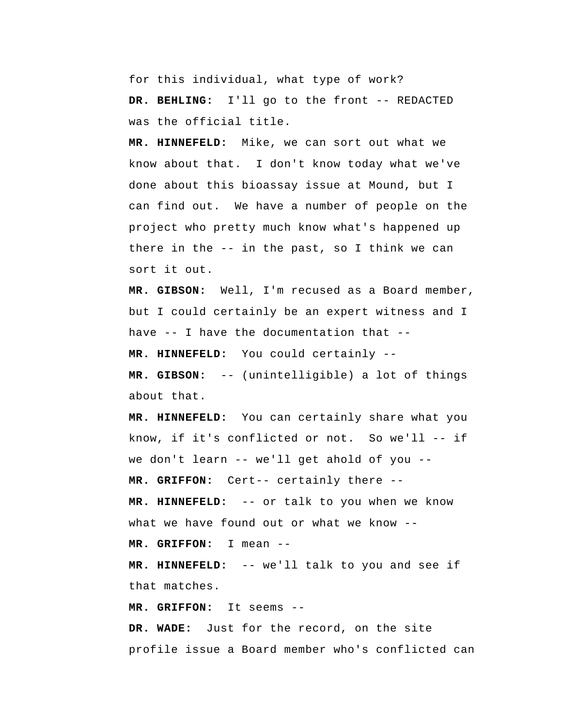for this individual, what type of work? DR. BEHLING: I'll go to the front -- REDACTED was the official title.

 **MR. HINNEFELD:** Mike, we can sort out what we know about that. I don't know today what we've done about this bioassay issue at Mound, but I can find out. We have a number of people on the project who pretty much know what's happened up there in the -- in the past, so I think we can sort it out.

 **MR. GIBSON:** Well, I'm recused as a Board member, but I could certainly be an expert witness and I have -- I have the documentation that --  **MR. HINNEFELD:** You could certainly --  **MR. GIBSON:** -- (unintelligible) a lot of things

 **MR. HINNEFELD:** You can certainly share what you know, if it's conflicted or not. So we'll -- if we don't learn -- we'll get ahold of you --

 **MR. GRIFFON:** Cert-- certainly there --

 **MR. HINNEFELD:** -- or talk to you when we know what we have found out or what we know --

 **MR. GRIFFON:** I mean --

about that.

 **MR. HINNEFELD:** -- we'll talk to you and see if that matches.

 **MR. GRIFFON:** It seems --

 **DR. WADE:** Just for the record, on the site profile issue a Board member who's conflicted can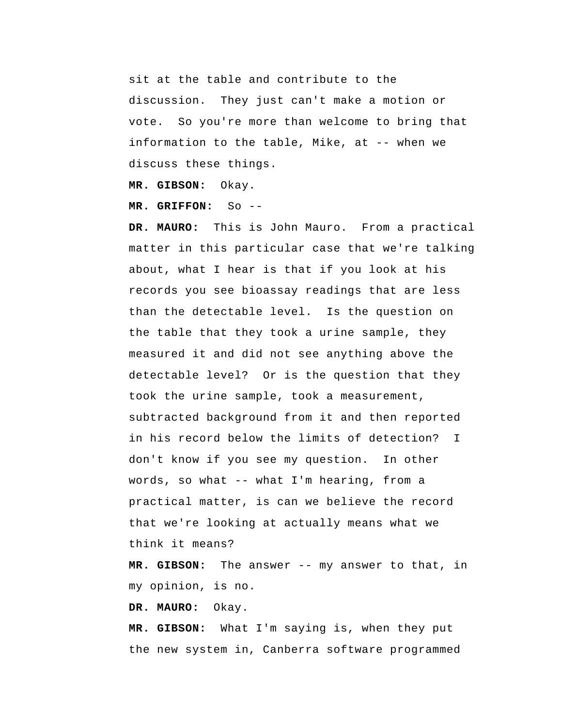sit at the table and contribute to the discussion. They just can't make a motion or vote. So you're more than welcome to bring that information to the table, Mike, at -- when we discuss these things.

 **MR. GIBSON:** Okay.

 **MR. GRIFFON:** So --

**DR. MAURO:** This is John Mauro. From a practical matter in this particular case that we're talking about, what I hear is that if you look at his records you see bioassay readings that are less than the detectable level. Is the question on the table that they took a urine sample, they measured it and did not see anything above the detectable level? Or is the question that they took the urine sample, took a measurement, subtracted background from it and then reported in his record below the limits of detection? don't know if you see my question. In other words, so what -- what I'm hearing, from a practical matter, is can we believe the record that we're looking at actually means what we think it means? I

 **MR. GIBSON:** The answer -- my answer to that, in my opinion, is no.

**DR. MAURO:** Okay.

 **MR. GIBSON:** What I'm saying is, when they put the new system in, Canberra software programmed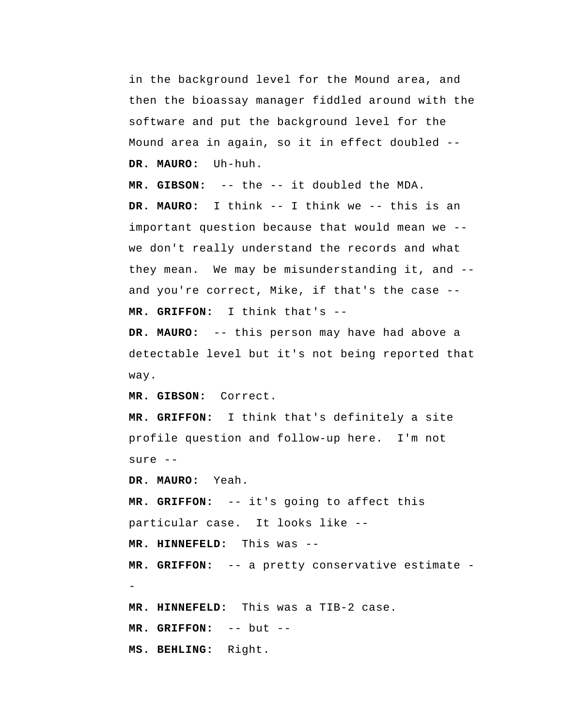in the background level for the Mound area, and then the bioassay manager fiddled around with the software and put the background level for the Mound area in again, so it in effect doubled -- **DR. MAURO:** Uh-huh.

 **MR. GIBSON:** -- the -- it doubled the MDA. **DR. MAURO:** I think -- I think we -- this is an important question because that would mean we - we don't really understand the records and what they mean. We may be misunderstanding it, and - and you're correct, Mike, if that's the case --  **MR. GRIFFON:** I think that's --

**DR. MAURO:** -- this person may have had above a detectable level but it's not being reported that way.

 **MR. GIBSON:** Correct.

 **MR. GRIFFON:** I think that's definitely a site profile question and follow-up here. I'm not sure --

**DR. MAURO:** Yeah.

 **MR. GRIFFON:** -- it's going to affect this particular case. It looks like --

 **MR. HINNEFELD:** This was --

 **MR. GRIFFON:** -- a pretty conservative estimate - **MR. HINNEFELD:** This was a TIB-2 case.  **MR. GRIFFON:** -- but --

 **MS. BEHLING:** Right.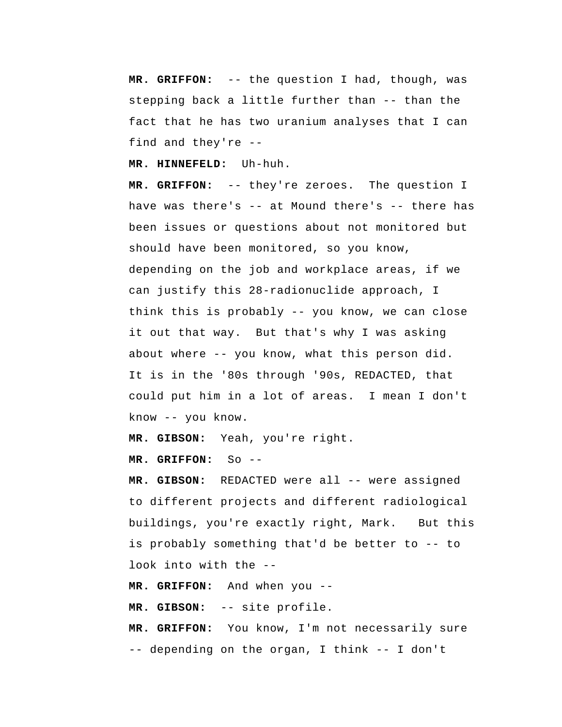**MR. GRIFFON:** -- the question I had, though, was stepping back a little further than -- than the fact that he has two uranium analyses that I can find and they're --

 **MR. HINNEFELD:** Uh-huh.

 **MR. GRIFFON:** -- they're zeroes. The question I have was there's -- at Mound there's -- there has been issues or questions about not monitored but should have been monitored, so you know, depending on the job and workplace areas, if we can justify this 28-radionuclide approach, I think this is probably -- you know, we can close it out that way. But that's why I was asking about where -- you know, what this person did. It is in the '80s through '90s, REDACTED, that could put him in a lot of areas. I mean I don't know -- you know.

 **MR. GIBSON:** Yeah, you're right.

 **MR. GRIFFON:** So --

 **MR. GIBSON:** REDACTED were all -- were assigned to different projects and different radiological buildings, you're exactly right, Mark. But this is probably something that'd be better to -- to look into with the --

 **MR. GRIFFON:** And when you --

 **MR. GIBSON:** -- site profile.

 **MR. GRIFFON:** You know, I'm not necessarily sure -- depending on the organ, I think -- I don't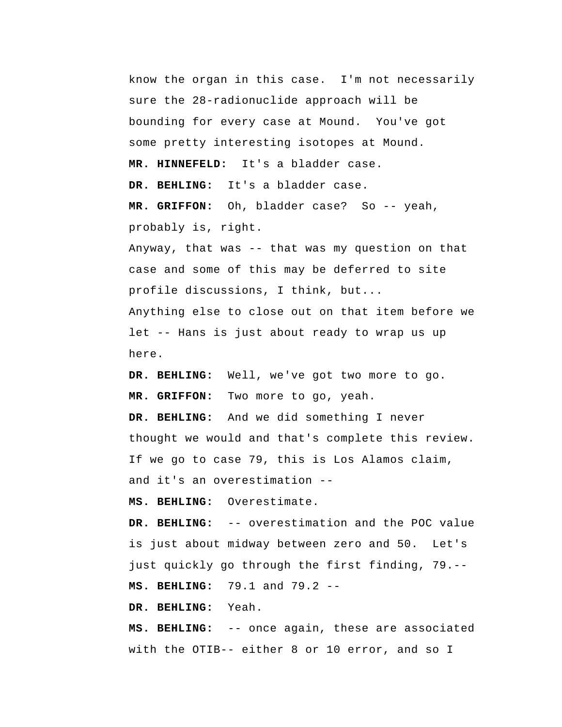know the organ in this case. I'm not necessarily sure the 28-radionuclide approach will be bounding for every case at Mound. You've got some pretty interesting isotopes at Mound.  **MR. HINNEFELD:** It's a bladder case.  **DR. BEHLING:** It's a bladder case.  **MR. GRIFFON:** Oh, bladder case? So -- yeah, probably is, right. Anyway, that was -- that was my question on that case and some of this may be deferred to site profile discussions, I think, but... Anything else to close out on that item before we let -- Hans is just about ready to wrap us up here.  **DR. BEHLING:** Well, we've got two more to go.

 **MR. GRIFFON:** Two more to go, yeah.

 **DR. BEHLING:** And we did something I never thought we would and that's complete this review. If we go to case 79, this is Los Alamos claim, and it's an overestimation --

 **MS. BEHLING:** Overestimate.

 **DR. BEHLING:** -- overestimation and the POC value is just about midway between zero and 50. Let's just quickly go through the first finding, 79.--  **MS. BEHLING:** 79.1 and 79.2 --

 **DR. BEHLING:** Yeah.

 **MS. BEHLING:** -- once again, these are associated with the OTIB-- either 8 or 10 error, and so I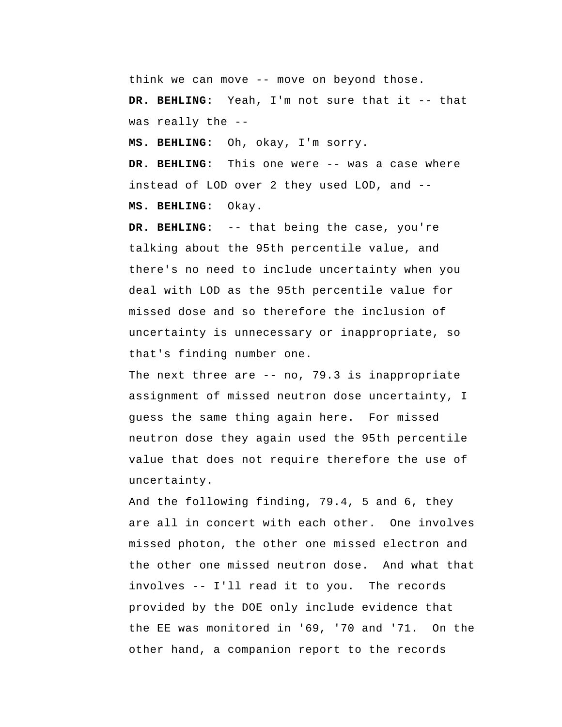think we can move -- move on beyond those.

 **DR. BEHLING:** Yeah, I'm not sure that it -- that was really the --

 **MS. BEHLING:** Oh, okay, I'm sorry.

 **DR. BEHLING:** This one were -- was a case where instead of LOD over 2 they used LOD, and --

 **MS. BEHLING:** Okay.

 **DR. BEHLING:** -- that being the case, you're talking about the 95th percentile value, and there's no need to include uncertainty when you deal with LOD as the 95th percentile value for missed dose and so therefore the inclusion of uncertainty is unnecessary or inappropriate, so that's finding number one.

The next three are  $-$  no, 79.3 is inappropriate assignment of missed neutron dose uncertainty, I guess the same thing again here. For missed neutron dose they again used the 95th percentile value that does not require therefore the use of uncertainty.

 And the following finding, 79.4, 5 and 6, they are all in concert with each other. One involves missed photon, the other one missed electron and the other one missed neutron dose. And what that involves -- I'll read it to you. The records provided by the DOE only include evidence that the EE was monitored in '69, '70 and '71. On the other hand, a companion report to the records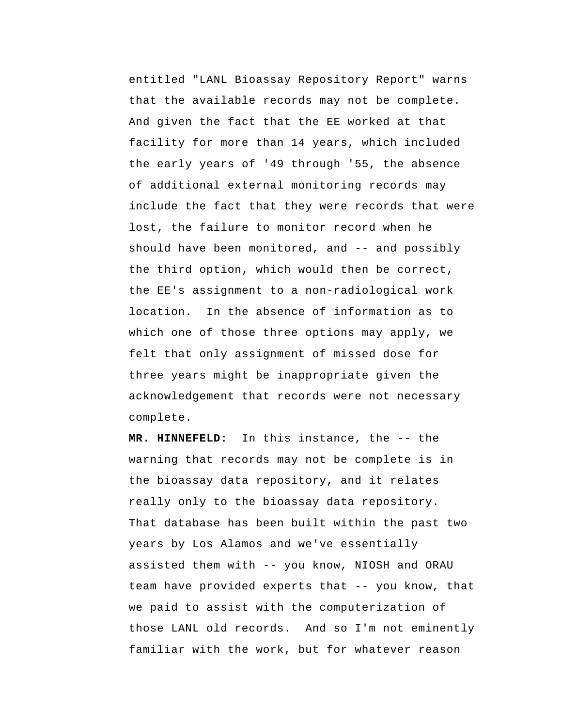entitled "LANL Bioassay Repository Report" warns that the available records may not be complete. And given the fact that the EE worked at that facility for more than 14 years, which included the early years of '49 through '55, the absence of additional external monitoring records may include the fact that they were records that were lost, the failure to monitor record when he should have been monitored, and -- and possibly the third option, which would then be correct, the EE's assignment to a non-radiological work location. In the absence of information as to which one of those three options may apply, we felt that only assignment of missed dose for three years might be inappropriate given the acknowledgement that records were not necessary complete.

 **MR. HINNEFELD:** In this instance, the -- the warning that records may not be complete is in the bioassay data repository, and it relates really only to the bioassay data repository. That database has been built within the past two years by Los Alamos and we've essentially assisted them with -- you know, NIOSH and ORAU team have provided experts that -- you know, that we paid to assist with the computerization of those LANL old records. And so I'm not eminently familiar with the work, but for whatever reason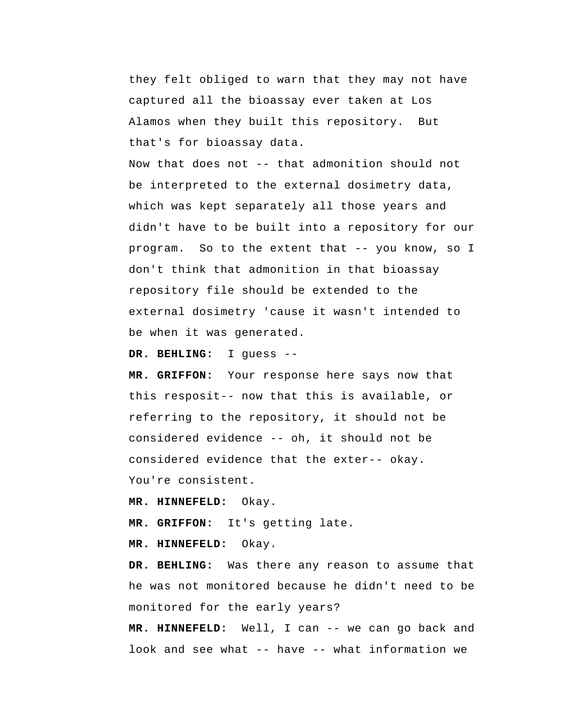they felt obliged to warn that they may not have captured all the bioassay ever taken at Los Alamos when they built this repository. But that's for bioassay data.

Now that does not -- that admonition should not be interpreted to the external dosimetry data, which was kept separately all those years and didn't have to be built into a repository for our program. So to the extent that -- you know, so I don't think that admonition in that bioassay repository file should be extended to the external dosimetry 'cause it wasn't intended to be when it was generated.

 **DR. BEHLING:** I guess --

 **MR. GRIFFON:** Your response here says now that this resposit-- now that this is available, or referring to the repository, it should not be considered evidence -- oh, it should not be considered evidence that the exter-- okay. You're consistent.

 **MR. HINNEFELD:** Okay.

 **MR. GRIFFON:** It's getting late.

 **MR. HINNEFELD:** Okay.

 **DR. BEHLING:** Was there any reason to assume that he was not monitored because he didn't need to be monitored for the early years?

 **MR. HINNEFELD:** Well, I can -- we can go back and look and see what -- have -- what information we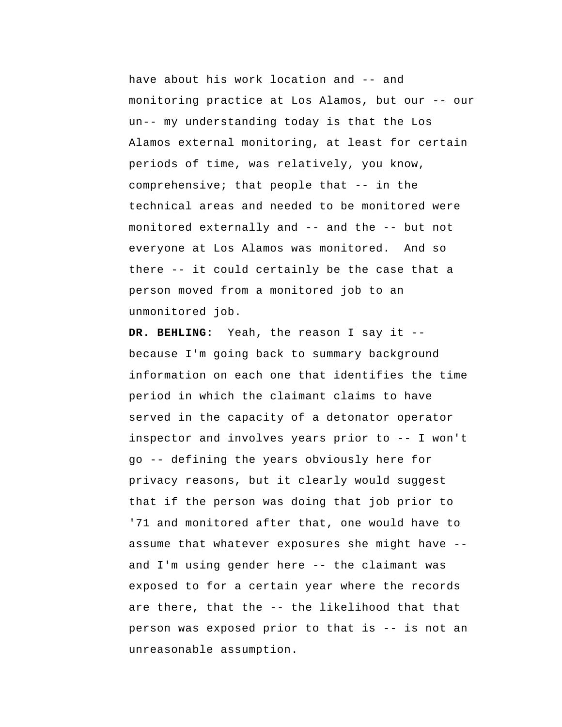have about his work location and -- and monitoring practice at Los Alamos, but our -- our un-- my understanding today is that the Los Alamos external monitoring, at least for certain periods of time, was relatively, you know, comprehensive; that people that -- in the technical areas and needed to be monitored were monitored externally and -- and the -- but not everyone at Los Alamos was monitored. And so there -- it could certainly be the case that a person moved from a monitored job to an unmonitored job.

 **DR. BEHLING:** Yeah, the reason I say it - because I'm going back to summary background information on each one that identifies the time period in which the claimant claims to have served in the capacity of a detonator operator inspector and involves years prior to -- I won't go -- defining the years obviously here for privacy reasons, but it clearly would suggest that if the person was doing that job prior to '71 and monitored after that, one would have to assume that whatever exposures she might have - and I'm using gender here -- the claimant was exposed to for a certain year where the records are there, that the -- the likelihood that that person was exposed prior to that is -- is not an unreasonable assumption.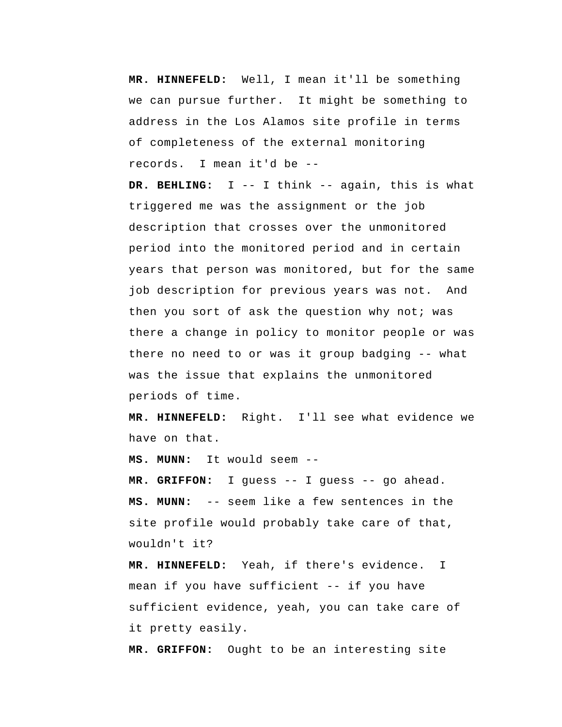**MR. HINNEFELD:** Well, I mean it'll be something we can pursue further. It might be something to address in the Los Alamos site profile in terms of completeness of the external monitoring records. I mean it'd be --

 **DR. BEHLING:** I -- I think -- again, this is what triggered me was the assignment or the job description that crosses over the unmonitored period into the monitored period and in certain years that person was monitored, but for the same job description for previous years was not. And then you sort of ask the question why not; was there a change in policy to monitor people or was there no need to or was it group badging -- what was the issue that explains the unmonitored periods of time.

 **MR. HINNEFELD:** Right. I'll see what evidence we have on that.

 **MS. MUNN:** It would seem --

 **MR. GRIFFON:** I guess -- I guess -- go ahead.  **MS. MUNN:** -- seem like a few sentences in the site profile would probably take care of that, wouldn't it?

 **MR. HINNEFELD:** Yeah, if there's evidence. I mean if you have sufficient -- if you have sufficient evidence, yeah, you can take care of it pretty easily.

 **MR. GRIFFON:** Ought to be an interesting site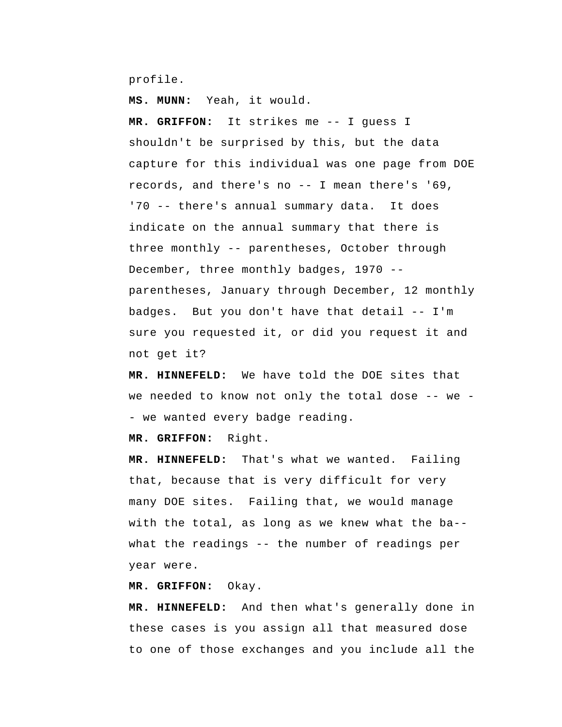profile.

 **MS. MUNN:** Yeah, it would.

 **MR. GRIFFON:** It strikes me -- I guess I shouldn't be surprised by this, but the data capture for this individual was one page from DOE records, and there's no -- I mean there's '69, '70 -- there's annual summary data. It does indicate on the annual summary that there is three monthly -- parentheses, October through December, three monthly badges, 1970 - parentheses, January through December, 12 monthly badges. But you don't have that detail -- I'm sure you requested it, or did you request it and not get it?

 **MR. HINNEFELD:** We have told the DOE sites that we needed to know not only the total dose -- we - we wanted every badge reading.

 **MR. GRIFFON:** Right.

 **MR. HINNEFELD:** That's what we wanted. Failing that, because that is very difficult for very many DOE sites. Failing that, we would manage with the total, as long as we knew what the ba- what the readings -- the number of readings per year were.

 **MR. GRIFFON:** Okay.

 **MR. HINNEFELD:** And then what's generally done in these cases is you assign all that measured dose to one of those exchanges and you include all the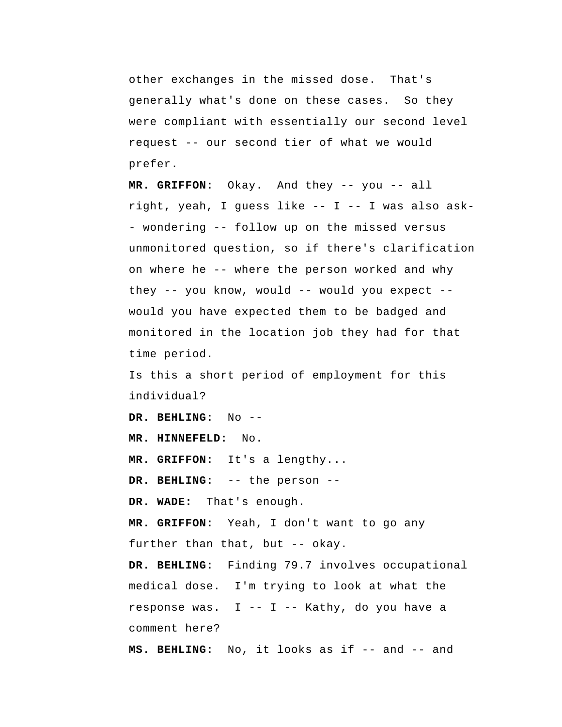other exchanges in the missed dose. That's generally what's done on these cases. So they were compliant with essentially our second level request -- our second tier of what we would prefer.

 **MR. GRIFFON:** Okay. And they -- you -- all right, yeah, I guess like -- I -- I was also ask - wondering -- follow up on the missed versus unmonitored question, so if there's clarification on where he -- where the person worked and why they -- you know, would -- would you expect - would you have expected them to be badged and monitored in the location job they had for that time period.

Is this a short period of employment for this individual?

 **DR. BEHLING:** No --

 **MR. HINNEFELD:** No.

 **MR. GRIFFON:** It's a lengthy...

 **DR. BEHLING:** -- the person --

 **DR. WADE:** That's enough.

 **MR. GRIFFON:** Yeah, I don't want to go any further than that, but -- okay.

 **DR. BEHLING:** Finding 79.7 involves occupational medical dose. I'm trying to look at what the response was. I -- I -- Kathy, do you have a comment here?

 **MS. BEHLING:** No, it looks as if -- and -- and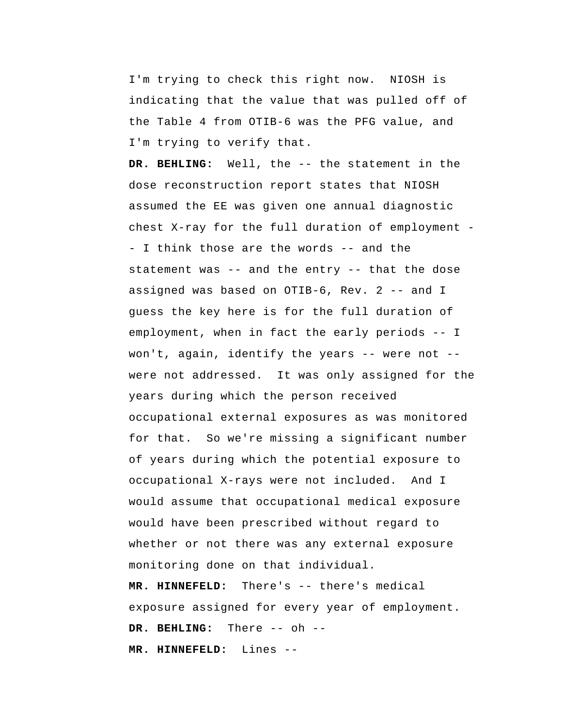I'm trying to check this right now. NIOSH is indicating that the value that was pulled off of the Table 4 from OTIB-6 was the PFG value, and I'm trying to verify that.

 **DR. BEHLING:** Well, the -- the statement in the dose reconstruction report states that NIOSH assumed the EE was given one annual diagnostic chest X-ray for the full duration of employment - I think those are the words -- and the statement was -- and the entry -- that the dose assigned was based on OTIB-6, Rev. 2 -- and I guess the key here is for the full duration of employment, when in fact the early periods -- I won't, again, identify the years -- were not - were not addressed. It was only assigned for the years during which the person received occupational external exposures as was monitored for that. So we're missing a significant number of years during which the potential exposure to occupational X-rays were not included. And I would assume that occupational medical exposure would have been prescribed without regard to whether or not there was any external exposure monitoring done on that individual.

 **MR. HINNEFELD:** There's -- there's medical exposure assigned for every year of employment.  **DR. BEHLING:** There -- oh -- **MR. HINNEFELD:** Lines --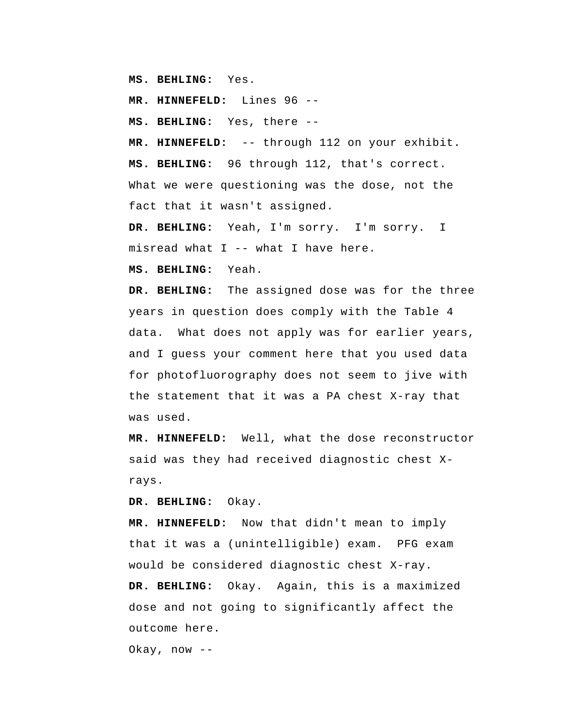**MS. BEHLING:** Yes.

 **MR. HINNEFELD:** Lines 96 --

 **MS. BEHLING:** Yes, there --

 **MR. HINNEFELD:** -- through 112 on your exhibit.  **MS. BEHLING:** 96 through 112, that's correct. What we were questioning was the dose, not the fact that it wasn't assigned.

 **DR. BEHLING:** Yeah, I'm sorry. I'm sorry. I misread what I -- what I have here.

 **MS. BEHLING:** Yeah.

 **DR. BEHLING:** The assigned dose was for the three years in question does comply with the Table 4 data. What does not apply was for earlier years, and I guess your comment here that you used data for photofluorography does not seem to jive with the statement that it was a PA chest X-ray that was used.

 **MR. HINNEFELD:** Well, what the dose reconstructor said was they had received diagnostic chest Xrays.

 **DR. BEHLING:** Okay.

 **MR. HINNEFELD:** Now that didn't mean to imply that it was a (unintelligible) exam. PFG exam would be considered diagnostic chest X-ray.  **DR. BEHLING:** Okay. Again, this is a maximized dose and not going to significantly affect the outcome here.

Okay, now --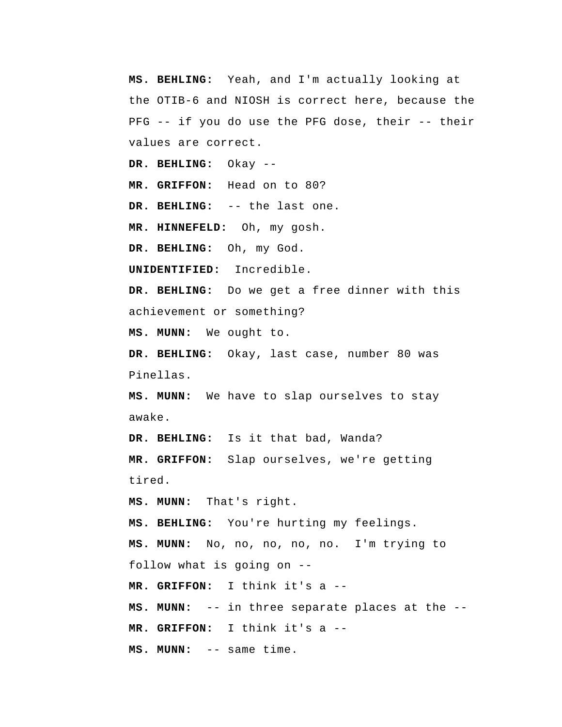**MS. BEHLING:** Yeah, and I'm actually looking at the OTIB-6 and NIOSH is correct here, because the PFG -- if you do use the PFG dose, their -- their values are correct.

 **DR. BEHLING:** Okay --

 **MR. GRIFFON:** Head on to 80?

 **DR. BEHLING:** -- the last one.

 **MR. HINNEFELD:** Oh, my gosh.

 **DR. BEHLING:** Oh, my God.

**UNIDENTIFIED:** Incredible.

 **DR. BEHLING:** Do we get a free dinner with this achievement or something?

 **MS. MUNN:** We ought to.

 **DR. BEHLING:** Okay, last case, number 80 was Pinellas.

 **MS. MUNN:** We have to slap ourselves to stay awake.

 **DR. BEHLING:** Is it that bad, Wanda?  **MR. GRIFFON:** Slap ourselves, we're getting tired.

 **MS. MUNN:** That's right.

 **MS. BEHLING:** You're hurting my feelings.

 **MS. MUNN:** No, no, no, no, no. I'm trying to

follow what is going on --

 **MR. GRIFFON:** I think it's a --

 **MS. MUNN:** -- in three separate places at the --

 **MR. GRIFFON:** I think it's a --

 **MS. MUNN:** -- same time.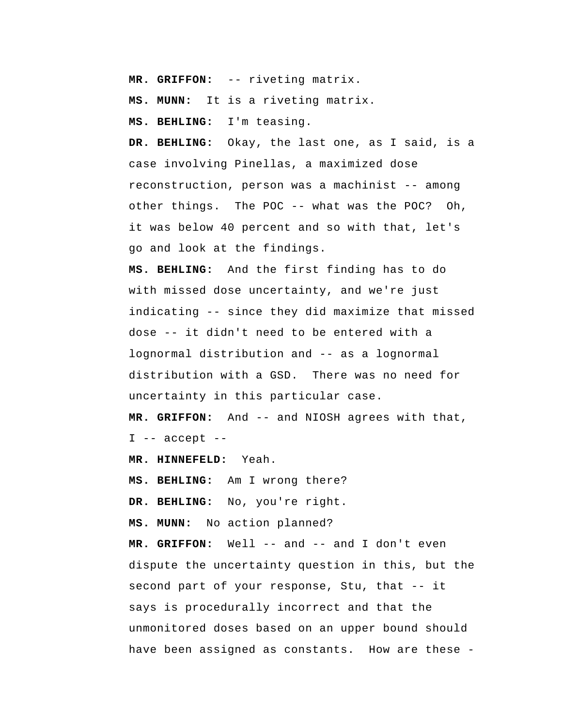**MR. GRIFFON:** -- riveting matrix.

 **MS. MUNN:** It is a riveting matrix.

 **MS. BEHLING:** I'm teasing.

 **DR. BEHLING:** Okay, the last one, as I said, is a case involving Pinellas, a maximized dose reconstruction, person was a machinist -- among other things. The POC -- what was the POC? Oh, it was below 40 percent and so with that, let's go and look at the findings.

 **MS. BEHLING:** And the first finding has to do with missed dose uncertainty, and we're just indicating -- since they did maximize that missed dose -- it didn't need to be entered with a lognormal distribution and -- as a lognormal distribution with a GSD. There was no need for uncertainty in this particular case.

 **MR. GRIFFON:** And -- and NIOSH agrees with that, I -- accept --

 **MR. HINNEFELD:** Yeah.

 **MS. BEHLING:** Am I wrong there?

 **DR. BEHLING:** No, you're right.

 **MS. MUNN:** No action planned?

 **MR. GRIFFON:** Well -- and -- and I don't even dispute the uncertainty question in this, but the second part of your response, Stu, that -- it says is procedurally incorrect and that the unmonitored doses based on an upper bound should have been assigned as constants. How are these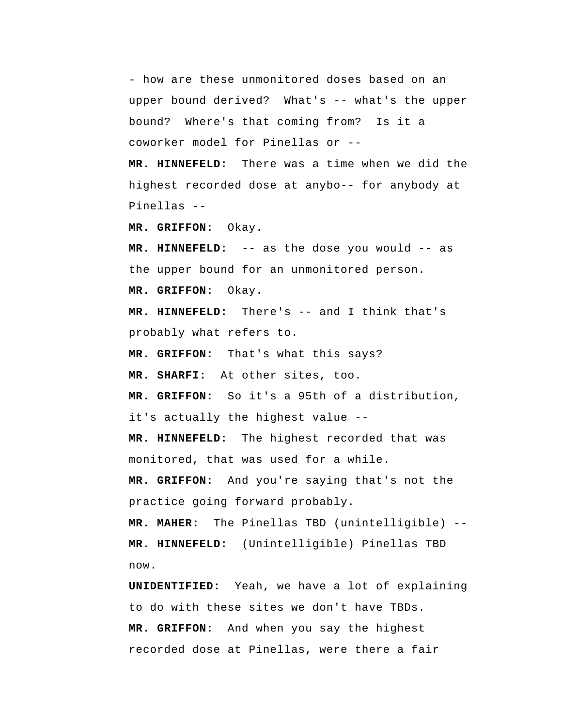- how are these unmonitored doses based on an upper bound derived? What's -- what's the upper bound? Where's that coming from? Is it a coworker model for Pinellas or --

 **MR. HINNEFELD:** There was a time when we did the highest recorded dose at anybo-- for anybody at Pinellas --

 **MR. GRIFFON:** Okay.

 **MR. HINNEFELD:** -- as the dose you would -- as the upper bound for an unmonitored person.  **MR. GRIFFON:** Okay.

 **MR. HINNEFELD:** There's -- and I think that's probably what refers to.

 **MR. GRIFFON:** That's what this says?

 **MR. SHARFI:** At other sites, too.

 **MR. GRIFFON:** So it's a 95th of a distribution, it's actually the highest value --

 **MR. HINNEFELD:** The highest recorded that was monitored, that was used for a while.

 **MR. GRIFFON:** And you're saying that's not the practice going forward probably.

**MR. MAHER:** The Pinellas TBD (unintelligible) --  **MR. HINNEFELD:** (Unintelligible) Pinellas TBD now.

**UNIDENTIFIED:** Yeah, we have a lot of explaining to do with these sites we don't have TBDs.  **MR. GRIFFON:** And when you say the highest recorded dose at Pinellas, were there a fair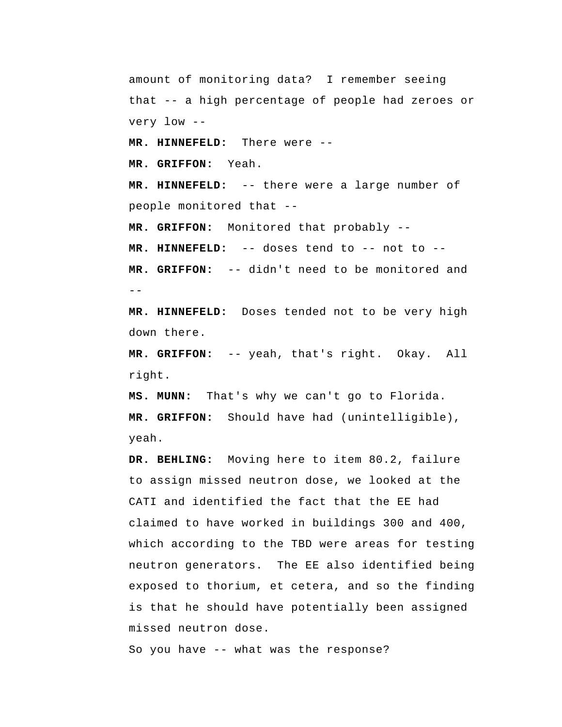amount of monitoring data? I remember seeing that -- a high percentage of people had zeroes or very low --

 **MR. HINNEFELD:** There were --

 **MR. GRIFFON:** Yeah.

 **MR. HINNEFELD:** -- there were a large number of people monitored that --

 **MR. GRIFFON:** Monitored that probably --

 **MR. HINNEFELD:** -- doses tend to -- not to --

 $-$  **MR. GRIFFON:** -- didn't need to be monitored and

 **MR. HINNEFELD:** Doses tended not to be very high down there.

 **MR. GRIFFON:** -- yeah, that's right. Okay. All right.

 **MS. MUNN:** That's why we can't go to Florida.  **MR. GRIFFON:** Should have had (unintelligible), yeah.

 **DR. BEHLING:** Moving here to item 80.2, failure to assign missed neutron dose, we looked at the CATI and identified the fact that the EE had claimed to have worked in buildings 300 and 400, which according to the TBD were areas for testing neutron generators. The EE also identified being exposed to thorium, et cetera, and so the finding is that he should have potentially been assigned missed neutron dose.

So you have -- what was the response?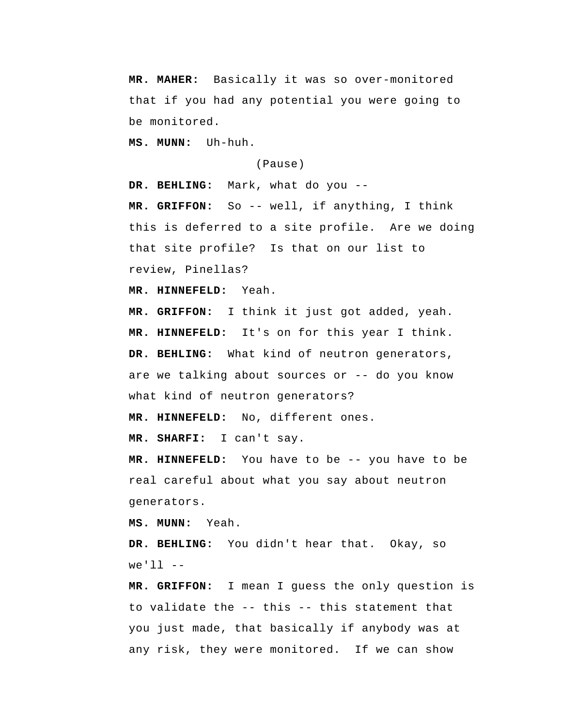**MR. MAHER:** Basically it was so over-monitored that if you had any potential you were going to be monitored.

 **MS. MUNN:** Uh-huh.

(Pause)

 **DR. BEHLING:** Mark, what do you --

 **MR. GRIFFON:** So -- well, if anything, I think this is deferred to a site profile. Are we doing that site profile? Is that on our list to review, Pinellas?

 **MR. HINNEFELD:** Yeah.

 **MR. GRIFFON:** I think it just got added, yeah.  **MR. HINNEFELD:** It's on for this year I think.  **DR. BEHLING:** What kind of neutron generators, are we talking about sources or -- do you know what kind of neutron generators?

 **MR. HINNEFELD:** No, different ones.

 **MR. SHARFI:** I can't say.

 **MR. HINNEFELD:** You have to be -- you have to be real careful about what you say about neutron generators.

 **MS. MUNN:** Yeah.

 **DR. BEHLING:** You didn't hear that. Okay, so  $we'$ ]]  $-$ 

 **MR. GRIFFON:** I mean I guess the only question is to validate the -- this -- this statement that you just made, that basically if anybody was at any risk, they were monitored. If we can show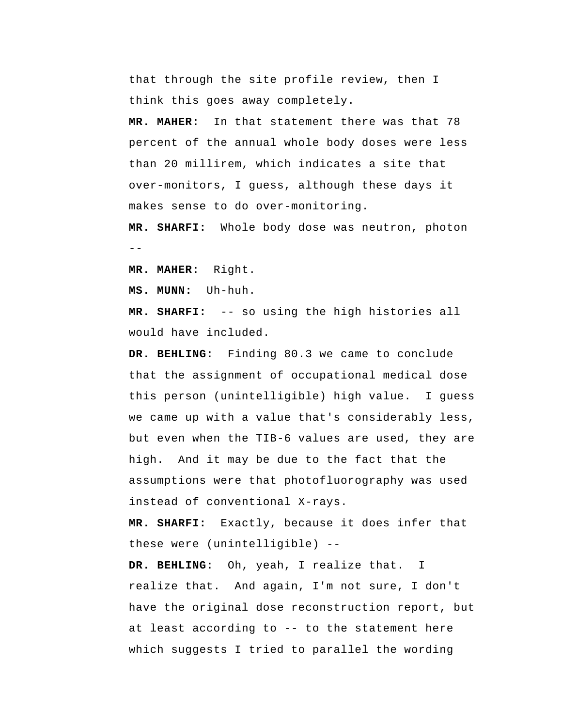that through the site profile review, then I think this goes away completely.

**MR. MAHER:** In that statement there was that 78 percent of the annual whole body doses were less than 20 millirem, which indicates a site that over-monitors, I guess, although these days it makes sense to do over-monitoring.

--  **MR. SHARFI:** Whole body dose was neutron, photon

**MR. MAHER:** Right.

 **MS. MUNN:** Uh-huh.

 **MR. SHARFI:** -- so using the high histories all would have included.

 **DR. BEHLING:** Finding 80.3 we came to conclude that the assignment of occupational medical dose this person (unintelligible) high value. I guess we came up with a value that's considerably less, but even when the TIB-6 values are used, they are high. And it may be due to the fact that the assumptions were that photofluorography was used instead of conventional X-rays.

 **MR. SHARFI:** Exactly, because it does infer that these were (unintelligible) --

 **DR. BEHLING:** Oh, yeah, I realize that. I realize that. And again, I'm not sure, I don't have the original dose reconstruction report, but at least according to -- to the statement here which suggests I tried to parallel the wording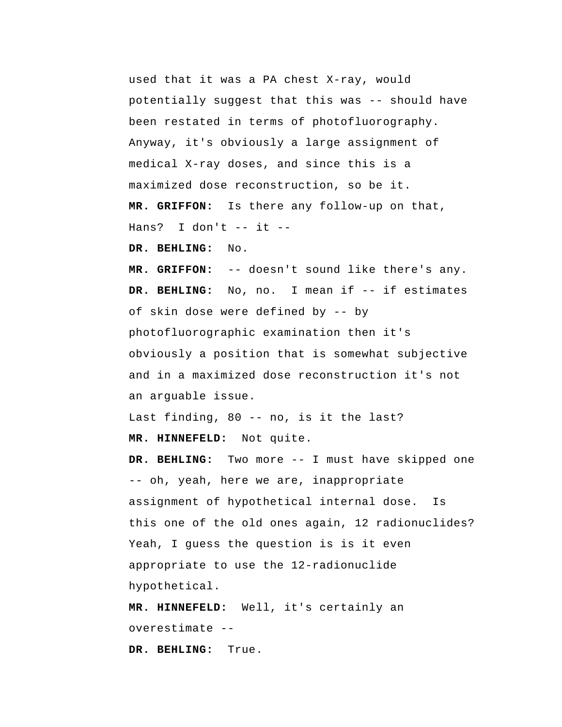used that it was a PA chest X-ray, would potentially suggest that this was -- should have been restated in terms of photofluorography. Anyway, it's obviously a large assignment of medical X-ray doses, and since this is a maximized dose reconstruction, so be it.

 **MR. GRIFFON:** Is there any follow-up on that, Hans? I don't  $--$  it  $--$ 

 **DR. BEHLING:** No.

 **MR. GRIFFON:** -- doesn't sound like there's any.  **DR. BEHLING:** No, no. I mean if -- if estimates of skin dose were defined by -- by photofluorographic examination then it's obviously a position that is somewhat subjective and in a maximized dose reconstruction it's not an arguable issue.

Last finding, 80 -- no, is it the last?  **MR. HINNEFELD:** Not quite.

 **DR. BEHLING:** Two more -- I must have skipped one -- oh, yeah, here we are, inappropriate assignment of hypothetical internal dose. Is this one of the old ones again, 12 radionuclides? Yeah, I guess the question is is it even appropriate to use the 12-radionuclide hypothetical.

 **MR. HINNEFELD:** Well, it's certainly an overestimate -- **DR. BEHLING:** True.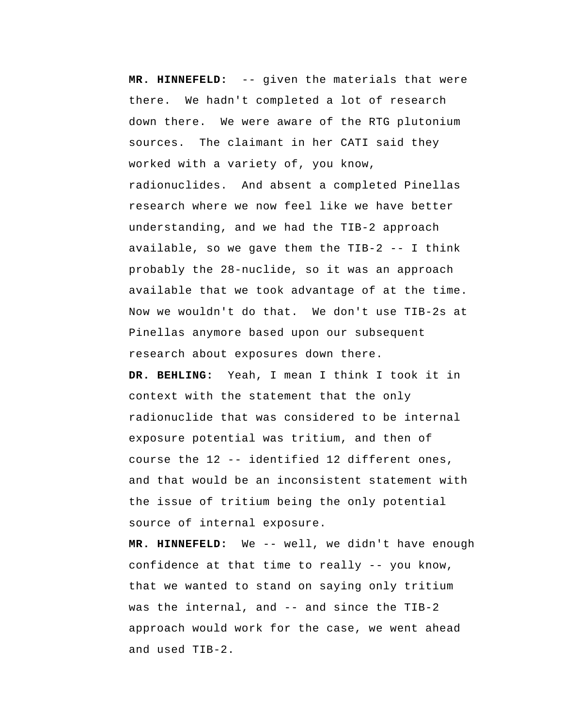**MR. HINNEFELD:** -- given the materials that were there. We hadn't completed a lot of research down there. We were aware of the RTG plutonium sources. The claimant in her CATI said they worked with a variety of, you know, radionuclides. And absent a completed Pinellas research where we now feel like we have better understanding, and we had the TIB-2 approach available, so we gave them the TIB-2 -- I think probably the 28-nuclide, so it was an approach available that we took advantage of at the time. Now we wouldn't do that. We don't use TIB-2s at Pinellas anymore based upon our subsequent research about exposures down there.

 **DR. BEHLING:** Yeah, I mean I think I took it in context with the statement that the only radionuclide that was considered to be internal exposure potential was tritium, and then of course the 12 -- identified 12 different ones, and that would be an inconsistent statement with the issue of tritium being the only potential source of internal exposure.

 **MR. HINNEFELD:** We -- well, we didn't have enough confidence at that time to really -- you know, that we wanted to stand on saying only tritium was the internal, and -- and since the TIB-2 approach would work for the case, we went ahead and used TIB-2.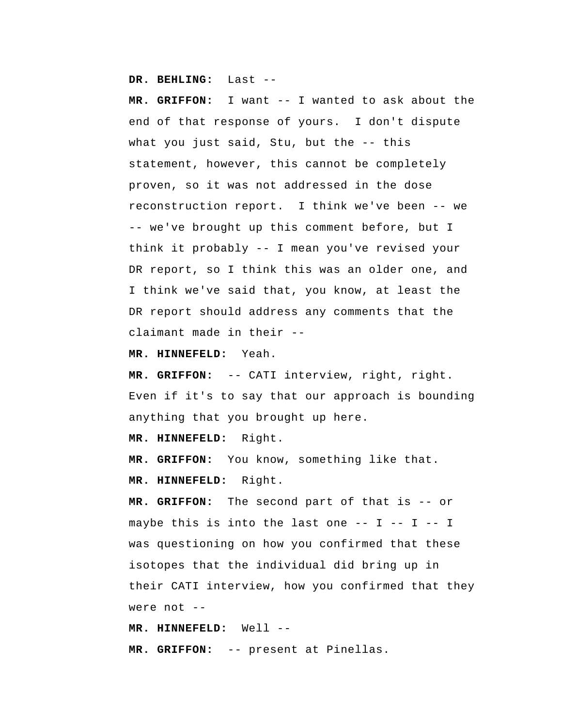**DR. BEHLING:** Last --

 **MR. GRIFFON:** I want -- I wanted to ask about the end of that response of yours. I don't dispute what you just said, Stu, but the -- this statement, however, this cannot be completely proven, so it was not addressed in the dose reconstruction report. I think we've been -- we -- we've brought up this comment before, but I think it probably -- I mean you've revised your DR report, so I think this was an older one, and I think we've said that, you know, at least the DR report should address any comments that the claimant made in their --

 **MR. HINNEFELD:** Yeah.

 **MR. GRIFFON:** -- CATI interview, right, right. Even if it's to say that our approach is bounding anything that you brought up here.

 **MR. HINNEFELD:** Right.

 **MR. GRIFFON:** You know, something like that.  **MR. HINNEFELD:** Right.

 **MR. GRIFFON:** The second part of that is -- or maybe this is into the last one  $-- I -- I$ was questioning on how you confirmed that these isotopes that the individual did bring up in their CATI interview, how you confirmed that they were not --

 **MR. HINNEFELD:** Well -- **MR. GRIFFON:** -- present at Pinellas.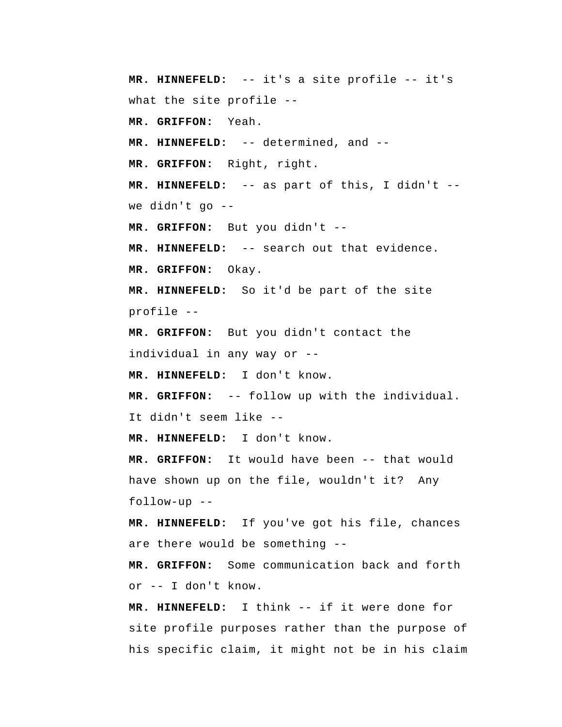**MR. HINNEFELD:** -- it's a site profile -- it's what the site profile --  **MR. GRIFFON:** Yeah.  **MR. HINNEFELD:** -- determined, and --  **MR. GRIFFON:** Right, right.  **MR. HINNEFELD:** -- as part of this, I didn't - we didn't go --  **MR. GRIFFON:** But you didn't -- **MR. HINNEFELD:** -- search out that evidence.  **MR. GRIFFON:** Okay.  **MR. HINNEFELD:** So it'd be part of the site profile -- **MR. GRIFFON:** But you didn't contact the individual in any way or -- **MR. HINNEFELD:** I don't know.  **MR. GRIFFON:** -- follow up with the individual. It didn't seem like -- **MR. HINNEFELD:** I don't know.  **MR. GRIFFON:** It would have been -- that would have shown up on the file, wouldn't it? Any follow-up -- **MR. HINNEFELD:** If you've got his file, chances are there would be something --  **MR. GRIFFON:** Some communication back and forth or -- I don't know.  **MR. HINNEFELD:** I think -- if it were done for site profile purposes rather than the purpose of

his specific claim, it might not be in his claim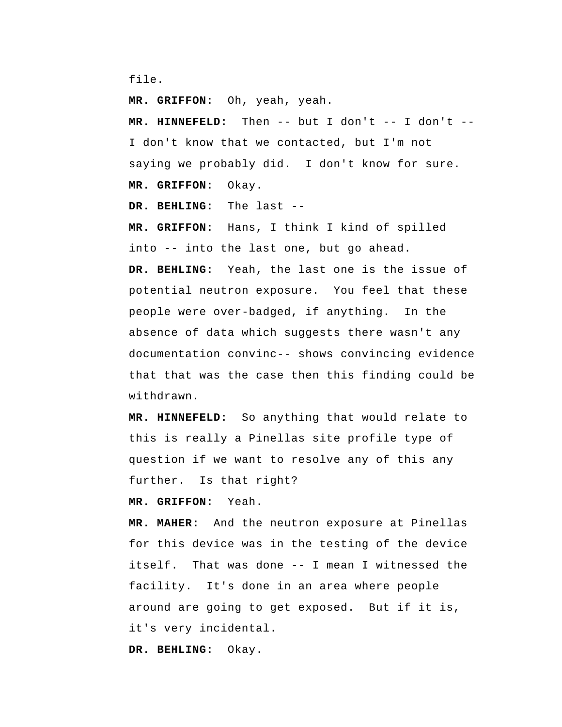file.

 **MR. GRIFFON:** Oh, yeah, yeah.

 **MR. HINNEFELD:** Then -- but I don't -- I don't -- I don't know that we contacted, but I'm not saying we probably did. I don't know for sure.  **MR. GRIFFON:** Okay.

 **DR. BEHLING:** The last --

 **MR. GRIFFON:** Hans, I think I kind of spilled into -- into the last one, but go ahead.

 **DR. BEHLING:** Yeah, the last one is the issue of potential neutron exposure. You feel that these people were over-badged, if anything. In the absence of data which suggests there wasn't any documentation convinc-- shows convincing evidence that that was the case then this finding could be withdrawn.

 **MR. HINNEFELD:** So anything that would relate to this is really a Pinellas site profile type of question if we want to resolve any of this any further. Is that right?

 **MR. GRIFFON:** Yeah.

**MR. MAHER:** And the neutron exposure at Pinellas for this device was in the testing of the device itself. That was done -- I mean I witnessed the facility. It's done in an area where people around are going to get exposed. But if it is, it's very incidental.

 **DR. BEHLING:** Okay.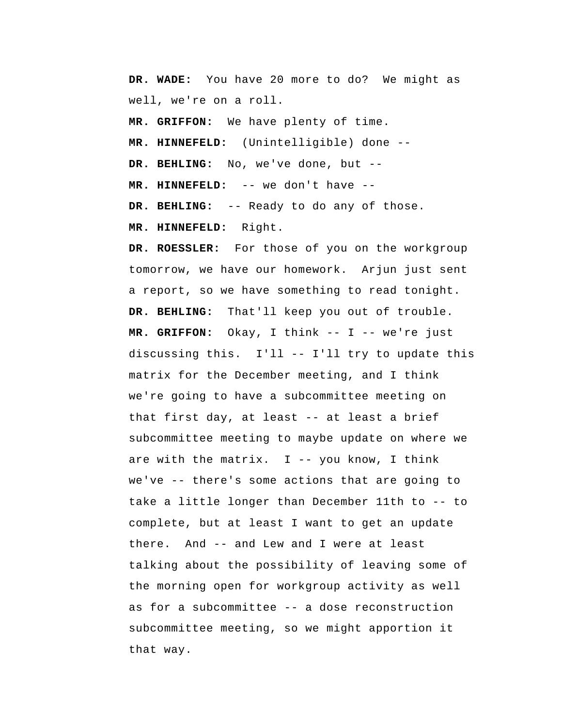**DR. WADE:** You have 20 more to do? We might as well, we're on a roll.

 **MR. GRIFFON:** We have plenty of time.

 **MR. HINNEFELD:** (Unintelligible) done --

 **DR. BEHLING:** No, we've done, but --

 **MR. HINNEFELD:** -- we don't have --

 **DR. BEHLING:** -- Ready to do any of those.

 **MR. HINNEFELD:** Right.

**DR. ROESSLER:** For those of you on the workgroup tomorrow, we have our homework. Arjun just sent a report, so we have something to read tonight.  **DR. BEHLING:** That'll keep you out of trouble.  **MR. GRIFFON:** Okay, I think -- I -- we're just discussing this. I'll -- I'll try to update this matrix for the December meeting, and I think we're going to have a subcommittee meeting on that first day, at least -- at least a brief subcommittee meeting to maybe update on where we are with the matrix.  $I$  -- you know, I think we've -- there's some actions that are going to take a little longer than December 11th to -- to complete, but at least I want to get an update there. And -- and Lew and I were at least talking about the possibility of leaving some of the morning open for workgroup activity as well as for a subcommittee -- a dose reconstruction subcommittee meeting, so we might apportion it that way.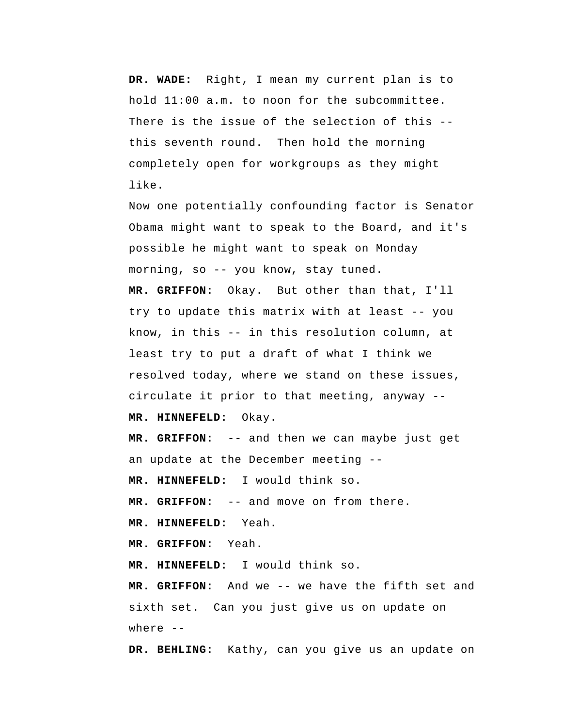**DR. WADE:** Right, I mean my current plan is to hold 11:00 a.m. to noon for the subcommittee. There is the issue of the selection of this - this seventh round. Then hold the morning completely open for workgroups as they might like.

Now one potentially confounding factor is Senator Obama might want to speak to the Board, and it's possible he might want to speak on Monday morning, so -- you know, stay tuned.

 **MR. GRIFFON:** Okay. But other than that, I'll try to update this matrix with at least -- you know, in this -- in this resolution column, at least try to put a draft of what I think we resolved today, where we stand on these issues, circulate it prior to that meeting, anyway --  **MR. HINNEFELD:** Okay.

 **MR. GRIFFON:** -- and then we can maybe just get an update at the December meeting --

 **MR. HINNEFELD:** I would think so.

 **MR. GRIFFON:** -- and move on from there.

 **MR. HINNEFELD:** Yeah.

 **MR. GRIFFON:** Yeah.

 **MR. HINNEFELD:** I would think so.

 **MR. GRIFFON:** And we -- we have the fifth set and sixth set. Can you just give us on update on where  $--$ 

 **DR. BEHLING:** Kathy, can you give us an update on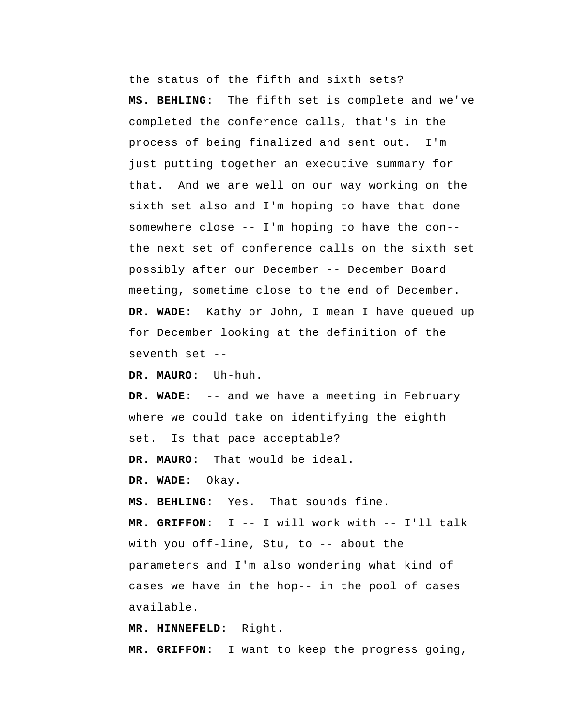the status of the fifth and sixth sets?  **MS. BEHLING:** The fifth set is complete and we've completed the conference calls, that's in the process of being finalized and sent out. I'm just putting together an executive summary for that. And we are well on our way working on the sixth set also and I'm hoping to have that done somewhere close -- I'm hoping to have the con- the next set of conference calls on the sixth set possibly after our December -- December Board meeting, sometime close to the end of December.  **DR. WADE:** Kathy or John, I mean I have queued up for December looking at the definition of the seventh set --

**DR. MAURO:** Uh-huh.

 **DR. WADE:** -- and we have a meeting in February where we could take on identifying the eighth set. Is that pace acceptable?

**DR. MAURO:** That would be ideal.

 **DR. WADE:** Okay.

 **MS. BEHLING:** Yes. That sounds fine.

 **MR. GRIFFON:** I -- I will work with -- I'll talk with you off-line, Stu, to -- about the parameters and I'm also wondering what kind of cases we have in the hop-- in the pool of cases available.

 **MR. HINNEFELD:** Right.

 **MR. GRIFFON:** I want to keep the progress going,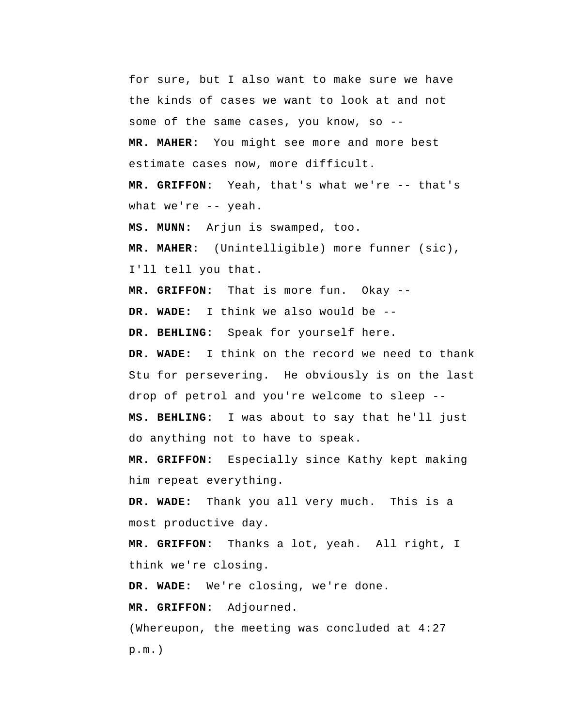for sure, but I also want to make sure we have the kinds of cases we want to look at and not some of the same cases, you know, so -- **MR. MAHER:** You might see more and more best estimate cases now, more difficult.  **MR. GRIFFON:** Yeah, that's what we're -- that's what we're -- yeah.  **MS. MUNN:** Arjun is swamped, too. **MR. MAHER:** (Unintelligible) more funner (sic), I'll tell you that.  **MR. GRIFFON:** That is more fun. Okay -- **DR. WADE:** I think we also would be --  **DR. BEHLING:** Speak for yourself here.  **DR. WADE:** I think on the record we need to thank Stu for persevering. He obviously is on the last drop of petrol and you're welcome to sleep --  **MS. BEHLING:** I was about to say that he'll just do anything not to have to speak.  **MR. GRIFFON:** Especially since Kathy kept making him repeat everything.

 **DR. WADE:** Thank you all very much. This is a most productive day.

 **MR. GRIFFON:** Thanks a lot, yeah. All right, I think we're closing.

 **DR. WADE:** We're closing, we're done.

 **MR. GRIFFON:** Adjourned.

 (Whereupon, the meeting was concluded at 4:27 p.m.)